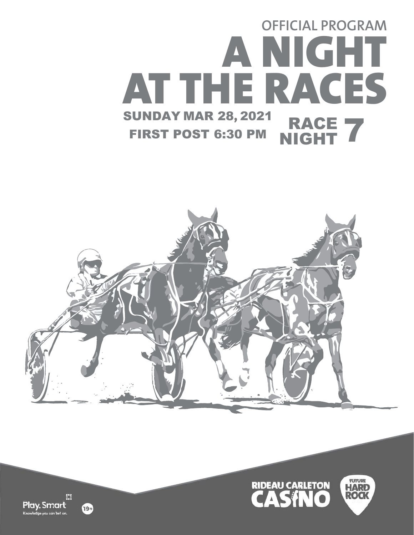# SUNDAY MAR 28**,** 2021 FIRST POST 6:30 PM RACE RACE 7 **OFFICIAL PROGRAM A NIGHT AT THE RACES**





阳 Play. Smart e vou can bet o

19+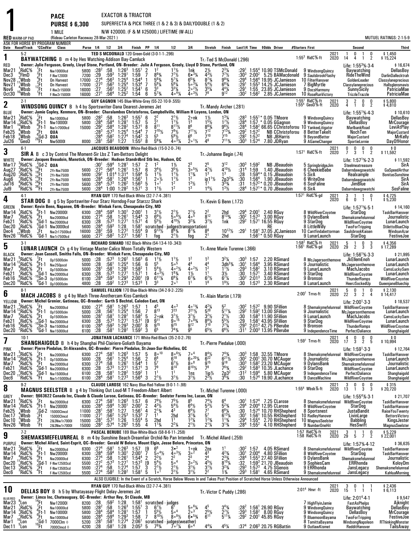|                          |                                                                   |                                                               | <b>PACE</b><br><b>PURSE \$6,300</b><br>1 MILE                                                                                                                                                                     |                                                                                                                                                                                            |                                                |                                            |                                                                 | EXACTOR & TRIACTOR                            |                                         | N/W \$20000. (F & M \$25000.) LIFETIME (W-ALL)                                                                                            |                                                                       |                                                           | SUPERFECTA & PICK THREE (1 & 2 & 3) & DAILYDOUBLE (1 & 2)           |                                                                                   |                                      |                                                      |                                                                                                                                                                                                                                                                                                                                                             |                                                                           |              |                                                                            |                                                                    |
|--------------------------|-------------------------------------------------------------------|---------------------------------------------------------------|-------------------------------------------------------------------------------------------------------------------------------------------------------------------------------------------------------------------|--------------------------------------------------------------------------------------------------------------------------------------------------------------------------------------------|------------------------------------------------|--------------------------------------------|-----------------------------------------------------------------|-----------------------------------------------|-----------------------------------------|-------------------------------------------------------------------------------------------------------------------------------------------|-----------------------------------------------------------------------|-----------------------------------------------------------|---------------------------------------------------------------------|-----------------------------------------------------------------------------------|--------------------------------------|------------------------------------------------------|-------------------------------------------------------------------------------------------------------------------------------------------------------------------------------------------------------------------------------------------------------------------------------------------------------------------------------------------------------------|---------------------------------------------------------------------------|--------------|----------------------------------------------------------------------------|--------------------------------------------------------------------|
|                          | <b>RED</b> WARM-UP PAD                                            |                                                               | (Rideau Carleton Raceway 28-Mar-2021)<br>ASK FOR HORSE BY PROGRAM NUMBER                                                                                                                                          |                                                                                                                                                                                            |                                                |                                            |                                                                 |                                               |                                         |                                                                                                                                           |                                                                       |                                                           |                                                                     |                                                                                   |                                      |                                                      |                                                                                                                                                                                                                                                                                                                                                             |                                                                           |              |                                                                            | MUTUEL RATINGS: 2-1-5-9                                            |
|                          | Date Race#Track<br>$5-2$                                          |                                                               | <b>CCndVar Class</b>                                                                                                                                                                                              | Purse 1/4 1/2                                                                                                                                                                              |                                                |                                            | 3 4                                                             | Finish PP 1/4                                 |                                         | TED S MCDONALD 120 Green-Gold (3-0-1-1-.296)                                                                                              | 1/2                                                                   | 3 4                                                       | Stretch                                                             | Finish                                                                            |                                      |                                                      | Last1/4 Time \$0dds Driver                                                                                                                                                                                                                                                                                                                                  | #Starters First                                                           | 2021         | Second<br>0<br>0                                                           | Third<br>\$1,450                                                   |
| 1<br>RED                 |                                                                   |                                                               | <b>BAYWATCHING</b> B m 4 by Hes Watching-Addison Bay-Camluck<br>Owner: Julie Ferguson, Greely, Lloyd Stone, Portland, ON-Breeder: Julie A Ferguson, Greely, Lloyd D Stone, Portland, ON                           |                                                                                                                                                                                            |                                                |                                            |                                                                 |                                               |                                         |                                                                                                                                           |                                                                       |                                                           | Tr.-Ted S McDonald (.296)                                           |                                                                                   |                                      |                                                      |                                                                                                                                                                                                                                                                                                                                                             | $1:553$ RidC $%$ -ft                                                      | 2020         | $\overline{2}$<br>14<br>4<br>Life: $1:55^3\%$ 3.4                          | \$15,224<br>\$16,674                                               |
| Mar21<br>Dec3            | RidC%<br>"FlmD                                                    | 'Ft                                                           | Nw10000lcd<br>F-Nw12000I                                                                                                                                                                                          | 5800 $:28^2$<br>7200                                                                                                                                                                       | :29                                            | :58<br>$:59^{3}$                           | $1:26^{3}$<br>1:29 <sup>1</sup>                                 | $\frac{1.55^{1}}{1.59}$                       | $\frac{2}{7}$                           | $8^{93}/4$                                                                                                                                | $7^{7}$ <sup>1</sup> / <sub>2</sub>                                   | 1nk<br>$6 • 3\frac{1}{4}$                                 | $4^{3}$ <sup>1</sup> / <sub>2</sub>                                 | $\frac{2^{3}\%}{7^{7}\%}$                                                         | $^{:29^1}_{:30^3}$                   | $2:00^2$                                             | $1:554$ 10.90 TSMcDonald<br>5.25 BAMacdonald 9 SaulsbrookFlashy                                                                                                                                                                                                                                                                                             | 9 WindsongQuincy                                                          |              | Baywatching<br>RideTheWind                                                 | DellasBoy<br><b>DarlinDallecktrah</b>                              |
| Nov28<br>Nov21           | , Wbsb<br>$\frac{1}{4}$ Whsh                                      | $2F_4F_1$<br>$2F_1F_1$<br>$12F_1$                             | <b>On Harvest</b><br><b>On Harvest</b>                                                                                                                                                                            | 17000<br>17000                                                                                                                                                                             | $\frac{127}{127^3}$<br>$\frac{127^3}{127}$     | :56 <sup>3</sup><br>.56 <sup>3</sup>       | $1:25^4$<br>$1:25^4$<br>$1:25^2$                                | $1.54^{4}$<br>$1:53^{4}$                      | $\overline{1}$<br>7                     | $5^{6}_{4}$<br>$5^{8}$ <sup>1</sup> / <sub>4</sub>                                                                                        | $5^{7}\frac{1}{4}$                                                    | $6^{5}_{4}\%$<br>5.3%                                     | $8^{7}_{4}\%$                                                       | $\frac{9^{93}}{6^{83}}$                                                           | :29 <sup>4</sup><br>:29 <sup>1</sup> |                                                      | 1:56 <sup>4</sup> 19.95 JCJamieson<br>$1:553$ 14.25 JCJamieson                                                                                                                                                                                                                                                                                              | 10 FilterHanover<br>7 BigMyrtle                                           |              | GoldenLeader<br>Classylaneprecious                                         | Classylaneprecious<br>Hallsglensmavis                              |
| Nov6<br><b>Oct30</b>     | Wbsb<br><sup>u</sup> Wbsb                                         | 'Ft                                                           | F-Nw2r15000l<br>F-Nw2r15000I                                                                                                                                                                                      | 16000<br>16000 : 27 <sup>1</sup>                                                                                                                                                           |                                                | $:56^{2}$<br>:56 <sup>4</sup>              | $1:25^2$                                                        | 1:54 <sup>1</sup><br>1:54                     | 3 <sup>3</sup><br>6<br>6                | $5^{7}$ %                                                                                                                                 | $3^{3}\%$<br>$40^{4}$                                                 | $2^o2\frac{1}{2}$<br>$4 \circ 3\frac{1}{2}$               | $3^{5}$ <sup>%</sup><br>78                                          | $4^{4}\frac{1}{4}$                                                                | :29 <sup>1</sup><br>:30 <sup>2</sup> | $1:56^{2}$                                           | 1:55 23.85 JCJamieson<br>2.85 JCJamieson                                                                                                                                                                                                                                                                                                                    | 9 DocsHarmony<br>10 RoseRunVictory                                        |              | <b>SunnySicily</b><br>TrizzleTrazzle                                       | PatriciaMae<br>PatriciaMae                                         |
| 2                        | $2-1$                                                             |                                                               | <b>WINDSONG QUINCY</b> B h 4 by Sportswriter-Dana Dearest-Jeremes Jet                                                                                                                                             |                                                                                                                                                                                            |                                                |                                            |                                                                 |                                               |                                         | GUY GAGNON 145 Blue-White-Grey (55-22-10-9-.555)                                                                                          |                                                                       |                                                           |                                                                     |                                                                                   |                                      |                                                      |                                                                                                                                                                                                                                                                                                                                                             | 1:55 <sup>1</sup> RidC%-ft<br>1:55 <sup>4</sup> GeoD%-ft                  | 2021<br>2020 | 3<br>$\frac{2}{1}$<br>0<br>0<br>$\overline{2}$<br>Ō.<br>$\overline{4}$     | \$5,800<br>\$4,810                                                 |
| BLUE                     |                                                                   |                                                               | Owner: Jamie Copley, Kenmore, ON-Breeder: Charalambos Christoforou, Campbellville, William H Loyens, London, ON                                                                                                   |                                                                                                                                                                                            |                                                |                                            |                                                                 |                                               |                                         |                                                                                                                                           |                                                                       |                                                           | Tr.-Mandy Archer (.281)                                             |                                                                                   |                                      |                                                      |                                                                                                                                                                                                                                                                                                                                                             |                                                                           |              | Life: $1:55^{1}\%$ 4.3                                                     | \$10,610                                                           |
| Mar21<br>Mar 14          | RidC%<br>°RidC%                                                   | 'Ft<br>$_{9}^{\circ}$ Ft-1                                    | Nw10000lcd<br>Nw10000I                                                                                                                                                                                            | 5800 $:28^2$<br>5800                                                                                                                                                                       | $:28^{4}$<br>$:29^{2}$                         | .58<br>$:58^{4}$                           | $1:26^{3}$<br>$1:281$<br>1:28 <sup>2</sup>                      | $1:55^{1}$<br>$\frac{1:57}{1:57}$             | $\frac{2^2}{2^1}$<br>6<br>$\frac{5}{8}$ |                                                                                                                                           | $2^{11}/2$<br>$3^{11/2}_{8^{11/2}}$                                   | 2∘nk<br>1 <sup>3</sup>                                    | $\frac{1\frac{1}{2}}{1\frac{5\frac{1}{2}}{8\frac{3}{4}}}$           | $1^{3}\frac{1}{4}$<br>$1^{7}\frac{1}{2}$<br>$9^{6}\frac{1}{2}$                    | $:28^{3}$<br>:284                    |                                                      | $1:55^{1*}$ 0.05 TMoore<br>1:57 $*$ 0.05 GGagnon                                                                                                                                                                                                                                                                                                            | 9 WindsongQuincy<br>9 WindsongQuincy                                      |              | Baywatching<br>DellasBoy                                                   | DellasBoy<br><b>MrCourage</b>                                      |
| Mar 1<br>Feb25           | Wbsb!<br>Wbsb?                                                    | :Ft-1<br>"Ft                                                  | Nw1r7000lcd<br>QUA                                                                                                                                                                                                | 15000                                                                                                                                                                                      | $:28^{3}$                                      | $:58^4$<br>$:57^{3}$                       | $1:25^{4}$                                                      | 1:54 <sup>4</sup>                             | 7                                       | $7^{10}$ %                                                                                                                                | $7^{9}$ <sup>1</sup> / <sub>2</sub>                                   | 8 <sup>6</sup><br>$7^{11}$ <sup>1</sup> / <sub>2</sub>    | $7^{12}$                                                            | $7^{13}$ <sup>1</sup> / <sub>4</sub>                                              | :28ª<br>$:29^{2}$                    | $1:57^{2}$                                           | 1:58 <sup>2</sup> 66.65 CChristoforou 10 YankeeLitigator<br>NB CChristoforou 8 BetterTakelt                                                                                                                                                                                                                                                                 |                                                                           |              | <b>MarlbankRoad</b><br>NochTen                                             | LeviAtPlay<br>MajorCustard                                         |
| Feb18<br>Jul26           | ្តីWbsb<br>'GeoD                                                  | $^{8}$ Gd-3 QUA<br><sup>29</sup> Ft Nw50                      | <b>Nw5000I</b>                                                                                                                                                                                                    | $28^4$ :<br>28 <sup>1</sup>                                                                                                                                                                |                                                | :58 $^2$<br>$:58^2$ 1:27                   | 1:27 <sup>4</sup>                                               | $1:54^{2}$<br>$1:55^{2}$                      | 5 <sup>5</sup><br>$\ddot{3}$<br>8       | $5^{6}$ <sup>3</sup> / <sub>4</sub>                                                                                                       | $\frac{5^{9}1}{4^{9}1/4}$                                             | 6 <sup>6</sup><br>$2^{\circ 1}/2$                         | $7^{10}$<br>46                                                      | $7^{15}$<br>$7^{113}$ /4                                                          | :282<br>:30ª                         | $1:57^{2}$<br>1:57 <sup>4</sup>                      | <b>NB JBHarris</b><br>7.80 JDRvan                                                                                                                                                                                                                                                                                                                           | 9 BeyondBetter<br>9 AGameChanger                                          |              | <b>MajorCustard</b><br>SportieLornie                                       | MrKelly<br><b>DayOfHonor</b>                                       |
| 3                        | $6-1$                                                             |                                                               | <b>SIR A</b> B c 3 by Control The Moment-Sir Lbs Z Tam-Bettors Delight                                                                                                                                            |                                                                                                                                                                                            |                                                |                                            |                                                                 |                                               |                                         | JACQUES BEAUDOIN White-Red-Black (15-0-2-0-.74)                                                                                           |                                                                       |                                                           | Tr. Johanne Begin (.74)                                             |                                                                                   |                                      |                                                      |                                                                                                                                                                                                                                                                                                                                                             | $1:571$ RidC %-ft                                                         | 2021<br>2020 | 0<br>$0\quad 0$<br>0<br>7 <sub>3</sub><br>$\overline{1}$<br>$\overline{2}$ | \$0<br>\$11.592                                                    |
| WHITE<br>Mar 17          | RidC%                                                             | $^{2}_{16}$ Gd-2 QUA                                          | Owner: Jacques Beaudoin, Manotick, ON-Breeder: Hudson Standrdbrd Stb Inc, Hudson, QC                                                                                                                              |                                                                                                                                                                                            | :30'                                           | :594                                       | 1:28 <sup>1</sup>                                               | 1:57                                          | 1 <sup>2</sup><br>2                     |                                                                                                                                           |                                                                       |                                                           |                                                                     | $3^{12}$                                                                          | :303                                 | 1:59 <sup>2</sup>                                    | <b>NB JBeaudoin</b>                                                                                                                                                                                                                                                                                                                                         | 5 SpringbridgeJim                                                         |              | Life: $1:57^{1}\%$ 2.3<br>Steelmeatreasure                                 | \$11,592<br>SirA                                                   |
| Aug27<br>Aug20           | <sup>3</sup> RidC%<br>2RidC%                                      | Fti<br>19                                                     | 2Yr-Nw7500I<br>2Yr-Nw7500I                                                                                                                                                                                        | 5600<br>5600                                                                                                                                                                               | $:27^{3}$<br>$:29^2$                           | $:56^4$ 1:26 <sup>1</sup>                  | 1:01 <sup>4</sup> 1:31 <sup>4</sup>                             | 1:57<br>1.59 <sup>4</sup>                     | 6<br>5                                  | $3^{4}\frac{1}{2}$<br>$1^{1}\frac{1}{2}$                                                                                                  | $\frac{1\frac{1}{2}}{3^{5}\frac{1}{2}}$<br>$1\frac{1}{2}$             | $\frac{2^3}{3}$ <sup>5</sup> / <sub>2</sub><br>$1^{13}/4$ | $2^5$<br>4 <sup>7</sup> $\frac{1}{2}$<br>13                         | $4^{10}$ %<br>1 <sup>3</sup>                                                      | :31ª<br>:28                          | 1:59<br>$1:59^{4}$                                   | 1.40 JBeaudoin<br>0.15 JBeaudoin                                                                                                                                                                                                                                                                                                                            | 6 CheekieBabe<br>5 SirA                                                   |              | Dabarndawgswatchi<br>Realxample                                            | GaSpeedArthur<br><b>BonitasSunshine</b>                            |
| Aug6<br>Jul 16           | $_{8}^{2}$ RidC%<br>$^{\circ}_{9}$ RidC%                          | $\frac{25}{26}$ Ft<br>$\frac{26}{36}$ Ft<br>$\frac{36}{5}$ Ft | 2Yr-Nw7500I<br>2Yr-Nw7500I                                                                                                                                                                                        | 5600<br>5600                                                                                                                                                                               | $^{128^4}_{128^4}$                             |                                            | $:58^1$ 1:26 <sup>4</sup><br>:57 <sup>3</sup> 1:26 <sup>2</sup> | 1:56<br>$1:56^{3}$                            | -1<br>5                                 | $2 \frac{8}{1} \cdot \frac{1}{2}$                                                                                                         | $\frac{11}{2}$                                                        | 1 <sup>2</sup><br>$1^{3}$ <sup>1</sup> / <sub>2</sub>     | $ip_{1}11/2$                                                        | $2p3^{3}/4$<br>$3^{3}/4$                                                          | :30<br>:31                           | $1:56^{4}$                                           | 1.90 JBeaudoin<br>$1:57^{2*}$ 0.20 JBeaudoin                                                                                                                                                                                                                                                                                                                | 6 WriteOne<br>6 SosFaline                                                 |              | Dabarndawgswatchi<br>JimBlue                                               | SirA<br>SirA                                                       |
| Jul9                     | 'RidC%<br>$4-1$                                                   |                                                               | 2Yr-Nw7500I                                                                                                                                                                                                       | 5600                                                                                                                                                                                       | :28 <sup>4</sup>                               | 1:00                                       | $1:28^{2}$                                                      | 1:57 <sup>1</sup>                             | 3                                       | $1^{11}/2$<br>RYAN GUY 170 Red-Black-White (32-7-7-4-.381)                                                                                |                                                                       | 1 <sup>3</sup>                                            | $14$ %                                                              | $1^{3}$                                                                           | :28 <sup>4</sup>                     | $1:57^{1*}$                                          | 0.70 JBeaudoin                                                                                                                                                                                                                                                                                                                                              | 6 SirA<br>$1:571$ RidC %-gd                                               |              | Dabarndawgswatchi<br>3<br>$\mathbf{1}$<br>1<br>0                           | <b>SosFaline</b>                                                   |
| 4                        |                                                                   |                                                               | STAR DOG B g 5 by Sportswriter-Four Starz Horndog-Four Starzzz Shark                                                                                                                                              |                                                                                                                                                                                            |                                                |                                            |                                                                 |                                               |                                         |                                                                                                                                           |                                                                       |                                                           | Tr. Kevin G Benn (.172)                                             |                                                                                   |                                      |                                                      |                                                                                                                                                                                                                                                                                                                                                             |                                                                           | 2021<br>2020 | 6<br>0<br>$\overline{1}$<br>-1                                             | \$4,725<br>\$5,230                                                 |
| GREEN<br>Mar 14          | RidC%                                                             |                                                               | Owner: Kevin Benn, Napanee, ON-Breeder: Winbak Farm, Chesapeake City, MD<br>Ft-1 Nw200001                                                                                                                         | 6300                                                                                                                                                                                       | :28 <sup>4</sup>                               |                                            | $:59^4$ 1:30 <sup>1</sup>                                       | 2:00 <sup>1</sup>                             |                                         | $3^{1}$ %                                                                                                                                 | $2^{1}\frac{1}{2}$<br>5.6%                                            | $2^{11/2}$<br>4 <sup>o</sup> <sup>5</sup>                 | $2^2$                                                               | 2hd                                                                               |                                      | 2:00 <sup>1</sup>                                    | 2.40 RGuy                                                                                                                                                                                                                                                                                                                                                   | 8 WildRiverCoyotee                                                        |              | Life: $1:57^{1}\%$ 5-1<br>StarDog                                          | \$14,160<br><b>TaskBarHanover</b>                                  |
| Mar7<br>Feb21            | RidC%<br>RidC%                                                    | "Ft                                                           | Nw20000lcd<br>$^{4}$ Gd-1 Nw20000lcd                                                                                                                                                                              | 6300<br>6300                                                                                                                                                                               | :27 <sup>4</sup><br>$: 28$<br>:28 <sup>4</sup> | :58<br>$:57^{3}$                           | 1:26 <sup>1</sup><br>1:27 <sup>1</sup>                          | $1:54^{4}$<br>$1:57^1$ 4                      | 3                                       | $6^{9}$ <sup>1</sup> / <sub>2</sub><br>$5^{5}$ <sup>1</sup> / <sub>2</sub>                                                                | $4^{10}$ <sup>1</sup> / <sub>2</sub>                                  | $3^{23}/4$                                                | $\overline{8}$ <sup>12</sup><br>$3^{1}$ <sup>1</sup> / <sub>2</sub> | $8^{13}$ <sup>3</sup> / <sub>4</sub><br>1nk                                       | :30 <sup>2</sup><br>$:29^2$          | $1:57^{3}$                                           | 3.00 RGuy<br>1:57 <sup>1</sup> 16.55 RGuy                                                                                                                                                                                                                                                                                                                   | 9 DylansBank<br>9 StarDog                                                 |              | Shemaksmefelunreal<br><b>WildRiverCoyotee</b>                              | Journalistic<br>LunarLaunch                                        |
| Dec20<br>Dec4            | 'RidC%<br>Wbsb                                                    | $^{1}$ Ft                                                     | 'Gd-1 Nw3000lcd<br>Nw2r17500lcd                                                                                                                                                                                   | 5600<br>16000                                                                                                                                                                              | $:28^{2}$                                      | $.59^{3}$<br>:59                           | 1:28<br>$1:27^{2}$                                              | $1:58^{1}$<br>$1:55^{4}$                      |                                         | scratched - judges (transportation)<br>9  9 <sup>131</sup> / <sub>2</sub> 8 <sup>83</sup> / <sub>4</sub> 8 <sup>73</sup> / <sub>4</sub> 8 |                                                                       |                                                           | 8 <sup>6</sup>                                                      | $10^{12}\frac{1}{2}$ :29 <sup>1</sup>                                             |                                      |                                                      | RE<br>$1:581$ 37.05 JCJamieson                                                                                                                                                                                                                                                                                                                              | 8 LittleWilly                                                             |              | <b>TwoForTripping</b><br>10 Cantfindabettorman SaulsbrookKaisen            | StilettoBlueChip<br>WindsunAzar                                    |
| Nov26                    | 'RidC%<br>$3-1$                                                   |                                                               | 'Gd-1 Nw1r75001cd                                                                                                                                                                                                 | 5600                                                                                                                                                                                       | $:27^2$                                        | :58 <sup>2</sup>                           | 1:27 <sup>1</sup>                                               | 1:56 <sup>1</sup>                             | $\overline{1}$<br>fog                   | RICHARD SIMARD 162 Black-White (54-13-4-10-.343)                                                                                          | $2^{11/2}$                                                            | fog                                                       | 2 <sup>1</sup>                                                      | 2hd                                                                               |                                      |                                                      | $1:56^{1*}$ 0.50 RGuv                                                                                                                                                                                                                                                                                                                                       | 9 LunarLaunch<br>1:58 <sup>2</sup> RidC%-ft<br>1:56 <sup>1</sup> RidC%-gd |              | StarDog<br>5<br>0                                                          | <b>FestiveJoe</b>                                                  |
| 5<br>BLACK               |                                                                   |                                                               | LUNAR LAUNCH Ch g 4 by Vintage Master-Calico Moon-Totally Western<br>Owner: Joan Cassell, Smiths Falls, ON-Breeder: Winbak Farm, Chesapeake City, MD                                                              |                                                                                                                                                                                            |                                                |                                            |                                                                 |                                               |                                         |                                                                                                                                           |                                                                       |                                                           | Tr. Anne Marie Turenne (.366)                                       |                                                                                   |                                      |                                                      |                                                                                                                                                                                                                                                                                                                                                             |                                                                           | 2021<br>2020 | $\frac{3}{3}$<br>29<br>$\overline{2}$<br>3<br>Life: $1:56^{1}\%$ 3.3       | \$4,356<br>\$17,289<br>\$21,995                                    |
| Mar21<br>Mar14           | . <sup>5</sup> RidC%                                              | 'Ft∴                                                          | Op15000clm                                                                                                                                                                                                        | 5000 :28                                                                                                                                                                                   |                                                |                                            | $:57^3$ 1:26 <sup>2</sup><br>$1:25^{4}$                         | $1:56^3$ 6<br>1.56                            | 6                                       | $1^{11}/2$                                                                                                                                | $1\frac{1}{2}$<br>5.5                                                 | 1 <sup>2</sup><br>44                                      | 1 <sup>2</sup>                                                      | $3^{2}\%$<br>$3dh3$ %                                                             | :303<br>$:30^1$                      | 1:57                                                 | 2.20 RSimard<br>3.95 RSimard                                                                                                                                                                                                                                                                                                                                | 8 McJagersonthemove<br>9 Journalistic                                     |              | JkEllemEnoh                                                                | LunarLaunch                                                        |
| Mar7                     | & <sup>2</sup> RidC<br>RidC;                                      | $\frac{9}{9}$ Ft-1                                            | Nw250pscd<br>0p15000clm                                                                                                                                                                                           | 5000<br>5000                                                                                                                                                                               | $: 28$<br>:281<br>:28                          | $:56^{1}$<br>:58 <sup>1</sup><br>$:57^{3}$ | 1:28 <sup>2</sup><br>1:27 <sup>1</sup>                          | $1:58^{2}$<br>1:57 <sup>1</sup>               | $\overline{1}$<br>1                     | $5^4\%$<br>$40^{3}$                                                                                                                       | $40^{2}$ %<br>$1^{83}/4$                                              | $4 \cdot 2\frac{1}{2}$                                    | $\frac{4^4}{1^2}$                                                   | $1^{11}/2$                                                                        | :293<br>$\overline{30}$              | $1:56^{4}$<br>1:58 <sup>2</sup><br>1:57 <sup>1</sup> | 3.10 RSimard<br>3.40 RSimard                                                                                                                                                                                                                                                                                                                                | 9 LunarLaunch                                                             |              | McJagersonthemove<br>MachJacobs                                            | LunarLaunch<br>CamsLuckySam                                        |
| Feb21<br>Feb16<br>Dec20  | RidC%<br>RidC%<br>'RidC%                                          |                                                               | Gd-1 Nw20000lcd<br>$^{10}_{0}$ Sn-3 Op15000clm<br>$^{0}$ Gd-1 Op10000clm                                                                                                                                          | 6300<br>6100<br>4800                                                                                                                                                                       | :28 $\overline{ }$<br>:28                      | $:59^{3}$<br>$:59^2$                       | $1:293$<br>$1:273$                                              | $2:00^{1}$<br>$1:57^{3}$                      | [9<br>3 <sup>3</sup>                    | $6^{11}\%$                                                                                                                                | $6^{8}$ <sup>%</sup><br>$\frac{5}{2}$ °1                              | $1\frac{1}{2}$<br>$6^{7}$ <sup>3</sup> / <sub>4</sub>     | $6^{7}$ %                                                           | 3½<br>$6^{7}$ <sup>1</sup> / <sub>4</sub><br>$19$ / <sub>2</sub>                  | :30 <sup>2</sup><br>:30              | 2:01 <sup>3</sup><br>$1:57^{3}$                      | 3.05 RSimard<br>2.30 RSimard                                                                                                                                                                                                                                                                                                                                | 9 StarDog<br>9 Bronson<br>8 LunarLaunch                                   |              | <b>WildRiverCoyotee</b><br><b>ThunderRomps</b><br>HeerzSockedUp            | LunarLaunch<br><b>WildRiverCoyotee</b><br><b>QueenjaneBluechip</b> |
| 6                        | $8-1$                                                             |                                                               |                                                                                                                                                                                                                   |                                                                                                                                                                                            |                                                |                                            |                                                                 |                                               |                                         | SAMUEL FILLION 170 Blue-Black-White (34-2-9-2-.225)                                                                                       |                                                                       |                                                           |                                                                     |                                                                                   |                                      |                                                      |                                                                                                                                                                                                                                                                                                                                                             | $2:001$ Trrvs-ft                                                          | 2021<br>2020 | 0<br>5<br>$\mathbf{1}$<br>0<br>22                                          | \$2,130<br>\$14,417                                                |
| YELLOW                   |                                                                   |                                                               | <b>MACH JACOBS</b> B g 4 by Mach Three-Anothercam Kiss-Camluck<br>Owner: Michel Grenier, Gatineau, QC-Breeder: Garth S Bechtel, Caledon East, ON                                                                  |                                                                                                                                                                                            |                                                |                                            |                                                                 |                                               |                                         |                                                                                                                                           |                                                                       |                                                           | Tr. Alain Martin (.179)                                             |                                                                                   |                                      |                                                      |                                                                                                                                                                                                                                                                                                                                                             |                                                                           |              | 3<br>2<br>$\overline{4}$<br>Life: $2:00^1.3.3$                             | \$18,537                                                           |
| Mar21<br>Mar 14          | $^{3}_{12}$ RidC%<br>$\frac{2}{9}$ RidC <sup>5</sup> <sup>8</sup> | $.6$ <sub>Et 1</sub><br>·t⊡                                   | Nw20000lcd<br>Op15000clm                                                                                                                                                                                          | 6300 :27 <sup>4</sup> :58 <sup>1</sup> 1:26 <sup>3</sup> 1:57 1<br>$\frac{1}{28}$ $\frac{1}{26}$ $\frac{1}{26}$ $\frac{1}{25}$ $\frac{1}{25}$ $\frac{1}{25}$ $\frac{1}{25}$ $\frac{1}{25}$ |                                                |                                            |                                                                 |                                               | 45                                      | $8^{13}$                                                                                                                                  | $\frac{40^{3}}{7^{23}}$                                               | $40^{13}/4$<br>$7^{211}$                                  | $4^{2}\frac{1}{5}$                                                  | 52<br>$517\%$                                                                     |                                      |                                                      | :30 $^{2}$ 1:57 $^{2}$ 9.90 SFillion<br>$\frac{1}{2}$ $\frac{3}{2}$ $\frac{3}{2}$ $\frac{1}{2}$ $\frac{3}{2}$ $\frac{3}{2}$ $\frac{1}{2}$ $\frac{3}{2}$ $\frac{1}{2}$ $\frac{1}{2}$ $\frac{1}{2}$ $\frac{1}{2}$ $\frac{1}{2}$ $\frac{1}{2}$ $\frac{1}{2}$ $\frac{1}{2}$ $\frac{1}{2}$ $\frac{1}{2}$ $\frac{1}{2}$ $\frac{1}{2}$ $\frac{1}{2}$ $\frac{1}{2}$ | 9 Journalistic                                                            |              | 8 Shemaksmefelunreal WildRiverCoyotee<br>McJagersonthemove                 | TaskBarHanover<br>LunarLaunch                                      |
| Mar7<br>Feb21            | RidC%<br>RidC%,                                                   | . <sup>9</sup> Ft                                             | 0p15000clm<br>Gd-1 Nw200001cd                                                                                                                                                                                     | 5000<br>6300                                                                                                                                                                               | :281<br>$\frac{128}{284}$                      | :58 <sup>1</sup><br>$:57^{3}_{59^{3}}$     | 1:28 <sup>2</sup><br>1:27 <sup>1</sup>                          | 1:58 <sup>2</sup><br>1:57 <sup>1</sup>        | 5<br>[9<br>9 <sup>11</sup>              | 2∘nk                                                                                                                                      | $3^{1}\frac{1}{2}$<br>9.15                                            | $\frac{3^{1}\frac{1}{2}}{7^{o}\frac{93}{4}}$              | $8^{8}_{70}$                                                        | $2^1\frac{1}{2}$<br>$\frac{55}{7}\frac{1}{2}$                                     | :30<br>: 29.29                       |                                                      | $1:583$ 11.90 SFillion<br>1:58 <sup>1</sup> 43.95 SFillion                                                                                                                                                                                                                                                                                                  | 9 LunarLaunch<br>9 StarDog                                                |              | MachJacobs<br><b>WildRiverCoyotee</b>                                      | CamsLuckySam<br>LunarLaunch                                        |
| Feb16<br>Dec20           | RidC%<br>^RidC%                                                   |                                                               | <sup>10</sup> Sn-3 Nw15000lcd<br><sup>0</sup> G <u>d-1 Nw15000lcd</u>                                                                                                                                             | 6100<br>6100                                                                                                                                                                               | :28                                            | :58 <sup>1</sup>                           | $1:29^{3}$<br>1:28 <sup>2</sup>                                 | 2:00 <sup>1</sup><br>$1:59^{2}$               | 8<br>6 <sup>5</sup><br>3                | $9^{15}$                                                                                                                                  | $\tilde{q}$ <sup>15</sup><br>$7^{43}$                                 | 9 <sup>12</sup><br>g5                                     | $6^{5}$ <sup>1</sup> / <sub>2</sub>                                 | $6^{6}$ <sup>1</sup> / <sub>2</sub>                                               | :31 <sup>1</sup>                     |                                                      | 2:01 <sup>3</sup> 42.75 PBerube<br>$2:003$ 13.95 PBerube                                                                                                                                                                                                                                                                                                    | 9 Bronson<br>9 IndependenceTime                                           |              | <b>ThunderRomps</b><br>PerfectDaliance                                     | <b>WildRiverCoyotee</b><br>Shanghaigold                            |
| 7                        | $10-1$                                                            |                                                               | <b>SHANGHAIGOLD</b> B h 4 by Shanghai Phil-Clairiere-Goliath Bayama                                                                                                                                               |                                                                                                                                                                                            |                                                |                                            |                                                                 |                                               |                                         | JONATHAN LACHANCE 171 White-Red-Black (35-2-0-2-.76)                                                                                      |                                                                       |                                                           | Tr. Pierre Piedalue (.000)                                          |                                                                                   |                                      |                                                      |                                                                                                                                                                                                                                                                                                                                                             | $1:591$ Trrvs-ft                                                          | 2021<br>2020 | 0<br>4<br>0<br>0<br>17<br>3<br>2<br>5                                      | \$0<br>\$10,994                                                    |
| PINK                     | RidC%                                                             | '.Ft                                                          | Owner: Pierre Piedalue, St-Alexandre, QC--Breeder: Pierre Piedalue, St-Jean-Sur-Richelieu, QC                                                                                                                     | 6300                                                                                                                                                                                       | :27 <sup>4</sup>                               | :58 <sup>1</sup>                           | $1:26^{3}$                                                      | 1:57                                          | 5                                       | 8 <sup>0</sup>                                                                                                                            | $806\%$                                                               | 7 <sup>0</sup>                                            |                                                                     |                                                                                   | :30ª                                 |                                                      | 1:58 32.55 TMoore                                                                                                                                                                                                                                                                                                                                           |                                                                           |              | Life: $1:59^1.3.3$<br>8 Shemaksmefelunreal WildRiverCovotee                | \$12,764                                                           |
| Mar21<br>Mar 14          | RidC%                                                             | :Ft-1                                                         | <b>Nw20000Icd</b><br>Op15000clm                                                                                                                                                                                   | 5000                                                                                                                                                                                       | :28<br>:27 <sup>4</sup>                        | $:56^{1}$                                  | $1:25^{4}$                                                      | 1:56                                          | 6 <sup>8</sup><br>2<br>$\mathbf{1}$     |                                                                                                                                           | $6^{18}$                                                              | $6^{\circ 20}$ <sup>1</sup> / <sub>4</sub><br>8008        | $8^{4}/_{2}$<br>6 <sup>22</sup><br>9 <sup>15</sup>                  | $6^{21}$ %<br>Q18                                                                 | :30 <sup>2</sup><br>$:30^{3}$        |                                                      | 2:00 <sup>1</sup> 30.70 MCAuger                                                                                                                                                                                                                                                                                                                             | 9 Journalistic                                                            |              | McJagersonthemove                                                          | TaskBarHanover<br>LunarLaunch<br>Journalistic                      |
| Mar7<br>Feb21<br>Dec20   | 'RidC%<br>$2$ RidC <sup>5</sup> %<br>,RidC%                       | .Ft                                                           | Nw20000lcd<br>$^4$ Gd-1 Nw20000lcd                                                                                                                                                                                | 6300<br>6300                                                                                                                                                                               | :28<br>:28                                     | $\frac{.58}{.57^3}$<br>:58 <sup>1</sup>    | $1:261$<br>1:27 <sup>1</sup><br>1:28 <sup>2</sup>               | $1:54^{4}$<br>$1:57^{1}$<br>1:59 <sup>2</sup> | $\frac{5}{7}$ <sup>7</sup><br>3<br>11   |                                                                                                                                           | $6^{7}/_{2}$<br>8 <sup>14</sup><br>1 <sup>1</sup>                     | $8^{10}$ %<br>1ns                                         | $\bar{7}$ <sup>8</sup><br>$1$ ip $\frac{1}{2}$                      | $76\frac{3}{4}$                                                                   | :292<br>:31 <sup>2</sup>             |                                                      | $1:582$ 23.20 MCAuger<br>$1:583$ 10.35 JLachance<br>$1:594$ 5.80 MCAuger                                                                                                                                                                                                                                                                                    | 9 DylansBank<br>9 StarDog                                                 |              | Shemaksmefelunreal<br><b>WildRiverCoyotee</b>                              | LunarLaunch<br>Shanghaigold                                        |
| Dec6                     | 'RidC%                                                            | "Ft                                                           | Gd-1 Nw150001cd<br>Nw1r15000lcd                                                                                                                                                                                   | 6100<br>6100 :284                                                                                                                                                                          |                                                | :58 <sup>1</sup>                           | $1:27^{3}$                                                      | 1:56 <sup>4</sup>                             | 3                                       | $2^{11/2}$                                                                                                                                | $3^{1}$ %                                                             | $3^{1}/2$                                                 | $2^{2}\%$                                                           | $2p3^2$<br>$3^4\%$                                                                | :30                                  |                                                      | 1:57 <sup>4</sup> 19.90 JLachance                                                                                                                                                                                                                                                                                                                           | 9 IndependenceTime<br>9 DanceMachine                                      |              | PerfectDaliance<br><b>WildRiverCoyotee</b>                                 | Shanghaigold                                                       |
| 8                        | $9-2$                                                             |                                                               | <b>MAGNUS SEELSTER</b> B g 4 by Thinking Out Loud-M T Freedom-Albert Albert                                                                                                                                       |                                                                                                                                                                                            |                                                |                                            |                                                                 |                                               |                                         | CLAUDE LAROSE 162 Navy Blue-Red-Yellow (9-0-1-1-.98)                                                                                      |                                                                       |                                                           | Tr. Michel Turenne (.000)                                           |                                                                                   |                                      |                                                      |                                                                                                                                                                                                                                                                                                                                                             | $1:554$ Wbsb $%$ -ft                                                      | 2021<br>2020 | 3<br>0<br>0<br>0<br>13<br>3<br>3<br>$\overline{1}$                         | \$315<br>\$20,720                                                  |
| GREY<br>$\mathsf{Mar2}'$ | ,RidC%                                                            | .Ft                                                           | Owner: 9663622 Canada Inc, Claude & Claude Larose, Gatineau, QC-Breeder: Seelster Farms Inc, Lucan, ON<br>Nw20000lcd                                                                                              | 6300                                                                                                                                                                                       | :27 <sup>4</sup>                               | :58 <sup>1</sup>                           | $1:26^{3}$                                                      | 1:57                                          | 6                                       | $7^9\frac{1}{2}$                                                                                                                          | $7^5\frac{1}{2}$                                                      | 85                                                        |                                                                     |                                                                                   | :30                                  | 1:57 <sup>4</sup>                                    | 7.25 CLarose                                                                                                                                                                                                                                                                                                                                                | 8 Shemaksmefelunreal                                                      |              | Life: $1:55^{4}\%$ 3-1<br><b>WildRiverCoyotee</b>                          | \$21,707<br>TaskBarHanover                                         |
| Mar 14<br>Feb25          | RidC%<br>Wbsb,                                                    | ¦Ft-1,                                                        | <b>Nw20000I</b>                                                                                                                                                                                                   | 6300<br>11000                                                                                                                                                                              | $:28^{4}$<br>:28 <sup>1</sup>                  | $:59^{4}$<br>:58 <sup>1</sup>              | $1:30^{1}$<br>1:27                                              | 2.001<br>$1:56^{1}$                           | $\frac{2}{4}$                           | $4^{3}\frac{1}{2}$<br>$2^{1}\frac{3}{4}$                                                                                                  | $\frac{5^{4}\sqrt{2}}{4^{3}}$                                         | $6^{4}\frac{1}{2}$                                        | $\frac{5^{3}y_{2}}{7^{7}}$                                          | $\frac{5^{23}}{6^{81/4}}$<br>6 <sup>81/4</sup><br>6 <sup>131</sup> / <sub>4</sub> | $^{129^4}_{.30^1}$                   |                                                      | 2:00 <sup>4</sup> 12.95 CLarose<br>1:57 <sup>4</sup> 10.70 RHShepherd                                                                                                                                                                                                                                                                                       | 8 WildRiverCoyotee<br>8 Sportsnest                                        |              | StarDog<br>JustaBandit                                                     | TaskBarHanover<br>RaiseYouTwenty                                   |
| Dec 17<br>Dec 10         | , <sup>*</sup> Wbsb<br>្គWbsb                                     |                                                               | $\frac{1}{2}$ Gd-2 15000Clmcd<br>$\frac{1}{2}$ Ft 15000Clmcd<br>2&3Nw1r7000I                                                                                                                                      | 11000<br>15000                                                                                                                                                                             | :27 <sup>1</sup><br>$:28^{1}$                  | :56 <sup>2</sup><br>$:57^{2}$              | $1:25^{3}$<br>1:26                                              | $1:53^{3}$<br>$1:55^{4}$                      | 1 <sup>1</sup><br>$\overline{7}$<br>5   | $^{2hd}_{1^{13}/4}$                                                                                                                       | 2hd<br>1 <sup>1</sup>                                                 | $3^{13}/4$<br>$1^{2}\frac{1}{2}\frac{1}{2}$               | 5 <sup>7</sup><br>$1^{23}/4$                                        | $\frac{1^{13}}{3^{13}}$                                                           | :30<br>$:29^{4}$                     | $1:55^{4}$                                           | 1:56 <sup>1</sup> 10.55 RHShepherd<br>2.70 RHShepherd                                                                                                                                                                                                                                                                                                       | 10 RadleyHanover<br>10 MagnusSeelster                                     |              | LivinLarge<br>Babbling                                                     | BettorsVictory<br>KingsJester                                      |
| Nov26                    | 'Wbsb<br>$7-2$                                                    | 7 <sup>Ft</sup>                                               | 2&3Nw1r7000I                                                                                                                                                                                                      | 15000                                                                                                                                                                                      | : 28 <sup>3</sup>                              | :57 <sup>4</sup>                           | $1:26^2$                                                        | 1:55                                          | 4                                       | PASCAL BERUBE 189 Blue-White-Black (58-8-6-11-.258)                                                                                       | $2^{2}\frac{1}{4}$                                                    |                                                           | $2^{11/4}$                                                          |                                                                                   | :284                                 | $1:55^{2}$                                           | 4.10 RHShepherd                                                                                                                                                                                                                                                                                                                                             | 9 NumberOneHit                                                            | 2021         | <b>HesSwift</b><br>3<br>$\overline{1}$<br>$\overline{1}$<br>0              | <b>MagnusSeelster</b>                                              |
| 9                        |                                                                   |                                                               | SHEMAKSMEFELUNREAL B m 4 by Sunshine Beach-Dreamfair Orchid-No Pan Intended Tr.-Michel Allard (.259)<br>Owner: Michel Allard, Saint-Esprit, QC-Breeder: Gerald W Belore, Mount Elgin, Jesse Belore, Princeton, ON |                                                                                                                                                                                            |                                                |                                            |                                                                 |                                               |                                         |                                                                                                                                           |                                                                       |                                                           |                                                                     |                                                                                   |                                      |                                                      |                                                                                                                                                                                                                                                                                                                                                             | 1:57 RidC%-ft<br>1:58 RidC%-ft                                            | 2020         | 29<br>$\overline{2}$<br>$\overline{7}$<br>5                                | \$5,229<br>\$22,001                                                |
| PURPLE<br>Mar21          | RidC%                                                             | '.Ft                                                          | Nw20000lcd                                                                                                                                                                                                        | 6300                                                                                                                                                                                       | :27 <sup>4</sup>                               | :58 <sup>1</sup>                           | $1:26^{3}$                                                      | 1:57                                          | $6^8$<br>[9<br>7                        |                                                                                                                                           | $3\cdot^2$                                                            | 1∘nk                                                      | $\frac{2ns}{4^3}$                                                   |                                                                                   | :30ª                                 | 1:57                                                 | 4.05 RSimard                                                                                                                                                                                                                                                                                                                                                | 8 Shemaksmefelunreal                                                      |              | Life: 1:57% 4-12<br>WildRiverCoyotee                                       | \$36,635<br>TaskBarHanover                                         |
| Mar 14<br>Mar7           | RidC <sup>%</sup><br>RidC%                                        | $9r + 1$<br>:Ft                                               | <b>Nw20000I</b><br>Nw20000lcd                                                                                                                                                                                     | 6300<br>6300                                                                                                                                                                               | $:28^{4}$<br>:27 <sup>4</sup>                  | $:59^{4}$<br>:58                           | 1:30 <sup>1</sup><br>1:26 <sup>1</sup>                          | 2:00 <sup>1</sup><br>$1:54^{4}$               | $\overline{2}$                          | $504\%$<br>$2^2$ <sup>1</sup> / <sub>2</sub>                                                                                              | $40^{31/2}$<br>2 <sup>2</sup>                                         | $3^{\circ}$ <sup>2</sup><br>23                            | 24                                                                  | $4^{23}$<br>$2^{3^{3}/4}$                                                         | :30'<br>:28 <sup>4</sup>             | 2:00 <sup>4</sup>                                    | 4.80 SFillion<br>$1:553$ 27.40 SFillion                                                                                                                                                                                                                                                                                                                     | 8 WildRiverCoyotee<br>9 DylansBank                                        |              | StarDog<br>Shemaksmefelunreal                                              | TaskBarHanover<br>Journalistic                                     |
| Dec20<br>Dec 13          | $E$ RidC%<br>$\frac{3}{2}$ RidC%                                  | ${}^{3}$ Ft                                                   | ,Gd-1 F-Nw125013cd<br>F-Nw1350I3cd                                                                                                                                                                                | 5500<br>5500                                                                                                                                                                               | $:27^{2}$<br>$\frac{1274}{274}$                | $:57^{3}$<br>:58                           | 1:27 <sup>1</sup><br>1:27 <sup>4</sup>                          | $1:57^{3}$<br>$1:57$<br>$1:58$ <sup>1</sup>   | $\begin{matrix} [9] \ 3 \end{matrix}$   | $\frac{5^{4}\frac{1}{2}}{2^{1}\frac{1}{2}}$<br>1 <sup>o</sup> <sup>1</sup>                                                                | 500 <sup>4</sup><br>$2^{1}$ %<br>$2^{11/2}$                           | $3^{\circ}{}^{2}\frac{1}{2}$<br>$3^{1}/2$<br>$3^{11}/2$   | $4^{5}$ <sup>1</sup> / <sub>2</sub><br>$3^{11/2}$                   | $8^{10}$ %<br>$3^{23}/4$                                                          | $-32$<br>$:29^{3}$<br>$:29^{3}$      | $1:57^{3}$                                           | $1:593$ 21.70 JBeaudoin<br>4.75 SGenois                                                                                                                                                                                                                                                                                                                     | 9 SophiesCam<br>9 ERRhonda                                                |              | ERRhonda<br>JansLegacy                                                     | KoloyDm<br>Shemaksmefelunreal                                      |
| Dec6                     | 'RidC%                                                            | Ήt                                                            | F-Nw1250I3cd                                                                                                                                                                                                      | 5500                                                                                                                                                                                       |                                                | :58 <sup>2</sup>                           | 1:28 <sup>2</sup>                                               |                                               | 5                                       |                                                                                                                                           |                                                                       |                                                           |                                                                     | $1\frac{3}{4}$                                                                    |                                      | 1:58 <sup>1</sup>                                    | 4.65 RSimard<br>ALSO ELIGIBLE: In the Event of a Scratch, Horse Below Moves In and Takes Post Position of Scratched Horse Unless Otherwise Announced                                                                                                                                                                                                        | 9 Shemaksmefelunreal                                                      |              | JansLegacy                                                                 | KahluaMorning                                                      |
| 10                       |                                                                   |                                                               | <b>DELLAS BOY</b> B h 5 by Whatayasay-Flight Delay-Jeremes Jet                                                                                                                                                    |                                                                                                                                                                                            |                                                |                                            |                                                                 |                                               |                                         | RYAN GUY 170 Red-Black-White (32-7-7-4-.381)                                                                                              |                                                                       |                                                           | Tr. Victor C Puddy (.286)                                           |                                                                                   |                                      |                                                      |                                                                                                                                                                                                                                                                                                                                                             | $2:014$ Hnvr -ft                                                          | 2021<br>2020 | $\frac{3}{15}$<br>0<br>$\overline{1}$<br>-1                                | $$2,436$<br>$$6,113$                                               |
| <b>BLUE/RED</b>          |                                                                   | "‡Ft                                                          | Owner: Limco Inc, Chateauguay, QC--Breeder: Arthur Rey, St Claude, MB                                                                                                                                             |                                                                                                                                                                                            |                                                | :59 <sup>2</sup>                           |                                                                 |                                               |                                         |                                                                                                                                           |                                                                       |                                                           |                                                                     |                                                                                   |                                      |                                                      |                                                                                                                                                                                                                                                                                                                                                             |                                                                           |              | Life: $2:014$ 4-1                                                          | \$9,547<br>Ajknight                                                |
| Mar23<br>Mar21           | 'Lon<br>'RidC%<br>$\frac{3}{2}$ RidC%                             | $^6$ Ft-1                                                     | Nw12000I<br>Nw10000lcd                                                                                                                                                                                            | 8200<br>5800                                                                                                                                                                               | :28<br>$:28^{2}$                               | $\frac{.58}{.584}$                         | 1:28<br>$1:26^{3}$<br>$1:28^{1}$                                | 1:58 <sup>1</sup>                             | 3<br>1                                  | scratched - judges<br>$6''_2$                                                                                                             | 6<br>5004                                                             | $5 \circ 6\frac{1}{4}$<br>$\bar{2}$ $\circ$ <sup>3</sup>  | 45<br>$2^{5}$ <sup>1/2</sup>                                        |                                                                                   | :28 <sup>2</sup><br>$:29^{3}$        |                                                      | 1:56 <sup>1</sup> 26.90 RGuy                                                                                                                                                                                                                                                                                                                                | 7 HighFlyinJamie<br>9 WindsongQuincy                                      |              | <b>FastAsPhelps</b><br>Baywatching                                         | DellasBoy                                                          |
| Mar 14<br>Mar7           | RidC%;                                                            | .:Ft                                                          | Nw10000I<br>Nw10000lcd                                                                                                                                                                                            | 5800<br>5800                                                                                                                                                                               | : 28 <sup>4</sup><br>:28 <sup>4</sup>          | $:59^{4}$                                  | $1:29^{3}$                                                      | $\frac{1:55}{1:57}$<br>1:57                   | 7                                       | $8^{10}$ %                                                                                                                                | $80.9\%$                                                              | $6 •^{5}$ %                                               | $\bar{6}^{11}$                                                      | $3^{4}\frac{3}{4}$<br>$2^{7}\frac{1}{2}$<br>$5^{11}\frac{1}{4}$                   | $:29^{2}$                            |                                                      | $1:58^2$ 8.00 RGuy<br>$2:001$ 45.85 RGuy                                                                                                                                                                                                                                                                                                                    | 9 WindsongQuincy<br>9 BluemoonBayama                                      |              | <b>DellasBoy</b><br><b>TwoForTripping</b>                                  | <b>MrCourage</b><br>FestiveJoe                                     |
| Mar 1<br>Dec 11          | :Lon<br>°Lon                                                      |                                                               | 7000Clmcd $\diamond$                                                                                                                                                                                              | 5200<br>4200                                                                                                                                                                               | $\frac{.28}{.28}$                              | :58 <sup>1</sup><br>:58 <sup>1</sup>       | 1:27 <sup>4</sup><br>1:28                                       | $2:06$ <sup>1</sup><br>$2:05^{3}$             | scratched<br>5                          | $7^9\frac{3}{4}$                                                                                                                          | - judges (weather)<br>7 <sup>071</sup> / <sub>4</sub> 6 <sup>04</sup> | 60 <sup>4</sup>                                           | $4^{4}\%$                                                           | 4 <sup>5</sup> <sup>/</sup> 4                                                     |                                      |                                                      | :37 <sup>4</sup> 2:06 <sup>3</sup> 20.75 RGBattin                                                                                                                                                                                                                                                                                                           | 8 TomittaBayama<br>9 OutlawKismet                                         |              | WindsongNapoleon<br>RedditHanover                                          | RThinkingMonster<br>TailsAway                                      |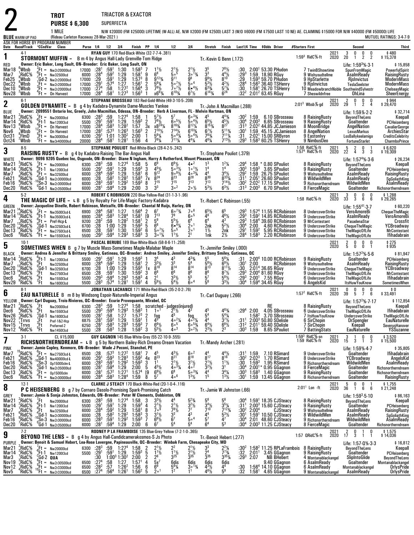|                                                                               |                                                                                    |                                                                        | <b>TROT</b>                                                                                                                                                                                                                                                               |                                                                   |                                                                                                                                                                                      | TRIACTOR & EXACTOR                                                                              |                                                                                                              |                                                           |                                                                                                                                                     |                                                                                                                                                                                                                                                      |                                                                                                                                       |                                                                                                                                           |                                                                                                                                                                                     |                                                                                   |                                                |                                                                                                                                                        |                 |                                                                                                                              |                          |                                                                                                                                                                       |                                                                                                                                 |
|-------------------------------------------------------------------------------|------------------------------------------------------------------------------------|------------------------------------------------------------------------|---------------------------------------------------------------------------------------------------------------------------------------------------------------------------------------------------------------------------------------------------------------------------|-------------------------------------------------------------------|--------------------------------------------------------------------------------------------------------------------------------------------------------------------------------------|-------------------------------------------------------------------------------------------------|--------------------------------------------------------------------------------------------------------------|-----------------------------------------------------------|-----------------------------------------------------------------------------------------------------------------------------------------------------|------------------------------------------------------------------------------------------------------------------------------------------------------------------------------------------------------------------------------------------------------|---------------------------------------------------------------------------------------------------------------------------------------|-------------------------------------------------------------------------------------------------------------------------------------------|-------------------------------------------------------------------------------------------------------------------------------------------------------------------------------------|-----------------------------------------------------------------------------------|------------------------------------------------|--------------------------------------------------------------------------------------------------------------------------------------------------------|-----------------|------------------------------------------------------------------------------------------------------------------------------|--------------------------|-----------------------------------------------------------------------------------------------------------------------------------------------------------------------|---------------------------------------------------------------------------------------------------------------------------------|
|                                                                               |                                                                                    |                                                                        | <b>PURSE \$6,300</b>                                                                                                                                                                                                                                                      |                                                                   |                                                                                                                                                                                      | SUPERFECTA                                                                                      |                                                                                                              |                                                           |                                                                                                                                                     |                                                                                                                                                                                                                                                      |                                                                                                                                       |                                                                                                                                           |                                                                                                                                                                                     |                                                                                   |                                                |                                                                                                                                                        |                 |                                                                                                                              |                          |                                                                                                                                                                       |                                                                                                                                 |
| <b>BLUE</b> WARM-UP PAD                                                       |                                                                                    |                                                                        | 1 MILE<br>(Rideau Carleton Raceway 28-Mar-2021)                                                                                                                                                                                                                           |                                                                   |                                                                                                                                                                                      |                                                                                                 |                                                                                                              |                                                           |                                                                                                                                                     |                                                                                                                                                                                                                                                      |                                                                                                                                       |                                                                                                                                           |                                                                                                                                                                                     |                                                                                   |                                                |                                                                                                                                                        |                 |                                                                                                                              |                          | N/W \$20000 (FM \$25000) LIFETIME (W-ALL) AE. N/W \$2000 (FM \$2500) LAST 3 (W/O \$6000 (FM \$7500 LAST 10 NE) AE. CLAIMING \$15000 FOR N/W \$40000 (FM \$50000) LIFE | <b>MUTUEL RATINGS: 3-4-7-9</b>                                                                                                  |
|                                                                               |                                                                                    |                                                                        | ASK FOR HORSE BY PROGRAM NUMBER<br>Date Race#Track "CCndVar Class                                                                                                                                                                                                         | Purse 1/4 1/2 3/4                                                 |                                                                                                                                                                                      |                                                                                                 |                                                                                                              | Finish PP 1/4                                             |                                                                                                                                                     | 1/2                                                                                                                                                                                                                                                  | 3 4                                                                                                                                   | Stretch                                                                                                                                   | Finish                                                                                                                                                                              |                                                                                   |                                                | Last1/4 Time \$0dds Driver                                                                                                                             | #Starters First |                                                                                                                              |                          | Second                                                                                                                                                                | Third                                                                                                                           |
| 1                                                                             | $4-1$                                                                              |                                                                        | <b>STORMONT MUFFIN -</b>                                                                                                                                                                                                                                                  | B m 4 by Angus Hall-Lady Grenville-Tom Ridge                      | RYAN GUY 170 Red-Black-White (32-7-7-4-.381)                                                                                                                                         |                                                                                                 |                                                                                                              |                                                           |                                                                                                                                                     |                                                                                                                                                                                                                                                      |                                                                                                                                       | Tr. Kevin G Benn (.172)                                                                                                                   |                                                                                                                                                                                     |                                                                                   |                                                |                                                                                                                                                        |                 | $1.593$ RidC $%$ ft                                                                                                          | 2021<br>2020             | $\mathbf{0}$<br>3<br>0<br>0<br>$\overline{2}$<br>2<br>20<br>1                                                                                                         | \$480<br>\$15,378                                                                                                               |
| RED<br>Mar18<br>Mar7<br>Feb25<br>Dec22<br>Dec 10<br>Nov28                     | <sup>6</sup> Whsh<br>RidC%.<br>Wbsb:<br>:Wbsb<br>°.Wbsb<br><sup>2</sup> Wbsb       |                                                                        | Owner: Eric Baker, Long Sault, ON-Breeder: Eric Baker, Long Sault, ON<br>$n^2$ Ft = Nw2r20000lcd<br>$T_t$ Ft = Nw32500lcd<br>Gd-2 Nw2r20000lcd<br>$\sqrt{5}$ Ft = Nw2r200001cd<br>$^3$ Ft = Nw2r20000lcd<br>"Ft = On Harvest                                              | 17000 :281<br>6000<br>17000<br>17000<br>17000<br>17000 :284       | $:59^{1}$<br>:28 <sup>4</sup><br>$:59^2$<br>$:59^{1}$<br>:29<br>$:29^{1}$<br>:57 <sup>4</sup><br>:27 <sup>4</sup><br>:58<br>:58 <sup>1</sup>                                         | 1:30<br>1:29<br>1:29<br>1:27<br>1:27 <sup>2</sup><br>$1:27^{3}$                                 | $1:58^{3}$<br>1:58 <sup>1</sup><br>$1:57^{3}$<br>1:56'<br>1:56 <sup>4</sup><br>$1:56^{3}$                    | 9<br>8<br>2<br>3                                          | $1^{11/2}$<br>g <sub>123</sub><br>$5^{6}$ <sup>1</sup> / <sub>4</sub><br>$7^9$ <sup>1</sup> / <sub>2</sub><br>$x69\frac{3}{4}$                      | $\frac{2^{1}\frac{1}{2}}{5^{5}}$<br>g <sub>11</sub><br>$50^{7}$ %<br>$7\cdot^{7}$<br>$6^{103}/4$                                                                                                                                                     | $\frac{2^{1}\frac{1}{2}}{3^{o}}\frac{1}{3}\frac{3}{4}$<br>9 <sup>8</sup><br>50 <sup>4</sup><br>$6 • 4\frac{1}{2}$<br>$6^7\frac{1}{2}$ | 3 <sup>3</sup><br>$9^{9}$ %<br>$5^{3}$ <sup>1</sup> / <sub>2</sub><br>$6^{3}$ <sup>3</sup> / <sub>4</sub><br>$6^{14}$ %                   | $7^{8}_{4}$ <sup>1/2</sup><br>$8^{10}$<br>$4^{2}\frac{1}{2}$<br>5 <sup>7</sup> $\frac{1}{4}$<br>$6^{24}$                                                                            | $^{130}_{29}$<br>$^{129}_{29}$<br>:28 <sup>4</sup><br>:30<br>:32 <sup>2</sup>     |                                                | $2:001$ 53.30 PHudon<br>1:59 18.90 RGuy<br>1:593 59.70 PHudon<br>$1:563$ 36.40 TSHenry<br>1:58 <sup>1</sup> 26.70 TSHenry<br>$2:01^2$ 63.45 RGuy       |                 | 7 TwinBShowtime<br>9 Wishyoudtellme<br>9 HpStarlette<br>9 Rislnvictus<br>7 Sheswildnfree                                     |                          | Life: $1:593% 3.1$<br><b>SpunFromMagic</b><br>AsalmReady<br>Rislnvictus<br>TeslaSeelster<br>10 MeadowbranchNoble SouthwindSylvestr<br>OhLina                          | \$15,858<br>PowerfulSpirit<br>RaisingRusty<br><b>ModernMass</b><br>ModernMass<br>ChelseasMagic<br>SheerEnergy                   |
| 2                                                                             | $6-1$                                                                              |                                                                        | <b>GOLDEN DYNAMITE</b> = $B$ g 4 by Kadabra-Dynamite Dame-Muscles Yankee                                                                                                                                                                                                  |                                                                   |                                                                                                                                                                                      |                                                                                                 |                                                                                                              |                                                           |                                                                                                                                                     | STEPHANE BROSSEAU 183 Red-Gold-White (49-3-10-5-.208)                                                                                                                                                                                                |                                                                                                                                       | Tr. John A Macmillan (.288)                                                                                                               |                                                                                                                                                                                     |                                                                                   |                                                |                                                                                                                                                        |                 | $2:013$ Wbsb $\%$ -gd                                                                                                        | 2021<br>2020             | 0<br>2<br>0<br>$\begin{smallmatrix}0\0\4\end{smallmatrix}$<br>$\overline{2}$<br>29<br>$\overline{1}$                                                                  | \$944<br>\$29,470                                                                                                               |
| <b>BLUE</b><br>Mar2 <sup>1</sup><br>Mar 14<br>Nov13<br>Nov6<br>Oct31<br>Oct24 | RidC%:<br>∱RidC&<br>°,Wbsb<br>.Wbsb<br>$8$ FlmD<br>ʻWbsb                           |                                                                        | Owner: 2099551 Ontario Inc, Greely, John Macmillan, Odessa, ON-Breeder: Herb A Liverman, FL - Melvin Hartman, ON<br>$k = Nw20000$ lcd<br>$E_t$ -1 Nw120013cd<br>$\frac{1}{2}$ Ft = On Harvest<br>$Ft = 0n$ Harvest<br>${}^{5}_{6}$ Ft = Nw30000lcd<br>$Ft = Nw3r40000lcd$ | 6300 : 28 <sup>3</sup><br>5500<br>17000<br>17000<br>8200<br>20000 | :59<br>$:59^{1}$<br>:29 <sup>1</sup><br>:28 <sup>4</sup><br>$: 58^{3}$<br>$: 57^{3}$<br>:28 <sup>2</sup><br>$:29^{1}$<br>1:01<br>:28 <sup>4</sup><br>:58 <sup>1</sup>                | 1:27 <sup>4</sup><br>1:29<br>1:28 <sup>2</sup><br>$1:26^{3}$<br>$1:30^2$<br>1:28 <sup>1</sup>   | 1:58<br>$1:59^{3}$<br>1:57<br>$1:56^{3}$<br>2:00<br>1:56                                                     | 1<br>$\overline{2}$<br>$\frac{3x}{2}$<br>1<br>4           | $57$ %<br>$7^{8}$ <sup>1</sup> / <sub>2</sub><br>$X_7^{8^{24}\%}$<br>$5^{6}$ <sup>1/4</sup><br>$7^9\%$                                              | 57<br>$60^{5}$ %<br>$\frac{8^{16}3/4}{7^{14}1/2}$<br>$50^{4}$<br>$7^{11}\%$                                                                                                                                                                          | $60^{3}/4$<br>$50^{4}$<br>$8^{12}\%$<br>$6^{103}$<br>$504\frac{1}{2}$<br>$4^{4}$ %                                                    | 45<br>$6^{5}$ <sup>1</sup> / <sub>2</sub><br>$8^{15}$ <sup>%</sup><br>$6^7\frac{1}{2}$<br>$7^{83}$<br>$4^{6}$ <sup>1</sup> / <sub>4</sub> | $4^{43}$ /4<br>$\frac{4^{5}1}{8^{27}}$<br>$\frac{5^{113}}{4}$<br>$7^{11}$<br>$7^{13}$ <sup>1</sup> / <sub>2</sub>                                                                   | :30ª<br>:30 <sup>4</sup><br>:31 <sup>3</sup><br>:30'<br>:31<br>$:29^{3}$          | 1:59<br>$2:00^{3}$                             | 6.10 SBrosseau<br>6.65 SBrosseau<br>$2:022$ 44.85 JCJamieson<br>1:59 45.15 JCJamieson<br>2:02 <sup>1</sup> 15.00 SRByron<br>1:58 $360.25$ TSHenry      |                 | 8 RaisingRusty<br>9 RaisingRusty<br>8 MoonBridge<br>8 AngelNation<br>9 Eastonlyy<br>9 NimbusDeo                              |                          | Life: 1:59% 2-2<br>BeyondTheLens<br>Goaltender<br>AngelNation<br><b>LexusMarkus</b><br>LosBallykeelamigo<br>FortuneStarlet                                            | \$32,714<br>Keepall<br>PCHeisenberg<br>CavalierGeorge<br>ArchiesStar<br>CreditsCelebrity<br><b>CharmboPrince</b>                |
| 3                                                                             | $8-5$                                                                              |                                                                        | <b>RAISING RUSTY</b> = B g 4 by Kadabra-Raising The Bar-Angus Hall                                                                                                                                                                                                        |                                                                   |                                                                                                                                                                                      |                                                                                                 |                                                                                                              |                                                           |                                                                                                                                                     | STEPHANE POULIOT Red-White-Black (28-4-2-5-.242)                                                                                                                                                                                                     |                                                                                                                                       | Tr.-Stephane Pouliot (.379)                                                                                                               |                                                                                                                                                                                     |                                                                                   |                                                |                                                                                                                                                        |                 | 1:58 RidC%-ft<br>1:57 <sup>4</sup> RidC%-ft                                                                                  | 2021<br>2020             | $\begin{array}{cc} 5 & 2 \\ 22 & 4 \end{array}$<br>0<br>3<br>3                                                                                                        | \$ 6,620<br>\$ 19,309                                                                                                           |
| <b>WHITE</b><br>Mar21<br>Mar 14<br>Mar7<br>Feb21<br>Feb16<br>Dec20            | $2$ RidC%<br>RidC%;<br>RidC%!<br>$6$ RidC%<br>¦RidC%<br>'RidC%                     | ¦Ft-1<br>$^9$ Ft =                                                     | Owner: 9096 9205 Quebec Inc, Osgoode, ON-Breeder: Diane N Ingham, Harry A Rutherford, Mount Pleasant, ON<br>$k$ Ft = Nw20000lcd<br>Nw120013cd<br>Nw32500lcd<br>$^{4}_{6}$ Gd-1 Nw2r30000lcd<br><sup>10</sup> Sn-3 Nw2r30000lcd<br><sup>0</sup> Gd-1 Nw2r35000lcd          | 6300 : 28 <sup>3</sup><br>5500<br>6000<br>6000<br>6000<br>6000    | :59<br>$:29^{1}$<br>$:59^{1}$<br>:28 <sup>4</sup><br>$:59^2$<br>$:58^{2}$<br>.28<br>: 28 <sup>3</sup><br>$:59^{1}$<br>$:59^{4}$<br>:28                                               | 1:27 <sup>4</sup><br>1:29<br>1:29<br>1:28 <sup>2</sup><br>1:29 <sup>2</sup><br>1:29             | 1:58<br>$1:59^{3}$<br>1:58 <sup>1</sup><br>$1:58^{3}$<br>$1:59^{3}$<br>2:00                                  | 5<br>3<br>6<br>7х<br>$\frac{8}{3}$                        | 6 <sup>9</sup><br>$4^{5}\frac{1}{2}$<br>$8^{24}$<br>$7^{15}$<br>3 <sup>3</sup>                                                                      | $6^{8}\frac{1}{2}$<br>$5^{0.3}\frac{1}{2}$<br>$9^{\circ}$ <sup>91</sup> / <sub>2</sub><br>$R^{23}$<br>715<br>$3^{\circ}$ <sup>2</sup>                                                                                                                | 4• <sup>2</sup><br>$1 \circ 1\frac{1}{2}$<br>$40^{3}$ %<br>$R^{28}$<br>$7^{13}$<br>$20\frac{1}{2}$                                    | 1 <sup>4</sup><br>4 <sup>4</sup><br>$8^{30}$<br>$7^{13}$<br>$5^{3}$ %                                                                     | $1^2\frac{1}{4}$<br>$3^4\%$<br>$8^{33}\%$<br>$7^{14}$ <sup>1</sup> / <sub>2</sub><br>$6^{3}/_{2}$                                                                                   | $:29^{4}$<br>$:30^{3}$<br>:29ª<br>:31 <sup>1</sup><br>$:30^{2}$<br>:313           | $1:59^{3}$<br>$2:00^{3}$                       | 1:58 * 0.80 SPouliot<br>3.65 SPouliot<br>1:59 26.75 SPouliot<br>$2:051$ 26.60 SPouliot<br>2:02 <sup>2</sup> 17.15 SPouliot<br>6.70 SPouliot            |                 | 8 RaisingRusty<br>9 RaisingRusty<br>9 Wishyoudtellme<br>8 WildwildMen<br>9 Richsnortherndream<br>8 FierceMagic               |                          | Life: 1:57 $4\%$ 3.6<br>BeyondTheLens<br>Goaltender<br>AsalmReady<br>AsalmReady<br>WildwildMen<br>Goaltender                                                          | \$26,234<br>Keepall<br>PCHeisenberg<br>RaisingRusty<br>SgGoliathKing<br>AsalmReady<br>Richsnortherndream                        |
| 4                                                                             | $5-2$                                                                              |                                                                        | THE MAGIC OF LIFE = L B g 5 by Royalty For Life-Magic Factory-Kadabra                                                                                                                                                                                                     |                                                                   |                                                                                                                                                                                      |                                                                                                 |                                                                                                              |                                                           |                                                                                                                                                     | ROBERT C ROBINSON 220 Blue-Yellow-Red (31-1-3-1-.96)                                                                                                                                                                                                 |                                                                                                                                       | Tr.-Robert C Robinson (.55)                                                                                                               |                                                                                                                                                                                     |                                                                                   |                                                |                                                                                                                                                        |                 | 1:58 RidC%-ft                                                                                                                | 2021<br>2020             | 3 <sup>1</sup><br>0<br>0<br>$\begin{smallmatrix}0\0\0\end{smallmatrix}$<br>33 3<br>6                                                                                  | \$1,288<br>\$29,265                                                                                                             |
| GREEN<br>Mar <sub>2</sub><br>Mar 14<br>Mar7<br>Dec20<br>Dec 13<br>Dec6        | RidC%<br>RidC%;<br>RidC%<br>RidC%<br>RidC%!<br>'RidC%                              |                                                                        | Owner: Jacqueline Dinelle, Robert Robinson, Metcalfe, ON-Breeder: Chantal M Ruijs, Harley, ON<br>$k$ Ft = Nw350013cd $\cdot$ L<br>Ft-1 Nw350013cd-L<br>$Ft = Pref-Hcp·L$<br>Gd-1 Nw325013cd-L,<br>$^{3}$ Ft = Nw275013cd-L<br>$Ft = Nw155013cd$                           | 6900<br>6900<br>9200<br>6700<br>6500<br>5500                      | :28 <sup>4</sup><br>$\begin{array}{l} 1.58^1\ 1.58^3 \end{array}$<br>:28 <sup>4</sup><br>:59<br>:28 <sup>2</sup><br>:28<br>1:00<br>:59 <sup>1</sup><br>:28<br>$:29^{3}$<br>$:59^{4}$ | 1:27<br>1:28 <sup>4</sup><br>$1:28^{2}$<br>1:29<br>1:30<br>$1:29^{3}$                           | 1:56 <sup>4</sup><br>1:58 <sup>1</sup><br>1.58 <sup>1</sup><br>$1:59^{3}$<br>1:59 <sup>2</sup><br>$1:58^{3}$ | $\frac{2}{9}$<br>$\overline{2}$<br>5<br>6<br>3            | $7^{13}$<br>5 <sup>9</sup><br>6 <sup>8</sup><br>$50^{7}$ %<br>$30^{11}$                                                                             | $60^{7}$ %<br>7 <sup>9</sup><br>$5^{5}$ %<br>$6 • 4\frac{1}{4}$<br>$\bar{5}$ .<br>$1^{11}/2$                                                                                                                                                         | $7\circ ^6$<br>600<br>6 <sup>4</sup><br>2 <sup>0</sup><br>$2\circ$ <sup>1</sup><br>2 <sup>1</sup>                                     | $65\frac{1}{2}$<br>46<br>6 <sup>4</sup><br>2nk<br>$1\frac{1}{2}$<br>1nk                                                                   | 6 <sup>5</sup><br>$4^{6}$ <sup>1</sup> / <sub>2</sub><br>$4^3$<br>$5^2$ <sup>1</sup> / <sub>2</sub><br>2nk<br>$2\frac{1}{2}$                                                        | $: 29^3$<br>$: 29^3$<br>$:29^{3}$<br>$:30^{4}$<br>$:29^{1}$<br>:284               | 2:00<br>$1:59^{2}$<br>$1:58^{3}$               | $1:574$ 11.55 RCRobinson<br>$1:592$ 14.85 RCRobinson<br>1:58 <sup>4</sup> 39.60 RCRobinson<br>4.60 RCRobinson<br>5.95 RCRobinson<br>2.20 RCRobinson    |                 | 8 UndercoverStrike<br>9 UndercoverStrike<br>9 MrContestant<br>9 UndercoverStrike<br>9 UndercoverStrike<br>6 UndercoverStrike |                          | Life: $1:55^{41} \cdot 3 \cdot 7$<br>VeroAmoreBi<br>AsalmReady<br>PasadenaStar<br>ChequeTheMagic<br><b>TheMagicOfLife</b><br><b>TheMagicOfLife</b>                    | \$60,220<br><b>ChequeTheMagic</b><br><b>VeroAmoreBi</b><br>Crossfit<br>YCBroadway<br><b>MrContestant</b><br><b>Ifihadabrain</b> |
| 5                                                                             | $10-1$                                                                             |                                                                        | <b>SOMETIMES WHEN</b> B g 7 by Muscle Mass-Sometimes Maple-Malabar Maple                                                                                                                                                                                                  |                                                                   |                                                                                                                                                                                      |                                                                                                 |                                                                                                              |                                                           |                                                                                                                                                     | PASCAL BERUBE 189 Blue-White-Black (58-8-6-11-.258)                                                                                                                                                                                                  |                                                                                                                                       | Tr. Jennifer Smiley (.000)                                                                                                                |                                                                                                                                                                                     |                                                                                   |                                                |                                                                                                                                                        |                 |                                                                                                                              | 202 <sup>1</sup><br>2020 | $\frac{2}{5}$<br>0<br>0<br>0<br>$\overline{1}$<br>0<br>0                                                                                                              | \$275<br>\$935                                                                                                                  |
| <b>BLACK</b><br>Mar 14<br>Mar7<br>Dec20<br>Dec 13<br>Dec6<br>Nov29            | RidC%<br>RidC%<br>?RidC%<br>$\frac{4}{8}$ RidC $\frac{5}{8}$<br>'RidC%<br>'RidC%   | ະFt-1<br>Ft<br>. <sub>3</sub> Gd-1<br>^.Ft<br>$\int_{0}^{4}$ Ft<br>'Ft | Owner: Andrea & Jennifer & Brittany Smiley, Gatineau, QC-Breeder: Andrea Smiley, Jennifer Smiley, Brittany Smiley, Gatineau, QC<br>Nw120013cd<br>Nw32500lcd<br>Nw325013cd<br>Nw2750I3cd<br>Nw1550I3cd<br>Nw1600l3cd                                                       | 5500<br>6000<br>6700<br>6500<br>5500<br>5500                      | :291<br>:59 <sup>1</sup><br>:28 <sup>4</sup><br>:59 <sup>2</sup><br>:28<br>1:00<br>:59 <sup>1</sup><br>:28<br>$:29^{3}$<br>$:59^{4}$<br>$:28^{3}$<br>:57 <sup>4</sup>                | 1:29<br>1:29<br>1:29<br>1:30<br>$1:29^{3}$<br>1:28 <sup>1</sup>                                 | $1:59^{3}$<br>1:58 <sup>1</sup><br>$1:59^{3}$<br>$1:59^{2}$<br>$1:58^{3}$<br>1:59 <sup>1</sup>               | $\overline{2}$<br>1x<br>3<br>4<br>4                       | 3 <sup>4</sup><br>$3^{3}$ <sup>1</sup> / <sub>2</sub><br>$8^{18}$<br>6 <sup>8</sup><br>2 <sup>1</sup><br>$5^{6}$ %                                  | $4^3$<br>3 <sup>3</sup><br>$6^{14}_{6}$<br>$3^{3}$ <sup>1</sup> / <sub>2</sub><br>$5^{4}$ %                                                                                                                                                          | $4^{33}$ /4<br>5 <sup>4</sup><br>$\bar{8}^6$<br>$\bar{5}^5$<br>60 <sup>4</sup>                                                        | 55<br>$5^{6}$ <sup>1</sup> / <sub>2</sub><br>$8^{13}$<br>86<br>$\frac{5}{5}$ <sup>7</sup>                                                 | $5^{6}$ <sup>1</sup> / <sub>4</sub><br>$6^{9}$ <sup>1</sup> / <sub>2</sub><br>$8^{11}$ %<br>$8^{7}\%$<br>$5^{8}$ <sup>1</sup> / <sub>2</sub><br>$3^{3}$ <sup>1</sup> / <sub>2</sub> | :31<br>:30'<br>$:30$<br>:293<br>$:29^{3}$<br>:30 <sup>4</sup>                     | 2:00                                           | $2:004$ 10.00 RCRobinson<br>RCRobinson<br>2:014 36.65 RGuy<br>$2:00^4$ 81.60 RGuy<br>2:00 <sup>1</sup> 7.55 RGuy<br>1:59 $4$ 34.45 RGuy                |                 | 9 RaisingRusty<br>9 Wishyoudtellme<br>9 UndercoverStrike<br>9 UndercoverStrike<br>6 UndercoverStrike<br>6 AngelsKid          |                          | Life: 1:57 $^{256}$ -5-6<br>Goaltender<br>AsalmReady<br>ChequeTheMagic<br><b>TheMagicOfLife</b><br><b>TheMagicOfLife</b><br><b>ItsHuwYouKnow</b>                      | \$81,947<br>PCHeisenberg<br>RaisingRusty<br>YCBroadway<br><b>MrContestant</b><br>Ifihadabrain<br>SometimesWhen                  |
| 6                                                                             | $8-1$                                                                              |                                                                        | <b>EAU NATURELLE</b> B m 8 by Windsong Espoir-Naturelle-Imperial Angus                                                                                                                                                                                                    |                                                                   |                                                                                                                                                                                      |                                                                                                 |                                                                                                              |                                                           |                                                                                                                                                     | JONATHAN LACHANCE 171 White-Red-Black (35-2-0-2-.76)                                                                                                                                                                                                 |                                                                                                                                       | Tr.-Carl Duguay (.266)                                                                                                                    |                                                                                                                                                                                     |                                                                                   |                                                |                                                                                                                                                        |                 | $1:572$ RidC $%$ -ft                                                                                                         | 2021<br>2020             | 0<br>0<br>0<br>0<br>39<br>5<br>$\overline{7}$<br>6                                                                                                                    | \$0<br>\$33,491                                                                                                                 |
| YELLOW<br>Mar21<br>Dec6<br>Nov26<br>Nov22<br>Nov15<br>Nov12                   | $\frac{2}{9}$ RidC%<br><sup>୪</sup> RidC%<br>RidC%;<br>. Trrvs<br>¦Trrvs<br>"RidC% | $\frac{7}{4}$ Ft<br>'Gd-1<br>¦Ft<br>$5$ <sup>5</sup> Ft                | Owner: Carl Duquay, Trois-Rivieres, QC--Breeder: Ecurie Provoquante, Mirabel, QC<br><b>Nw20000Icd</b><br>Nw155013cd<br>Nw1600l3cd<br>Pref-1&2-Hcp<br>Preferred-2<br>Nw1450I3cd                                                                                            | 5500<br>6875<br>6250<br>5500                                      | :28 <sup>1</sup><br>:28 <sup>1</sup><br>$:58.59^{2}$<br>:28 <sup>1</sup><br>$:58^{3}$<br>:58 <sup>3</sup><br>:28                                                                     | 1:27<br>1:29<br>$1:28^{3}$<br>1:28                                                              | $1:57^{3}$<br>$1:59^{1}$<br>$1:59^{3}$<br>1:58 <sup>2</sup>                                                  | 2<br>7<br>3                                               | fog<br>4 <sup>5</sup><br>$6^{6}$ <sup>1</sup> / <sub>2</sub><br>$5^{5}$ <sup>1</sup> / <sub>2</sub>                                                 | 6300 :28 <sup>3</sup> :59 1:27 <sup>4</sup> 1:58 scratched judges(injured)<br>5500 :29 <sup>3</sup> :59 <sup>4</sup> 1:29 <sup>3</sup> 1:58 <sup>3</sup> 1 1 <sup>o1</sup> 2 <sup>1</sup> 1/ <sub>2</sub> 4 <sup>3</sup><br>$40^{2}$ %<br>600<br>403 | $40^{2}\%$<br>$60^{53/4}$<br>$3^{\circ}2\frac{1}{2}$                                                                                  | 45<br>4 <sup>4</sup><br>$6^{4}\frac{1}{2}$<br>$2^{3}\frac{1}{2}$                                                                          | $4^{63}$<br>$5^4\%$<br>$3^{7}$ %<br>$\frac{6^{8}\%}{2^{3}}$                                                                                                                         | :31<br>.31 <sup>2</sup><br>$:30^{3}$                                              | 2:01 <sup>1</sup><br>1:59                      | RE<br>:29 <sup>4</sup> 2:00  4.05 SBrosseau<br>1:58 <sup>2</sup> 3.70 SBrosseau<br>2:00 <sup>3</sup> 50.80 SDelisle<br>59.40 SDelisle<br>8.65 SPouliot |                 | 8 RaisingRusty<br>6 UndercoverStrike<br>7 ItsHuwYouKnow<br>6 SirChopin<br>7 SirChopin<br>7 BattingStats                      |                          | Life: $1:572%·7·17$<br>BeyondTheLens<br><b>TheMagicOfLife</b><br><b>UndercoverStrike</b><br>DrSpengler<br>Keepall<br>EauNaturelle                                     | \$112,854<br>Keepall<br>Ifihadabrain<br><b>TheMagicOfLife</b><br>EauNaturelle<br>SeverusHanover<br>YSSuzanne                    |
| 7                                                                             | $3-1$                                                                              |                                                                        | CL \$15,000<br>RICHSNORTHERNDREAM = LB g 5 by Northern Bailey-Rich Dreams-Dream Vacation                                                                                                                                                                                  |                                                                   | GUY GAGNON 145 Blue-White-Grey (55-22-10-9-.555)                                                                                                                                     |                                                                                                 |                                                                                                              |                                                           |                                                                                                                                                     |                                                                                                                                                                                                                                                      |                                                                                                                                       | Tr.-Mandy Archer (.281)                                                                                                                   |                                                                                                                                                                                     |                                                                                   |                                                |                                                                                                                                                        |                 | 1:59 <sup>3</sup> RidC%-sn<br>1:59 RidC%-ft                                                                                  | 2021<br>2020             | 3<br>0<br>0<br>-1<br>3<br>15 3<br>$\mathbf{1}$                                                                                                                        | \$3,520<br>\$15,500                                                                                                             |
| PINK<br>Mar7<br>Feb21<br>Feb16<br>Dec20<br>Dec13<br>Dec6                      | <sup>5</sup> RidC%<br>RidC%<br>RidC%<br>RidC%<br>RidC%<br>'RidC%                   |                                                                        | Owner: Jamie Copley, Kenmore, ON-Breeder: Wade J Peconi, Stanchel, PE<br>$_{4}^{9}$ Ft = Nw275013cd-L<br>$^{4}_{10}$ Gd-1 Nw40000lcd-L<br>$^{10}_{0}$ Sn-3 0p15000clm-L<br>,Gd-1 Nw2r35000lcd<br>$^{3}_{4}$ Ft = 0p15000clm<br>$Ft = Nw2r30000lcd$                        | 6500<br>6500<br>6000<br>6000<br>6000<br>6000 :284                 | :573<br>:28<br>:29<br>:593<br>$:59^{1}$<br>$:28^{3}$<br>$:59^{4}$<br>:28'<br>.57 <sup>2</sup><br>:28 <sup>1</sup><br>$:58^3$                                                         | 1:27 <sup>2</sup><br>$1:28^{3}$<br>1:29 <sup>2</sup><br>1:29<br>1:27 <sup>1</sup><br>$1:28^{4}$ | $1:581$<br>1:59 <sup>2</sup><br>$1:59^{3}$<br>2:00<br>1:57 <sup>4</sup><br>1:59                              | 7<br>4х<br>3<br>5<br>[9<br>8                              | 823<br>1 <sup>1</sup><br>$4^{5}$ <sup>1</sup> / <sub>2</sub><br>$6^{9}$ <sup>1</sup> / <sub>2</sub><br>5 <sup>7</sup>                               | $\frac{4^3}{8^2}$<br>$2^{11}/2$<br>$\frac{4}{6}$ <sup>3</sup> <sup>3</sup> <sup>4</sup><br>406                                                                                                                                                       | 60 <sup>2</sup><br>$\bar{8}^{18}$<br>$3^{1}\frac{1}{2}$<br>4 <sup>o</sup> <sup>2</sup><br>$50^{3}/4$<br>$13$ / <sub>2</sub>           | $8^{17}$<br>$2^{11/2}$<br>$3^{2}\%$<br>4 <sup>4</sup><br>1 <sup>5</sup>                                                                   | $\frac{4^4}{8^{16}}$<br>$1^{11}$<br>3 <sup>1</sup><br>$3^4\%$<br>$1^{3}$ <sup>1</sup> / <sub>2</sub>                                                                                | :31!<br>:30ª<br>:30<br>$:30^{4}$<br>$:30^{3}$<br>:30 <sup>1</sup>                 | 1:59<br>2:02 <sup>3</sup><br>$1.59^{3}$        | 7.10 RSimard<br>1.70 RSimard<br>1.95 RSimard<br>$2:00^{1*}$ 0.95 GGagnon<br>$1:583$ 1.40 GGagnon<br>1:59 13.45 GGagnon                                 |                 | 9 UndercoverStrike<br>8 UndercoverStrike<br>9 Richsnortherndream<br>8 FierceMagic<br>9 Raising Rusty<br>8 Richsnortherndream |                          | Life: 1:59%-4-7<br>Goaltender<br>YCBroadway<br>WildwildMen<br>Goaltender<br>Goaltender<br>Goaltender                                                                  | \$35,805<br>Ifihadabrain<br>AngelsKid<br>AsalmReady<br>Richsnortherndream<br>Richsnortherndream<br>RaisingRusty                 |
| 8                                                                             | $12-1$                                                                             |                                                                        | P C HEISENBERG B g 7 by Cornaro Dasolo-Promising Spark-Promising Catch                                                                                                                                                                                                    |                                                                   |                                                                                                                                                                                      |                                                                                                 |                                                                                                              |                                                           |                                                                                                                                                     | CLARKE J STEACY 170 Black-White-Red (20-1-0-4-.116)                                                                                                                                                                                                  |                                                                                                                                       | Tr. Jamie W Johnston (.66)                                                                                                                |                                                                                                                                                                                     |                                                                                   |                                                |                                                                                                                                                        |                 | $2:011$ Lon $\cdot$ ft                                                                                                       | 2021<br>2020             | 0<br>0<br>$\frac{5}{36}$<br>6<br>6<br>1                                                                                                                               | \$1,755<br>\$21,248                                                                                                             |
| <b>GREY</b><br>Mar2 <sup>1</sup><br>Mar 14<br>Mar7<br>Feb21<br>Feb16<br>Dec20 | :RidC%<br>RidC%<br>RidC%<br>RidC%<br>RidC%;<br>'RidC%                              | ′.Ft<br>$\int_{9}^{9}$ Ft-1                                            | Owner: Jamie & Sonja Johnston, Edwards, ON-Breeder: Peter W Clements, Dobbinton, ON<br>Nw20000lcd<br>Nw120013cd<br>Nw32500lcd<br>$^{+10}_{10}$ Gd-1 Nw2r30000lcd<br>$^{+10}_{0}$ Sn-3 Nw2r30000lcd<br>'Gd-1 Nw2r350001cd                                                  | 6300<br>5500<br>6000<br>6000<br>6000<br>6000                      | $:28^{3}$<br>:59<br>:59<br>$:29^{1}$<br>$:59^{2}$<br>:28 <sup>4</sup><br>:58 <sup>2</sup><br>:28<br>$:59^{1}$<br>$:28^{3}$<br>$.28^{\circ}$<br>:59 $^4$                              | 1:27 <sup>4</sup><br>1:29<br>1:29<br>$1:28^2$<br>1:29 <sup>2</sup><br>1:29                      | $1:58$<br>$1:593$<br>$1:58$ <sup>1</sup><br>$1:58^{3}$<br>1:593<br>2:00                                      | 3<br>4<br>8<br>3<br>7<br>6                                | $3^{3}\frac{1}{2}$<br>$2^{1}\frac{1}{2}$<br>$7^{9}$<br>$3^{1}$ <sup>1</sup> / <sub>2</sub><br>$6^{6}$ <sup>1</sup> / <sub>2</sub><br>6 <sup>7</sup> | $2^{11}/2$<br>$\frac{78}{3^{3}}$<br>$\frac{3^{3}}{6^{7}}$                                                                                                                                                                                            | $3^{2}\frac{1}{2}$<br>$7^7$<br>$4^3$<br>50 <sup>4</sup><br>5 <sup>4</sup>                                                             | 5 <sup>6</sup><br>$3^{4}$ %<br>$7^{10}$<br>$\frac{4^4}{5^7}$<br>6 <sup>4</sup>                                                            | $35$ /4<br>$7^{123}$ /4<br>$5^{3}$ %<br>4 <sup>7</sup><br>5 <sup>3</sup>                                                                                                            | :30ª<br>:31 <sup>1</sup><br>$:30^{2}$<br>$:30^{1}$<br>:30 <sup>4</sup><br>$:30^4$ | 2:00 <sup>4</sup>                              | $1:591$ 18.35 CJSteacy<br>$2:003$ 15.60 CJSteacy<br>CJSteacy<br>$1:591$ 10.50 CJSteacy<br>2:01 48.60 CJSteacy<br>$2:003$ 11.25 CJSteacy                |                 | 8 RaisingRusty<br>9 RaisingRusty<br>9 Wishyoudtellme<br>8 WildwildMen<br>9 Richsnortherndream<br>8 FierceMagic               |                          | Life: $1:593$ 5 10<br>BeyondTheLens<br>Goaltender<br>AsalmReady<br>AsalmReady<br>WildwildMen<br>Goaltender                                                            | \$86,163<br>Keepall<br>PCHeisenberg<br>RaisingRusty<br>SgGoliathKing<br>AsalmReady<br>Richsnortherndream                        |
| 9                                                                             | $7-2$                                                                              |                                                                        | <b>BEYOND THE LENS = B</b>                                                                                                                                                                                                                                                | g 4 by Angus Hall-Candidcamerakosmos-S Js Photo                   |                                                                                                                                                                                      |                                                                                                 |                                                                                                              |                                                           |                                                                                                                                                     | RODNEY P LA FRAMBOISE 135 Blue-Grey-Yellow (7-2-1-0-.365)                                                                                                                                                                                            |                                                                                                                                       | Tr.-Benoit Hebert (.277)                                                                                                                  |                                                                                                                                                                                     |                                                                                   |                                                |                                                                                                                                                        |                 | 1:57 QRidC%-ft                                                                                                               | 2021<br>2020             | $1^{2}_{7}$<br>0<br>Ó<br>-1<br>$\overline{3}$<br>$\overline{1}$<br>-1                                                                                                 | $$1,575$<br>\$14,036                                                                                                            |
| PURPLE<br>Mar21<br>Mar 14<br>Mar3<br>Nov19<br>Nov12<br>Nov5                   | RidC%<br>¦RidC%<br>RidC%<br>$3$ RidC%<br>¦RidC%<br>'RidC%                          | ະFt-1<br>$60.2$ QUA                                                    | Owner: Benoit & Samuel Hebert, Lea-Rose Lavergne, Papineauville, QC-Breeder: Winbak Farm, Chesapeake City, MD<br>$K = Nw20000$ lcd<br>Nw120013cd<br>$E_{\rm c}$ Ft = Nw2r305001cd<br>$_{15}$ Ft = Nw2r33000lcd<br><sup>5</sup> Ft = Nw2r33000lcd                          | 6300 $:283$<br>5500<br>6500<br>6500<br>6500                       | :59<br>$:59^1$<br>:29'<br>:30<br>$\frac{158}{57}$<br>:27 <sup>4</sup><br>$:28^{2}$<br>:27 <sup>4</sup><br>:56 <sup>4</sup>                                                           | 1:29<br>$1:00^3$ 1:30 <sup>2</sup><br>1:27<br>1:26 <sup>2</sup><br>$1:26^{1}$                   | $1:27^4$ 1:58<br>$1.59^{3}$<br>2:00<br>1:57 <sup>1</sup><br>1:56<br>1:56 <sup>2</sup>                        | $\begin{array}{c} 2 \\ 5 \\ 2 \end{array}$<br>4<br>$^6_5$ | $2^{1}\frac{1}{2}$<br>$2^{6}$<br>$\frac{5x^7}{6^9}$<br>$\frac{5}{2}$ °                                                                              | 22<br>$3^{11/2}$<br><b>6dis</b><br>$\frac{59}{12}$                                                                                                                                                                                                   | $2^{11/2}$<br>$\frac{2^{11}}{3^{35}}$<br>6dis<br>$3^{\circ}$ <sup>13</sup> /4                                                         | 3 <sup>3</sup><br>2 <sup>4</sup><br>$\bar{3}^{35}$<br>6dis<br>$4^{3}\frac{1}{2}$<br>$4^{6}\frac{1}{2}$                                    | $2^2\%$<br>$7^{73}$ /4<br>$3^{35}$ %<br>6dis<br>$\frac{4^4}{5^9}$                                                                                                                   | $:30^2$<br>:32.293<br>$:30$<br>$:32$                                              | 2:01 <sup>1</sup><br>2:07<br>1:58 <sup>1</sup> | $1:582$ 11.25 RPLaFrambois<br>3.45 GGagnon<br>NB BHebert<br>9.40 GGagnon<br>1:56 <sup>4</sup> 14.10 GGagnon<br>4.65 GGagnon                            |                 | 8 RaisingRusty<br>9 RaisingRusty<br>4 Montanablackangel<br>6 AsalmReady<br>6 AsalmReady<br>9 Montanablackangel               |                          | Life: 1:57-0%-3-3<br>BeyondTheLens<br>Goaltender<br>SlipIntoGlide<br>Goaltender<br>Montanablackangel<br>AsalmReady                                                    | \$16,812<br>Keepall<br>PCHeisenberg<br><b>BeyondTheLens</b><br>Montanablackangel<br>OrlysPride<br>OrlysPride                    |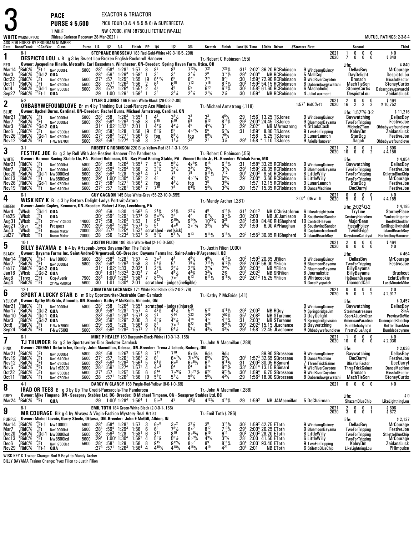|                                                                                               |                                                                                                                                                                                           | <b>PACE</b><br><b>PURSE \$5,600</b>                                                                                                                                                                                                             |                                                                                                                                             |                                                                                          |                                                                                                                                         | EXACTOR & TRIACTOR                                                                              |                                                                                                                                                                                                                                  | PICK FOUR (3 & 4 & 5 & 6) & SUPERFECTA                                                                                                                    |                                                                                                   |                                                                                                                                |                                                                                                                          |                                                                                           |                                                      |                                                                                                                                                                                                 |                                                                                                                                                |                                                                                                                                            |                                                                                                                                      |
|-----------------------------------------------------------------------------------------------|-------------------------------------------------------------------------------------------------------------------------------------------------------------------------------------------|-------------------------------------------------------------------------------------------------------------------------------------------------------------------------------------------------------------------------------------------------|---------------------------------------------------------------------------------------------------------------------------------------------|------------------------------------------------------------------------------------------|-----------------------------------------------------------------------------------------------------------------------------------------|-------------------------------------------------------------------------------------------------|----------------------------------------------------------------------------------------------------------------------------------------------------------------------------------------------------------------------------------|-----------------------------------------------------------------------------------------------------------------------------------------------------------|---------------------------------------------------------------------------------------------------|--------------------------------------------------------------------------------------------------------------------------------|--------------------------------------------------------------------------------------------------------------------------|-------------------------------------------------------------------------------------------|------------------------------------------------------|-------------------------------------------------------------------------------------------------------------------------------------------------------------------------------------------------|------------------------------------------------------------------------------------------------------------------------------------------------|--------------------------------------------------------------------------------------------------------------------------------------------|--------------------------------------------------------------------------------------------------------------------------------------|
|                                                                                               | <b>WHITE</b> WARM-UP PAD                                                                                                                                                                  | 1 MILE<br>(Rideau Carleton Raceway 28-Mar-2021)                                                                                                                                                                                                 |                                                                                                                                             |                                                                                          |                                                                                                                                         |                                                                                                 | NW \$7000. (FM \$8750.) LIFETIME (W-ALL)                                                                                                                                                                                         |                                                                                                                                                           |                                                                                                   |                                                                                                                                |                                                                                                                          |                                                                                           |                                                      |                                                                                                                                                                                                 |                                                                                                                                                |                                                                                                                                            | MUTUEL RATINGS: 2-3-8-4                                                                                                              |
|                                                                                               | ASK FOR HORSE BY PROGRAM NUMBER<br>Date Race#Track "CCndVar Class                                                                                                                         |                                                                                                                                                                                                                                                 | Purse 1/4 1/2 3/4                                                                                                                           |                                                                                          |                                                                                                                                         |                                                                                                 | Finish PP 1/4                                                                                                                                                                                                                    | 1/2                                                                                                                                                       | 3 4                                                                                               | Stretch                                                                                                                        | Finish                                                                                                                   |                                                                                           |                                                      | Last1/4 Time \$0dds Driver                                                                                                                                                                      | #Starters First                                                                                                                                | Second                                                                                                                                     | Third                                                                                                                                |
| 1                                                                                             | 8-1                                                                                                                                                                                       | <b>DESPICTO LOU LB</b> g 3 by Sweet Lou-Broken English-Rocknroll Hanover                                                                                                                                                                        |                                                                                                                                             |                                                                                          |                                                                                                                                         |                                                                                                 |                                                                                                                                                                                                                                  | STEPHANE BROSSEAU 183 Red-Gold-White (49-3-10-5-.208)                                                                                                     |                                                                                                   | Tr. Robert C Robinson (.55)                                                                                                    |                                                                                                                          |                                                                                           |                                                      |                                                                                                                                                                                                 | 2021<br>2020                                                                                                                                   | 0<br>0<br>0<br>Ō<br>$\mathbf{0}$<br>0<br>7                                                                                                 | \$0<br>\$840                                                                                                                         |
| <b>RED</b><br>Mar <sub>14</sub><br>Mar3<br>Oct <sub>22</sub><br><b>Oct11</b><br>Oct4<br>Sep27 | $3$ RidC%<br>°Ft-1<br>'RidC%<br>RidC%<br>;Ft<br>RidC%<br>$11$ Ft<br>RidC%<br>$^{11}_{22}$ Gd-1<br>RidC%                                                                                   | Owner: Jacqueline Dinelle, Metcalfe, Earl Casselman, Winchester, ON-Breeder: Spring Haven Farm, Utica, OH<br>Nw10000I-L<br>Gd-2 QUA<br>Nw1r7500lcd<br>Nw1r7500lcd<br>Nw1r7500lcd<br>QUA                                                         | 5800 :284<br>:284<br>$:27^{1}$<br>5600<br>:28<br>5600<br>:28<br>5600<br>:29                                                                 | :591<br>:57<br>:57 <sup>1</sup><br>:57 $^3$<br>1:00                                      | $:58^4$ 1:28 <sup>1</sup><br>$1:29^{3}$<br>1:25 <sup>2</sup><br>$1:26^2$<br>1:26 <sup>4</sup><br>1:29 <sup>1</sup>                      | 1:57<br>1:58 <sup>2</sup><br>1:55<br>1:56<br>1:55 <sup>1</sup><br>$1:59^{3}$                    | 8<br>8 <sup>9</sup><br>36<br>$\overline{1}$<br>$6^{11}$ %<br>[9<br>6 <sup>9</sup><br>$\frac{2}{2}$<br>4 <sup>9</sup><br>3 <sup>3</sup>                                                                                           | 37<br>$3^{3}$ <sup>1</sup> / <sub>4</sub>                                                                                                                 | $3^{7}$ %<br>$6^{21}$<br>712<br>55<br>$2^2$ <sup>1</sup> / <sub>2</sub>                           | $7^{21}_{2^8}_{7^{21}}$<br>716<br>$6^{13}$<br>$2^{11/2}$                                                                       | 7261⁄4<br>$3^{12}\frac{\cancel{1}}{2}$<br>8 <sup>23</sup><br>$8^{17}$ %<br>$6^{16}$ %<br>2½                              | :29ª<br>:30<br>$:30^{3}$<br>$:30^3$<br>:30                                                | 2:00 <sup>4</sup><br>$1:59^{3}$                      | :31 <sup>2</sup> 2:02 <sup>1</sup> 36.20 RCRobinson<br><b>NB RCRobinson</b><br>1:593 72.90 RCRobinson<br>1:59 <sup>2</sup> 54.15 RCRobinson<br>$1:582$ 61.60 RCRobinson<br><b>NB RCRobinson</b> | 9 WindsongQuincy<br>5 MallCop<br>9 WildRiverCoyotee<br>8 Dabarndawgswatchi<br>6 Machaholic<br>4 JulioLauxmont                                  | Life:<br>DellasBoy<br><b>DayDelight</b><br>Bronson<br>MachTieSon<br><b>StoneyCurtis</b><br>DespictoLou                                     | \$840<br><b>MrCourage</b><br>DespictoLou<br><b>BlissfullFactor</b><br><b>StoneyCurtis</b><br>Dabarndawoswatchi<br>ZaidansLuck        |
| $\boldsymbol{2}$                                                                              | $5-2$                                                                                                                                                                                     | <b>OHBABYWEFOUNDLOVE</b> Br m 4 by Thinking Out Loud-Nancys Ace Mindale-                                                                                                                                                                        |                                                                                                                                             |                                                                                          |                                                                                                                                         |                                                                                                 | TYLER S JONES 166 Green-White-Black (29-0-3-2-.80)                                                                                                                                                                               |                                                                                                                                                           |                                                                                                   | Tr.-Michael Armstrong (.118)                                                                                                   |                                                                                                                          |                                                                                           |                                                      |                                                                                                                                                                                                 | 2021<br>2020<br>1:57 <sup>2</sup> RidC <sup>5</sup> %-ft                                                                                       | $\frac{0}{2}$<br>$\frac{0}{2}$<br>$\frac{2}{16}$<br>$\frac{0}{2}$                                                                          | $$464$<br>\$10,752                                                                                                                   |
| <b>BLUE</b><br>Mar21<br>Mar7<br>Mar3<br>Dec6<br>Nov26<br>Nov <sub>12</sub>                    | RidC%<br>.Ft<br>RidC%<br>.Ft<br>, <sup>∠</sup> RidC'%<br>″Gd-2<br><sup>4</sup> Ft<br><sup>3</sup> Gd-1<br>RidC%!<br>'RidC%<br>°RidC%<br>ΨFt                                               | Owner: Rachel Burns, Cardinal, ON-Breeder: Rachel Burns, Michael Armstrong, Cardinal, ON<br>Nw10000lcd<br>Nw10000lcd<br>QUA<br>Nw1r7500lcd<br>Nw1r7500lcd<br>F-Nw1r8700I                                                                        | 5800 :28 <sup>2</sup> :58 1:26 <sup>3</sup><br>$5800 : 28^{4}$<br>:28 <sup>2</sup><br>5600<br>$:27^{2}$<br>5600<br>:28 <sup>2</sup><br>5600 | $:59^{4}$<br>$:31^2$ 1:02 <sup>3</sup> 1:32 <sup>1</sup><br>:58 $^1$<br>$:58^2$<br>:591  | $1:29^{3}$<br>1:28<br>1:27 <sup>1</sup><br>1:27 <sup>4</sup>                                                                            | 1:55 <sup>1</sup><br>1:58<br>2:01<br>1:58<br>1:56 <sup>1</sup><br>1:58                          | 44<br>-1<br>9 <sup>15</sup><br>8<br>$4^{4}$ %<br>$\overline{1}$<br>$5^{6}$ <sup>1</sup> / <sub>2</sub><br>[9<br>Ġ.<br>fog<br>3<br>$2^{\circ}$ <sup>1</sup>                                                                       | $9^{10}$<br>$4^{4}\%$<br>$8^{9}$ <sup>1</sup> / <sub>2</sub><br>$1^{11}$                                                                                  | 33<br>9 <sup>9</sup><br>Δ5<br>$4^{\circ 2}\frac{1}{2}$<br>fog<br>$2^{2}$                          | $3^3$<br>q13<br>$4^{5}$ <sup>1</sup> / <sub>2</sub><br>5 <sup>6</sup><br>$6^9\%$                                               | $4^{5}\frac{1}{4}$<br>8 <sup>14</sup> <sup>1</sup> / <sub>4</sub><br>37<br>$5^{7}$ <sup>%</sup><br>$79\frac{1}{2}$<br>3½ | :29 <sup>2</sup><br>:29 <sup>1</sup><br>:31<br>:29ª                                       | 2:02 <sup>2</sup><br>$1:59^{2}$<br>1:58              | $1:561 13.25$ TSJones<br>2:00 <sup>4</sup> 24.45 TSJones<br><b>NB MArmstrong</b><br>8.80 TSJones<br>5.25 TSJones<br>1:58 * 1.10 TSJones                                                         | 9 WindsongQuincy<br>9 BluemoonBayama<br>4 StLadsCash<br>9 TwoForTripping<br>9 LunarLaunch<br>9 ArielleHanover                                  | Life: $1:572%32$<br>Baywatching<br><b>TwoForTripping</b><br>MicheleZTam<br>KoloyDm<br>StarDog<br>Sagali                                    | \$11,216<br>DellasBoy<br>FestiveJoe<br>Ohbabywefoundlove<br>ZaidansLuck<br>FestiveJoe<br>Ohbabywefoundlove                           |
| 3                                                                                             | $3-1$                                                                                                                                                                                     | FESTIVE JOE Br g 3 by Roll With Joe-Restive Hanover-The Panderosa                                                                                                                                                                               |                                                                                                                                             |                                                                                          |                                                                                                                                         |                                                                                                 |                                                                                                                                                                                                                                  | ROBERT C ROBINSON 220 Blue-Yellow-Red (31-1-3-1-.96)                                                                                                      |                                                                                                   | Tr. Robert C Robinson (.55)                                                                                                    |                                                                                                                          |                                                                                           |                                                      |                                                                                                                                                                                                 | 2021<br>2020                                                                                                                                   | $10^2$<br>0<br>0<br>$\frac{1}{2}$<br>Ŏ<br>Ō.                                                                                               | $$696$<br>$$4,158$                                                                                                                   |
| <b>WHITE</b><br>Mar21<br>Mar7<br>Dec20<br>Dec13<br>Nov26<br>Nov19                             | RidC%<br>.Ft<br>RidC%<br>oFt<br>. <sub>3</sub> Gd-1<br>.3Ft<br>RidC%!<br>$8$ RidC $%$<br>$^{12}$ RidC%<br>åGd-1<br><sup>6</sup> Ft<br>°RidC%                                              | Owner: Harmon Racing Stable Llc, PA - Robert Robinson, ON - Bay Pond Racing Stable, PA - Vincent Boido Jr, FL-Breeder: Winbak Farm, MD<br>Nw10000lcd<br>Nw10000lcd<br>Nw3000lcd<br>Nw8500lcd<br>Nw1r7500lcd<br>Nw1r8100lcd                      | :28 <sup>2</sup><br>5800<br>$:28^4$<br>5800<br>:28 <sup>4</sup><br>5600<br>$:29^{1}$<br>5600<br>$:27^{2}$<br>5600<br>$:27^{2}$<br>5600      | :58<br>:59 $^4$<br>$:59^3$ 1:28<br>$1:00^2$ 1:30 <sup>4</sup><br>:58 <sup>2</sup><br>:57 | $1:26^{3}$<br>$1:29^{3}$<br>1:27 <sup>1</sup><br>1:26 <sup>1</sup>                                                                      | $1:55^{1}$<br>1:58<br>1:58 <sup>1</sup><br>$1:59^{3}$<br>$1:56^{1}$<br>$1:56^{3}$               | 55%<br>-7<br>2<br>$3^{3}$ <sup>1</sup> / <sub>2</sub><br>79<br>45<br>$\overline{2}$<br>$\frac{2}{7}$<br>fog<br>7 <sup>10</sup>                                                                                                   | $5^{5}$ <sup>1</sup> / <sub>2</sub><br>$3^{3}$ 1/2<br>78<br>45<br>$4^{3}$ <sup>1</sup> / <sub>2</sub>                                                     | $4x^{5\frac{3}{4}}$<br>$\frac{3^{3}\frac{1}{2}}{7^{9}}$<br>$40^{13}$<br>fog<br>6 <sup>43</sup> ⁄4 | $6^{15}$<br>$3^{6}\frac{1}{2}$<br>8 <sup>11</sup> / <sub>2</sub><br>5 <sup>5</sup><br>35<br>$5^{4}$ %                          | $6^{18}$ %<br>$\frac{3^{7}\frac{1}{2}}{7^{12}}$<br>$5^{6}$ <sup>1/2</sup><br>$3^{4}\frac{3}{4}$<br>$3^{2}\frac{3}{4}$    | :31<br>:291<br>:30ª<br>$:29^{3}$<br>:30                                                   | 2:00 <sup>4</sup><br>1:57 <sup>1</sup>               | 1:58 <sup>4</sup> 33.25 RCRobinson<br>$1:592$ 26.35 RCRobinson<br>$2:003$ 9.50 RCRobinson<br>3.60 RCRobinson<br>1:57 <sup>1</sup> 12.15 RCRobinson<br>15.35 RCRobinson                          | 9 WindsongQuincy<br>9 BluemoonBayama<br>8 LittleWilly<br>6 LittleWilly<br>9 LunarLaunch<br>8 DanceMachine                                      | Life:<br>Baywatching<br><b>TwoForTripping</b><br><b>TwoForTripping</b><br><b>TwoForTripping</b><br>StarDog<br>DocDarryl                    | \$4,854<br>DellasBoy<br>FestiveJoe<br>StilettoBlueChip<br><b>MrCourage</b><br><b>FestiveJoe</b><br>FestiveJoe                        |
| 4                                                                                             | $6-1$                                                                                                                                                                                     | <b>WISK KEY K</b> B c 3 by Bettors Delight-Ladys Portrait-Arturo                                                                                                                                                                                |                                                                                                                                             |                                                                                          |                                                                                                                                         |                                                                                                 | <b>GUY GAGNON 145 Blue-White-Grey (55-22-10-9-.555)</b>                                                                                                                                                                          |                                                                                                                                                           |                                                                                                   | Tr.-Mandy Archer (.281)                                                                                                        |                                                                                                                          |                                                                                           |                                                      |                                                                                                                                                                                                 | 2021<br>$2:024$ QGrvr -ft<br>2020                                                                                                              | 0<br>0<br>0<br>0<br>5<br>Ô<br>0<br>$\overline{1}$                                                                                          | \$0<br>\$4,185                                                                                                                       |
| GREEN<br>Mar4<br>Feb25<br>Aug31<br>Aug21<br>Aug <sub>3</sub><br>Jul27                         | :Wbsb<br>$3$ Gd-1<br>'Wbsb<br>.Ft<br>Wbsb<br>$^{19}_{24}$ Et<br>$\frac{^{24}Ft}{^{19}Ft}$<br>$\frac{^{25}Ft}{Ft}$<br>ို့Grvr<br>Wbsb)<br>'Wbsb                                            | Owner: Jamie Copley, Kenmore, ON-Breeder: Robert J Key, Leechburg, PA<br>QUA<br>QUA<br>2Ynw1r13500I<br>7300<br>Prospect<br>20000<br><b>Dream Maker</b><br>20000<br><b>Dream Maker</b>                                                           | $^{129^4}_{130^2}$<br>$14000 : 27^2$<br>$:29^{2}$<br>$:28^{3}$<br>:28                                                                       | :59<br>:59 <sup>2</sup><br>:58<br>$:59^{2}$<br>$:57^{3}$<br>:56                          | 1:30<br>1:29 <sup>1</sup><br>$1:26^{3}$<br>1:29 <sup>2</sup><br>1:25 <sup>4</sup><br>$1:23^{3}$                                         | $1:59^{2}$<br>1:57 <sup>4</sup><br>1:53<br>$1:57^{3}$<br>1:53 <sup>1</sup><br>1:52 <sup>1</sup> | $2^{13/4}$<br>5.5%<br>$\frac{5}{9}$<br>9 <sup>12</sup><br>1<br>5 <sup>5</sup><br>5<br>scratched - vet(sick)<br>5<br>$5^{9}$ %                                                                                                    | $\frac{2^{13}}{3^{3}}$<br>g <sub>15</sub> <sub>1/4</sub><br>40 <sup>5</sup><br>$5^{11}\frac{1}{2}$                                                        | $2^{2}\frac{1}{2}$<br>$9^{14}$ %<br>$20^{13}$<br>$5^{13}$                                         | $6^{7}$ %<br>$10^{20}$ <sup>1/2</sup><br>$3^4\frac{1}{2}$<br>$5^{14}$ <sup>1</sup> / <sub>2</sub>                              | $\begin{array}{l} 4^{11}\% \\ 9^{12}\% \\ 9^{25} \end{array}$<br>$5^{6}_{4}$<br>$5^{16}$ %                               | :31'<br>$:30^3$<br>$:28^3$<br>:291                                                        | $2:01^{3}$<br>2:00 <sup>1</sup><br>1:58<br>1:59      | <b>NB JCJamieson</b><br>84.40 RHShepherd<br>6.00 APHaughan<br>$:29^2$ 1:55 <sup>3</sup> 30.85 RHShepherd                                                                                        | NB CChristoforou 6 Likeafreighttrain<br>9 SouthwindSandor<br>10 ControlHeaven<br>8 SouthwindSandor<br>8 Captainofrocknroll<br>5 IslandBeachBoy | Life: 2:02 <sup>4</sup> 0 2<br>TryLine<br>CenturyHeineken<br><b>MajorBean</b><br><b>FiscalPolicy</b><br>TwinBEdge<br>KeystoneCatalyst      | \$4,185<br><b>StormyPlace</b><br>YankeeLitigator<br><b>BeefNCheddar</b><br>Smilingbillythekid<br>IslandBeachBoy<br>PerfectboyHanover |
| 5                                                                                             | $10-1$                                                                                                                                                                                    | <b>BILLY BAYAMA</b> B h 4 by Artspeak-Joyce Bayama-Run The Table                                                                                                                                                                                |                                                                                                                                             |                                                                                          |                                                                                                                                         |                                                                                                 | JUSTIN FILION 180 Blue-White-Red (2-1-0-0-.500)                                                                                                                                                                                  |                                                                                                                                                           |                                                                                                   | Tr. Justin Filion (.000)                                                                                                       |                                                                                                                          |                                                                                           |                                                      |                                                                                                                                                                                                 | 2021<br>2020                                                                                                                                   | $\frac{2}{0}$<br>$_{0}^{0}$<br>0<br>$\begin{smallmatrix} 0 \\ 0 \end{smallmatrix}$<br>0                                                    | \$464<br>\$0                                                                                                                         |
| <b>BLACK</b><br>Mar <sub>14</sub><br>Mar7<br>Feb <sub>17</sub><br>Jan 16<br>Aug8<br>Aug4      | RidC%<br>$^{\circ}_{.9}$ Et-1<br>RidC%<br>Ft<br>$1$ RidC%<br>$^{14}$ Gd-2<br>$\frac{1}{4}$ Wbsb<br>$22$ Gd-2<br>:Trrvs<br>Ft<br>'RidC%<br>'Ft                                             | Owner: Bayama Farms Inc, Saint-Andre-D'Argenteuil, QC--Breeder: Bayama Farms Inc, Saint-Andre-D'Argenteuil, QC<br>Nw10000I<br>Nw10000lcd<br>QUA<br>QUA<br>Ccq-Avenir<br>2Y-Nw7500lcd                                                            | 5800 : 28 <sup>4</sup><br>5800 :284<br>$:31^2$<br>:303<br>7500 :283<br>:30<br>5600                                                          | $:59^4$<br>$1:02^2$ 1:33                                                                 | $:58^4$ 1:28 <sup>1</sup><br>$1:29^{3}$<br>1:01 <sup>3</sup> 1:32 <sup>3</sup><br>1:00 <sup>1</sup> 1:29 <sup>3</sup><br>$1:01$ $1:304$ | 1:57<br>1:58<br>2:02 <sup>4</sup><br>2:02 <sup>2</sup><br>1:58 <sup>2</sup><br>2:01             | 4<br>$3^{\circ2}$<br>$5^{7}$ <sup>1</sup> / <sub>2</sub><br>3<br>$2^{23}/4$<br>$\overline{1}$<br>45<br>7<br>$8^{22}\%$<br>$\overline{7}$                                                                                         | 43<br>5 <sup>7</sup><br>$2^{3}$ <sup>1</sup> / <sub>2</sub><br>$7\cdot 7$<br>scratched judges(ineligible)                                                 | 45½<br>$7^{6}$<br>$2^{13}/4$<br>$4^{33}$ /4<br>$6^{13}$                                           | $4^{9}$ <sup>1</sup> / <sub>2</sub><br>$7^{11}\%$<br>$\frac{2^2\frac{1}{4}}{3^3\frac{1}{4}}$<br>$6^{11}$ %                     | $4^{13}\frac{1}{2}$<br>$6^{12}\%$<br>$\frac{2^{4}\sqrt{2}}{2^{3/4}}$<br>6 <sup>153</sup> /4                              | $:30^2$<br>$:29^{3}$<br>:30 $^{\scriptscriptstyle\mathsf{1}}$<br>:29'<br>:29 <sup>2</sup> | $2:03^{3}$<br>2:02 <sup>3</sup>                      | $1:593$ 20.85 JFilion<br>$2:002 56.00$ YFilion<br><b>NB YFilion</b><br><b>NB SRFilion</b><br>$2:013$ 15.25 YFilion                                                                              | 9 WindsongQuincy<br>9 BluemoonBayama<br>2 BluemoonBayama<br>8 Journalistic<br>8 Whitecookie<br>4 GucciEyepatch                                 | Life:<br>DellasBoy<br><b>TwoForTripping</b><br><b>BillyBayama</b><br>BillyBayama<br>HpBeachDragon<br>DiamondCall                           | \$464<br>MrCourage<br>FestiveJoe<br><b>Brushcut</b><br><b>EclatDeRire</b><br>LastMinuteMike                                          |
| 6                                                                                             | $12-1$                                                                                                                                                                                    | <b>SPORT A LUCKY STAR</b> B m 6 by Sportswriter-Desirable Cam-Camluck                                                                                                                                                                           |                                                                                                                                             |                                                                                          |                                                                                                                                         |                                                                                                 |                                                                                                                                                                                                                                  | JONATHAN LACHANCE 171 White-Red-Black (35-2-0-2-.76)                                                                                                      |                                                                                                   | Tr. Kathy P McBride (.41)                                                                                                      |                                                                                                                          |                                                                                           |                                                      |                                                                                                                                                                                                 | 2021<br>2020                                                                                                                                   | 0<br>0<br>$\begin{smallmatrix} 0 \\ 1 \end{smallmatrix}$<br>$\frac{0}{2}$<br>5<br>Ò                                                        | $$0$<br>\$2,917                                                                                                                      |
| YELLOW<br>Mar21<br>Mar 10<br>Mar3<br>Oct8<br>Sep24                                            | RidC%<br>Mar17 $^3$ RidC\%<br>¦RidC%<br>(Gd-1<br>$^3$ RidC $\%$<br>នីRidC%<br><sup>5</sup> RidC%                                                                                          | Owner: Kathy McBride, Almonte, ON-Breeder: Kathy P McBride, Almonte, ON<br>$^{7}_{2}$ Ft Nw1000<br>Nw10000lcd<br>QUA<br>$R_{\rm B}^{\rm 2}$ Gd-2 QUA<br>$R_{\rm B}^{\rm 2}$ Ft F-Nw1<br>$R_{\rm B}^{\rm 2}$ Ft F-Nw<br>F-Nw1r7500l<br>F-Nw7500I | $:28^{3}$<br>$:29^{1}$<br>$:29^2$<br>5600<br>: 28 <sup>3</sup><br>5600                                                                      | $:581$<br>:59 <sup>2</sup><br>$\frac{.59}{.59^2}$                                        | $1:28^{3}$<br>1.29 <sup>2</sup><br>1:28<br>1:28 <sup>2</sup>                                                                            | $1:574$<br>2:00<br>$^{1.56^4}_{1.57^3}$                                                         | $\cdot 30^1$ 59 <sup>4</sup> 1:28 <sup>1</sup> 1:57 4 4 <sup>51</sup> / <sub>2</sub> 4 <sup>61</sup> / <sub>2</sub><br>2 <sup>6</sup><br>$\frac{3}{3}$<br>$46\frac{1}{2}$<br>$\frac{6}{2}$<br>8 <sup>9</sup><br>$5^4\frac{1}{2}$ | 5800 :28 <sup>2</sup> :58 1:26 <sup>3</sup> 1:55 <sup>1</sup> scratched judges(injured)<br>$4^{9}$ <sup>1/2</sup><br>$7^{\circ}$ <sup>11</sup><br>$5^4\%$ | 223<br>$\overline{4}$ <sup>16</sup><br>$8^{22}$<br>$5^3\%$                                        | 517<br>$\frac{2^{45}}{4^{17}}$<br>$8^{25}$<br>$4^{3}\frac{1}{2}$                                                               | A <sub>181</sub><br>$2^{53}\frac{1}{4}$<br>4 <sup>18</sup> <sup>/</sup> / <sub>4</sub><br>8283/4<br>$4^{3}\frac{1}{2}$   | :35<br>:31<br>:30 <sup>1</sup><br>:291                                                    | :293 2:003<br>2:08 <sup>2</sup><br>2:03 <sup>3</sup> | <b>NB RGuy</b><br><b>NB STurenne</b><br><b>NB STurenne</b><br>$2:023$ 15.15 JLachance<br>$1:581$ 22.45 JLachance                                                                                | 9 WindsongQuincy<br>5 SorinabridaeJim<br>3 DayDelight<br>4 Springbridgevision<br>8 Baywatching<br>9 Ohbabywefoundlove                          | Life:<br>Baywatching<br>Steelmeatreasure<br>SportALuckyStar<br><b>AmericanParadise</b><br>Bumblebabynme<br>PrettyBlueAngel                 | \$3,457<br>DellasBoy<br>SirA<br>PreviewDeVie<br><b>QueenjaneBluechip</b><br><b>BetterThanMen</b><br>Bumblebabynme                    |
| 7                                                                                             | $6-1$                                                                                                                                                                                     | <b>TJ THUNDER</b> Br g 3 by Sportswriter-Dior Seelster-Camluck                                                                                                                                                                                  |                                                                                                                                             |                                                                                          |                                                                                                                                         |                                                                                                 |                                                                                                                                                                                                                                  | MIKE P HEALEY 160 Burgundy-Black-White (10-0-1-3-.155)                                                                                                    |                                                                                                   | Tr. John A Macmillan (.288)                                                                                                    |                                                                                                                          |                                                                                           |                                                      |                                                                                                                                                                                                 | 2021<br>2020                                                                                                                                   | $\mathbf{1}$<br>0<br>0<br>0<br>Ò.<br>Ō.<br>0<br>10 <sup>°</sup>                                                                            | $$0$<br>\$2,036                                                                                                                      |
| PINK<br>Mar21<br>Nov19<br>Nov12<br>Nov5<br><b>Oct22</b><br>Oct 11                             | $1$ RidC%<br>.Ft<br>$^{6}$ Ft<br>。<br>,RidC%<br>,RidC%<br>:Ft<br>'Et<br>,RidC%<br>*RidC%<br>Ft<br>°RidC%<br>ʻFt<br>$4-1$                                                                  | Owner: 2099551 Ontario Inc, Greely, John Macmillan, Odessa, ON-Breeder: Trena J Lebedz, Rodney, ON<br>Nw10000lcd<br>Nw1r8100lcd<br>Nw1r7500lcd<br>Nw1r9300I<br>Nw1r7500lcd<br>Nw1r7500lcd                                                       | :28 <sup>2</sup><br>5800<br>$:27^{2}$<br>5600<br>$:28^{3}$<br>5600<br>$: 28^{3}$<br>$: 27^{1}$<br>5600<br>5600<br>:28<br>5600               | :58<br>:57<br>$:59^{3}$<br>$:59^{1}$<br>:57<br>:57 <sup>1</sup>                          | $1:26^{3}$<br>$1:26^{1}$<br>$1:28^{2}$<br>$1:27^{4}$<br>1:25 <sup>2</sup><br>$1:26^2$                                                   | $1:55^{1}$<br>$1:56^{3}$<br>$1:56^{3}$<br>$1:57^{3}$<br>1:55<br>1:56                            | 8<br>711<br>$\frac{2}{5}$<br>$6^8$<br>$6^{8}$ <sup>1</sup> / <sub>2</sub><br>4<br>40 <sup>4</sup><br>$8^{14}$<br>6<br>$5^{7}$ <sup>1</sup> / <sub>2</sub><br>[9<br>DARCY W CLANCY 168 Purple-Red-Yellow (8-0-1-0-.69)            | $7^{10}$<br>$6.5^{7}$<br>608<br>5 <sup>4</sup><br>$7^{\circ}$ <sup>93</sup> /4<br>$5^7\frac{1}{2}$                                                        | 9xdis<br>7i <sup>o53</sup> /4<br>$60^{51/2}$<br>$7 \cdot 21\frac{1}{2}$<br>$5^{6}$ %              | 9dis<br>$6^{5}$ <sup>1</sup> / <sub>2</sub><br>$6^{14}$<br>$8^{14}$<br>$\tilde{g}^{22}$<br>$5^{5}$ <sup>1</sup> / <sub>2</sub> | 9dıs<br>$65\%$<br>$6^{18}\%$<br>$8^{21}$ %<br>$9^{23}\%$<br>$4^{3}$ <sup>1</sup> / <sub>2</sub>                          | :30'<br>:31<br>:33 <sup>1</sup><br>:30'<br>:29                                            |                                                      | 89.90 SBrosseau<br>1:57 <sup>3</sup> 32.65 SBrosseau<br>2:00 <sup>2</sup> 30.05 RSimard<br>2:01 <sup>4</sup> 13.15 RSimard<br>$1:594$ 6.75 SBrosseau<br>$1:563$ 18.00 SBrosseau                 | 9 WindsongQuincy<br>8 DanceMachine<br>7 Three Trick Gainer<br>9 WildRiverCoyotee<br>9 WildRiverCoyotee<br>8 Dabarndawuswatchi<br>2021          | Life:<br>Baywatching<br>DocDarryl<br><b>BlissfullFactor</b><br><b>ThreeTrickGainer</b><br>Bronson<br>MachTieSon<br>0<br>$\bf{0}$<br>0<br>0 | \$2,036<br>DellasBoy<br>FestiveJoe<br>DocDarryl<br><b>DanceMachine</b><br><b>BlissfullFactor</b><br><b>StoneyCurtis</b><br>\$0       |
| 8<br>GREY<br>Mar24                                                                            | $\mathrm{^{10}Ft}$<br>°RidC%                                                                                                                                                              | <b>IRAD OR TEES</b> B g 3 by Up The Credit-Pansacola-The Panderosa<br>Owner: Mike Timpano, ON - Seaspray Stables Ltd, BC--Breeder: B Michael Timpano, ON - Seaspray Stables Ltd, BC<br>QUA                                                      |                                                                                                                                             |                                                                                          |                                                                                                                                         | $: 29$ $1: 00^1$ $1: 28^4$ $1: 56^4$ 1                                                          | $5i^9$                                                                                                                                                                                                                           | 45                                                                                                                                                        | $4^{83}$ /4                                                                                       | Tr. John A Macmillan (.288)<br>$4^{123}/4$                                                                                     | $4^{14}\%$                                                                                                               |                                                                                           | $: 29$ 1:59 <sup>3</sup>                             | <b>NB JAMacmillan</b>                                                                                                                                                                           | 5 DeChairman                                                                                                                                   | Life:<br>ShazamBlueChip                                                                                                                    | \$0<br>LikeLightningLou                                                                                                              |
| 9                                                                                             | $8-1$                                                                                                                                                                                     |                                                                                                                                                                                                                                                 |                                                                                                                                             |                                                                                          |                                                                                                                                         |                                                                                                 | EMIL TOTH 184 Green-White-Black (2-0-0-1-.166)                                                                                                                                                                                   |                                                                                                                                                           |                                                                                                   |                                                                                                                                |                                                                                                                          |                                                                                           |                                                      |                                                                                                                                                                                                 | 2021<br>2020                                                                                                                                   | $\frac{2}{3}$<br>0<br>$0\atop 0$<br>Ò.<br>-1                                                                                               | \$696<br>\$672                                                                                                                       |
| <b>PURPLE</b><br>Mar <sub>14</sub><br>Mar7<br>Dec <sub>20</sub><br>Dec13<br>Dec6<br>Nov29     | RidC%<br>ຶ"Ft-1<br>RidC%<br>(Ft<br>$_{\circ}^{\textrm{\tiny{\textrm{1}}}}$ RidC $\%$<br>¦Gd-1<br>$^{\circ}_{1}$ RidC %<br>, Ft<br>RidC%<br><sup>4</sup> Ft<br><sup>2</sup> Ft-1<br>'RidC% | <b>MR COURAGE</b> Blk g 4 by Always A Virgin-Fashion Mystery-Real Artist<br>Owner: Michel Lavoie, Garry Steele, Ottawa, ON-Breeder: John E McGill, Albion, IN<br>Nw10000I<br>Nw10000lcd<br>Nw3000lcd<br>Nw8500lcd<br>Nw1r7500lcd<br>QUA         | $: 28^4$<br>$: 28^4$<br>5800<br>5800<br>:28 <sup>4</sup><br>5600<br>$:29^{1}$<br>5600<br>$\frac{.28^2}{.27^3}$<br>5600                      | :58 $^4$<br>:59 $^4$<br>$:59^{3}$<br>$1:00^2$ 1:30 <sup>4</sup><br>$:58^1$<br>$:57^{1}$  | $1:28$ <sup>1</sup><br>$1:29^{3}$<br>1:28<br>1:28<br>$1:26^{3}$                                                                         | 1:57<br>$1:58$<br>$1:58$<br>$1:59^{3}$<br>1:58<br>1:56 <sup>4</sup>                             | 606<br>3<br>6 <sup>9</sup><br>6<br>$8^{11}$<br>6<br>4<br>$5^{6}\frac{1}{9}$<br>8<br>$4^{10}$ %                                                                                                                                   | $3^{\circ}$ <sup>2</sup><br>781/2<br>$8^{10}$<br>$4^{18}\%$                                                                                               | $3^{3}\frac{1}{2}$<br>$809\frac{3}{4}$<br>$6\cdot\frac{3}{4}$<br>$8^{\circ}$<br>$4^{18}\%$        | <b>Tr.-Emil Toth (.296)</b><br>$\bar{8}^{12}$<br>$6^{10}$<br>$4^{3}\frac{1}{2}$<br>8 <sup>9</sup><br>419                       | $3^{113/4}$<br>$7^{133/4}$<br>$6^{11}$<br>$3^{2}\frac{1}{2}$<br>8 <sup>11</sup> %<br>4 <sup>21</sup>                     | :303<br>:29ª<br>:30ª<br>:283<br>:30ª<br>:30ª                                              | 2:01                                                 | $1:592$ 42.75 EToth<br>2:00 <sup>4</sup> 26.25 EToth<br>2:00 <sup>2</sup> 28.20 EToth<br>2:00 41.50 EToth<br>2:00 <sup>1</sup> 93.40 EToth<br><b>NB EToth</b>                                   | 9 WindsongQuincy<br>9 BluemoonBayama<br>8 LittleWilly<br>6 LittleWilly<br>9 TwoForTripping<br>6 StilettoBlueChip                               | Life:<br>DellasBoy<br><b>TwoForTripping</b><br><b>TwoForTripping</b><br><b>TwoForTripping</b><br>KoloyDm<br>LikeLightningLou               | \$2,127<br><b>MrCourage</b><br>FestiveJoe<br>StilettoBlueChip<br><b>MrCourage</b><br>ZaidansLuck<br>PHImpulse                        |

WISK KEY K Trainer Change: Rod V Boyd to Mandy Archer BILLY BAYAMA Trainer Change: Yves Filion to Justin Filion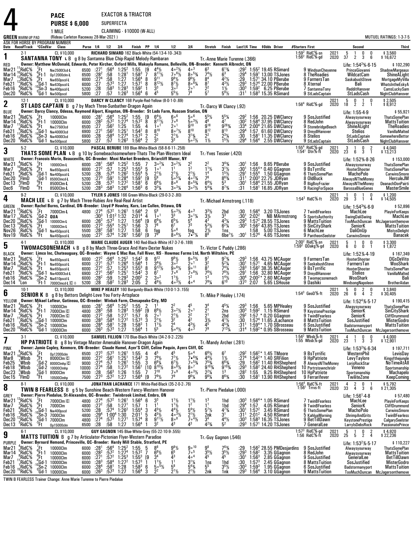|                                                                     |                                                                                 |                                                                                                             | <b>PACE</b>                                                                                                                                                                                                                                                                                                                                                     |                                                           |                                                                                                                |                                                                                 |                                                                                                                    | EXACTOR & TRIACTOR                                                                                                                                                                             |                                            |                                                                                                                                                |                                                                                                                                   |                                                                                                                                       |                                                                                                                                                        |                                                                                                                                |                                                               |                                                                |                                                                                                                                                                                                                   |                 |                                                                                                                     |              |                                                                                                                                         |                     |                                                                                                                                                                |
|---------------------------------------------------------------------|---------------------------------------------------------------------------------|-------------------------------------------------------------------------------------------------------------|-----------------------------------------------------------------------------------------------------------------------------------------------------------------------------------------------------------------------------------------------------------------------------------------------------------------------------------------------------------------|-----------------------------------------------------------|----------------------------------------------------------------------------------------------------------------|---------------------------------------------------------------------------------|--------------------------------------------------------------------------------------------------------------------|------------------------------------------------------------------------------------------------------------------------------------------------------------------------------------------------|--------------------------------------------|------------------------------------------------------------------------------------------------------------------------------------------------|-----------------------------------------------------------------------------------------------------------------------------------|---------------------------------------------------------------------------------------------------------------------------------------|--------------------------------------------------------------------------------------------------------------------------------------------------------|--------------------------------------------------------------------------------------------------------------------------------|---------------------------------------------------------------|----------------------------------------------------------------|-------------------------------------------------------------------------------------------------------------------------------------------------------------------------------------------------------------------|-----------------|---------------------------------------------------------------------------------------------------------------------|--------------|-----------------------------------------------------------------------------------------------------------------------------------------|---------------------|----------------------------------------------------------------------------------------------------------------------------------------------------------------|
|                                                                     |                                                                                 |                                                                                                             | <b>PURSE \$6,000</b><br>1 MILE                                                                                                                                                                                                                                                                                                                                  |                                                           |                                                                                                                | SUPERFECTA                                                                      |                                                                                                                    | CLAIMING - \$10000 (W-ALL)                                                                                                                                                                     |                                            |                                                                                                                                                |                                                                                                                                   |                                                                                                                                       |                                                                                                                                                        |                                                                                                                                |                                                               |                                                                |                                                                                                                                                                                                                   |                 |                                                                                                                     |              |                                                                                                                                         |                     |                                                                                                                                                                |
|                                                                     | <b>GREEN</b> WARM-UP PAD                                                        |                                                                                                             | (Rideau Carleton Raceway 28-Mar-2021)<br>ASK FOR HORSE BY PROGRAM NUMBER                                                                                                                                                                                                                                                                                        |                                                           |                                                                                                                |                                                                                 |                                                                                                                    |                                                                                                                                                                                                |                                            |                                                                                                                                                |                                                                                                                                   |                                                                                                                                       |                                                                                                                                                        |                                                                                                                                |                                                               |                                                                |                                                                                                                                                                                                                   |                 |                                                                                                                     |              |                                                                                                                                         |                     | MUTUEL RATINGS: 1-3-7-5                                                                                                                                        |
|                                                                     | Date Race#Track *CCndVar                                                        |                                                                                                             | Class<br>CL \$10,000                                                                                                                                                                                                                                                                                                                                            |                                                           | Purse 1/4 1/2 3/4                                                                                              |                                                                                 |                                                                                                                    | Finish PP 1/4                                                                                                                                                                                  |                                            |                                                                                                                                                | 1/2<br>RICHARD SIMARD 162 Black-White (54-13-4-10-.343)                                                                           | 3 4                                                                                                                                   | Stretch                                                                                                                                                | Finish                                                                                                                         |                                                               |                                                                | Last1/4 Time \$0dds Driver                                                                                                                                                                                        | #Starters First |                                                                                                                     | 2021         | Second<br>5<br>0<br>$\overline{1}$                                                                                                      | 0                   | Third                                                                                                                                                          |
| 1                                                                   | 2-1                                                                             |                                                                                                             | SANTANNA TONY L B g 8 by Santanna Blue Chip-Rapid Melody-Rambaran<br>Owner: Matthew McDonald, Edwards, Peter Kircher, Oxford Mills, Makayla Romano, Belleville, ON-Breeder: Kenneth Albrecht, ON                                                                                                                                                                |                                                           |                                                                                                                |                                                                                 |                                                                                                                    |                                                                                                                                                                                                |                                            |                                                                                                                                                |                                                                                                                                   |                                                                                                                                       | Tr. Anne Marie Turenne (.366)                                                                                                                          |                                                                                                                                |                                                               |                                                                |                                                                                                                                                                                                                   |                 | 1:59 $^2$ RidC%-sn<br>1:56 $^2$ RidC%-gd                                                                            | 2020         | 37<br>3<br>$\overline{2}$                                                                                                               | 6                   | \$3,560<br>\$16,672                                                                                                                                            |
| RED<br>Mar21<br>Mar 14<br>Mar7<br>Feb21<br>Feb16<br>Dec20           | $^{11}_{10}$ RidC%<br>RidC%<br>,RidC%<br>,RidC%<br>,RidC%<br><sup>8</sup> RidC% | ′.Ft<br>$^{\circ}$ Ft-1<br>.Ft∵                                                                             | Nw2500l3cd-L<br>Op12000clm-L<br>Nw650pscd-L<br>10<br>10<br>Sn-3 Nw400pscd-L<br>0<br>Gd-1 Nw500pscd                                                                                                                                                                                                                                                              | 6500<br>6500<br>6000<br>6000<br>5200<br>$\frac{5800}{27}$ | :27 <sup>1</sup><br>$:28^{2}$<br>:27 <sup>4</sup><br>:27<br>:28                                                | :56 <sup>4</sup><br>:58<br>:58<br>$:57^{3}$<br>$:58^3$<br>:57                   | $^{1:25^2}_{1:28^1}$<br>1:27<br>1:27<br>$1:28^{3}$<br>$1:26^{3}$                                                   | $\begin{array}{c} 1:55 \\ 1:58^3 \end{array} \begin{array}{c} \text{[9]}\\ \text{7} \end{array}$<br>1:56 <sup>4</sup><br>1:57 <sup>1</sup><br>$1:59^{2}$<br>$1:56^{4}$ 6                       | 8<br>8                                     | $4^{4}\frac{1}{2}$<br>8 <sup>11</sup> / <sub>2</sub><br>9 <sup>11</sup><br>$8^{12}\%$<br>3 <sup>3</sup><br>45                                  | $\frac{4}{7}$ $\frac{2}{1/2}$<br>$9^{8}$ <sup>1/2</sup><br>$\frac{8^{7}1}{3^{0}}$<br>$5^{5}$ %                                    | $4\circ$ <sup>3</sup><br>$80^{53}$<br>961/2<br>$800^{6}$<br>1ه 2<br>74                                                                | $\frac{7^4}{8^4}$<br>$\frac{8}{2}$ <sup>7</sup><br>5 <sup>7</sup>                                                                                      | $6^{13/4}$<br>$4^{2}\%$<br>$4^{3}\frac{1}{2}$<br>$1\frac{1}{2}$<br>$5^{9}$ %                                                   | :29<br>$:29^{3}$<br>$:30^3$<br>:31'                           |                                                                | :29 <sup>2</sup> 1:55 <sup>2</sup> 19.45 RSimard<br>:29 <sup>4</sup> 1:59 <sup>1</sup> 13.00 TSJones<br>1:57 <sup>1</sup> 34.10 PBerube<br>$1:574$ 22.00 PBerube<br>$1:592$ 6.25 PBerube<br>$1:583$ 15.35 RSimard |                 | 9 WindsunCheyenne<br>8 TheRoadies<br>9 FarmersTan<br>8 Xternal<br>7 SantannaTony<br>9 StLadsCaptain                 |              | Life: 1:54 <sup>2</sup> % 6-15<br>PrinceGiovanni<br>WildcatCam<br>SaskabushSteve<br>Bali<br>RedditHanover<br>StLadsCash                 |                     | \$102,290<br>ShadowMargeaux<br>ShineALight<br>MortgageMyVilla<br>WhatsIntheEskyA<br>CamsLuckySam<br>NightClubHanover                                           |
| $\mathbf 2$                                                         | $12-1$                                                                          |                                                                                                             | CL \$10,000<br>ST LADS CAPTAIN B g 7 by Mach Three-Sunbather-Dragon Again                                                                                                                                                                                                                                                                                       |                                                           |                                                                                                                |                                                                                 |                                                                                                                    |                                                                                                                                                                                                |                                            |                                                                                                                                                | DARCY W CLANCY 168 Purple-Red-Yellow (8-0-1-0-.69)                                                                                |                                                                                                                                       | Tr.-Darcy W Clancy (.92)                                                                                                                               |                                                                                                                                |                                                               |                                                                |                                                                                                                                                                                                                   |                 | $1.564$ RidC $%$ -gd                                                                                                | 2021<br>2020 | $\frac{0}{2}$<br>$\frac{1}{2}$<br>$\frac{5}{18}$                                                                                        | 0                   | \$2,505<br>\$8,912                                                                                                                                             |
| BLUE<br>Mar21<br>Mar 14<br>Mar7<br>Feb21<br>Feb16<br>Dec20          | *RidC%<br>$\frac{5}{3}$ RidC%<br>',RidC%<br>'RidC%<br>¦RidC%<br>°RidC%          | $\frac{7}{6}$ Ft 1<br>"Ft                                                                                   | Owner: Darcy Clancy, Odessa, Raymond Alport, Kingston, ON-Breeder: St Lads Farm, Ruscom Station, ON<br>10000Clm<br>10000Clm<br>Nw275013cd<br>Gd-1 <sub>Nw400013cd</sub><br>$^{10}$ Sn-3 Nw400013cd<br>$^{0}$ Gd-1 Nw500pscd                                                                                                                                     | 6000<br>6000<br>6500<br>6900<br>6900<br>5800              | :28 <sup>1</sup><br>$:28^{2}$<br>$\frac{.27}{.27}$<br>:28<br>:27                                               | :56ª<br>$:57^{2}$<br>$:56^2$<br>:56 <sup>2</sup><br>:58 <sup>4</sup><br>:57     | $1:25^2$<br>$1:27^4$<br>$1:25$<br>$1:25$<br>1:27 <sup>4</sup><br>$1:26^{3}$                                        | $1:55$ [9<br>$1:57^2$ 8<br>1:55<br>$1:54^{2}$<br>$1:57^{3}$<br>$1:56^4$                                                                                                                        | 4<br>8<br>2<br>2                           | $6^{4}$ <sup>1</sup> / <sub>2</sub><br>$8^{11}\%$<br>1 <sup>0</sup><br>$8^{10}$<br>$\frac{2^2}{3^3}$                                           | $60^6$<br>$7\degree$ <sup>6</sup><br>20 <sup>1</sup><br>$8 \cdot \frac{71}{2}$<br>$2^{11/2}$<br>3 <sup>3</sup>                    | $50^6$<br>$50^{3}$ %<br>q10<br>$8^{10}$<br>$3^{13}/4$<br>$5 \circ 2\frac{1}{2}$                                                       | 55½<br>46<br>g <sub>18</sub><br>$\bar{8}^{12}$<br>2<br>$1\frac{1}{2}$                                                                                  | $\frac{5^{5}\%}{4^{7}}$<br>g <sub>283</sub> /<br>$\bar{R}$ <sup>13</sup><br>$2^{3}\frac{1}{4}$<br>$15$ / <sub>2</sub>          | :29 <sup>2</sup><br>:30ª<br>$:33^{4}$<br>:29ª<br>:30<br>:29ª  |                                                                | 1:56 20.25 DWClancy<br>1:58 <sup>4</sup> 37.95 DWClancy<br>$2:004$ 21.65 DWClancy<br>1:57 61.60 DWClancy<br>1:58 <sup>1</sup> 11.35 DWClancy<br>1:56 $4$ 2.55 DWClancy                                            |                 | 9 SosJustified<br>8 RedJohn<br>9 StonebridgeBeach<br>9 DreydlHanover<br>8 Stelios<br>9 StLadsCaptain                |              | Life: 1:55-4-9<br>Alwaysyourway<br>Alwaysyourway<br><b>ShineALight</b><br><b>Stelios</b><br>StLadsCaptain<br>StLadsCash                 |                     | \$55,921<br><b>ThatsSomePlan</b><br><b>MattsTuition</b><br><b>TheRoadies</b><br>VanillaMalted<br>SomewhereBettor<br>NightClubHanover                           |
| 3                                                                   | $5-2$                                                                           |                                                                                                             | CL \$10,000<br>THATS SOME PLAN L B g 10 by Somebeachsomewhere-Thats The Plan-Western Ideal                                                                                                                                                                                                                                                                      |                                                           |                                                                                                                |                                                                                 |                                                                                                                    |                                                                                                                                                                                                |                                            |                                                                                                                                                | PASCAL BERUBE 189 Blue-White-Black (58-8-6-11-.258)                                                                               |                                                                                                                                       | Tr. Yves Tessier (.420)                                                                                                                                |                                                                                                                                |                                                               |                                                                |                                                                                                                                                                                                                   |                 | 1:55 <sup>4</sup> RidC%-gd<br>1:54 <sup>1</sup> Dtn%-ft                                                             | 2021<br>2020 | 0<br>3<br>$\overline{1}$<br>$2\bar{3}$<br>$\overline{3}$<br>6                                                                           | $\frac{2}{1}$       | $$4,040$<br>\$13,213                                                                                                                                           |
| <b>WHITE</b><br>Mar21<br>Mar7<br>Feb21<br>Dec20<br>Dec 13<br>Dec6   | $^4$ RidC%<br>RidC%<br>$8$ RidC $9$<br>$^8$ FlmD<br>្ចីFlmD<br>'FlmD            | (Ft                                                                                                         | Owner: Francois Morin, Beauceville, QC--Breeder: Moni Market Breeders, Briarcliff Manor, NY<br>10000Clm-L<br>er Nederland<br>1964 - America 1<br>1964 - America 1<br>1964 - Alexander 1<br>1964 - Alexander 1975<br>1976 - Alexander 1980<br>1980 - Alexander 1980<br>1980 - Alexander 1980<br>1980 - Alexander 1980<br>1980 - Alexander 1980<br>1980 - Alexand | 6000<br>6000<br>5200<br>5200<br>5200<br>5200              | $:28^{1}$<br>: 27 <sup>2</sup><br>: 28<br>$:27^{3}$<br>$\overline{28}$<br>: 28 <sup>3</sup>                    | :57<br>:57 $4$<br>$:59^{1}$<br>$:57^{2}$<br>$:58^3$                             | $:56^4$ 1:25 <sup>2</sup><br>$1:25^{3}$<br>$1:26^2$<br>1:28 <sup>4</sup><br>1:27 <sup>2</sup><br>1:26 <sup>4</sup> | 1:55<br>$1.55^{3}$<br>$1:55^{4}$ 5<br>1:59 <sup>1</sup><br>1:58 <sup>1</sup><br>$1:56^{3}$                                                                                                     | 5<br>[9<br>6<br>6                          | $3^{\circ}{}^{2}\%$<br>1 <sup>0</sup><br>$\frac{2^{1}\%}{5^{6}}$<br>$6^{8}$ <sup>1</sup> / <sub>2</sub><br>$3^{3}\%$                           | $3^{\circ}{}^{2}\%$<br>$2^{1}\frac{1}{2}$<br>5. <sup>5</sup> %<br>$8^{\circ8}$<br>$30^{3}/4$                                      | $\frac{2^2}{1^2}$<br>$2^{11/2}$<br>$40^{23}$<br>$80^{53}$<br>$3^{\circ}2\frac{1}{2}$                                                  | $2^2$<br>$1^{11}/2$<br>1 <sup>4</sup><br>7 <sup>6</sup><br>$6^{4}\frac{1}{2}$<br>$5^{4}\frac{1}{4}$                                                    | $3^{4}\%$<br>$3^{11/2}$<br>$1^{51/2}$<br>$8^{63}$<br>5 <sup>3</sup><br>$8^{7}$ <sup>3</sup> / <sub>4</sub>                     | :30'<br>$:30^1$<br>:29'<br>:31 <sup>1</sup><br>:30†<br>:31    | 1:56                                                           | 9.65 PBerube<br>$1:55^{4*}$ 0.40 GGagnon<br>$1.554$ $1.50$ GGagnon<br>$2:00^3$ 22.75 JDRyan<br>1:58 <sup>4</sup> 21.55 JDRyan<br>$1:581$ 16.85 JDRyan                                                             |                 | 9 SosJustified<br>9 BsTyrrific<br>6 ThatsSomePlan<br>8 OldBuck<br>8 BigBoyFrazier<br>9 RacingForSpace               |              | Life: 1:52% 8-26<br>Alwaysyourway<br><b>HooterShooter</b><br>MachoPolo<br>AlwaysNTheMoney<br>AlwaysNTheMoney<br><b>BarossaBlueGenes</b> |                     | \$153,000<br><b>ThatsSomePlan</b><br><b>ThatsSomePlan</b><br><b>CarwinsSmore</b><br>HerculeJM<br>DeanachDonPairti<br><b>MasterSmile</b>                        |
| 4                                                                   | $9-2$                                                                           |                                                                                                             | CL \$10,000<br><b>MACH LEE L B</b> g 7 by Mach Three-Rubies Are Real-Real Artist                                                                                                                                                                                                                                                                                |                                                           |                                                                                                                |                                                                                 |                                                                                                                    |                                                                                                                                                                                                |                                            |                                                                                                                                                | TYLER S JONES 166 Green-White-Black (29-0-3-2-.80)                                                                                |                                                                                                                                       | Tr.-Michael Armstrong (.118)                                                                                                                           |                                                                                                                                |                                                               |                                                                |                                                                                                                                                                                                                   |                 | $1:54^3$ RidC%-ft                                                                                                   | 2021<br>2020 | 0<br>$\mathbf{1}$<br>-1<br>29<br>$\overline{3}$<br>$1 \quad 4$                                                                          | 0                   | \$1,200<br>\$14,505                                                                                                                                            |
| GREEN<br>Mar21<br>Mar 17<br>Dec20<br>Dec 13<br>Nov26<br>Nov19       | <sup>13</sup> RidC%<br>'RidC%<br>¦°RidC%<br>¦RidC%<br>$RidC\%$<br>'RidC%        | $\sqrt{\phantom{a}}$ Ft<br>áGd-2 <b>Qua</b><br>ະFt<br>$6\frac{1}{10}$                                       | Owner: Rachel Burns, Cardinal, ON-Breeder: Lloyd P Howley, Kars, Lee Cullen, Ottawa, ON<br>7000Clm-L<br>${}^{0}_{2}$ Gd-1 10000Clm-L<br>10000Clm-L<br>$^{3}_{6}$ Gd-1 Nw450pscd-L<br>Nw450pscd-L                                                                                                                                                                | 6000<br>6000<br>5500<br>5500                              | :30ª<br>$:26^{3}$<br>$:27^{3}$<br>:28 <sup>2</sup><br>: 27 <sup>2</sup>                                        | $1:01^2$ $1:32$<br>:57 <sup>3</sup> 1:27<br>$:55^4$<br>:581<br>:57 <sup>4</sup> | 4800 :27 <sup>4</sup> :57 <sup>2</sup> 1:26 <sup>1</sup><br>$1:25^{1}$<br>1:27<br>1:26 <sup>1</sup>                | $1:56^4$ 2<br>$2:01^4$ 4<br>1:56 <sup>4</sup><br>1:56<br>1:58<br>$1:56^{2}$                                                                                                                    | [9<br>3<br>6<br>[9                         | 5 <sup>6</sup><br>1 <sup>0</sup><br>$6^{6}$ <sup>1</sup> / <sub>2</sub><br>78<br>fog<br>7 <sup>9</sup>                                         | $5 \circ 3\frac{1}{2}$<br>$\bar{3}^3$<br>$6^{5}$ <sup>1</sup> / <sub>2</sub><br>6 <sup>7</sup><br>$5\circ ^6$<br>$806\frac{1}{2}$ | $4\circ$ <sup>3</sup><br>$3 \circ 1\frac{1}{4}$<br>54<br>73<br>fog<br>$7 - 7\frac{1}{4}$                                              | 3½<br>43<br>$5^{3}$ %<br>$\frac{2\frac{1}{2}}{8^{8}}$                                                                                                  | $\frac{2hd}{3^3}$<br>$4^{3}\%$<br>$6^{2}\%$<br>1ns<br>$6be^7\frac{1}{2}$                                                       | :30<br>:30'<br>$:29^{3}$<br>$:30^3$<br>$:30^1$                | $1:56^{4}$<br>$2:02^2$<br>$1:57^{4}$                           | 3.20 TSJones<br><b>NB MArmstrong</b><br>$1:572$ 28.55 TSJones<br>$1:562$ 43.85 TSJones<br>1:58 5.00 TSJones<br>4.65 TSJones                                                                                       |                 | 7 TwinBFearless<br>5 SportsAuthority<br>9 MattsTuition<br>9 SinCityShark<br>6 MachLee<br>9 PantheonSeelster         |              | Life: $1:54^3\%$ 6.9<br>MachLee<br>SwingDaliSwing<br>SeniorK<br><b>DaliOnUp</b><br>CarwinsSmore                                         |                     | \$52,896<br>PlayinForKeeps<br>MachLee<br>TooMuchDuncan McJagersonthemove<br><b>MattsTuition</b><br><b>MistysDelight</b><br><b>Banacek</b>                      |
| 5                                                                   | 4-1                                                                             |                                                                                                             | CL \$10,000<br>TWOMACSONEMACH L B g 8 by Mach Three-Grace And Harv-Dexter Nukes                                                                                                                                                                                                                                                                                 |                                                           |                                                                                                                |                                                                                 |                                                                                                                    |                                                                                                                                                                                                |                                            |                                                                                                                                                | MARIE CLAUDE AUGER 140 Red-Black-White (47-3-7-6-.189)                                                                            |                                                                                                                                       | Tr. Victor C Puddy (.286)                                                                                                                              |                                                                                                                                |                                                               |                                                                |                                                                                                                                                                                                                   |                 | $2.00^2$ RidC $\frac{5}{2}$ sn<br>$1:592$ QOakg%-gd                                                                 | 2021<br>2020 | 0<br>5<br>$\overline{1}$<br>6<br>0<br>0                                                                                                 | 0<br>$\overline{1}$ | \$3,300<br>\$1,872                                                                                                                                             |
| <b>BLACK</b><br>Mar21<br>Mar 14<br>Mar7<br>Feb21<br>Feb16<br>Dec 14 | RidC%<br>$n^6$ RidC%<br>RidC%<br>?RidC%<br>$2$ RidC <sup>5</sup> %<br>"Lon      | $^{6}_{6}$ Ft-1<br>.′Ft<br>'Ft-1                                                                            | Owner: Limco Inc, Chateauguay, QC-Breeder: Wayne C Mac Rae, Fall River, NS - Howmac Farms Ltd, North Wiltshire, PE<br>Nw650pscd-L<br>Nw650pscd-L<br>Nw650pscd-L<br>$40$ Gd-1 Nw400013cd-L<br>$-10$ Sn-2 Nw610pscd-L<br>7000Clmcd-L C $\diamond$                                                                                                                 | 6000<br>6000<br>6000<br>6900<br>6000<br>5200              | :27 <sup>2</sup><br>:27 <sup>1</sup><br>$\frac{1}{2}$<br>$\frac{2}{7}$ <sup>2</sup><br>:28 <sup>2</sup><br>:28 | $:57^{1}$<br>:57.562<br>:59<br>$:58^2$                                          | $:56^4$ 1:25 <sup>2</sup><br>1:26 <sup>4</sup><br>1:25 <sup>3</sup><br>$1:25^{1}$<br>$1:29^{3}$<br>$1:28^{3}$      | $1:54^2$ 8<br>1:56 <sup>4</sup><br>$1:55^{3}$<br>$1:54^{2}$<br>$2:00^2$<br>2:05                                                                                                                | 8<br>3<br>$\overline{2}$<br>$\overline{2}$ | $9^{12}$<br>$3^{4}$ %<br>$9^{12}$ %<br>6 <sup>7</sup><br>$3^{\circ}{}^{2}$<br>$4^{6}\frac{1}{2}$                                               | $\frac{9^{8}\%}{3^{02}}$<br>$906\frac{1}{2}$<br>7°6<br>$1^{11}/2$<br>$40^{31/2}$                                                  | $9°^{5}\%$<br>20 <sup>1</sup><br>$9°$ <sup>11</sup><br>$7.8\%$<br>1 <sup>2</sup><br>40 <sup>4</sup>                                   | $\frac{9^7}{3^2}$<br>8 <sup>7</sup><br>$\frac{7}{1^3}$ / <sub>2</sub><br>791/4                                                                         | $9^{7}_{4}$<br>$5^{2}_{4}$<br>$7^{4}$ <sup>1</sup> / <sub>4</sub><br>$7^{8}$ <sup>1</sup> / <sub>2</sub><br>$1^{4}\frac{1}{2}$ | :293<br>:301<br>:283<br>:291<br>:30 <sup>4</sup><br>:373      | 2:07                                                           | 1:56 43.75 MCAuger<br>1:57 <sup>1</sup> 4.65 MCAuger<br>1:56 <sup>2</sup> 38.35 MCAuger<br>1:56 32.80 MCAuger<br>$2:00^{2*}$ 2.60 MCAuger<br>5.65 LSHouse                                                         |                 | 9 FarmersTan<br>9 SaskabushSteve<br>9 BsTyrrific<br>9 DreydlHanover<br>8 Twomacsonemach<br>9 Dashiki                |              | Life: 1:52% 4-19<br>HooterShooter<br>FarmersTan<br>HooterShooter<br>Stelios<br>WooShark<br>WindsongNapoleon                             |                     | \$167,349<br><b>DGsDeVito</b><br>WooShark<br><b>ThatsSomePlan</b><br>VanillaMalted<br>Bali<br>BrotherAidan                                                     |
| 6                                                                   | $10-1$                                                                          |                                                                                                             | CL \$10,000<br><b>SENIOR K</b> B g 8 by Bettors Delight-Love You Forty-Artsplace                                                                                                                                                                                                                                                                                |                                                           |                                                                                                                |                                                                                 |                                                                                                                    |                                                                                                                                                                                                |                                            |                                                                                                                                                | MIKE P HEALEY 160 Burgundy-Black-White (10-0-1-3-.155)                                                                            |                                                                                                                                       | Tr. Mike P Healey (.174)                                                                                                                               |                                                                                                                                |                                                               |                                                                |                                                                                                                                                                                                                   |                 | $1:54^3$ GeoD%-ft                                                                                                   | 2021<br>2020 | $\frac{2}{4}$<br>5<br>0<br>$2\bar{6}$<br>6                                                                                              | 0<br>$\overline{2}$ | \$3,840<br>\$30,405                                                                                                                                            |
| YELLOW<br>Mar21<br>Mar7<br>Feb21<br>Feb16<br>Dec20                  | RidC%<br>Mar14 $^4$ RidC%<br>RidC%<br>¦RidC%<br>:RidC%<br>~RidC%                | $^{9}$ Ft<br>"Gd-1                                                                                          | Owner: Mikael Lafleur, Gatineau, QC-Breeder: Winbak Farm, Chesapeake City, MD<br>$\frac{7}{6}$ Ft 10000Clm<br>- Ft-1 7000Clm ©<br>7000Clm C<br>10000Clm<br>${}^{0}_{0}$ Sn-2 10000Clm<br><sup>0</sup> Gd-1 10000Clm                                                                                                                                             | 4800<br>6000<br>6000<br>6000                              | $:27^{2}$<br>$:28^{3}$<br>$:28^{4}$<br>$:26^{3}$                                                               | :58<br>$:58^{4}$<br>$:58^{1}$<br>$:57^{3}$                                      | $1:271$<br>$1:272$<br>1:28<br>1:27                                                                                 | 6000 :28 <sup>1</sup> :56 <sup>4</sup> 1:25 <sup>2</sup> 1:55 2 1 <sup>1</sup><br>$4800$ $:28^3$ $:58$ $1.28^3$ $1.59^2$ $[9 \ 6^6\%]$<br>$1:57$<br>$1:573$<br>$1:58^{3}$<br>1:56 <sup>4</sup> | 6<br>3<br>-1                               | $2^{01}_{21}\%$<br>$1^{11/2}$                                                                                                                  | 2 <sup>2</sup><br>$3^{\circ}2\frac{1}{2}$<br>$\frac{2^{1}\frac{1}{2}}{3^{2}}$<br>$\frac{2^4}{5}$ <sup>4</sup> / <sub>2</sub>      | 45<br>$2^{\circ}$ <sup>1</sup><br>$\frac{2^2}{4^2}$<br>$\frac{4^{3}\frac{1}{2}}{4^{3}}$                                               | 3 <sup>4</sup><br>2 <sub>1</sub><br>$\frac{2^1}{3!}$<br>$\frac{4^5}{7^9}$                                                                              | $4^5\%$<br>2ns<br>2hd<br>$4^{11}$<br>$4^{5}_{7}$ /4<br>7131/4                                                                  | :294<br>:30<br>:31<br>:314                                    | $: 29^3$ 1:56                                                  | 5.65 MPHealey<br>:30 $31:59^2$ 1.15 RSimard<br>1:57 * 0.20 GGagnon<br>1:57 <sup>4</sup> 11.65 JLachance<br>1:59 <sup>4</sup> 1.70 SBrosseau<br>$1:59^{2*}$ 0.95 SBrosseau                                         |                 | 9 SosJustified<br>9 KeystonePrestige<br>9 TwinBFearless<br>8 MattsTuition<br>6 SosJustified<br>9 MattsTuition       |              | Life: $1:524%·5·17$<br>Alwaysyourway<br>SeniorK<br>SeniorK<br>SosJustified<br>Badstormanyport                                           |                     | \$190,415<br><b>ThatsSomePlan</b><br>SinCityShark<br>CliffDrummond<br><b>MisterGodro</b><br><b>MattsTuition</b><br>TooMuchDuncan McJagersonthemove             |
| 7                                                                   | 3-1                                                                             |                                                                                                             | CL \$10,000<br><b>HP PATRIOTE</b> B g 8 by Vintage Master-Amenable Hanover-Dragon Again                                                                                                                                                                                                                                                                         |                                                           |                                                                                                                |                                                                                 |                                                                                                                    |                                                                                                                                                                                                |                                            |                                                                                                                                                | SAMUEL FILLION 170 Blue-Black-White (34-2-9-2-.225)                                                                               |                                                                                                                                       | Tr.-Mandy Archer (.281)                                                                                                                                |                                                                                                                                |                                                               |                                                                |                                                                                                                                                                                                                   |                 | 1:54 $^2$ Wbsb%-ft<br>1:55 Wbsb%-gd                                                                                 | 2021<br>2020 | $\frac{0}{3}$<br>4<br>23<br>$\overline{1}$                                                                                              | 0<br>3              | \$4,000<br>\$12,901                                                                                                                                            |
| <b>PINK</b><br>Mar21<br>Mar8<br>Feb25<br>Feb18<br>Dec23<br>Dec 15   | $\degree$ RidC%<br>Wbsb<br>, Wbsb<br>,Wbsb<br>$2$ Wbsb<br><b>FimD</b>           | ′Ft.<br><sup>6</sup> Ft                                                                                     | Owner: Jamie Copley, Kenmore, ON-Breeder: Claude Hamel, Ayer'S Cliff, Celine Paquin, Ayers Cliff, QC<br>0p12000clm<br>8000Clm C<br>$\frac{1}{2}$ Gd-2 8000Clmhp $\boxed{C}$<br>6d-2 10000Clmhp;<br>$^{5}_{5}$ Gd- $\overline{1}$ 8000Clm<br>$^{5}_{5}$ Ft 10500Clmh<br>10500Clmhp                                                                               | 6500<br>8000<br>9000<br>10000<br>8000<br>7500             | $:27^{3}$<br>$:27^{2}$<br>:27 <sup>4</sup><br>:27 <sup>4</sup><br>:28<br>: 27 <sup>3</sup>                     | :57 $3$<br>:561<br>:57<br>:58<br>$:56^3$<br>$:57^2$                             | $1:261$<br>1:25 <sup>1</sup><br>1:26 <sup>1</sup><br>1:27 <sup>2</sup><br>1:26<br>1:27                             | $1:55$<br>$1:54^2$<br>1:55<br>1:56 <sup>1</sup><br>1:55<br>1:56 <sup>4</sup>                                                                                                                   | 4<br>3<br>3<br>$[10 \ 8]^{10}\%$<br>[9     | 45<br>$79\frac{1}{2}$<br>$6^{8}$ <sup>1</sup> / <sub>4</sub><br>$7^{10}$<br>$7^9\frac{1}{2}$                                                   | $7^{7}$ <sup>1</sup> / <sub>2</sub><br>$6^{7}$ %<br>$800^{8}/2$<br>7°9<br>79                                                      | 5∘4<br>$7 \cdot 63/4$<br>$70^{53}$<br>$8^{\circ}$ <sup>7</sup><br>$4 \circ 3\frac{1}{2}$<br>$9^{6}\%$                                 | $6^{6}\frac{1}{2}$<br>4 <sup>41</sup> / <sub>2</sub><br>7 <sup>53</sup> / <sub>4</sub><br>$9^{10}$ <sup>%</sup><br>$2^2\frac{1}{4}$<br>$96\frac{1}{4}$ | $1\frac{1}{2}$<br>$6^{6}$ <sup>3</sup> / <sub>4</sub><br>$\frac{9^{10}\%}{1^3}$<br>$8^{6}_{/4}$                                | :274<br>:29<br>$:29^{3}$<br>:28ª<br>:30                       |                                                                | 1:56 <sup>2</sup> * 1.45 TMoore<br>1:54 <sup>2</sup> * 1.40 SRFilion<br>1:56 <sup>2</sup> 11.40 RHSheplerd<br>1:58 <sup>2</sup> 24.40 RHShepherd<br>1:55 9.25 RHShepherd<br>$1:581$ 13.90 RHShepherd              |                 | 9 BsTyrrific<br>9 HpPatriote<br>8 AlwaysNTheMoney<br>10 Portrstownchrislr<br><b>10 HpPatriote</b><br>9 Ferrarifever |              | Life: 1:53 <sup>2</sup> %-6-34<br>WesternPhil<br>LevyTaylore<br>LorisRockStar<br>Veneno<br>Sportsmanship<br>TwiliteZone                 |                     | \$197,711<br>LevisDay<br>Kingofthejungle<br>NoTimeAtAll<br>Sportsmanship<br>Machapelo<br>KeepComing                                                            |
| 8                                                                   | $8-1$                                                                           |                                                                                                             | CL \$10,000<br><b>TWIN B FEARLESS</b> B g 5 by Sunshine Beach-Western Fancy-Western Hanover                                                                                                                                                                                                                                                                     |                                                           |                                                                                                                |                                                                                 |                                                                                                                    |                                                                                                                                                                                                |                                            |                                                                                                                                                | JONATHAN LACHANCE 171 White-Red-Black (35-2-0-2-.76)                                                                              |                                                                                                                                       | Tr.-Pierre Piedalue (.000)                                                                                                                             |                                                                                                                                |                                                               |                                                                |                                                                                                                                                                                                                   |                 | 1:56 <sup>4</sup> RidC%-ft<br>$1:561$ Trrvs-ft                                                                      | 2021<br>2020 | $_{3}^{\rm 0}$<br>$\frac{4}{33}$<br>2<br>4                                                                                              | 6                   | \$5,792<br>\$21,305                                                                                                                                            |
| <b>GREY</b><br>Mar21<br>Mar7<br>Feb21<br>Feb16<br>Dec20<br>Dec 13   | RidC%<br>$\degree$ RidC%<br>,°RidC%<br>¦RidC%<br>¦RidC%<br>°RidC%               | ′Ft<br>"Ft<br>;Gd-1<br>"Ft                                                                                  | Owner: Pierre Piedalue, St-Alexandre, QC--Breeder: Twinbrook Limited, Embro, ON<br>7000Clm C<br>7000Clm<br>Nw400pscd<br>$\frac{10}{10}$ Sn-3 7000Clm<br>$\frac{1}{3}$ Gd-1 7000Clm<br>Op15000clm                                                                                                                                                                | 4800<br>4800<br>5200<br>4800<br>4800<br>6500              | :27 <sup>4</sup><br>:27 <sup>2</sup><br>:28<br>:29ª<br>:27 <sup>4</sup><br>:28                                 | :58<br>$1:00^4$ 1:30<br>$:57^{3}$<br>:58                                        | $:57^2$ 1:26 <sup>1</sup><br>1:27 <sup>1</sup><br>$:574$ 1:26 <sup>2</sup><br>1:27 <sup>1</sup><br>1:27            | $1:56^{4}$<br>1:57<br>$1:55^{4}$<br>2:01 <sup>1</sup><br>1:57 <sup>4</sup><br>1:56 <sup>4</sup>                                                                                                | - 6<br>3<br>5<br>8                         | 3 <sup>3</sup><br>1 <sup>1</sup><br>$4^{5}$ <sup>1</sup> / <sub>2</sub><br>$4^{5}$ <sup>1</sup> / <sub>2</sub><br>$9^{11}\%$<br>3 <sup>2</sup> | $1\frac{1}{2}$<br>$1\frac{1}{2}$<br>$4^{4}\frac{\sqrt{2}}{4\cdot\frac{3}{\sqrt{2}}}$<br>$8^{\circ8}$                              | $\frac{1^{11}}{1^{2}}$<br>$5^{4}\frac{1}{2}$<br>2 <sup>1</sup> / <sub>2</sub><br>$7.4\%$<br>43                                        | 1 <sup>3</sup><br>1 <sup>1</sup><br>$5^7$ <sup>1</sup> / <sub>2</sub><br>$rac{2nk}{3^4}$<br>$4^{23}$ / <sub>4</sub>                                    | 1hd<br>1hd<br>$4^{7}$ <sup>3</sup> / <sub>4</sub><br>3 <sup>1</sup><br>$4^{4}$ <sup>1</sup> / <sub>2</sub><br>5 <sup>2</sup>   | :30 <sup>3</sup><br>:294<br>:301<br>:31'<br>$:30^{3}$<br>:293 | $1:56^{4*}$<br>1:57<br>$1:57^{2}$<br>$2:01^2$                  | 1.05 RSimard<br>4.05 RSimard<br>3.45 RSimard<br>4.50 RSimard<br>$1:583$ 16.35 TSJones<br>$1:571$ 14.20 TSJones                                                                                                    |                 | 7 TwinBFearless<br>9 TwinBFearless<br>6 ThatsSomePlan<br>5 KahluaMorning<br>9 BetTillDawn<br>7 GeneralLee           |              | Life: $1:56^1.4.8$<br>MachLee<br>SeniorK<br><b>MachoPolo</b><br><b>ShrimpAndGrits</b><br><b>KeystonePrestige</b><br>LarryIsDebsRock     |                     | \$57,480<br>PlayinForKeeps<br>CliffDrummond<br><b>CarwinsSmore</b><br><b>TwinBFearless</b><br><b>CalgarySeelster</b><br><b>PassionatePrince</b>                |
| 9                                                                   | $6-1$                                                                           |                                                                                                             | CL \$10,000<br><b>MATTS TUITION</b> B g 7 by Articulator-Pictonian Flyer-Western Paradise                                                                                                                                                                                                                                                                       |                                                           |                                                                                                                |                                                                                 |                                                                                                                    | <b>GUY GAGNON</b> 145 Blue-White-Grey (55-22-10-9-.555)                                                                                                                                        |                                            |                                                                                                                                                |                                                                                                                                   |                                                                                                                                       | Tr.-Guy Gagnon (.546)                                                                                                                                  |                                                                                                                                |                                                               |                                                                |                                                                                                                                                                                                                   |                 | 1:57 <sup>3</sup> RidC%-gd<br>1:56 RidC%-ft                                                                         | 2021<br>2020 | $2\overline{5}$<br>$\frac{0}{2}$<br>5                                                                                                   | $\frac{2}{4}$       | \$4,920<br>\$22,236                                                                                                                                            |
| PURPLE<br>Mar21<br>Mar 14<br>Mar7<br>Feb21<br>Feb16<br>Dec20        | RidC%<br>RidC%<br>'RidC%<br>¦RidC%<br>:RidC%<br>°RidC%                          | (Ft<br><sup>o</sup> Ft-1<br><sup>4</sup> Ft<br><sub>10</sub> Gd-1<br>$^{\circ}_{0}$ Sn-2<br>$^{\circ}$ Gd-1 | Owner: Bernard Hemond, Princeville, QC--Breeder: Hardy Mill Stable, Stratford, PE<br>10000Clm<br>10000Clm<br>10000Clm<br>10000Clm<br>10000Clm<br>10000Clm                                                                                                                                                                                                       | 6000<br>6000<br>6000<br>6000<br>6000<br>6000              | :28 <sup>1</sup><br>$: 28^2$<br>$: 27^1$<br>$:28^{3}$<br>$: 28^{4}$<br>$: 26^{3}$                              | $:56^4$<br>$:57^2$<br>$:57^2$<br>$:58^{4}$<br>$:581$<br>:57 <sup>3</sup>        | $1:25^2$<br>1:27 <sup>4</sup><br>$\frac{1:25^3}{1:27^2}$<br>$\begin{array}{c} \n 1:28 \\  1:27\n \end{array}$      | 1:55<br>$1:572$<br>1:55 <sup>3</sup><br>1:57 <sup>3</sup><br>$1:58^{3}$<br>1:56 <sup>4</sup>                                                                                                   | [9<br>6<br>3                               | 8ª<br>$\frac{6^{8}1}{3^{4}}$<br>$1^{11}$<br>$50^{5}\%$<br>2 <sup>2</sup>                                                                       | $9^{8}$ <sup>1</sup> / <sub>2</sub><br>$6^{5}_{4^{3}}$<br>1 <sup>1</sup><br>$\frac{5^8}{2^1\frac{1}{2}}$                          | $9°$ 10<br>7 <sup>5</sup><br>$4\circ^4$<br>$3^{1}$ <sup>/</sup> / <sub>4</sub><br>$5^{4}\frac{3}{4}$<br>2 <sup>1</sup> / <sub>2</sub> | $\frac{3^{5}}{4^{5}}$<br>1ns<br>55<br>2nk                                                                                                              | $7^{63}$<br>$3^{5}_{4}$ <sup>%</sup><br>1hd<br>$3^5\frac{1}{2}$<br>1nk                                                         | :29<br>:293<br>:30'<br>:30<br>:303<br>:293                    | $1:58^{2}$<br>$1:56^3$<br>$1:57^3$<br>$1:59^{3}$<br>$1:56^{4}$ | $1:562$ 28.55 PMDesjardins<br>3.35 GGagnon<br>2.85 GGagnon<br>2.45 GGagnon<br>1.95 GGagnon<br>3.10 GGagnon                                                                                                        |                 | 9 SosJustified<br>8 RedJohn<br>9 SosJustified<br>8 MattsTuition<br>6 SosJustified<br>9 MattsTuition                 |              | Life: 1:53 <sup>2</sup> %-5-17<br>Alwaysyourway<br>Alwaysyourway<br>GeneralLee<br>SosJustified<br>Badstormanyport                       |                     | \$110,227<br><b>ThatsSomePlan</b><br><b>MattsTuition</b><br><b>BetTillDawn</b><br><b>MisterGodro</b><br><b>MattsTuition</b><br>TooMuchDuncan McJagersonthemove |

TWIN B FEARLESS Trainer Change: Anne Marie Turenne to Pierre Piedalue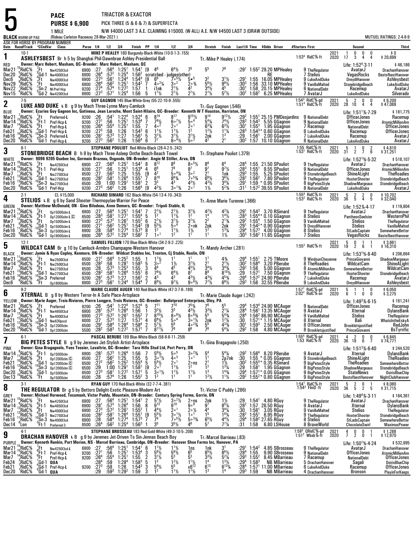**5**  ASK FOR HORSE BY PROGRAM NUMBER **Date Race#Track**F**CCndVar ClassBLACK** WARM-UP PAD**PACE** TRIACTOR & EXACTOR **PURSE \$ 6,900** PICK THREE (5 & 6 & 7) & SUPERFECTA 1 MILE N/W \$4000 LAST 3 A.E. CLAIMING \$15000. (W-ALL) A.E. N/W \$4500 LAST 3 (DRAW OUTSIDE) (Rideau Carleton Raceway 28-Mar-2021 ) MUTUEL RATINGS: 2-4-8-9 **Purse 1/4 1/2 3/4 Finish PP 1/4 1/2 3/4 Stretch Finish Last1/4 Time \$Odds Driver #Starters First Second Third 110-1**<br> **ASHLEYSBEST** Br h 5 by Shanghai Phil-Dawnbrae Ashley-Presidential Ball Tr.-Mike P Healey (.174)<br> **ASHLEYSBEST** Br h 5 by Shanghai Philosopher Machani DC President Machani Philippen DC **Machani Philippen DC Preside** RED Mar21**Owner: Marc Hebert, Masham, QC--Breeder: Marc Hebert, Masham, QC** Life: 1:52AvatarJ Life: 1:52<sup>4</sup>-3-11  $$46,186$ <br>DrachanHanover 2021 2020 <sup>1</sup> <sup>0</sup> <sup>0</sup> <sup>0</sup> \$ 0 <sup>17</sup> <sup>3</sup> <sup>4</sup> <sup>4</sup> \$ 20,699 1:53<sup>4</sup> RidC%-ft Mar21 <sup>15</sup>RidC%<br>Dec20 RidC%  $\mathrm{S}^\mathrm{s}$ Rid $\mathrm{C}$  % % 7Ft Nw425013cd 6900 :27<br>% 4Gd-1 Nw400013cd 6900 :26<br>% 1 Nw400013cd 6900 :27<br>% 1 Nw400013cd 6900 :26<br>% 5Gd-2 Nw420013cd 6900 :27<br>% 6Gd-2 Nw420013cd 6900 :27 Nw425013cd 6900<br>Nw400013cd 6900 0 :27<br>0 :26<sup>4</sup><br>0 :27<sup>3</sup><br>0 :27<sup>4</sup><br>0 :273 :56 4 1:25 1 1:54 1 [9 :57 2 1:25 4 1:56 2 :561 1:244 1:544 $^{1}$  [9  $\,$  4<sup>6</sup>  $\,$  6<sup>4</sup>½  $\,$  7  $^{2}$  scratched  $\,$  judges(other)  $\Lambda^6$  $6664\frac{1}{2}$ 75 55 76 :291 $1.55^2$  29.20 Mar21 "RidC% Ft <sub>Nw425013cd</sub> 6900 :27 :56<sup>4</sup> 1:25<sup>1</sup> 1:54<sup>1</sup> [9 4<sup>6</sup> 6<sup>4</sup>½ 7<sup>5</sup> 5<sup>5</sup> 7<sup>6</sup> :29<sup>1</sup> 1:55<sup>2</sup> 29.20 MPHealey 9 TheRegulator AvatarJ DrachanHanover<br>Dec20 RidC% Gd-1 <sub>Nw400013cd 6900 :26<sup>4</sup> :57<sup>2</sup> 1:25<sup>4</sup></sub> Dec<sub>6</sub> 。<br>RidC%<br>RidC% ),  $RE$  <sup>7</sup> 1:55 16.05 Stelios VegasRocks BestofbestHanover Dec6 $\overline{\text{Nov29}}$  :56 2 :57 4 :571<sup>2</sup> 1:25<sup>1</sup><br>4 1:27<sup>2</sup>  $1:54^2$ 4 [9<br><sup>2</sup> 7  $\begin{bmatrix} 9 & 6^6 & 7 \\ 7 & 4 \cdot 2 \\ 1 & 3 \end{bmatrix}$  $\sim$  2 1½ 5% 5.<br><sup>2</sup> 2.0% 5<br>% 42  $5^6\%$  $3<sup>2</sup>$ 2 3<sup>1</sup>1/<sub>2</sub><br>61/<sub>2</sub> 981/<sub>2</sub> ½ :29'<br>30<sup>3</sup> ∢'  $:291$  MPHealey <sup>9</sup> LukeAndDuke DreydlHanover Ashleysbest Nov29Nov22  $Z$ Rid $C\%$ Nw400013cd 6900<br>NI-Pref-Hcn 9200 1:57 <sup>1</sup> i1nk <sup>2</sup> 1L $\begin{array}{ccccc}\n\frac{1}{4} & 3 \circ^2 & 2 \\
\leftarrow & 2^{1} \frac{1}{2} & 4 \\
\leftarrow & 2^{1} \frac{1}{2} & 2\n\end{array}$  $\frac{5^{6}\frac{1}{2}}{3^{4}\frac{1}{2}}$  9<br> $\frac{3^{4}\frac{1}{2}}{2^{1}\frac{1}{2}}$  5  $\frac{1}{5}$   $\frac{30^{3}}{2\frac{1}{2}}$   $\frac{130^{3}}{20^{2}}$ 1:56 33.10 MPHealey<br>1:58 33.10 MPHealey Nov29 "RidC% "Ft <sub>Nw400013cd</sub> 6900 :26<sup>4</sup> :56<sup>2</sup> 1:25<sup>1</sup> 1:54<sup>2</sup> 7 4°<sup>2</sup>¼ 3°<sup>2</sup> 2°% 5<sup>6</sup>½ 9<sup>8</sup>½ :30<sup>3</sup> 1:56 33.10 MPHealey 9 VanillaMalted StonebridgeBeach LukeAndDuke<br>Nov22 RidC% Sn-2 <sub>N</sub>u-pof.Hen 9200 :27<sup>4</sup> Nov15 $1:25^4$  $\frac{2}{1}$  3 Ā5 20.15 MPHealey Example B NationalDebt<br>
MatarJ<br>
MatarJ<br>
MatarJ<br>
MatarJ<br>
LukeAndDuke<br>
Silverado  $^4$ RidC $\frac{5}{8}$  $7^{\frac{1}{2}}$  1:25<sup>4</sup> 1:56 5 1<sup>1</sup><sup>1</sup>/<sub>2</sub> 2 1:56 $\frac{1}{2}$ <sup>2</sup>/<sub>2</sub> 1:566.25 MPHeale MPHealey <sup>7</sup> AvatarJ LukeAndDuke Silverado **2** 7-5 **GUY GAGNON** 145 Blue-White-Grey (55-22-10-9-.555) **LUKE AND DUKE** <sup>I</sup> B g 9 by Mach Three-Lynne Mary-Camluck Tr.-Guy Gagnon (.546) **BLUE**  Mar21**Owner: Ecuries Guy Gagnon Inc, Gatineau, Jean Laroche, Mont Saint-Hilaire, QC--Breeder: Kenneth W T Houston, Harriston, ON<br>RidC% <sup>7</sup>Ft Preferred L 9200 :26 :54<sup>1</sup> 1:22<sup>4</sup> 1:52<sup>4</sup> 6 8<sup>14</sup> 8<sup>17</sup> 9<sup>15</sup>1⁄2 9<sup>14</sup> 9<sup>12</sup>1⁄2 :29<sup>**</sup> BLUE Juvner: Eurres Guy Gagnon Inc, Gatineau, Jean Laroche, Mont Saint-Hilaire, QC-Breeder: Kenneth W T Houston, Harriston, DN<br>Mar21 I<sup>s</sup>RidC% <sup>G</sup>Ft Preferred-L 9200 :26 :54<sup>1</sup> 1:22<sup>4</sup> 1:52<sup>4</sup> 6 8<sup>14</sup> **OfficerJones** Life:  $1:51^{1}\%$ -7-29 \$ 181,775 1:54<sup>3</sup> RidC%:gd 2021 5 2 0 0 \$ 9,200<br>1:51<sup>4</sup> RidC%:ft 2020 28 10 4 4 \$ 47.088 d 2021<br>t 2020 <sup>28</sup> <sup>10</sup> <sup>4</sup> <sup>4</sup> \$ 47,088 Mar14 RidC%  $4^{15}$ RidC %  $^7$ Ft Preferred-**<sup>L</sup>**9200<br>9200  $0^{+26}_{-271}$  :54 1 :56 :554 $1:22^4$  $6, 1:25$ <sup>4</sup> 1:52<sup>4</sup><br>1 1:53<sup>4</sup>  $\begin{smallmatrix} 4 & 6 \ 4 & 7 \end{smallmatrix}$  $2^4$  6 8<sup>14</sup> 8<sup>17</sup> 9<sup>151</sup>/<sub>2</sub><br>  $3^4$  7  $7^9$ <sup>1</sup>/<sub>2</sub> 6<sup>-7</sup>/<sub>2</sub> 5-<sup>4</sup><br>  $4^3$  6 1<sup>1</sup>/<sub>2</sub> 1<sup>1</sup>/<sub>2</sub> 1<sup>2</sup><br>  $6^1$  5 3<sup>1</sup>/<sub>2</sub> 3<sup>1</sup>/<sub>2</sub> 3<sup>1</sup>/<sub>2</sub><br>  $6^4$  6 7<sup>7</sup> 6-<sup>41</sup>/<sub>2</sub> 5-<sup>3</sup>  $\frac{1}{2}$   $\frac{9}{14}$   $\frac{9}{12}$   $\frac{1}{2}$   $\frac{29}{14}$ <br>  $\frac{1}{6}$   $\frac{63}{4}$   $\frac{74}{2}$   $\frac{1}{2}$   $\frac{1}{3}$   $\frac{1}{2}$ <br>  $\frac{1}{2}$   $\frac{1}{2}$   $\frac{1}{2}$   $\frac{1}{2}$   $\frac{1}{2}$ 2<br>3 56 <sup>6</sup>Ft-1 Pref-Hcp-**L** 9200 :27<br>
96 96 -4Ft Pref-Hcp-**L** 9200 :26<br>
96 10Gd-1 Pref-Hcp-**L** 9200 :27<br>
96 -4Gd-1 Pref-Hcp-**L** 9200 :28<br>
86 -6d-1 Pref-Hcp-**L** 9200 :28 5<sup>1</sup> 1:55<br>6 1:54<sup>3</sup><br>7 1:56<sup>1</sup>  $6^{\circ}$ <sup>7</sup>/<sub>2</sub> 1/<sub>2</sub> 5.∘<sup>4</sup> 5<br>1 2.∘1 6<br>/<sub>2</sub> 1<sup>2</sup> 1 4 $\begin{matrix} 4 & 5^4\frac{1}{4} & 7 \\ 1 & 6^3\frac{1}{4} & 6 \end{matrix}$ Mar7  $^{14}$ RidC%<br>Feb21  $^{7}_{10}$ RidC% 4<br>3<br>3 <sup>3</sup>:58<br>1:57<sup>3</sup>  $4$  1:25<sup>1</sup> 8 1:26 1:54<br>7<sup>3</sup> 1:27 1:56  $\begin{array}{ccc} 2&2\,\circ^{\,1}&2\ 2&1\,\frac{1}{2}&1\ \frac{3}{2}&3\,\frac{6}{2}&5 \end{array}$  $1<sup>2</sup>$ /<sub>2</sub>  $\frac{1}{2}$   $\frac{1}{2}$   $\frac{1}{2}$   $\frac{1}{2}$   $\frac{1}{2}$   $\frac{1}{2}$   $\frac{1}{2}$   $\frac{1}{2}$   $\frac{1}{2}$   $\frac{1}{2}$   $\frac{1}{2}$   $\frac{1}{2}$   $\frac{1}{2}$   $\frac{1}{2}$   $\frac{1}{2}$   $\frac{1}{2}$   $\frac{1}{2}$   $\frac{1}{2}$   $\frac{1}{2}$   $\frac{1}{2}$   $\frac{1}{2}$   $\frac{1}{2}$  8<sup>3</sup> 1:54<br>9 1:56<br>8<sup>2</sup> 1:57 GGagnon <sup>7</sup> Racemup NationalDebt OfficerJones Feb21Feh16 RidC%<br><sup>2</sup>RidC% <sup>3</sup> 6<br>15  $2nk$ <sup>3\*</sup> 0.60<br><sup>1</sup> 2.00 Feb21 [RidC% "Gd-1 Pref-Hcp-L 9200 :27<sup>3</sup> :58 1:26 1:54<sup>3</sup> 6 1'½ 1'½ 1<sup>2</sup>½ 1<sup>.y</sup>½ 1'¼ :28<sup>3</sup> 1:54<sup>3</sup>\* 0.60 GGagnon 6 LukeAndDuke Racemup OfficerJones<br>Feb16 6 <sup>10</sup>RidC%<br>10 <sup>6</sup>RidC%  $3.56^2$  $\frac{1}{2}$   $\frac{3^{1}\frac{1}{2}}{5^{3}}$   $\frac{2}{4^{2}}$   $\frac{1}{2}$  GGagnon <sup>7</sup> LukeAndDuke Racemup AvatarJ Dec20Pref-Hcp-L 9200 1:26 $6 \quad 1:56^4$  6 $\overline{A^2}$ 2  $2^{1}$  $1:30^2$ 1:57 10.10 GGagnon GGagnon <sup>8</sup> NationalDebt LukeAndDuke AvatarJ **33** 8-1<br>**STEPHANE POULIOT** Red-White-Black (28-4-2-5-.242)<br>MULTE BRACH BORE REACH B h 8 by Mach Three-Asleep Onthe Beach-Beach-Beach-Beach-Beach-Beach-Beach-Beach-Beach-Be<br>MULTE BRACH TOWER ASSEDTED TO A STATE THE BEACH-BE WHITE Mar21Tr.-Stephane Pouliot (.379)<br>a, ON **Owner: 9096 9205 Quebec Inc, Germain Brazeau, Osgoode, ON-Breeder: Angie M Stiller, Ar**  Life: 1:52 1:55 21.50 SPouliot <sup>9</sup> TheRegulator AvatarJ DrachanHanover Mar14 1:55<sup>1</sup> 9.552<sup>1</sup>%-5-32<br>ter l \$ 518,107<br>DrachanHanover 1:55 RidC%-ft<br>1:53<sup>1</sup> RidC%-ft t 2021<br>ft 2020 <sup>5</sup> <sup>1</sup> <sup>0</sup> <sup>2</sup> \$ 4,810 <sup>31</sup> <sup>2</sup> <sup>7</sup> <sup>6</sup> \$ 31,251 Mar21 <sup>15</sup>RidC%<br>Mar14 <sup>15</sup>RidC%  $4^{15}$ RidC % % 7Ft Nw4250l3cd 6900 :27 :56<br>% <sub>9</sub>Ft-1 Pref-Hcp 9200 :27 :56<br>% <sub>9</sub>Ft Nw2750l3cd 6500 :27 :56<br>% 10Sn-3 Nw2750l3cd 6500 :28 :58<br>% 10Sn-3 Nw2750l3cd 6500 :28 :10 Nw4250l3cd<br>Pref-Hcp 6900<br>9200 0:27:56<br>0:271:56  $:56<sup>4</sup>$  $4$  1:25 $1$  $6, 1:25$ <sup>1</sup>  $1:54^1$  $1.53<sup>4</sup>$  $\begin{smallmatrix}1&&8\&4\end{smallmatrix}$  $8^{12}$ 88 80<sup>51</sup>/<sub>2</sub> 7 $\frac{1}{2}$   $\frac{8^6}{9^7}$  6  $9<sup>7</sup>$  $6<sup>4</sup>$ 28<sup>4</sup>: 28<br>203: יו :565 1:55 [9 4<br>6<sup>4</sup> 1:55<sup>1</sup> 7 8  $\begin{array}{ccc} 4 & 6^8 & 7 \ 19 & 4^2 & 5 \ 7 & 8^{10} & 8 \ 2 & 2^3 & 4 \end{array}$  $6<sup>8</sup>$ 8 7  $\begin{array}{ccc} 8 & 7^8 & 8 \\ 2 & 5 \circ ^{4}\frac{1}{4} & 3 \\ 10 & 8^{6}\frac{3}{4} & 7 \end{array}$  $\frac{5}{78}$  $6\frac{4}{3}$ <br>  $6\frac{4}{4}$ <br>  $3\frac{3}{4}$ <br>  $3\frac{4}{3}$ <br>  $3\frac{4}{2}$ <br>  $3\frac{13}{4}$ <br>  $2\frac{1}{1}\frac{1}{2}$  $\begin{array}{ccc} 9^7 & & 9 \ 2^1 & & 1 \end{array}$  $\frac{6y_2}{3y_2}$   $\frac{36y_2}{34y_4}$ <br> $\frac{34y_4}{32}$   $\frac{34y_4}{52y_4}$ % :28<br>|k :29<sup>3</sup><br>|% :28<sup>2</sup><br>|% :291<br>|% :311 Mar7 ','RidC% "Ft <sub>Nw275013cd</sub> 6500 :27 :56<sup>2</sup> 1:25 1:55 [9 4<sup>2</sup> 5°<sup>41</sup>/4 3°<sup>2</sup> 21 1nk :29<sup>3</sup> 1:55 5.25 SPouliot 9 StonebridgeBeach ShineALight TheRoadies<br>Feb21 :SRidC% :SGL1 Nw275013cd 6500 :28<sup>2</sup> :58<sup>1</sup> 1: SPouliot <sup>9</sup> NationalDebt OfficerJones AtomicMillionAm**TheRoadies** Mar7<br>Feb21 7 11RidC%<br>21 <sup>13</sup>RidC%<br>16 <sup>13</sup>RidC%<br>00 <sup>6</sup>BidC%  $^2$   $\cdot\frac{56^2}{58^1}$ <sup>2</sup> 1:25<br><sup>1</sup> 1:26<sup>4</sup>  $\begin{array}{ccc} 2^1 & & 1 \ 6^6\frac{1}{2} & & 3 \ 4^3\frac{1}{2} & & 3 \end{array}$  $\frac{27}{28^2}$  -10Sn-3 Nw2750l3cd <sup>6500</sup> :29 1:00 1:29 1 :562 1:26 $1.581$  $\begin{matrix} 7 & 8 \\ 1 & 2 \\ 4 & 10 & 4 \end{matrix}$  1:59 SPouliot <sup>9</sup> TheRegulator HooterShooter StonebridgeBeach Feb16 $6 \quad 1:56^4$ 3 43 $3\circ 1\frac{3}{4}$ Feb16 "RidC% "Sn-3 <sub>Nw275013cd</sub> 6500 :29 1:00 1:29' 1:58' 2 3<sup>3</sup> 4<sup>3</sup> 4<sup>3</sup>½ 3<sup>4</sup>¼ :29' 1:59 \* 0.95 SPouliot 8 BigPetesStyle ShadowMargeaux StonebridgeBeach<br>Dec20 "RidC% Gd-1 Pref-Hcn 9200 :27<sup>3</sup> :56<sup>2</sup> 1:2  $^{\circ}$ RidC $\%$  $^0$ Gd-1 Pref-Hcp 9200  $:27^{3}$  $6^2$  1:26 1:56<sup>4</sup> [9 4<sup>21</sup>/<sub>2</sub> 3  $\frac{4}{19}$  4  $4^{2}\frac{1}{2}$  $\frac{3}{4}$  :31<sup>1</sup>  $1.1:57<sup>2</sup>39.55$  $\frac{8 \text{ Big PeesStyle}}{8 \text{ NationalDebt}}$  ShadowMargeaux StonebridgeBeach<br>  $\frac{8 \text{ NationalDebt}}{4 \text{ halfS}}$  = 0  $\frac{1}{5}$  0  $\frac{1}{2}$  0  $\frac{1}{6}$  10,702<br>  $\frac{1}{12}$  6idC% ft 2020 36 5 4 5 \$32.040 **44** <sup>2-1</sup> CL \$15,000 **RICHARD SIMARD** 162 Black-White (54-13-4-10-.343)<br>STELIOS L B g 6 by Sand Shooter-Thermopylae-Warrior For Peace Tripel Stephe II<br>Stephe II GREEN Mar21**Owner: Matthew McDonald, ON - Gino Bilodeau, Anne Demers, QC--Breeder: Tripoli Stable, IL**Life: 1:52‰-4-17<br>- 1:52%-9 <u>1:54%-3.70 RS</u>imard 9 TheRegulator Avatar: 1:52%-4-17 \$ 119,804<br>DrachanHanover 1:55<sup>4</sup> RidC%-ft<br>1:53<sup>2</sup> RidC%-ft 2021 <sup>5</sup> <sup>2</sup> <sup>2</sup> <sup>0</sup> \$ 10,702 <sup>36</sup> <sup>5</sup> <sup>4</sup> <sup>5</sup> \$ 32,040  $2020$ Mar21 <sup>15</sup>RidC%<br>Mar14 11RidC% 14 <sup>11</sup>RidC%<br>7 <sup>13</sup>RidC%<br>21 <sup>9</sup>RidC% 7Ft Op15000clm-**<sup>L</sup>** -6Ft-1 Op12000clm-**<sup>L</sup>** <sup>D</sup> -9Ft Op15000clm-**<sup>L</sup>** <sup>6900</sup> :27 -4Gd-1 Op15000clm-**<sup>L</sup>** <sup>6900</sup> :27 -10Sn-3 Op15000clm-**<sup>L</sup>** <sup>6900</sup> :28 :58 <sup>0</sup>Gd-1 Op18000clm-**<sup>L</sup>** <sup>6900</sup> :26 0p15000clm-L 6900<br>0n12000clm-L C 6500 27: 6900<br>28<sup>3</sup> 6500 ©<br>27<sup>3</sup> 6900 0:27 :56 :58 1 :57 2 :562 $-564$  $4$  1:25<sup>1</sup>  $1:27^1$  $1:54$ <sup>1</sup> <sup>1</sup> 1:55<sup>4</sup> 5<br><sup>1</sup> 1:55<sup>2</sup> 6<br><sup>1</sup> 1:54<sup>2</sup> 19 7 $\begin{array}{cc} 7 & 2^1\frac{1}{2} & 2 \\ 5 & 1^2 & 1 \end{array}$  $\begin{array}{ccc} 2^1\frac{1}{2} & 3 \\ 1^1\frac{1}{2} & 1 \\ 3^1\frac{1}{2} & 3 \\ 5 \cdot \frac{4}{2} & 2 \end{array}$  $3^{11/2}$  $\begin{matrix} 1 & 4 \\ 2 & 1 \\ 1 & 2 \end{matrix}$  $\Delta^{21}$  $\begin{array}{cc} 2\frac{1}{2} & 4\frac{2\frac{1}{4}}{4} \\ 2 & 1\frac{1\frac{1}{2}}{4} \\ 2 & 2\frac{1\frac{3}{4}}{4} \end{array}$  $\Lambda^{2}$ <sup> $\mu$ </sup> 1/<sub>4</sub><br>
1/<sub>2</sub> :28<sup>3</sup><br>
1/4 :29<sup>2</sup><br>
129<sup>2</sup>  $1.543$ <sup>3</sup> 1:55<br><sup>2</sup> 1:55<br><sup>1</sup> 1:54 3.70 RSimard Mar21 "RidC% Ft <sub>Op15000clm-L</sub> 6900 :27 :56<sup>4</sup> 1:25<sup>1</sup> 1:54<sup>1</sup> 7 2<sup>1½</sup> 2<sup>1½</sup> 3<sup>1½</sup> 4<sup>2½</sup> 4<sup>2½</sup> :29<sup>1</sup> 1:54<sup>3</sup> 3.70 RSimard 9 TheRegulator AvatarJ DrachanHanover<br>Mar14 RidC% Ft-1 no12nnnelm-L© 6500 :28<sup>3</sup> :58<sup>1</sup> 1:  $^2$  1:26 $^1$  $\begin{smallmatrix} 4 & 5 & 1 \\ 2 & 6 & 2 \end{smallmatrix}$  $^{14}_{22}$ <sup>4\*</sup> 0.10<br><sup>4</sup> 1.50 Mar14 ';RidC% "Ft-1 op1200oclm-L© 6500 :28<sup>3</sup> :58' 1:27' 1:55<sup>4</sup> 5 1<sup>2</sup> 1'½ 1<sup>2</sup> 1<sup>4</sup> 1\*½ :28<sup>3</sup> 1:55<sup>4</sup>\*0.10 GGagnon 8 Stelios PantheonSeelster WesternPhil<br>Mar7 <sup>13</sup>RidC% Ft op1500oclm-L 6900 :27<sup>3</sup> :57<sup>2</sup> 1:26<sup>1</sup> 1:55<sup></sup>  $2^{2}$  1:25<sup>1</sup>  $\begin{bmatrix} 6 & 2^1\frac{1}{2} & 3 \\ 9 & 5^5\frac{1}{2} & 5 \end{bmatrix}$ ½ 3<sup>11</sup>½ 2<br><sup>4</sup> 2∘nk 2 k 2nk 2nk :29<br>29: 1<sup>2</sup> 1<sup>3</sup>% 1 Mar7 "RidC% "Ft op15000clm-L 6900 :27<sup>3</sup> :57<sup>2</sup> 1:26' 1:55<sup>2</sup> 6 2'½ 3'½ 3'½ 2'<sup>½</sup> 2'¾ :29<sup>2</sup> 1:55<sup>4</sup> 1.50 GGagnon 9 VanillaMalted Stelios TheRegulator<br>Feb21 .RidC% .Gd-1 na15nnnclm-l 6900 :27<sup>1</sup> :56<sup>2</sup> 1:54<sup>2</sup> 1:54<sup>2</sup> Feb16 **RidC** % 58<sup>4</sup>: 584<br>572: 4 <sup>4</sup> 1:27<sup>4</sup> <sup>4</sup> 1:57<sup>3</sup><br><sup>4</sup> 1:56<sup>2</sup>  $\begin{matrix} 5\frac{1}{2} & 5\frac{1}{2} & 2\\ 2 & 1\frac{1}{2} & 1\\ 0 & 1 & 1\end{matrix}$ nk :29<sup>1</sup><br><sup>31</sup>/4 :29<sup>4</sup><br>1<u>/2 :30<sup>3</sup></u> 1:570.90 GGagnon GGagnon <sup>9</sup> DreydlHanover Stelios VanillaMalted Feb166 <sup>11</sup>RidC%<br>10 <sup>5</sup>RidC%  $^2$  1:25 $^4$ <sup>3</sup> 8 1<br><sup>2</sup> 7 1  $1<sup>2</sup>$  $\frac{1}{2}$   $\frac{1}{2}$  1<br>1<sup>1</sup> 1 2 $1\frac{1}{2}$  $3\text{ }1:56^2$  11.65 4.00 GGagnon GGagnon <sup>8</sup> Stelios StLadsCaptain SomewhereBettor Dec20 $^{+28}_{+264}$  $7 - 1$ ° 1 Stelios VegasRocks BestofbestHanover<br>
2 Gagno 2021 5 0 1 1 \$3,661<br>
2 Gagno 2 6 1 \$16,310 **55** 12-1<br>**SAMUEL FILLION** 170 Blue-Black-White (34-2-9-2-.225)<br>BLACK **WILDCAT CAM** Br g 10 by Camluck-Armbro Champagne-Western Hanover BLACK Mar21 Tr.-Mandy Archer (.281) **Owner: Jamie & Ryan Copley, Kenmore, ON-Breeder: Wildcat Stables Inc, Trenton,**  Life: 1:53PrinceGiovanni Life: 1:53<sup>15</sup>%-6-40  $$206,664$ 2021 <sup>5</sup> <sup>0</sup> <sup>1</sup> <sup>1</sup> \$ 3,661 <sup>19</sup> <sup>2</sup> <sup>6</sup> <sup>1</sup> \$ 16,310 1:55<sup>2</sup> RidC%-ft 2020Mar21<sup>11</sup>RidC%<br>Mar14<sup>10</sup>RidC% % 7Ft Nw2500l3cd 6500 :27<sup>1</sup> :56<br>% 9Ft-1 Nw2500l3cd 6500 :28<sup>2</sup> :58<br>% 4Ft Nw2750l3cd 6500 :28<br>% 4Gd-1 Nw2750l3cd 6500 :28<sup>2</sup> :58<br>% 4Sn-3 Preferred 9200 :28<sup>1</sup> :57<br>% <sup>4</sup>Ft O<sub>p18000clm</sub> 6900 :27<sup>3</sup> :56 Nw2500l3cd<br>Nw2500l3cd 6500<br>6500 271: 0<br>202  $1$ :56 $^4$  $^{2}$ :58<br>573  $4$  1:25<sup>2</sup> 8 1:28<sup>1</sup><br>7<sup>3</sup> 1:25<sup>3</sup> <sup>2</sup> 1:55 1 1<br><sup>1</sup> 1:58<sup>3</sup> 5 3  $\begin{array}{ccc} 1 & 1 \frac{1}{2} & 1 \ 5 & 3 \,\text{\tiny o}^2 & 1 \ 3 & 4^6 & 4 \end{array}$ 1 $1 \t11$  1  $\frac{1}{2}$   $\frac{3^{1}\frac{1}{2}}{4^{5}\frac{1}{2}}$   $\frac{2}{3}$  $\begin{array}{@{}ll} 1 & 4\frac{3}{4} & 0.29 \ 1 & 2\frac{1}{2} & 0.30 \ 9 & 3\frac{4\frac{3}{4}}{2} & 0.29 \ 8 & 0.0 & 0.29 \ 1 & 4 & 0.29 \ 1 & 6 & 0.29 \ 7\frac{1}{2} & 6\frac{6}{2} & 0.29 \ \end{array}$  $:29'$  1:55 1:582.75 TMoore Mar21 "BidC% Ft <sub>Nw250013cd</sub> 6500 :27' :56ª 1:25<sup>2</sup> 1:55 1 1'½ 1' 1' 4'4 + 1:29ª 1:55' 2.75 TMoore 9WindsunCheyenne PrinceGiovanni ShadowMargeaux<br>Mar14 BidC% Ft-1 <sub>Nw250013cd</sub> 6500 :28<sup>2</sup> :58 1:28<sup>1</sup> 1:58<sup>3</sup> 5 3°<sup>2</sup> 1½ 3<sup>1</sup> **RidC** 5<sup>3</sup> 1:55 3 4<br>6<sup>4</sup> 1:55 6 7<br>7 1:56 2 4<br>4 1:54 7 8  $\frac{5}{3}$ <sup>2</sup> 1<sup>1</sup>/<sub>2</sub>  $\frac{1}{2}$   $\frac{1}{2}$   $\frac{1}{2}$   $\frac{1}{2}$   $\frac{1}{2}$   $\frac{1}{2}$   $\frac{1}{2}$   $\frac{1}{2}$   $\frac{1}{2}$   $\frac{1}{2}$   $\frac{1}{2}$   $\frac{1}{2}$   $\frac{1}{2}$   $\frac{1}{2}$   $\frac{1}{2}$   $\frac{1}{2}$   $\frac{1}{2}$   $\frac{1}{2}$   $\frac{1}{2}$   $\frac{1}{2}$   $\frac{1}{2}$   $\frac{1}{2}$   $1.56$ <sup>4</sup> 3.20 PBerube <sup>8</sup> TheRoadies WildcatCam GGagnon <sup>8</sup> AtomicMillionAmMar14 "RidC% "Ft-1 <sub>Nw250013cd</sub> 6500 :28<sup>2</sup> :58 1:28<sup>1</sup> 1:58<sup>3</sup> 5 3°<sup>2</sup> 1½ 3½ 2<sup>1</sup> 2½ :30<sup>2</sup> 1:58<sup>4</sup> 3.20 PBerube 8 TheRoadies WildcatCam ShineALight<br>Mar7 ..RidC% Ft <sub>Nw275013cd 6500 :28 :57<sup>3</sup> 1:25<sup>3</sup> 1:55 3 4<sup>6</sup> 4<sup>5</sup> 4<sup>5</sub></sup> Feb21 RidC<sub>%</sub> <sup>1</sup> 1:26<sup>4</sup><br><sup>3</sup> 1:27  $\begin{array}{ccc} \frac{1}{2} & 6^{4}\frac{1}{2} & 8 \\ 4^{3} & 4 \end{array}$ 4<sup>51</sup>⁄2 3<br>8<sup>7</sup> 8  $3^{4}$ <sup>1</sup>/<sub>2</sub> Mar7 13RidC% 4Ft nw275013cd 6500 :28 :573 1:253 1:55 3 4<sup>6</sup> 45 45½ 3<sup>41</sup>½ 3<sup>4</sup>% :29<sup>2</sup> 1:56 5.00 GGagnon 8 AtomicMillionAm SomewhereBettor WildcatCam<br>Feb21 PRidC% 10G1-1 nw275013cd 6500 :28<sup>2</sup> :58<sup>1</sup> 1:26<sup>4</sup> 1:55<sup>1</sup> 6 7<sup>8</sup> Example of the Middle Camera Chapter of the Chapter of the Middle School of the Middle School of the Middle School of the Middle School of the Middle School of the Middle School of the Middle School of the Middle School of  $1\,\substack{13 \\ 10 \\ 6}$   $\substack{10 \\ 6}$   $\substack{10 \\ 10 \\ 10 \\ 10 \\ 5}$ 2<br>3 :58 1 :57 3 :561 $\begin{array}{cc} 1 & 6 & 7 \\ 1 & 2 & 4 \\ 4 & 7 & 8 \end{array}$ 6 7<sup>8</sup>½ 6<br>2 4<sup>3</sup> 4 8<sup>9</sup><br>4<sup>3</sup>½<br>7<sup>7</sup>½  $9<sup>7</sup>$ 4<sup>3</sup>½ 4<br>9。<sup>8</sup>½ 7 <sup>3</sup>/4 :29<sup>4</sup><br>1/<sub>2</sub> :29<sup>3</sup> Dec6 $^6$ RidC $\%$  $6^1$  1:24<sup>4</sup> 1:54<sup>4</sup> 7  $8^9\%$  9<sup>7</sup>/<sub>2</sub> 9  $1:24<sup>4</sup>$  $4$  1:54 $4$  $89\frac{1}{2}$ PLUKEANDUKE DREY CONTROL Ashleysbest **6**MARIE CLAUDE AUGER 140 Red-Black-White (47-3-7-6-.189)<br>XTLLOW **ATTERNAL** B g 8 by Western Terror-In A Safe Place-Artsplace<br>XTLLOW **Buyogy: Marie August Traje Pluisese** Bistern Langues **Artsplace DC Progday: Pullatareat Ent** YELLOWMar21<br>سم Tr.-Marie Claude Auger (.242) **Owner: Marie Auger, Trois-Rivieres, Pierre Longpre, Trois Rivieres, QC--Breeder: Bulletproof Enterprises, Oley, PA**YELLOW Uwner: Marie Auger, Trois-Rivieres, Pierre Longpre, Trois Rivieres, Q. U.-Breeder: Bulletproot Enterprises, Oley, PA 1:53<sup>4</sup> 24.90 MCAuger 9 NationalDebt Life: 1:49<sup>3</sup>%-6-15 \$161,241<br>Mar21 RidC% Ft Preferred 9200 :2 **OfficerJones** Life: 1:49<sup>3</sup>%-6-15 \$ 161,241 1:57 <sup>1</sup> RidCJ-gd <sup>5</sup> <sup>1</sup> <sup>1</sup> <sup>0</sup> \$ 6,050 2:02<sup>2</sup> RidCJ-snd 2021<br>n 2020  $\begin{array}{cccc} 5 & 1 & 1 & 0 & 0 & 0 & 0 \\ 6 & 1 & 0 & 0 & 0 & 0 & 0 \\ 0 & 0 & 0 & 0 & 0 & 0 & 0 \end{array}$  $\Omega_{\rm e}^\prime$ RidC $\%$ 。<br>.RidC% % <sup>7</sup>Ft Preferred 9200 :28 :54<br>% <sup>9</sup>Ft-1 Nw4650l3cd 6900 :28<sup>1</sup> :57<br>% <sup>4</sup>Gd-1 Nw4000l3cd 6900 :27 :57<br>% <sup>1</sup>Gd-1 Nw630pscd 6000 :27 :57<br>% 0Gd-1 op12000clm 6500 :29<sup>1</sup> :58<br>% Gd-1 op12000clm 5500 :28<sup>2</sup> :58 <sup>9200</sup>0:26<br>301 :54 1 :57 3 $1:22^4$  $3 \t1:26^4$ <sup>4</sup> 1:52<sup>4</sup><br><sup>4</sup> 1:56  $\frac{5}{1}$  $\begin{array}{ccccc} 5 & 7^{11} & 7^{10} & 7 \ 1 & 3^{2}\% & 3^{3} & 4 \end{array}$  $7^{5}_{4}$  $\begin{array}{cccc} 10 & & 7^{5}\frac{3}{4} & & 7 \ & 3 & & 4^{3}\frac{1}{2} & & 3 \ & 6^{5}\frac{1}{2} & & 8^{5}\frac{6}{4} & & 5 \ & 3^{5}\frac{1}{2} & & 2 \ & 6 & & 4^{5}\frac{2}{4} & & 5 \ & 6 & & 8^{6} & & 7 \end{array}$ 6 $\begin{array}{ccc} 6 & & 5^5\ 3\frac{1}{2} & & 2\frac{1}{4}\ \frac{5}{4} & & \frac{5}{4}\ \frac{3}{4} & & \frac{1}{4}\ \frac{5}{4} & & \frac{4}{4}\ \end{array}$ 29<sup>4</sup>: 29<sup>4</sup><br>11⁄8: 294 Mar7 <sup>3</sup> :57<sup>2</sup> 1:26<br>57<sup>3</sup> 1:27:<br>1 :58<sup>4</sup> 1:28<sup>4</sup><br><sup>2</sup> :58<sup>3</sup> 1:27<sup>2</sup> 6<sup>4</sup> 1:56 1 3<br>6<sup>1</sup> 1:55<sup>2</sup> 7 8<br>7 1:57<sup>1</sup> 4 6<br>8<sup>4</sup> 1:58<sup>4</sup> 2 5  $\begin{array}{ccc} 1 & 3^2\frac{1}{2} & 3^3 \ 7 & 8^{10}\frac{1}{2} & 8 \ \ 4 & 6^8\frac{1}{2} & 5^8 \ \ 2 & 5^7\frac{1}{2} & 5^6 \ \ 7 & 8^{11}\frac{1}{2} & 7^6 \end{array}$  $3<sup>3</sup>$  $3^{3}$ <sup>1</sup>/<sub>2</sub> % :28<sup>4</sup> 1:56<br>% :28<sup>4</sup> 1:56<br>% :30 1:57<br>% :20<sup>1</sup> 1:59<br>% :29<sup>2</sup> 1:58 1:56 <sup>2</sup> 86.90 MCAuger <sup>9</sup> VanillaMalted Stelios TheRegulator Feb21<sup>1</sup>\* 1.15 MCAuger <sup>9</sup> AvatarJ Xternal DylansBank Mar7Mar7  $^{13}$ RidC%<br>Feb21  $^{12}$ RidC%  $7^2$ <br> $7^3$ <br>04  $\begin{smallmatrix}2&&7\1&4\1&2\end{smallmatrix}$ % გ<sub>ი</sub>6%<br>6 ნი<sup>4</sup>  $\mathbf{5}^5$  $12RidC\%$ <br>6  $12RidC\%$ <sup>1</sup>/<sub>2</sub> 2nk 1<br>3/<sub>4</sub> 5<sup>5</sup> 4 1.15 MCAuger 8 Xternal Bali WhatsIntheEskyA<br>1.15 MCAuger 8 OfficerJones Brookletsiustified RedJohn Feb16 '.'RidC% ''Sn-3 no12000clm 6500 :29' :58<sup>4</sup> 1:28<sup>4</sup> 1:58<sup>4</sup> 2 5<sup>7</sup>% 5<sup>6</sup> 40<sup>.2</sup>% 5<sup>5</sup> 4<sup>3.</sup>% :30' 1:59<sup>3</sup> 2.50 MCAuger 8 OfficerJones Brookletsiustified  $2 \quad 1:57^1$  $5<sup>6</sup>$  86 $5^4\%$  $1.58$  MCAuger <sup>8</sup> OfficerJones Brookletsjustified RedJohn Dec20Feb16  $^{12}$ RidC%<br>Dec20  $^{14}$ RidC%<br>= 6.1  $5500$  $\frac{1}{28}$ <sup>2</sup>  $8^3$  1:27<sup>2</sup> 1:57<sup>1</sup> 7  $8^{11}\frac{1}{2}$  7 7 $8^{11}\frac{1}{2}$  76 $\frac{\frac{1}{2}}{29^2}$ 4.80 MCAuger 8 Brookletsjustified PrinceGiovanni BsTyrrific<br>
<sup>4</sup> RidC<sup>5</sup>%-gd 2021 4 2 0 0 \$6,845<br>
3 RidC<sup>3</sup>%-ft 2020 36 18 6 7 \$74,771 **77** 6-1<br>BIG PETES STYLE B g 9 by Jeremes Jet-Stylish Artist-Artsplace<br>Big Pressure Business Jeremes Jeremes Jet-Stylish Artist-Artsplace Boxnetting Artsplace Boxnetting Artsplace Boxn PINK Mar14 Tr.-Gina Bragagnolo (.250) **Owner: Gina Bragagnolo, Yves Tessier, Lavaltrie, QC--Breeder: Tara Hills Stud Ltd, Port Perry, ON** Life: 1:51 1:56 <sup>4</sup> 8.20 PBerube <sup>9</sup> AvatarJ Xternal DylansBank 1:55 \* 0.05 GGagnon <sup>9</sup> StonebridgeBeach ShineALight TheRoadies Feb21 1:55<sup>4</sup>\* 0.35Xternal Life:  $1:51<sup>3</sup>%-6-40$ 244,520<br>DylansBank 1:55 <sup>4</sup> RidCJ-gd <sup>4</sup> <sup>2</sup> <sup>0</sup> <sup>0</sup> \$ 6,845 1:53 RidCJ-ft1<sup>d</sup> 2021<br>t 2020  $\begin{array}{cccc} 4 & 2 & 0 & 0 & 0 & 6,845 \\ 36 & 18 & 6 & 7 & 8,74,771 \end{array}$  $\mathrm{RidC}$ %  $\begin{array}{llllll} \mathbf{5}_6 & \mathbf{5}_7 \mathbf{F} \mathbf{1} & \mathbf{0}_9 \mathbf{15} \mathbf{0} \mathbf{0} \mathbf{1} & \mathbf{0}_9 \mathbf{15} \mathbf{1} & \mathbf{0}_9 \mathbf{1} \mathbf{1} & \mathbf{0}_9 \mathbf{1} \mathbf{1} & \mathbf{0}_9 \mathbf{1} & \mathbf{0}_9 \mathbf{1} & \mathbf{0}_9 \mathbf{1} & \mathbf{0}_9 \mathbf{1} & \mathbf{0}_9 \mathbf{1} & \mathbf{0}_9 \mathbf{1} & \mathbf{0$  $:28<sup>1</sup>$  :57 32 :562 $3 \t1:26^4$ <sup>2</sup> 1:25<br><sup>2</sup> 1:25<sup>2</sup> 1:567  $5^{6}$ <sup>1/2</sup> ½ 5.∘<sup>5</sup><br>3≀″ 4.∍3  $500$ 5  $3^{\circ}$ <sup>23</sup>/4 <sup>3</sup> 1.<sup>1</sup>  $\begin{array}{ccc} 6^{2}\frac{3}{4} & 5^{4} & 5\\ 6^{1} & 1^{1} & 2\\ \text{on} & 2^{1} & 1\\ 1^{1}\frac{1}{2} & 1^{3} & 1\\ 1^{1}\frac{1}{2} & 1^{2}\frac{1}{2} & 1 \end{array}$  $5<sup>4</sup>$ <sup>4</sup> 5<sup>4</sup>½ :29<br><sup>1</sup> 2p7nk :30<br><sup>1</sup> 1½ :30<br><sup>2</sup> 1<sup>3</sup>¼ :29  $54%$  $.292$ Mar7Mar7 ''RidC%<br>Feb21 <sup>10</sup>RidC%  $Op12000cm$ <sup>C</sup> <sup>6500</sup> :27 :56 <sup>6500</sup> :27 2 <sup>6500</sup> :29 1:00 1:29 35 1:55 5 3。<br>5<sup>2</sup> 1:55<sup>4</sup> 5 5<sup>4</sup>  $\begin{array}{cccc} 5 & 3 \circ 1 /_2 & 4 \circ \\ 5 & 5^4 /_2 & 2 \circ \\ [9 & 2 \circ 1 & 11 \ 5 & 2 \circ 1 /_2 & 1 \end{array}$  $\frac{1}{2}$  4<sup>o</sup>  $1$  2  $\circ$  ns k :30<br>202  $1\,\frac{10}{3}$ RidC $\frac{9}{3}$ <br>6  $\frac{13}{3}$ RidC $\frac{9}{2}$  $0p12000c$ lm $\boxed{C}$  $1:00$ በ1  $1.581$  $\frac{5}{5}$  $1.58<sup>1</sup>$ Feb21 "RidC% "Gd-1 op1200ocm\@ 6500 :27<sup>2</sup> :56<sup>2</sup> 1:55<sup>4</sup> 5 5<sup>4</sup>½ 2° 2°ms 2' 1½ :30<sup>2</sup> 1:55<sup>4</sup>\*0.35 RSimard 9 BigPetesStyle TheRoadies SomewhereBettor<br>Feb16 2RidC% Sn-3 op120nocm\@ 6500 :29 1:00 1:29<sup>1</sup> 1:58<sup>1</sup> [9 2° 1<sup>11</sup>  $0<sub>0</sub>12000$ clm $\boxed{\text{C}}$  $2 \quad 1:57^1$  [9 $\frac{5}{3}$   $\frac{3}{2}$   $\frac{1}{2}$   $\frac{1}{2}$  1  $\begin{array}{cc} 1 \frac{1}{2} & 1 \ \frac{1}{2} & \frac{1}{2} \ 1^1 & 1 \end{array}$  $1\frac{1}{2}$  $\frac{2}{1^2}$  $1^{4}\frac{3}{2}$ % :29 1:58<sup>1</sup> 1.95<br>% :29<sup>4</sup> 1:57<sup>1</sup>\* 0.05 1.95 GGagnon Feb16 "RidC% "Sn-3 op12000clm\@ 6500 :29 1:00 1:29" 1:58" [9 2° 11½ 1<sup>2</sup> 1<sup>2</sup> 1<sup>3</sup>¼ :29 1:58" 1.95 GGagnon 8 BigPetesStyle ShadowMargeaux StonebridgeBeach<br>Dec20 RidC% Gd-1 na15nnnclm 6500 :27<sup>3</sup> :58" 1:27<sup>2</sup> 1 Dec13 0 <sup>3</sup>RidC%<br>3 <sup>15</sup>RidC% op<br>15000clm<br>0p15000clm <sup>6500</sup> :27 58<sup>1</sup>: <sup>3</sup><br>574  $1:27^2$  1:26 $6$  1:55<sup>2</sup> ' 5<br>° 3  $\frac{11}{2}$  1  $\frac{3}{2}$  :29<sup>4</sup><br> $\frac{1}{2}$  :29<sup>2</sup>  $2\quad1:55^{2*}\;0.80$  GGagnon <sup>9</sup> BigPetesStyle StateNews OsirisBlueChip Dec13 GGagnon <sup>9</sup> BigPetesStyle BestofbestHanover NightClubHanover **8** 3-1 **RYAN GUY** 170 Red-Black-White (32-7-7-4-.381) **THE REGULATOR** Br g 5 by Bettors Delight-Exotic Pleasure-Modern ArtGREY Mar21Tr.-Victor C Puddy (.286)<br>Spring Farms, Gorrie, ON / **Owner: Michael Horwood, Tecumseh, Victor Puddy, Mountain, ON-Breeder: Centur** <u>n</u><br>Life: 1:49 AvatarJ Life:  $1:49^{4}\%$  3-11 \$ 164,361<br>DrachanHanover 1:54<sup>1</sup> RidC%-ft 2021 5 2 0 1 \$ 8,080<br>1:54<sup>3</sup> FlmD -ft 2020 36 5 2 5 \$ 31 715 2021 20205 2 0 1 \$8,080<br>36 5 2 5 \$31,715 1 <sup>15</sup>RidC%<br>4 ..RidC% 10<sup>56</sup> <sup>7</sup>Ft Nw4250l3cd 6900 :27 :56<br>10<sup>56</sup> <sup>8</sup>Ft Nw4650l3cd 6900 :28<sup>1</sup> :57<br>105<sup>% 4</sup>Ft Nw4000l3cd 6900 :29<sup>2</sup> :58<br>105<sup>% 1</sup>gSn-3 Nw4000l3cd 6500 :28<sup>2</sup> :58<br>105<sup>% 1</sup>gSn-3 Nw4000l3cd 6900 :28<br>n <sup>3</sup>Ft-1 Preferred-3 8500 :26<sup>4</sup> Nw4250l3cd6900<br>6900 0 :27<br>0 :281<br>0 :273 7 :56<sup>4</sup><br>8<sup>1</sup> :57<sup>3</sup><br>7<sup>3</sup> :57<sup>2</sup>  $4$  1:25 $1$  $3\quad1:26^4$  $1:54^1$ <sup>4</sup> 1:56 8<br><sup>1</sup> 1:55<sup>2</sup> 1  $\frac{2}{8}$  $\frac{2}{9}$   $\frac{5^{7}\%}{9^{13}}$  $\begin{array}{ccccc} 4^1 & 2 & 5^7\frac{1}{2} & 3 \cdot \frac{2\sqrt{2}}{2} & 2 \cdot \ 6 & 8 & 9^{13} & 9^{10} & 9 \cdot \ \end{array}$  $2 \circ ns$  2nk  $1\frac{1}{2}$  :29 1:54<sup>1</sup><br> $9 \circ$ <sup>9</sup> 9<sup>7</sup> 8<sup>5</sup><sup>1</sup>4 :28<sup>2</sup> 1:57 1:54<sup>1</sup> 4.80<br>1:57 26.50 <sup>2</sup> Mar21 "RidC% Ft <sub>Nw425013cd</sub> 6900 :27 :56ª 1:25' 1:54' 2 5<sup>71</sup>½ 3°<sup>21</sup>½ 2°ns 2nk 1½ :29 1:54' 4.80 RGuy 9 TheRegulator AvatarJ DrachanHanover<br>Mar14 RidC% Ft-1 <sub>Nw465013cd</sub> 6900 :28' :57<sup>3</sup> 1:26<sup>4</sup> 1:56 8 9<sup>13</sup> 9<sup>10</sup>  $2^{2}$  1:26<sup>1</sup>  $1$   $2 \circ \frac{1}{2}$  $2 \circ ns$  97 8 $\begin{matrix} 1/2 & 4^4 \\ 1^5 & 1 \end{matrix}$  $\frac{7}{4}$   $\frac{8^{5}\%}{3^{4}\%}$ ¼ :28<sup>2</sup><br>¼ :30 RGuy <sup>9</sup> AvatarJ Xternal DylansBank mar.<br>Mar7<br>Feb21 13 RidC<br>21 <sup>13</sup>RidC%<br>21 <sup>13</sup>RidC%<br>16 <sup>11</sup>RidC% 58<sup>1</sup>: <sup>2</sup><br>504 1:26 4 1:274<sup>4</sup> 1:55<sup>1</sup> [9<br><sup>4</sup> 1:57<sup>3</sup> 7  $\frac{4^{4}\%}{5^{1}}$ 1% 2°<br>5½ 3°1½ 1°<br>2−7°1½ 5°  $\frac{5}{2}$ °1  $\frac{5}{7}$ <br>  $\frac{16}{4}$ <br>  $\frac{44}{7}$ <br>  $\frac{16}{7}$ <br>  $\frac{16}{4}$ <br>  $\frac{16}{7}$ <br>  $\frac{16}{4}$ <br>  $\frac{16}{7}$ % :30 1:56<sup>1</sup> 3.05<br>% :28<sup>2</sup> 1:55<sup>1</sup> 6.95<br>% :29<sup>4</sup> 1:58<sup>2</sup> 27.65  $1:56^1$  3.05 RGuy Mar7 13RidC% RFt Nw400013cd 6900 :27<sup>3</sup> :57<sup>2</sup> 1:26<sup>1</sup> 1:55<sup>2</sup> 1 4<sup>4</sup>½ 2。1 2。½ 4<sup>4</sup> 3<sup>4</sup>¼ :30 1:56<sup>1</sup> 3.05 RGuy 9 VanillaMalted Stelios TheRegulator<br>Feb21 :RidC% .Gd-1 Nw275013cd 6500 :28<sup>2</sup> :58<sup>1</sup> 1:56<sup>4</sup> 1:55<sup></sup>  $\frac{28}{28}$ <br>:28  $\frac{1}{7}$  $\begin{bmatrix} 9 & 5^5\frac{1}{2} \\ 7 & 7^9 \end{bmatrix}$  $1<sub>o</sub>$  $\begin{matrix} 6 & 3/4 & 6 & 6 & 7 \ 6 & 6 & 5 & 7 \end{matrix}$ <sup>1</sup>⁄4 :28<sup>2</sup><br>1⁄2 :29<sup>4</sup><br>1⁄2 :31 Feb21 "RidC% "Gd-1 <sub>Nw275013cd</sub> 6500 :28<sup>2</sup> :58<sup>1</sup> 1:26<sup>4</sup> 1:55<sup>1</sup> [9 5<sup>51</sup>% 3°<sup>11</sup>% 1°" 1<sup>5</sup>% 1.26<sup>4</sup> 1:26 155<sup>1</sup> 6.95 RGuy 8 TheRegulator HooterShooter StonebridgeBeach<br>Feb16 RidC% Sn-3 Nw400013cd 6900 :28 :58<sup>4</sup>  $2^{2}$  1:25<sup>4</sup>  $4$  1:56 $^3$  1  $3^{5}\frac{1}{2}$  $\frac{1}{2}$   $\frac{5}{4}$   $\frac{33}{4}$  $1.58$ Feb16 'RidC% ''Sn-3 <sub>Nw400013cd</sub> 6900 :28 :58<sup>4</sup> 1:27<sup>4</sup> 1:57<sup>3</sup> 7 7<sup>y</sup> 70<sup>51</sup>% 5<sup>33</sup>% 4<sup>41</sup>% :29<sup>4</sup> 1:58<sup>2</sup> 27.65 RGuy 8 Stelios StLadsCaptain Som  $^6$ Lon Preferred-3 8500  $:26<sup>4</sup>$  $4:56^2$  $6^2$  1:25<sup>4</sup> 1:56<sup>3</sup> 1 3<sup>5</sup> 3<sup>5</sup><sup>1</sup><sub>2</sub> 4  $1 \t 3^5$  $\tilde{A}^6$  :31 1:58 6.80 LSHouse <sup>8</sup> BraveWorld ChocolateSwirl MaximusPower **9** 4-1 **STEPHANE BROSSEAU** 183 Red-Gold-White (49-3-10-5-.208) <sup>I</sup> B g 9 by Jeremes Jet-Driven To Sin-Jennas Beach Boy Tr.-Marcel Barrieau (.83) **Owner: Kenneth Rankin, Port Morien, NS - Marcel Barrieau, Cambridge, ON--Breeder: Hanover Shoe Farms Inc, Hanover, PA**PURPLE Mar21**DRACHAN HANOVERA** Life: 1:50<sup>1</sup>%-4-24 Avatar. 532,995 \$<br>DrachanHannver 1:58 <sup>3</sup> QRidCJ-gd <sup>4</sup> <sup>0</sup> <sup>0</sup> <sup>1</sup> \$ 1,288 1:51<sup>2</sup> WbsbK-ft<sub>l</sub>d 2021<br>t 2020 <sup>7</sup> <sup>2</sup> <sup>0</sup> <sup>1</sup> \$ 12,970 Mar21  $^{15}$ RidC%<br>Mar14  $^{15}$ RidC%  $4^{15}$ RidC % 7 <sup>7</sup>Ft Nw425013cd-L 6900 :27<br>% <sup>6</sup>Ft-1 Pref-Hcp-L 9200 :27<br>% Ft Pref-Hep-L 9200 :28 Nw4250l3cd-**<sup>L</sup>**6900<br>9200 0:27:56<br>0:271:56  $:56<sup>4</sup>$  $4$  1:25 $1$  $6.1:25$  $1:54^1$  $1.53<sup>4</sup>$ <sup>1</sup> 6 1<br><sup>4</sup> 3 5  $\begin{array}{ccc} 6 & 1^{1} \r k & 1 \ 3 & 5^{6} \r k & 5 \ 2 & 3^{1} \r k & 5 \ 5 & 1^{3} & 1 \end{array}$  $\begin{matrix} 1\frac{1}{2} & 1 \ 6\frac{1}{2} & 6 \ 3 & 5 \ 2\frac{1}{2} & 1 \end{matrix}$ ½ 1ns 1nk 3<br>½ 6<sup>5</sup> 8<sup>5</sup>½ 8  $3<sup>1</sup>$  $^{1}$   $:29^{1}$  $\begin{array}{cc} \frac{1}{2} & 28^4 \ \frac{1}{4} & \frac{1}{2}9^3 \ \frac{1}{2} & \frac{1}{2}9^4 \end{array}$  1:54 1:55 9.904.85 SBrosseau<br>9.90 SBrosseau Mar21 "RidC% Ft <sub>Nw425013cd</sub>.L 6900 :27 :56ª 1:25' 1:54' 6 1'½ 1'½ 1ns 1nk 3' :29' 1:54<sup>2</sup> 4.85 SBrosseau 9 TheRegulator AvatarJ DrachanHanover<br>Mar14 I:RidC% Ft-1 Pref-Hcn-L 9200 :27' :56 1:25' 1:53ª 3 5<sup>6</sup>½ 5<sup>6</sup>½ 6<sup></sup> :56<sup>1</sup> 1:55 2 3<br><sup>4</sup> 1:58<sup>3</sup> 5 1  $\begin{array}{cc} 3^3\% & \phantom{0}\ 1^4 & \phantom{0}\ 1 \end{array}$  $8\frac{5}{2}$  $\frac{1}{2}$   $\frac{8^{6}}{2^{4}}$ Secondary officerJones<br>
SalationalDebt OfficerJones AtomicMillionAm<br>
7 Racemup Mat<u>i</u>onalDebt OfficerJones MBarrieau <sup>7</sup> Racemup NationalDebt OfficerJones Mar7<br>Feb24 7 <sup>14</sup>RidC%<br>24 <sup>2</sup>RidC%<br>21 .RidC% <sup>9</sup><sub>1</sub> <sup>9</sup><sub>1</sub> <sup>9</sup><sub>1</sub> **Pref-Hcp-L** 9200 :26<br>
<sup>9</sup><sub>2</sub> **4Gd-1 QUA** :28 1-Hcp**-L** 9200 :26<sup>4</sup><br>A :28<sup>4</sup><br>273: 0399 :273 :55 4 :595<sup>4</sup> 1:25<sup>1</sup><br>9 1:28<sup>4</sup>  $\frac{5^3}{2}$   $\frac{11}{2}$  1<br>  $\frac{11}{2}$  1<br>  $\frac{11}{2}$  6 <sup>3</sup> 1:55<sup>2</sup><br><sup>4</sup> 1:58<sup>3</sup> 8.45 MBarrieau Feb21 1<sub>Gd-1</sub> -4Gd-1 -4Gd-1 -4Gd-1 -4Gd-1 -4Gd-1 -4Gd-1 -4Gd-1 -4Gd-1 -4Gd-1 -4Gd-1 -4Gd-1 -4Gd-1 -4Gd-1 -4Gd-1 -4Gd-<br>
1Gd-1 -4Gd-1 -4Gd-1 -4Gd-1 -4Gd-1 -4Gd-1 -4Gd-1 -4Gd-1 -4Gd-1 -4Gd-1 -4Gd-1 -4Gd-1 -4Gd-1 -4Gd-1 -4Gd-1 -4Gd- 3351<br>33E Б5  $\frac{2\frac{1}{2}}{5}$   $\frac{1\frac{1}{2}}{x6^{12}}$   $\frac{1^4}{6^{13}}$   $\frac{1\frac{3\frac{1}{2}}{6^{13}}}{6^{13}\frac{1}{4}}$   $\frac{.29}{.28}$  $4$  1:57 $1$  11.00 **NB** MBarrieau MBarrieau <sup>5</sup> DrachanHanover Sagali OsirisBlueChip Feb21 Dec20 :588 1:26 1:54<br>9<sup>3</sup> 1:29<sup>2</sup> 1:59  $\frac{3}{3}$   $\frac{5^{6}\%}{1^{2}}$  5 <sup>13</sup>1⁄4 :28<sup>4</sup><br>29<sup>3</sup>:  $-284$  1:59 MBarrieau <sup>6</sup> LukeAndDuke Racemup OfficerJones 'RidC% **QUA**A :29 :59 :593 1:59 <sup>3</sup> <sup>1</sup>  $\frac{9}{1}$  $1^{1}\frac{1}{2}$  1  $\frac{1}{2}$  1 3 1 $\frac{6}{1}$ **NB** MBarrieau 4 DrachanHanover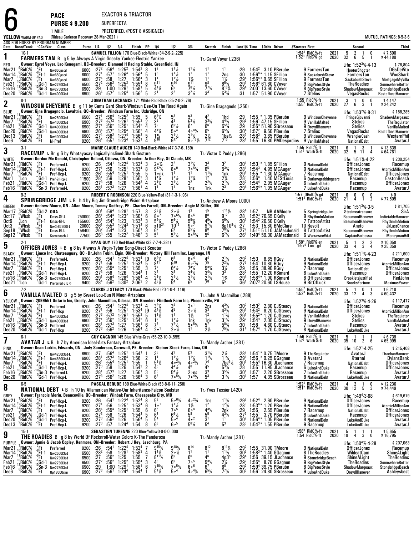EXACTOR & TRIACTOR

**PURSE \$ 9,200**SUPERFECTA

**PACE**

6

| .      |                              |
|--------|------------------------------|
| 1 MILE | PREFERRED. (POST 8 ASSIGNED) |
|        |                              |

|                                                                                                                                              | (Rideau Carleton Raceway 28-Mar-2021)<br>YELLOW WARM-UP PAD<br>ASK FOR HORSE BY PROGRAM NUMBER<br>Last1/4 Time \$0dds Driver |                                                                                               |                                                                                                                                                                                                                                                     |                                                    |                                                                                                 |                                                                                               |                                                                                                                             |                                                                                                       |                                                |                                                                                                                   |                                                                                                                                         |                                                                                                                           |                                                                                                  |                                                                                                                          |                                                                          | <b>MUTUEL RATINGS: 8-5-3-6</b>                                                                 |                                                                                                                                                                                               |                                                                                                                     |              |                                                                                                                                                |                                                                                                                                |
|----------------------------------------------------------------------------------------------------------------------------------------------|------------------------------------------------------------------------------------------------------------------------------|-----------------------------------------------------------------------------------------------|-----------------------------------------------------------------------------------------------------------------------------------------------------------------------------------------------------------------------------------------------------|----------------------------------------------------|-------------------------------------------------------------------------------------------------|-----------------------------------------------------------------------------------------------|-----------------------------------------------------------------------------------------------------------------------------|-------------------------------------------------------------------------------------------------------|------------------------------------------------|-------------------------------------------------------------------------------------------------------------------|-----------------------------------------------------------------------------------------------------------------------------------------|---------------------------------------------------------------------------------------------------------------------------|--------------------------------------------------------------------------------------------------|--------------------------------------------------------------------------------------------------------------------------|--------------------------------------------------------------------------|------------------------------------------------------------------------------------------------|-----------------------------------------------------------------------------------------------------------------------------------------------------------------------------------------------|---------------------------------------------------------------------------------------------------------------------|--------------|------------------------------------------------------------------------------------------------------------------------------------------------|--------------------------------------------------------------------------------------------------------------------------------|
| Date Race#Track °CCndVar<br>Class<br>Purse 1/4 1/2 3/4<br>Finish PP 1/4<br>1/2<br>3 4<br>SAMUEL FILLION 170 Blue-Black-White (34-2-9-2-.225) |                                                                                                                              |                                                                                               |                                                                                                                                                                                                                                                     |                                                    |                                                                                                 |                                                                                               |                                                                                                                             | Stretch                                                                                               | Finish                                         |                                                                                                                   |                                                                                                                                         |                                                                                                                           | #Starters First                                                                                  |                                                                                                                          | Second                                                                   | Third                                                                                          |                                                                                                                                                                                               |                                                                                                                     |              |                                                                                                                                                |                                                                                                                                |
| 1                                                                                                                                            | $10-1$                                                                                                                       |                                                                                               | <b>FARMERS TAN</b> B g 5 by Always A Virgin-Sneaky Yankee-Electric Yankee                                                                                                                                                                           |                                                    |                                                                                                 |                                                                                               |                                                                                                                             |                                                                                                       |                                                |                                                                                                                   |                                                                                                                                         |                                                                                                                           | Tr.-Carol Voyer (.236)                                                                           |                                                                                                                          |                                                                          |                                                                                                |                                                                                                                                                                                               | RidC %-ft<br>$1.54^{2}$<br>$1.523$ RidC%-gd                                                                         | 2021<br>2020 | 5<br>$\frac{2}{6}$<br>0<br>$32^{\circ}$<br>5<br>$\overline{1}$                                                                                 | \$7,500<br>\$44,180                                                                                                            |
| red<br>Mar21<br>Mar 14<br>Mar 7<br>Feb21<br>Feb16<br>Dec20                                                                                   | RidC%<br>RidC%<br>RidC%<br>RidC%<br>RidC%<br>°RidC%                                                                          | .Ft<br>$\frac{6}{9}$ Ft-1<br>$\frac{4}{10}$ Gd-1<br>$\frac{10}{9}$ Sn-3<br>$\frac{0}{9}$ Gd-1 | Owner: Carol Voyer, Lac-Kenogami, QC--Breeder: Diamond H Racing Stable, Greenfield, IN<br>Nw650pscd<br>Nw650pscd<br>Nw650pscd<br>Nw275013cd<br>Nw2750I3cd<br>Nw4000l3cd                                                                             | 6000<br>6000<br>6000<br>6500<br>6500<br>6900       | :27 <sup>2</sup><br>:27 <sup>1</sup><br>$\overline{.27}^4$<br>$:27^{2}$<br>:29<br>$:26^4$       | $:56^{4}_{1571}$<br>:58.562<br>$:57^{2}$                                                      | $1:25^2$<br>1:26 <sup>4</sup><br>1:27<br>$1:25^2$<br>$1:00$ $1:291$<br>$1:25^{4}$                                           | $1:54^{2}$<br>1:56 <sup>4</sup><br>$1:56^{4}$<br>$1:55^{4}$<br>1:58 <sup>1</sup><br>1:56 <sup>2</sup> | $\frac{3}{5}$<br>3<br>8<br>5<br>5              | $\frac{1^2}{1^3}$<br>1 <sup>1</sup><br>9 <sup>11</sup><br>$44\frac{1}{2}$<br>2 <sup>1</sup>                       | $1\frac{1}{2}$<br>$1\frac{1}{2}$<br>$1\frac{1}{2}$<br>$\frac{9^{14}}{6^5}$<br>2 <sup>2</sup>                                            | $1^{11/2}$<br>$\frac{1\frac{1}{2}}{9^{11}}$<br>7 <sup>6</sup> <sup>1</sup> / <sub>2</sub><br>$3^2\frac{1}{2}$             | 1 <sup>1</sup><br>1 <sup>1</sup><br>$\frac{9^8}{7^7\frac{1}{2}}$<br>3 <sup>3</sup>               | 1 <sup>1</sup><br>2ns<br>1½<br>$8^{57/2}_{8^{10}\%}$<br>$5^{3}$ <sup>4</sup>                                             | :29<br>:30<br>$:29^{4}$<br>$:29^{1}$<br>:29 <sup>4</sup><br>:31          | $1:54^{2}$                                                                                     | 3.10 PBerube<br>$1:56^{4*}$ 1.15 SFillion<br>1:56 <sup>4</sup> * 0.65 SFillion<br>1:56 <sup>4</sup> 61.60 CVoyer<br>2:00 <sup>1</sup> 13.60 CVoyer<br>1:57 <sup>1</sup> 51.90 CVoyer          | 9 FarmersTan<br>9 SaskabushSteve<br>9 FarmersTan<br>9 BigPetesStyle<br>8 BigPetesStyle<br><b>7 Stelios</b>          |              | Life: $1:523%-4-13$<br>HooterShooter<br>FarmersTan<br>SaskabushSteve<br><b>TheRoadies</b><br>ShadowMargeaux<br>VegasRocks                      | \$78,804<br><b>DGsDeVito</b><br>WooShark<br>MortgageMyVilla<br><b>SomewhereBettor</b><br>StonebridgeBeach<br>BestofbestHanover |
| $\overline{\mathbf{2}}$                                                                                                                      | $8-1$                                                                                                                        |                                                                                               | <b>WINDSUN CHEYENNE</b> B g 11 by Cams Card Shark-Windsun Dee-On The Road Again                                                                                                                                                                     |                                                    |                                                                                                 |                                                                                               |                                                                                                                             |                                                                                                       |                                                |                                                                                                                   | JONATHAN LACHANCE 171 White-Red-Black (35-2-0-2-.76)                                                                                    |                                                                                                                           | Tr. Gina Bragagnolo (.250)                                                                       |                                                                                                                          |                                                                          |                                                                                                |                                                                                                                                                                                               | 1:55 RidC%-ft<br>1:55 <sup>2</sup> RidC%-ft                                                                         | 2021<br>2020 | 3<br>0<br>$\overline{1}$<br>0<br>27<br>6<br>3<br>-1                                                                                            | $$4,147$<br>$$24,242$                                                                                                          |
| BLUE<br>Mar21<br>Mar 7<br>Feb21<br>Dec20<br>Dec 13<br>Dec6                                                                                   | RidC%<br>RidC%<br>RidC%<br>'RidC%<br>'RidC%<br>RidC%                                                                         | 'Ft<br>$\frac{3}{4}$ Ft<br>"Ft                                                                | Owner: Gina Bragagnolo, Lavaltrie, QC--Breeder: Windsun Farm Inc, Uxbridge, ON<br>Nw2500l3cd<br>$^{16}$<br>$^{4}$ Ft Nw400013cd<br>$^{0}$ Gd-1 Nw400013cd<br>$^{3}$ Gd-1 Nw400013cd<br>Nw4000I3cd<br>NI-Pref                                        | 6500<br>6900<br>6900<br>6900<br>6900               | :27 <sup>1</sup><br>$:27^{3}$<br>$:271$<br>$:264$<br>:27 <sup>4</sup><br>9200 : 26 <sup>4</sup> | :56 <sup>4</sup><br>$:57^{2}$<br>:56 <sup>2</sup><br>$:57^{2}$<br>$:58^2$<br>:55 <sup>1</sup> | $1:25^2$<br>$1:26^{1}$<br>$1:25^{1}$<br>1:25 <sup>4</sup><br>1:27 <sup>4</sup><br>1:23 <sup>4</sup>                         | 1:55<br>$1:55^{2}$<br>$1:54^2$<br>$1.56^{2}$<br>$1:56^{3}$<br>1:53 <sup>1</sup>                       | 5<br>$\frac{2}{4}$<br>4<br>5<br>$\overline{4}$ | $6^7\frac{1}{2}$<br>$\frac{3^3}{7^9}$<br>$4^{4}$ <sup>1</sup> / <sub>2</sub><br>$1\frac{1}{2}$<br>9 <sup>16</sup> | $\tilde{4}^3$<br>$6^{5}\frac{1}{4}$<br>$\frac{2^{1}}{9^{1}}$                                                                            | 5 <sup>3</sup><br>$\bar{5}^{3}_{2}$ %<br>67<br>$4.4\%$<br>$2^{1}\frac{1}{2}$<br>8.16 <sup>1</sup> / <sub>2</sub>          | 42<br>$3^{3}\frac{1}{2}$<br>6 <sup>6</sup><br>6 <sup>5</sup><br>$\frac{2\frac{1}{2}}{7^{12}}$    | 1hd<br>$4\frac{4}{5}$ <sup>4</sup> / <sub>2</sub><br>5 <sup>53</sup> / <sub>4</sub><br>$65\%$<br>$1be\frac{1}{2}$<br>710 | $:29^{2}$<br>:29<br>:30ª<br>$:28^{3}$<br>:281                            | $1:57^{2}$<br>$1:56^{3}$                                                                       | 1:55 * 1.35 PBerube<br>$1:561$ 47.15 SFillion<br>$1:553 51.90$ SBrosseau<br>9.50 PBerube<br>3.65 PBerube<br>$1:551$ 16.80 PMDesjardins                                                        | 9 WindsunCheyenne<br>9 VanillaMalted<br>9 DreydlHanover<br><b>7 Stelios</b><br>9 WindsunCheyenne<br>9 VanillaMalted |              | Life: $1:532%·8·31$<br>PrinceGiovanni<br>Stelios<br><b>Stelios</b><br>VegasRocks<br>WranglerCash<br><b>NationalDebt</b>                        | \$188,285<br>ShadowMargeaux<br>TheRegulator<br>VanillaMalted<br>BestofbestHanover<br>WesternPhil<br>AvatarJ                    |
| 3                                                                                                                                            | $3-1$                                                                                                                        |                                                                                               |                                                                                                                                                                                                                                                     |                                                    |                                                                                                 |                                                                                               |                                                                                                                             |                                                                                                       |                                                |                                                                                                                   | MARIE CLAUDE AUGER 140 Red-Black-White (47-3-7-6-189)                                                                                   |                                                                                                                           |                                                                                                  |                                                                                                                          |                                                                          |                                                                                                |                                                                                                                                                                                               | 1:55 RidC%-ft<br>1:51 <sup>2</sup> Wbsb $%$ -ft                                                                     | 2021<br>2020 | 6<br>3<br>- 1<br>32<br>5<br>4<br>- 11                                                                                                          | \$13,639<br>\$64,761                                                                                                           |
| WHITE                                                                                                                                        |                                                                                                                              |                                                                                               | RACEMUP L Br g 6 by Whatayasay-Logicallyinclined-Shark Gesture<br>Owner: Gordon Mc Donald, Christopher Boland, Ottawa, ON-Breeder: Arthur Rey, St Claude, MB                                                                                        |                                                    |                                                                                                 |                                                                                               |                                                                                                                             |                                                                                                       |                                                |                                                                                                                   |                                                                                                                                         |                                                                                                                           | Tr. Victor C Puddy (.286)                                                                        |                                                                                                                          |                                                                          |                                                                                                |                                                                                                                                                                                               |                                                                                                                     |              | Life: 1:51% 4-22                                                                                                                               | \$230,254                                                                                                                      |
| Mar21<br>Mar 14<br>Mar 7<br>Mar 1<br>Feb21<br>Feb16                                                                                          | RidC <sup>5</sup> %<br>'RidC%<br>RidC%<br>Lon<br>RidC%<br>'RidC%                                                             | '.Ft<br>$\frac{6}{9}$ Ft-1<br>",Ft                                                            | Preferred-L<br>Pref-Hcp-L<br>Pref-Hcp-L<br>$7$ Gd-1 Pref-2-Hcp-L<br>Gd-1 Pref-Hcp-L<br><sup>0</sup> Sn-3 Preferred-L                                                                                                                                | 9200 : 26<br>9200<br>9200<br>11500<br>9200<br>9200 | $\frac{.27}{.26}^{1}$<br>:28 <sup>1</sup><br>$:27^{3}$<br>:28 <sup>1</sup>                      | $:54^1$<br>$:56$<br>$:55^4$<br>.59<br>:58<br>$:57^{3}$                                        | $1:22^{4}$<br>$1:251$<br>1:25 <sup>1</sup><br>1:28 <sup>1</sup><br>1:26<br>1:27                                             | $1:524$<br>$1:534$<br>$1:55$<br>$1:56^{3}$<br>$1:54^{3}$<br>$1:56^{1}$                                | 3<br>5<br>5<br>3<br>4<br>4                     | $2 \frac{6}{12} \frac{1}{2}$<br>1∘nk<br>$1^{11}/2$<br>$2^{11/2}$                                                  | $\frac{2^2}{8}$<br>1 <sup>1</sup><br>$1^{11}/2$<br>$2^{11}/2$                                                                           | 3 <sup>1</sup><br>3 <sup>11</sup> /2<br>70 <sup>53</sup> /4<br>1 <sup>1</sup><br>$1^{13}/4$<br>$2^2$<br>1ns               | $3^{3}_{6^{5}}$<br>$11\frac{1}{2}$<br>1 <sup>2</sup><br>$2^2$ <sup>1</sup> / <sub>2</sub><br>1nk | 32<br>$\bar{5}^{3}\%$<br>1nk<br>$2\frac{3}{4}$<br>$2^{11}/4$<br>$\bar{2}^3$                                              | :30'<br>$:28^{1}$<br>$:29^{4}$<br>: 28 <sup>3</sup><br>$:28^{2}$<br>:29ª | $1.54^{3}$<br>1:55<br>$1:56^{4}$<br>1:54 <sup>4</sup><br>$1:56^{4*}$                           | $1:53^{1*}$ 1.85 SFillion<br>4.95 MCAuger<br>1.30 MCAuger<br>1.40 MEStLouis<br>2.95 MCAuger<br>1.95 MCAuger                                                                                   | 9 NationalDebt<br>9 NationalDebt<br>7 Racemup<br>6 Outlawgrabbingears<br>6 LukeAndDuke<br>7 LukeAndDuke             |              | <b>OfficerJones</b><br><b>OfficerJones</b><br><b>NationalDebt</b><br>Racemup<br>Racemup<br>Racemup                                             | Racemup<br><b>AtomicMillionAm</b><br><b>OfficerJones</b><br>EastonBeach<br><b>OfficerJones</b><br>AvatarJ                      |
| 4                                                                                                                                            | $9-2$                                                                                                                        |                                                                                               | SPRINGBRIDGE JIM L B h 4 by Big Jim-Stonebridge Vision-Artsplace                                                                                                                                                                                    |                                                    |                                                                                                 |                                                                                               |                                                                                                                             |                                                                                                       |                                                |                                                                                                                   | ROBERT C ROBINSON 220 Blue-Yellow-Red (31-1-3-1-.96)                                                                                    |                                                                                                                           | Tr.-Andrew A Moore (.000)                                                                        |                                                                                                                          |                                                                          |                                                                                                |                                                                                                                                                                                               | 1:57 ORidC%-gd<br>1:51 <sup>3</sup> RidC%-ft                                                                        | 2021<br>2020 | 0<br>0<br>0<br>0<br>21<br>$\overline{4}$<br>$\overline{1}$<br>2                                                                                | \$0<br>\$77,505                                                                                                                |
| GREEN<br>Mar 17<br>Oct 17<br>Oct9<br>Oct3<br>Sep18<br>Sep12                                                                                  | RidC%<br>Wbsb<br>:Lon<br>Wbsb'<br>Wbsb:<br>Wbsb                                                                              | 7Ft<br>18Ft-1<br>8Ft-1<br>15Ft<br>15Ft                                                        | Owner: Andrew Moore, ON - Allan Moore, Tommy Godfrey, PE - Charles Farrell, ON-Breeder: Angie M Stiller, ON<br>5Gd-2 QUA<br>Onss-Sf-L<br>Onss-GI-L<br>Nw3r62500I-L<br>Onss-GI-L<br>Somebeach-L                                                      | 250000<br>155600<br>20000<br>156400<br>77500       | :30'<br>:26 <sup>1</sup><br>$: 261$<br>$: 261$<br>$: 262$<br>$:26^{3}$                          | :594<br>$:54^{4}$<br>$:54^4$<br>$:55^3$<br>$:54^4$<br>:55                                     | 1:28 <sup>1</sup><br>1:23 <sup>2</sup><br>1:23<br>$1:24^{3}$<br>1:23<br>1:22 <sup>2</sup>                                   | 1:57<br>1.50 <sup>1</sup><br>1:53 <sup>2</sup><br>$1:51^{2}$<br>$1:50^{\circ}$<br>1:48 <sup>2</sup>   | 3<br>Ğ<br>3<br>6<br>$\overline{3}$<br>3        | $3^{3}\frac{1}{2}$<br>8.7<br>$56$ %<br>$x10^{24}$<br>6 <sup>7</sup><br>$5^7$                                      | $\frac{2}{7}$ ° $\frac{1}{2}$<br>7° $\frac{1}{2}$<br>$\frac{5^{6}\%}{10^{14}}$<br>6 <sup>9</sup><br>$5^{7}$ <sup>1</sup> / <sub>2</sub> | $8\circ ^6$<br>$5^{5}$ <sup>%</sup><br>900<br>$8^{5}$ <sup>1</sup> / <sub>4</sub><br>$50^{53}$                            | 8 <sup>8</sup><br>$4^{5}$ %<br>$9^{7}$ <sup>1</sup> / <sub>2</sub><br>$8^8$<br>5 <sup>6</sup>    | $3^{11}\frac{1}{2}$<br>$5^5\%$<br>8p10 <sup>8</sup> / <sub>2</sub> :27<br>761⁄4<br>$6^7\frac{1}{2}$                      | $: 28^4$<br>$: 28$<br>$:30^{1}$<br>:272<br>$:26^1$                       | 1:57                                                                                           | <b>NB AAMoore</b><br>$1:523$ 76.65 CKelly<br>1:54 $2$ 26.50 CKelly<br>1:53 15.80 BMcClure<br>$1:512 51.10$ JAMacdonald<br>1:49 <sup>4</sup> 59.30 JAMacdonald                                 | 5 SpringbridgeJim<br>9 RhythmInMotion<br>7 TattooArtist<br>10 Revolt<br>8 TattooArtist<br>6 WarraweeVital           |              | Life: $1:513%·3.5$<br>Steelmeatreasure<br>BeaumondHanover<br>BeaumondHanover<br>Aneto<br>BeaumondHanover<br>CaptainBarbossa                    | \$81,705<br>SirA<br>IndictableHanover<br>RhythmInMotion<br><b>JkLastChance</b><br>RhythmInMotion<br>MoneymanHill               |
| 5                                                                                                                                            | $2-1$                                                                                                                        |                                                                                               | <b>OFFICER JONES</b> L B g 8 by Always A Virgin Tyber Song Direct Scooter                                                                                                                                                                           |                                                    |                                                                                                 |                                                                                               | RYAN GUY 170 Red-Black-White (32-7-7-4-.381)                                                                                |                                                                                                       |                                                |                                                                                                                   |                                                                                                                                         |                                                                                                                           | Tr. Victor C Puddy (.286)                                                                        |                                                                                                                          |                                                                          |                                                                                                |                                                                                                                                                                                               | 1:58 <sup>4</sup> RidC <sup>5</sup> /8-sn<br>1:57 <sup>2</sup> Lon -gd                                              | 2021<br>2020 | 5<br>$\frac{2}{3}$<br>$\frac{2}{4}$<br>33<br>4                                                                                                 | \$10,058<br>\$25,359                                                                                                           |
| BLACK<br>Mar21<br>Mar 14<br>Mar 7<br>Feb21<br>Feb16<br>Dec21                                                                                 | RidC%<br>RidC%<br>RidC%<br>RidC%<br>RidC%;<br>'Lon                                                                           | 'Ft<br>$_{0}^{6}$ Ft-1<br>"Ft∴                                                                | Owner: Limco Inc, Chateauguay, QC - Dr.John Tobin, Elgin, ON-Breeder: Victory Hill Farm Inc, Lagrange, IN<br>Preferred-L<br>Pref-Hcp-L<br>Pref-Hcp-L<br>Gd-1 Pref-Hcp-L<br>$^{10}$ Sn 3 Nw275013cd L<br>Gd-1 Preferred-3-L $\diamond$               | 9200 : 26<br>9200<br>9200<br>9200<br>6500          | :27<br>$: 26^4$<br>$: 27^3$<br>:29 <sup>1</sup><br>9400 : 28 <sup>4</sup>                       | :54 <sup>1</sup><br>:56<br>$:55^{4}$<br>:58<br>$:58^4$<br>$:59^2$                             | 1:22 <sup>4</sup><br>1:25 <sup>1</sup><br>$1:25^{1}$<br>1:26<br>1:28 <sup>4</sup><br>$1:30^{2}$                             | 1:52 <sup>4</sup><br>$1:53^{4}$<br>1:55<br>$1:54^{3}$<br>1:58 <sup>4</sup><br>2:06 <sup>3</sup>       | [9<br>5<br>3<br>4<br>$\overline{2}$            | $6^9\%$<br>$\bar{8}^{11}$<br>$\overline{7}$ <sup>7</sup><br>3 <sup>3</sup><br>$2^{11/2}$<br>$4^{3}\frac{1}{2}$    | $9^{10}$<br>$6^{4}\frac{1}{3}$<br>$2^{11/2}$                                                                                            | 60 <sup>4</sup><br>$90^{73}$<br>$7^4$ <sup>1</sup> / <sub>2</sub><br>$3^{4}$ <sup>1</sup> / <sub>2</sub><br>$3^1\%$<br>65 | 7 <sup>5</sup><br>$5^{3}$ %<br>$3^{4}\%$<br>$2^{11}/2$                                           | $2^{1}/4$<br>$2^{2}/4$<br>$\frac{3}{3}$<br>$1\frac{3}{4}$<br>55                                                          | $:27^{2}$<br>: 29.282<br>$:29^{4}$<br>:361                               | 1:53<br>1:55                                                                                   | 8.65 RGuy<br>1:54 <sup>1</sup> 10.80 RGuy<br>38.90 RGuy<br>$1:551$ 12.20 RSimard<br>1:584* 1.90 RSimard<br>$2:073$ 20.60 LSHouse                                                              | 9 NationalDebt<br>9 NationalDebt<br>7 Racemup<br>6 LukeAndDuke<br>8 OfficerJones<br>9 BitOfLuck                     |              | Life: $1:51^{1}\%$ 4.23<br><b>OfficerJones</b><br><b>OfficerJones</b><br><b>NationalDebt</b><br>Racemup<br>Brookletsjustified<br>BrocksFortune | \$211,600<br>Racemup<br><b>AtomicMillionAm</b><br><b>OfficerJones</b><br>OfficerJones<br>RedJohn<br><b>MaximusPower</b>        |
| 6                                                                                                                                            | $7-2$                                                                                                                        |                                                                                               | VANILLA MALTED B g 5 by Sweet Lou-Sun N Moon-Artsplace                                                                                                                                                                                              |                                                    |                                                                                                 |                                                                                               |                                                                                                                             |                                                                                                       |                                                |                                                                                                                   | CLARKE J STEACY 170 Black-White-Red (20-1-0-4-.116)                                                                                     |                                                                                                                           | Tr. John A Macmillan (.288)                                                                      |                                                                                                                          |                                                                          |                                                                                                |                                                                                                                                                                                               | 1:55 <sup>2</sup> RidC%-ft<br>1:52 <sup>3</sup> RidC%-ft                                                            | 2021<br>2020 | 0<br>5<br>$\overline{\phantom{0}}$<br>-1<br>33 12<br>4<br>3                                                                                    | \$6,210<br>\$60,432                                                                                                            |
| YELLOW<br>Mar21<br>Mar 14<br>Mar7<br>Feb21<br>Feb 16<br>Dec20                                                                                | RidC <sup>%</sup><br>'RidC%<br>RidC%<br>RidC%<br>RidC%<br>'RidC%                                                             | .Ft<br>°Ft-1<br>°Ft<br>$^4$ Gd-1                                                              | Owner: 2099551 Ontario Inc, Greely, John Macmillan, Odessa, ON-Breeder: Flintlock Farm Inc, Phoenixville, PA<br>Preferred<br>Pref-Hcp<br>Nw4000I3cd<br>Nw4000l3cd<br>10 Sn-3 Preferred<br><sup>0</sup> Sn-3 Preferred<br><sup>0</sup> Gd-1 Pref-Hcp | 9200 : 26<br>9200<br>6900<br>6900<br>9200<br>9200  | $\frac{.27}{.27^3}$<br>$\frac{1}{27}$<br>$: 281$<br>$: 273$                                     | $:54^1$<br>$:56$<br>$:57^2$<br>:56 <sup>2</sup><br>:573<br>:56 <sup>2</sup>                   | 1:22 <sup>4</sup><br>$1:251$<br>1:26 <sup>1</sup><br>1:25 <sup>1</sup><br>1:27<br>1:26                                      | $1:52^{4}$<br>$1:53^{4}$<br>1:55 <sup>2</sup><br>1:54 <sup>2</sup><br>$1:56^{1}$<br>1:56 <sup>4</sup> | 4<br>[9<br>5<br>6<br>$\frac{6}{4}$             | $3^{3}\%$<br>$4^{4}$ <sup>1</sup> / <sub>2</sub><br>$1^{11}\frac{1}{2}$<br>$\frac{1^2}{7^8}$<br>2 ullet           | 45<br>1 <sup>1</sup><br>$1\frac{1}{2}$<br>$7\frac{7}{2}$<br>2 $\frac{7}{2}$                                                             | 2 <sup>0</sup><br>$20\frac{1}{2}$<br>$1\frac{1}{2}$<br>1nk<br>$5 \cdot \frac{5\frac{1}{4}}{4}$                            | 2ņs<br>$3^{3}_{1^{2}}$<br>1nk<br>$5^7$<br>$2\frac{1}{2}$                                         | $4^{3}\frac{1}{4}$<br>$4^{3}\frac{1}{4}$<br>$1^{1}\frac{3}{4}$<br>$3^{11/2}$<br>$5^{81/4}$<br>751/4                      | $:29^{1}$<br>$:29^{1}$<br>:29 <sup>2</sup><br>:30<br>:31ª                | $:30^2$ 1:53 <sup>2</sup><br>$1:54^2$<br>$1:55^{2}$<br>$1:54^{3}$<br>1:58<br>1:57 <sup>4</sup> | 2.80 CJSteacy<br>8.20 CJSteacy<br>1.20 CJSteacy<br>2.05 CJSteacy<br>4.60 CJSteacy<br>1.70 CJSteacy                                                                                            | 9 NationalDebt<br>9 NationalDebt<br>9 VanillaMalted<br>9 DreydlHanover<br>7 LukeAndDuke<br>8 NationalDebt           |              | Life: 1:52 <sup>3</sup> %-4-26<br><b>OfficerJones</b><br><b>OfficerJones</b><br>Stelios<br><b>Stelios</b><br>Racemup<br>LukeAndDuke            | \$117,477<br>Racemup<br><b>AtomicMillionAm</b><br>TheRegulator<br>VanillaMalted<br>AvatarJ<br>AvatarJ                          |
| I                                                                                                                                            | $6-1$                                                                                                                        |                                                                                               | <b>AVATAR J</b> L B h 7 by American Ideal-Arts Fantasy-Artsplace                                                                                                                                                                                    |                                                    |                                                                                                 |                                                                                               | GUY GAGNON 145 Blue-White-Grey (55-22-10-9-.555)                                                                            |                                                                                                       |                                                |                                                                                                                   |                                                                                                                                         |                                                                                                                           | Tr.-Mandy Archer (.281)                                                                          |                                                                                                                          |                                                                          |                                                                                                |                                                                                                                                                                                               | 1:56 RidC% ft<br>1:52 $^2$ Wbsb%-ft                                                                                 | 2021         | 5 <sub>1</sub><br>-1<br>2020 35 10 2 6                                                                                                         | \$6,739<br>\$65,995                                                                                                            |
| PINK<br>Mar21<br>Mar 14<br>Mar7<br>Feb21<br>Feb16<br>Dec20                                                                                   | RidC%<br>RidC%<br>RidC <sup>%</sup><br>RidC%<br>RidC%<br>$6$ RidC $%$                                                        | ′Ft∴                                                                                          | Owner: Dean Larkin, Edwards, ON - Jody Sanderson, Cornwall, PE-Breeder: Steiner Stock Farm, Lima, OH<br>Nw4250I3cd-L<br>ert-1<br>set-1<br>aft Pref-Hcp-L<br>aft Pref-Hcp-L<br>10Gd-1 Pref-Hcp-L<br>Gd-1 Pref-Hcp-L                                  | 6900 :27<br>6900 :281<br>9200                      | $:26^{4}$<br>$9200$ :27 <sup>3</sup><br>9200 :28 <sup>1</sup><br>9200 : 27 <sup>3</sup>         | $:56^{4}_{3}$<br>$:55^4$<br>$:58$<br>$:57^3$<br>:56 <sup>2</sup>                              | $1:25^{1}$<br>1:26 <sup>4</sup><br>$1:25^{1}$<br>$\frac{1:26}{1:27}$<br>1:26                                                | $1:541$<br>$1:56$<br>1.55<br>$1:54^{3}$<br>$1:56^{1}$<br>1:56 <sup>4</sup>                            | 2<br>$\mathbf{1}$<br>$\frac{2}{3}$<br>3        | 33<br>11<br>$5^{3}\frac{1}{2}$<br>$\frac{4^5}{5^5}$<br>6 <sup>5</sup>                                             | $1^{11}$<br>$40^{2}$ %<br>$4^{4}\frac{1}{2}$<br>5 <sup>41</sup> / <sub>2</sub><br>$7 \cdot 5\frac{1}{2}$                                | $11\frac{1}{2}$<br>$4 \cdot 2\frac{1}{2}$<br>46<br>$2 \circ ns$<br>$7 \cdot \frac{4\gamma}{2}$                            | $3^{1}\frac{1}{2}$<br>$1^{1}\frac{1}{2}$<br>$\frac{7^4}{4^5}$<br>$\frac{3^3}{5^3}$               | $2\frac{1}{2}$<br>$1\frac{1}{4}$<br>$7be^4\frac{1}{2}$<br>$\frac{5^3}{4^5}$<br>$3^{1}$ %                                 | $:28^2$<br>:29 <sup>1</sup><br>$:30^{1}$<br>$\frac{.28}{.30}$<br>$:30^1$ | 1:57 <sup>1</sup><br>1:57                                                                      | $1:54^{1*}$ 0.75 TMoore<br>1:56 * 0.25 GGagnon<br>$1:554$ 16.30 JLachance<br>$1:551$ 11.95 JLachance<br>2.20 SBrosseau<br>4.35 SBrosseau                                                      | 9 TheRegulator<br>9 AvatarJ<br>7 Racemup<br>6 LukeAndDuke<br>7 LukeAndDuke<br>8 NationalDebt                        |              | Life: $1:52^1.4.25$<br>AvatarJ<br>Xternal<br><b>NationalDebt</b><br>Racemup<br>Racemup<br>LukeAndDuke                                          | \$215,408<br>DrachanHanover<br>DylansBank<br><b>OfficerJones</b><br><b>OfficerJones</b><br>AvatarJ<br>AvatarJ                  |
| 8                                                                                                                                            | $6-5$                                                                                                                        |                                                                                               | <b>NATIONAL DEBT</b> L B h 10 by Allamerican Native Our Inheritance Falcon Seelster                                                                                                                                                                 |                                                    |                                                                                                 |                                                                                               |                                                                                                                             |                                                                                                       |                                                |                                                                                                                   | PASCAL BERUBE 189 Blue-White-Black (58-8-6-11-.258)                                                                                     |                                                                                                                           | Tr. Yves Tessier (.420)                                                                          |                                                                                                                          |                                                                          |                                                                                                |                                                                                                                                                                                               | 1:52 <sup>4</sup> RidC%-ft<br>1:51 <sup>2</sup> RidC%-ft                                                            | 2021<br>2020 | $\overline{2}$<br>4<br>$\frac{0}{3}$<br>1<br>5<br>30 12                                                                                        | \$12,236<br>\$74,449                                                                                                           |
| GREY<br>Mar21<br>Mar 14<br>Mar7<br>Feb21<br>Dec20<br>Dec13                                                                                   | RidC%<br>RidC%<br>RidC%<br>RidC%<br>$^6$ RidC%<br><sup>9</sup> RidC%                                                         | '.Ft<br>$_{0}^{6}$ Ft-1<br>$\mathbf{F}$ t                                                     | Owner: Francois Morin, Beauceville, QC-Breeder: Winbak Farm, Chesapeake City, MD<br>Pref-Hcp-L<br>Pref-Hcp-L<br>Pref-Hcp-L<br>$^{4}_{4}$ Ft Pref-Hcp-L<br>$^{0}_{9}$ Gd-1 Pref-Hcp-L<br>$^{0}_{3}$ Gd-1 Pref-Hcp-L<br>Pref-Hcp-L                    | 9200 :26<br>9200 :271<br>9200<br>9200              | $:26^{4}$<br>$:27^{3}$<br>9200 :27 <sup>3</sup><br>9200 :27 <sup>3</sup>                        | :54 $^{1}$<br>$\frac{156}{155^4}$<br>$:56^{2}$<br>:57                                         | $1:22^{4}$<br>$1:25^{1}$<br>1:25 <sup>1</sup><br>1:26<br>1:26<br>$1:24^{4}$                                                 | 1:52 <sup>4</sup><br>$1:53^{4}$<br>$1:55$<br>$1:54^3$<br>$1:56^{4}$<br>1:54                           | 8<br>6<br>$\frac{6}{5}$<br>5<br>8              | 58<br>1 <sup>0</sup><br>$6^{5}_{8}$<br>5 <sup>4</sup><br>6 <sup>8</sup>                                           | $506\%$<br>$\frac{1^{1}\frac{1}{2}}{7^{0}}$<br>$\frac{6^{6}\%}{5^{6}}$<br>600                                                           | $40^{23}$<br>$1\frac{1}{2}$<br>600<br>$\bar{5}^8$<br>$4\bullet^2$<br>$56$ %                                               | 1ns<br>1 <sup>2</sup><br>$4^{3}\frac{1}{5^{5}}$<br>$3^{1}\frac{3}{5^{4}}$                        | $1^{1}\frac{1}{4}$<br>$1^{2}\frac{1}{4}$<br>$\frac{2nk}{4^{3}/4}$<br>1 <sup>1</sup><br>5 <sup>3</sup>                    | $: 29^2$<br>$: 28^3$                                                     | 1:52 <sup>4</sup><br>$1:53^{4*}$<br>$: 29$ 1:55<br>$: 27^3$ 1:55 <sup>1</sup>                  | 2.60 PBerube<br>1.20 PBerube<br>2.55 PBerube<br>3.70 PBerube<br>$:30^{2}$ 1:56 <sup>4</sup> * 1.05 PBerube<br>:28 <sup>3</sup> 1:54 <sup>3</sup> * 1.55 PBerube                               | 9 NationalDebt<br>9 NationalDebt<br>7 Racemup<br>6 LukeAndDuke<br>8 NationalDebt<br>9 Racemup                       |              | Life: 1:49 <sup>4</sup> -3-68<br>OfficerJones<br><b>OfficerJones</b><br><b>NationalDebt</b><br>Racemup<br>LukeAndDuke<br>LukeAndDuke           | \$619,679<br>Racemup<br><b>AtomicMillionAm</b><br><b>OfficerJones</b><br><b>OfficerJones</b><br>AvatarJ<br>AvatarJ             |
| 9                                                                                                                                            | $15-1$                                                                                                                       |                                                                                               | THE ROADIES B g 8 by World Of Rocknroll-Water Colors K-The Panderosa                                                                                                                                                                                |                                                    |                                                                                                 |                                                                                               | SEBASTIEN TURENNE 220 Blue-Yellow0-0-0-0-.000                                                                               |                                                                                                       |                                                |                                                                                                                   |                                                                                                                                         |                                                                                                                           | Tr.-Mandy Archer (.281)                                                                          |                                                                                                                          |                                                                          |                                                                                                |                                                                                                                                                                                               | 1:58 <sup>3</sup> RidC%-ft<br>1:54 RidC%-ft                                                                         | 2021<br>2020 | 5<br>$\overline{1}$<br>$\overline{1}$<br>3<br>18 4<br>0                                                                                        | \$5,655<br>\$16,795                                                                                                            |
| Purple<br>Mar21<br>Mar 14<br>Mar7<br>Feb21<br>Feb16<br>Dec6                                                                                  | RidC%<br>RidC%;<br>RidC%<br>RidC%<br>$^{\circ}_{6}$ RidC%<br><sup>6</sup> RidC%                                              | $\int_{a}$ Ft<br>$4$ Ft                                                                       | _ Owner: Jamie & Jacob Copley, Kenmore, ON-Breeder: Robert J Key, Leechburg, PA<br>Preferred<br>$^{+6}_{-9}$ Ft-1 Nw250013cd<br>$^{+4}_{-4}$ Ft Nw275013cd<br>$^{+10}_{-10}$ Gd-1 Nw275013cd<br>$^{+10}_{-4}$ Sn-3 Nw275013cd<br>0p18000clm         | 6500<br>6500<br>6500                               | 9200 : 26<br>:28 <sup>2</sup><br>:27<br>:27 <sup>2</sup><br>6500 :29<br>6900 :27 <sup>3</sup>   | $:54^1$<br>$:58$<br>$:56^2$<br>$:56^{2}$                                                      | $1:22^{4}$<br>1:28 <sup>1</sup><br>$1:25$<br>$1:25^2$<br>$1:00$ $1:291$<br>:56 <sup>1</sup> 1:24 <sup>4</sup><br>$1:24^{4}$ | $1:52^{4}$ 7<br>$\frac{1:58^3}{1:55}$<br>$1:55^{4}$<br>$1:581$<br>1:54 <sup>4</sup>                   | $\frac{4}{7}$<br>3<br>6                        | $9^{15}\%$<br>$8^{11}\%$<br>4 <sup>3</sup><br>$7^{10}$ <sup>1</sup> / <sub>2</sub><br>$5^{4}$ %                   | $9^{18}\%$<br>$2 \circ \frac{1}{2}$<br>65<br>65<br>$7 \circ 5\frac{1}{2}$<br>5004                                                       | $8^{14}$<br>66<br>7 <sup>5</sup><br>$60^6$<br>$4 \circ 4\frac{1}{4}$                                                      | $8^{12}$<br>46<br>$\frac{5^{3}1}{6^{7}}$<br>$6^{5}$ <sup>1</sup> / <sub>2</sub>                  | $8^{11}\%$<br>$1^{11}/2$<br>4p3 <sup>5</sup><br>$\frac{2\frac{1}{2}}{6^8}$<br>$7^{7}\%$                                  | $:29^2$<br>:30ª<br>:29ª<br>$:29^{2}$                                     |                                                                                                | 1:55 31.90 TMoore<br>$1:58^{3*}$ 1.40 GGagnon<br>1:56 39.15 JLachance<br>1:55 $^{4}$ 8.70 GGagnon<br>:29 <sup>2</sup> 1:59 <sup>4</sup> 39.75 PBerube<br>:30 $3\,$ 1:56 $1\,$ 24.80 SBrosseau | 9 NationalDebt<br>8 TheRoadies<br>9 StonebridgeBeach<br>9 BigPetesStyle<br>8 BigPetesStyle<br>9 LukeAndDuke         |              | Life: 1:50 <sup>4</sup> %-4-28<br><b>OfficerJones</b><br>WildcatCam<br>ShineALight<br><b>TheRoadies</b><br>ShadowMargeaux<br>DreydlHanover     | \$207,063<br>Racemup<br><b>ShingALight</b><br><b>TheRoadies</b><br>SomewhereBettor<br>StonebridgeBeach<br>Ashleysbest          |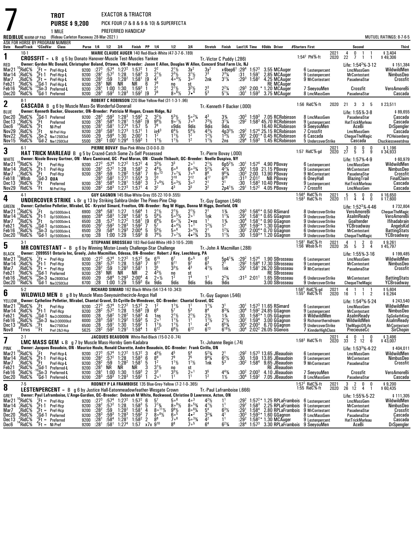|                                                                               |                                                                                                              |                                                                  | <b>TROT</b>                                                                                                                                                                                                                                                        |                                              |                                                                                                   |                                                                   |                                                                                                                   | EXACTOR & TRIACTOR                                                                                                                                                                                             |                                       |                                                                                                                                                |                                                                                                                    |                                                                                                            |                                                                                                                            |                                                                                                        |                                                          |                                  |                                                                                                                                                                                                                                                      |                                                                                                     |                                                                                                                                  |                      |                                                                                                                                                |                |                                                                                                                                   |
|-------------------------------------------------------------------------------|--------------------------------------------------------------------------------------------------------------|------------------------------------------------------------------|--------------------------------------------------------------------------------------------------------------------------------------------------------------------------------------------------------------------------------------------------------------------|----------------------------------------------|---------------------------------------------------------------------------------------------------|-------------------------------------------------------------------|-------------------------------------------------------------------------------------------------------------------|----------------------------------------------------------------------------------------------------------------------------------------------------------------------------------------------------------------|---------------------------------------|------------------------------------------------------------------------------------------------------------------------------------------------|--------------------------------------------------------------------------------------------------------------------|------------------------------------------------------------------------------------------------------------|----------------------------------------------------------------------------------------------------------------------------|--------------------------------------------------------------------------------------------------------|----------------------------------------------------------|----------------------------------|------------------------------------------------------------------------------------------------------------------------------------------------------------------------------------------------------------------------------------------------------|-----------------------------------------------------------------------------------------------------|----------------------------------------------------------------------------------------------------------------------------------|----------------------|------------------------------------------------------------------------------------------------------------------------------------------------|----------------|-----------------------------------------------------------------------------------------------------------------------------------|
|                                                                               |                                                                                                              |                                                                  | <b>PURSE \$9,200</b><br>1 MILE                                                                                                                                                                                                                                     |                                              |                                                                                                   |                                                                   |                                                                                                                   | PREFERRED HANDICAP                                                                                                                                                                                             |                                       |                                                                                                                                                | PICK FOUR (7 & 8 & 9 & 10) & SUPERFECTA                                                                            |                                                                                                            |                                                                                                                            |                                                                                                        |                                                          |                                  |                                                                                                                                                                                                                                                      |                                                                                                     |                                                                                                                                  |                      |                                                                                                                                                |                |                                                                                                                                   |
|                                                                               | <b>RED/BLUE</b> WARM-UP PAD                                                                                  |                                                                  | (Rideau Carleton Raceway 28-Mar-2021)<br>ASK FOR HORSE BY PROGRAM NUMBER                                                                                                                                                                                           |                                              |                                                                                                   |                                                                   |                                                                                                                   |                                                                                                                                                                                                                |                                       |                                                                                                                                                |                                                                                                                    |                                                                                                            |                                                                                                                            |                                                                                                        |                                                          |                                  |                                                                                                                                                                                                                                                      |                                                                                                     |                                                                                                                                  |                      |                                                                                                                                                |                | MUTUEL RATINGS: 8-7-6-5                                                                                                           |
|                                                                               |                                                                                                              |                                                                  | Date Race#Track "CCndVar Class                                                                                                                                                                                                                                     |                                              | Purse 1/4 1/2 3/4                                                                                 |                                                                   |                                                                                                                   | Finish PP 1/4                                                                                                                                                                                                  |                                       |                                                                                                                                                | 1/2                                                                                                                | 3 4                                                                                                        | Stretch Finish                                                                                                             |                                                                                                        |                                                          |                                  | Last1/4 Time \$0dds Driver                                                                                                                                                                                                                           | #Starters First                                                                                     |                                                                                                                                  |                      | Second                                                                                                                                         |                | <b>Third</b>                                                                                                                      |
| 1                                                                             | $10-1$                                                                                                       |                                                                  | <b>CROSSFIT</b> = L B g 5 by Donato Hanover-Muscle Test-Muscles Yankee                                                                                                                                                                                             |                                              |                                                                                                   |                                                                   |                                                                                                                   |                                                                                                                                                                                                                |                                       |                                                                                                                                                | MARIE CLAUDE AUGER 140 Red-Black-White (47-3-7-6-189)                                                              |                                                                                                            | Tr. Victor C Puddy (.286)                                                                                                  |                                                                                                        |                                                          |                                  |                                                                                                                                                                                                                                                      | 1:54 <sup>2</sup> PhI%-ft                                                                           | 202 <sup>1</sup><br>2020                                                                                                         | 4<br>22              | 0<br>-1<br>7<br>-1                                                                                                                             | $\overline{1}$ | \$3,404<br>\$49,306                                                                                                               |
| RED<br>Mar21<br>Mar <sub>14</sub><br>Mar7<br>Feb21                            | $^{10}$ RidC %<br>,RidC%<br>RidC%,<br>°RidC                                                                  |                                                                  | Owner: Gordon Mc Donald, Christopher Boland, Ottawa, ON-Breeder: Jason E Allen, Douglas W Allen, Concord Stud Farm Llc, NJ<br>$k$ Ft = Pref-Hcp-L<br>Ft-1 Pref-Hcp-L<br>${}_{.9}^{9}$ Ft = Pref-Hcp-L<br>Gd-1 Pref-Hcp-L                                           | 9200<br>9200<br>9200                         | 9200 :27 <sup>3</sup><br>:28 <sup>2</sup><br>$:28^{2}$<br>:28 $^{\rm !}$                          | :57 <sup>2</sup><br>:59<br>NR                                     | $:57^4$ 1:27 <sup>2</sup><br>1:28<br>1:28 <sup>2</sup><br>NR                                                      | $1:57^{2}$<br>$1:58^3$ 3<br>1:58 <sup>1</sup><br>NR                                                                                                                                                            | [9<br>6                               | $\frac{1}{2}$ <sup>1</sup> / <sub>2</sub><br>47<br>7 <sup>8</sup>                                                                              | $2^{1}\frac{1}{2}$<br>$2^{3}\frac{1}{2}$<br>$40^{4}\%$                                                             | $3x^2$<br>$\frac{3^{1}1}{3^{0}}$<br>st                                                                     | $\frac{3x^2}{7^3}$<br>2nk                                                                                                  | x4ben6 <sup>1</sup> :29 <sup>4</sup> 1:57 <sup>3</sup><br>731/4<br>$3^{11}$                            | :29 <sup>3</sup>                                         | $:31$ 1:59'                      | 3.55 MCAuger<br>2.85 MCAuger<br>$1:582$ 4.25 MCAuger<br><b>RE MCAuger</b>                                                                                                                                                                            | 6 Lestenpercent<br>9 Lestenpercent<br>9 MrContestant                                                |                                                                                                                                  |                      | Life: $1:54^2\% \cdot 3.12$<br>LmcMassGem<br><b>MrContestant</b><br>PasadenaStar                                                               |                | \$151,384<br>WildwildMen<br>NimbusDeo<br>Crossfit                                                                                 |
| Feb16<br>Dec20                                                                | RidC%;<br>*RidC%                                                                                             |                                                                  | Sn-3 Preferred-L<br><sup>0</sup> Gd-1 Preferred                                                                                                                                                                                                                    | 9200                                         | :28 $^1$<br>9200 : 28 <sup>3</sup>                                                                | $:59^3$                                                           | 1:00 1:30<br>$1:28^{3}$                                                                                           | 1:59 <sup>3</sup><br>$1:59^2$ [9]                                                                                                                                                                              | -1                                    | 2 <sup>1</sup><br>78                                                                                                                           | ${}^{10}_{21}\%$<br>$8\circ 6\frac{1}{2}$                                                                          | $\frac{3^2}{8^4}$                                                                                          | $\frac{2^3}{5^3}$                                                                                                          | $2^2\frac{1}{4}$<br>$5^{1}$ <sup>1</sup> / <sub>4</sub>                                                | $:29^{3}$<br>:301                                        | 2:00<br>$1:59^{3}$               | * 1.20 MCAuder<br>3.75 MCAuger                                                                                                                                                                                                                       | 7 SeeyouMen<br>8 LmcMassGem                                                                         |                                                                                                                                  |                      | Crossfit<br>PasadenaStar                                                                                                                       |                | VeroAmoreBi<br>Cascada                                                                                                            |
| $\boldsymbol{2}$                                                              | $8-1$                                                                                                        |                                                                  | <b>CASCADA</b> B g 6 by Muscle Mass-So Wonderful-Donerail                                                                                                                                                                                                          |                                              |                                                                                                   |                                                                   |                                                                                                                   |                                                                                                                                                                                                                |                                       |                                                                                                                                                | ROBERT C ROBINSON 220 Blue-Yellow-Red (31-1-3-1-.96)                                                               |                                                                                                            | Tr. Kenneth F Backer (.000)                                                                                                |                                                                                                        |                                                          |                                  |                                                                                                                                                                                                                                                      | 1:56 RidC%-ft                                                                                       | 2020                                                                                                                             | 21 3                 |                                                                                                                                                | 3 5            | \$23,511                                                                                                                          |
| BLUE<br>Dec20<br>Dec13<br>Dec6<br>Nov29<br>Nov22<br>Nov15                     | RidC%<br>$^{2}_{14}$ RidC %<br>'RidC%<br>RidC%<br>RidC%,<br>'RidC%                                           | ¦Gd-1<br>, Ft<br>$^{4}_{2}$ Ft<br>, Ft                           | Owner: Kenneth Backer, Gloucester, ON-Breeder: Patricia M Hogan, Cream Ridge, NJ<br>Preferred<br>Preferred<br>NI-Pref<br>NI-Pref-Hcp<br>$\frac{1}{5}$ Sn-2 Nw125013cd<br>Gd-2 Nw125013cd                                                                           | 9200<br>9200<br>9200<br>5500<br>5500         | 9200 : 28 <sup>3</sup><br>:28 <sup>1</sup><br>:28 $1$<br>$:28^{2}$<br>:29<br>$:28^2$              | $:59^3$<br>$:58^{4}$<br>$:58^1$<br>$:58^{3}$<br>:594              | $1:28^{3}$<br>1:28 <sup>1</sup><br>1:27 <sup>4</sup><br>$1:27^{3}$<br>1:30<br>1:00 <sup>1</sup> 1:29 <sup>4</sup> | $1:59^2$ 2<br>$1:58^{2}$<br>1:57, 5<br>1:57 <sup>1</sup><br>2:00 <sup>1</sup><br>$1:59^{3}$                                                                                                                    | [9                                    | $32$ / <sub>2</sub><br>$9^{9}$ <sup>/2</sup><br>78<br>ix4 <sup>3</sup><br>$1^2$<br>$1^{11}$                                                    | $5^{3}$ <sup>1</sup> / <sub>2</sub><br>$9°^{7}\%$<br>x9dis<br>$6^4\%$<br>$11\frac{1}{2}$<br>$1^{11}/2$             | $50^{2}$ %<br>7 <sup>5</sup><br>9dis<br>5 <sup>41</sup> / <sub>2</sub><br>1 <sup>2</sup><br>1 <sup>2</sup> | 43<br>$7^{3}$ <sup>1</sup> / <sub>2</sub><br>9dis<br>$4^{3}\frac{1}{2}$<br>$1^{2}$ <sup>1</sup> / <sub>2</sub><br>$1^{11}$ | $3\frac{3}{4}$<br>$3\frac{1}{4}$<br>9dis<br>$4p3^{3}\frac{1}{2}$<br>$1^{3}\frac{1}{2}$<br>2ns          | :292<br>:301<br>:29 <sup>4</sup>                         |                                  | :30 $3$ 1:59 $3$ 7.05 RCRobinson<br>$:292$ 1:58 <sup>3</sup> 45.70 RCRobinson<br>16.40 RCRobinson<br>1:57 <sup>4</sup> 25.15 RCRobinson<br>2:00 <sup>1</sup> * 0.45 RCRobinson<br>$1:593$ 1.45 RCRobinson                                            | 8 LmcMassGem<br>9 Lestenpercent<br>9 SeeyouMen<br>7 Crossfit<br>6 Cascada                           | 5 UndercoverStrike                                                                                                               |                      | Life: 1:55% 3-8<br>PasadenaStar<br><b>HatTrickMarleau</b><br>AceBi<br><b>LmcMassGem</b><br><b>ChequeTheMagic</b><br>Cascada                    |                | \$89,655<br>Cascada<br>Cascada<br><b>DrSpengler</b><br>Cascada<br>PCHeisenberg<br>Chuckiessweetdrea                               |
| 3                                                                             | $6-1$                                                                                                        |                                                                  | HAT TRICK MARLEAU B g 5 by Crazed-Catch Some Zs-Self Possessed                                                                                                                                                                                                     |                                              |                                                                                                   |                                                                   |                                                                                                                   | PIERRE BOVAY Blue-Pink-White (3-0-0-0-.0)                                                                                                                                                                      |                                       |                                                                                                                                                |                                                                                                                    |                                                                                                            | Tr. Pierre Bovay (.000)                                                                                                    |                                                                                                        |                                                          |                                  |                                                                                                                                                                                                                                                      | 1:57 RidC%-gd                                                                                       | 2021<br>2020                                                                                                                     | $2^3$                | 0<br>0<br>5<br>3                                                                                                                               | 0<br>9         | \$1,196<br>\$34,933                                                                                                               |
| <b>WHITE</b><br>Mar21<br>Mar <sub>14</sub><br>Mar7<br>Feb18<br>Dec13<br>Nov29 | <sup>10</sup> ,RidC%<br>RidC%<br>RidC%<br>wbsb<br><sup>2</sup> RidC%<br>'RidC%                               | .Ft<br>$\frac{8}{10}$ Ft-1<br>$\frac{8}{3}$ Gd-3<br>$2$ Ft<br>Ft | Owner: Nicole Bovay Gurtner, ON - Marc Camirand, QC - Paul Moran, ON - Claude Thibault, QC--Breeder: Noelle Duspiva, NY<br>Pref-Hcp<br>Pref-Hcp<br>Pref-Hcp<br>QUA<br>Preferred<br>NI-Pref-Hcp                                                                     | 9200<br>9200<br>9200<br>9200                 | $:28^2$<br>$: 28^{3}$<br>9200 :28 <sup>1</sup><br>$:28^2$                                         | :58 $^2$<br>:58 $^4$<br>:58 <sup>3</sup>                          | $:59$ 1:28 <sup>2</sup><br>$1:27^{2}$<br>1:28 <sup>1</sup><br>$1:27^{3}$                                          | $: 27^3$ $: 57^4$ $1: 27^2$ $1: 57^2$ 4<br>$: 28^2$ $: 57^2$ 1:28 1:58 <sup>3</sup> 2<br>$1:58^1$ 7<br>$1:55^{4}$ 3<br>$1:58^2$ 3<br>1:57 <sup>1</sup> 4<br>1:57 <sup>1</sup>                                  |                                       | $3^{3}$ <sup>1</sup> / <sub>2</sub><br>$\frac{4^{4}1}{9^{0}}$ <sup>13</sup><br>$2^3$<br>$\frac{1}{7}$ $\circ$ $\frac{61}{2}$<br>3 <sup>2</sup> | 33<br>$\bar{6}$ $\circ$ <sup>8</sup><br>$7 \cdot \frac{7}{4}$<br>210<br>$\bar{5} \circ 3\frac{1}{2}$               | $\bar{6}$ o $^{33}/4$<br>7°5<br>$2^{12}$<br>$\overline{3}$ $\circ$ <sup>2</sup><br>3 <sup>3</sup>          | $2^{11/2}$<br>$5^{21/2}$<br>$\bar{8}^6$<br>$4^{17}$<br>$\frac{2^1}{3^2}$                                                   | $6p5^2\%$<br>$4^{2}\%$<br>$\frac{9^{8}}{6^{28}}$<br>21<br>$\bar{2}p4^{1}\frac{1}{2}$                   | :30'<br>:30 $^3$<br>:31 <sup>3</sup><br>:30<br>$:29^{1}$ | $2:01^2$<br>$1:57^{2}$           | :30 <sup>1</sup> 1:57 <sup>4</sup> 4.90 PBovay<br>1:59 21.15 PBovay<br>2:00 13.90 PBovay<br>NB PBovay<br>$1:583$ 10.40 PBovav<br>4.05 PBovay                                                                                                         | 6 Lestenpercent<br>9 Lestenpercent<br>9 MrContestant<br>6 OneyHall<br>9 Lestenpercent<br>7 Crossfit |                                                                                                                                  |                      | Life: 1:57% 4-9<br><b>LmcMassGem</b><br><b>MrContestant</b><br>PasadenaStar<br>BlazingTrail<br><b>HatTrickMarleau</b><br><b>LmcMassGem</b>     |                | \$60,979<br>WildwildMen<br>NimbusDeo<br>Crossfit<br>FinalClaim<br>Cascada<br>Cascada                                              |
| 4                                                                             | $4-1$                                                                                                        |                                                                  | <b>UNDERCOVER STRIKE</b> L Br g 13 by Striking Sahbra-Under The Pines-Pine Chip                                                                                                                                                                                    |                                              |                                                                                                   |                                                                   |                                                                                                                   |                                                                                                                                                                                                                |                                       | GUY GAGNON 145 Blue-White-Grey (55-22-10-9-.555)                                                                                               |                                                                                                                    |                                                                                                            | Tr.-Guy Gagnon (.546)                                                                                                      |                                                                                                        |                                                          |                                  |                                                                                                                                                                                                                                                      | 1:56 <sup>4</sup> RidC%-ft<br>1:58 <sup>3</sup> RidC%-ft                                            | 2021<br>2020                                                                                                                     | 5<br>11              | 5<br>0<br>$\overline{4}$<br>4                                                                                                                  | 0<br>0         | \$16,650<br>\$17,600                                                                                                              |
| GREEN<br>Mar21<br>Mar 14<br>Mar7<br>Feb21<br>Feb16<br>Dec20                   | $^{14}_{12}$ RidC %<br><sup>15</sup> RidC%<br><sup>15</sup> RidC%<br>*RidC%<br>¦RidC%<br><sup>'3</sup> RidC% | .Ft<br>$\frac{9}{4}$ Ft-1<br>$\frac{1}{4}$ Ft<br>$n_0$ Gd-1      | Owner: Catheline Pelletier, Mirabel, QC - Krystel Simard, Freelton, ON--Breeder: Reg W Higgs, Donna M Higgs, Denfield, ON<br>Op15000clm-L<br>Op15000clm-L<br>Op15000clm-L<br>Op15000clm-L<br>,'Sn-3 o <sub>p15000clm-L</sub><br>${}^{0}$ Gd-1 ${}^{0}$ p15000clm-L | 6900<br>6900<br>6500<br>6500<br>6500<br>6700 | :28 <sup>4</sup><br>:28 <sup>4</sup><br>:28<br>$^{.29}_{.29}$<br>: 28                             | :58 $^1$<br>:58 $^3$<br>$:57^{3}$<br>$:59^{3}$<br>:58 $4$<br>1:00 | $^{1:27}_{1:28^4}$<br>$1:27^{2}$<br>$1:28^{3}$<br>$1:29^{3}$<br>1:29                                              | $1:56^4$ 1<br>$1:58^1$ 5<br>1:58 <sup>1</sup><br>$1:59^{2}$<br>$2:00^{4}$ 5<br>$1:59^{3}$                                                                                                                      | [9<br>8                               | $2^{11/2}$<br>$5^{81/2}$<br>$6^{9}$ <sup>1/2</sup><br>5 <sup>7</sup><br>$5^{5}$ <sup>1</sup> / <sub>2</sub><br>$7^9\frac{1}{2}$                | $2^{1}\frac{1}{2}$<br>5° <sup>5</sup> 1/ <sub>2</sub><br>$60^{7}$ %<br>$40^{4}$ %<br>506<br>$7 \cdot \frac{71}{2}$ | $2^{11/2}$<br>$2 \cdot ns$<br>1 <sup>0</sup><br>$304\%$<br>$4 \cdot \frac{23}{4}$                          | 21<br>1nk<br>1 <sup>1</sup><br>$1^2$ <sup>1</sup> / <sub>2</sub><br>$2^{1}$<br>$3\frac{1}{2}$                              | $\frac{1\frac{3}{4}}{1\frac{1}{4}}$<br>$\frac{1\frac{3}{4}}{1^2}$<br>$1^2\frac{1}{4}$<br>$1^{11}/2$    | :293<br>$:29^{1}$<br>$:30^4$<br>:30 $4$<br>:304<br>:30   |                                  | $1:56^{4*}$ 0.50 RSimard<br>$1:58^{1*}$ 0.65 GGagnon<br>$1:581* 0.90 GGagnon$<br>1:59 <sup>2</sup> 1.30 GGagnon<br>2:00 <sup>4</sup> * 0.70 GGagnon<br>$1:59^{3*}$ 1.20 GGagnon                                                                      |                                                                                                     | 8 UndercoverStrike<br>9 UndercoverStrike<br>9 UndercoverStrike<br>8 UndercoverStrike<br>6 UndercoverStrike<br>9 UndercoverStrike |                      | Life: 1:52 <sup>3</sup> % 4 46<br><b>VeroAmoreBi</b><br>AsalmReady<br>Goaltender<br>YCBroadway<br><b>MrContestant</b><br><b>ChequeTheMagic</b> |                | \$732,804<br><b>ChequeTheMagic</b><br><b>VeroAmoreBi</b><br><b>Ifihadabrain</b><br>AngelsKid<br><b>BattingStats</b><br>YCBroadway |
| 5                                                                             | $3-1$                                                                                                        |                                                                  | MR CONTESTANT = B g 6 by Winning Mister-Lovely Challenge-Star Challenge                                                                                                                                                                                            |                                              |                                                                                                   |                                                                   |                                                                                                                   |                                                                                                                                                                                                                |                                       |                                                                                                                                                | STEPHANE BROSSEAU 183 Red-Gold-White (49-3-10-5-.208)                                                              |                                                                                                            | Tr. John A Macmillan (.288)                                                                                                |                                                                                                        |                                                          |                                  |                                                                                                                                                                                                                                                      | $1:581$ RidC $%$ -ft<br>1:56 Wbsb%-ft                                                               | 202 <sub>1</sub><br>2020                                                                                                         | $\overline{4}$<br>35 | $\overline{2}$<br>3<br>5                                                                                                                       | 0<br>4         | $$9,261$<br>\$45,797                                                                                                              |
| <b>BLACK</b><br>Mar21<br>Mar 14<br>Mar7<br>Feb21                              | "RidC%<br>RidC%<br>RidC%<br>°RidC%                                                                           | $\int_A^{\infty}$ Ft =<br>:Gd-1                                  | Owner: 2099551 Ontario Inc, Greely, John Macmillan, Odessa, ON-Breeder: Robert J Key, Leechburg, PA<br>$k$ Ft = Pref-Hcp<br>$-6.1$ Pref-Hcp<br>Pref-Hcp<br>Preferred                                                                                               | 9200<br>9200<br>9200                         | 9200 $:27^{3}$<br>$:28^{2}$<br>$: 28^2$<br>$:28^{1}$                                              | :57 $^4$<br>:57 <sup>2</sup><br>:59<br>NR                         | 1:28<br>1:28 <sup>2</sup><br>NR                                                                                   | $1:27^2$ 1:57 <sup>2</sup> 5x 6 <sup>15</sup><br>$1:58^{3}$<br>$1:58^1$ 1<br>NR                                                                                                                                | 7<br>2                                | $9^{11}$<br>3 <sup>5</sup><br>$4^{3}\frac{1}{2}$                                                                                               | 67<br>g <sub>11</sub><br>$3^{3}$ <sup>1</sup> / <sub>2</sub><br>no                                                 | 60 <sup>5</sup><br>97<br>43<br>st<br>1 <sup>4</sup>                                                        | 6 <sup>3</sup><br>6 <sup>3</sup><br>$4^{1}$ <sup>1</sup> / <sub>2</sub>                                                    | $5p4^{13}$ /4<br>1nk                                                                                   | $:29^2$<br>:29 <sup>1</sup>                              |                                  | :29 <sup>2</sup> 1:57 <sup>4</sup> 1.90 SBrosseau<br>1:58 <sup>4</sup> 17.30 SBrosseau<br>1:58 <sup>1</sup> 26.20 SBrosseau<br><b>RE SBrosseau</b>                                                                                                   | 6 Lestenpercent<br>9 Lestenpercent<br>9 MrContestant                                                |                                                                                                                                  |                      | Life: 1:55% 3-16<br><b>LmcMassGem</b><br><b>MrContestant</b><br>PasadenaStar                                                                   |                | \$199,485<br>WildwildMen<br>NimbusDeo<br>Crossfit                                                                                 |
| Feb16<br>Dec20                                                                | $\frac{9}{2}$ RidC $\%$<br>'RidC%                                                                            |                                                                  | $^{0}_{0}$ Sn-3 Nw280013cd<br>Gd-1 Nw325013cd                                                                                                                                                                                                                      | 6500<br>6700                                 | :29<br>:28                                                                                        | :58 <sup>4</sup>                                                  | $1:29^{3}$<br>1:00 1:29                                                                                           | $2:00^{4}$<br>$1:59^{3}$                                                                                                                                                                                       | 4                                     | $2 \circ \frac{1}{2}$<br>6x 9dis                                                                                                               | 1 <sup>2</sup><br>9dis                                                                                             | 9dis                                                                                                       | 1 <sup>1</sup><br>9dis                                                                                                     | $2^2\frac{1}{4}$<br>9dis                                                                               |                                                          |                                  | :31 <sup>3</sup> 2:01 <sup>1</sup> 1.65 SBrosseau<br>3.00 SBrosseau                                                                                                                                                                                  |                                                                                                     | 6 UndercoverStrike<br>9 UndercoverStrike                                                                                         |                      | MrContestant<br>ChequeTheMagic                                                                                                                 |                | <b>BattingStats</b><br>YCBroadway                                                                                                 |
| 6                                                                             | $5-2$                                                                                                        |                                                                  | <b>WILDWILD MEN</b> B g 8 by Muscle Mass-Seeyouinthecircle-Angus Hall                                                                                                                                                                                              |                                              |                                                                                                   |                                                                   |                                                                                                                   |                                                                                                                                                                                                                |                                       | RICHARD SIMARD 162 Black-White (54-13-4-10-.343)                                                                                               |                                                                                                                    |                                                                                                            | Tr.-Guy Gagnon (.546)                                                                                                      |                                                                                                        |                                                          |                                  |                                                                                                                                                                                                                                                      | 1:58 <sup>3</sup> RidC <sup>5</sup> / <sub>8</sub> -gd<br>1:55 <sup>3</sup> RidC <sup>5</sup> /8-ft | $202^{\circ}$<br>2020                                                                                                            | 4<br>16              | 1<br>1                                                                                                                                         | $1\quad 2$     | \$5,604<br>\$9,264                                                                                                                |
| YELLOW<br>Mar21<br>Mar14<br>Feb21<br>Feb16<br>Dec <sub>13</sub><br>Nov8       | <sup>10</sup> RidC%<br>^RidC%<br>RidC%<br>$^9$ RidC%<br>¦RidC%<br>"Trrvs                                     | ;Gd-1<br>$\frac{^{0}_{3}}{^{3}_{1}}$ Et<br>'Ft                   | Owner: Catheline Pelletier, Mirabel, Chantal Gravel, St-Cyrille-De-Wendover, QC--Breeder: Chantal Gravel, QC<br>$\frac{7}{6}$ Ft Pref-Hcp<br>$\frac{6}{4}$ Ft-1 Pref-Hcp<br>Nw2r30000lcd<br>Nw2r30000lcd<br>Nw2750I3cd<br>Pref-2&3-Hcp                             | 6000<br>6000<br>6500<br>5625                 | :28<br>$:28^{3}$<br>$\frac{.28}{.25}$<br>$:28^2$                                                  | :58 $2$<br>$:59^{1}$<br>$:59^1$<br>:59 $^{2}$                     | $1:28^{2}$<br>1:29 <sup>2</sup><br>1:30<br>1:29                                                                   | 9200 :27 <sup>3</sup> :57 <sup>4</sup> 1:27 <sup>2</sup> 1:57 <sup>2</sup> 2 1 <sup>2</sup><br>$9200$ $:28^2$ $:57^2$ 1:28 1:58 <sup>3</sup> 19<br>$1:58^{3}$<br>$1:59^{3}$<br>$1:59^{2}$<br>1:58 <sup>4</sup> | 4<br>5                                | 6 <sup>6</sup><br>1ns<br>$2^{o}$ <sup>1</sup><br>$\frac{1}{6}$ <sup>1</sup> / <sub>2</sub>                                                     | $\frac{1^{1}\%}{5^{7}}$<br>$2^{1}/2$<br>$1^{11}/2$<br>$1\frac{1}{2}$<br>$6\frac{8}{2}$                             | 5 <sup>3</sup><br>$\frac{2^{1}}{1^{1}}$<br>1 <sup>1</sup><br>$6^{12}$                                      | $1^{11}$<br>8 <sup>4</sup><br>$2\frac{1}{2}$<br>$1^{11}$<br>43<br>$6^{13}$                                                 | 3 <sup>1</sup><br>$8^{3}\frac{3}{4}$<br>$1\frac{3}{4}$<br>$2^{11/2}$<br>$6^{5}_{3/4}$<br>$6^{18}_{/2}$ | :30<br>:30ª<br>$:30^{3}$<br>:30ª                         | $1:59^{4}$                       | :30 <sup>1</sup> 1:57 <sup>3</sup> 11.65 RSimard<br>:30 <sup>4</sup> 1:59 <sup>2</sup> 24.85 GGagnon<br>$1:58^{3*}$ 1.05 GGagnon<br>3.00 GGagnon<br>2:003 6.70 GGagnon<br>$2:022$ 26.05 SGenois                                                      | 6 Lestenpercent<br>9 Lestennercent<br>8 WildwildMen                                                 | 9 Richsnortherndream<br>9 UndercoverStrike<br>7 KinnderHighClass                                                                 |                      | Life: $1:543%·5·24$<br><b>LmcMassGem</b><br>MrContestant<br>AsalmReady<br>WildwildMen<br><b>TheMagicOfLife</b><br>PrecieuseCc                  |                | \$243,540<br>WildwildMen<br>NimhusDen<br>SgGoliathKing<br>AsalmReady<br><b>MrContestant</b><br>SirChopin                          |
| 7                                                                             | $2-1$                                                                                                        |                                                                  | <b>LMC MASS GEM L B</b> $q$ 7 by Muscle Mass-Hornby Gem-Kadabra                                                                                                                                                                                                    |                                              |                                                                                                   |                                                                   |                                                                                                                   |                                                                                                                                                                                                                |                                       | JACQUES BEAUDOIN White-Red-Black (15-0-2-0-.74)                                                                                                |                                                                                                                    |                                                                                                            | Tr. Johanne Begin (.74)                                                                                                    |                                                                                                        |                                                          |                                  |                                                                                                                                                                                                                                                      | 1:58 $3$ RidC $%$ -ft                                                                               | 2021<br>2020                                                                                                                     | 4<br>33              | 0<br>-1<br>$2 \t12 \t6$                                                                                                                        | 0              | \$3,496<br>\$43,007                                                                                                               |
| <b>PINK</b><br>Mar21<br>Mar <sub>14</sub><br>Mar7<br>Feb21                    | <sup>10</sup> RidC <sup>%</sup><br>,RidC%<br>,′RidC%<br>$^3$ RidC%                                           | '.Ft<br>°Ft-1<br>°Ft<br>"Gd-1                                    | Owner: Jacques Beaudoin, ON - Maurice Houle, Ronald Charette, Andre Beaudoin, QC--Breeder: Frank Cirillo, ON<br>Pref-Hcp-L<br>Pref-Hcp-L<br>Pref-Hcp-L<br>Preferred-L                                                                                              | 9200<br>9200<br>9200<br>9200                 | $:27^{3}$<br>$:28^2$<br>$:28^2$<br>:28 <sup>1</sup>                                               | :57 <sup>4</sup><br>$:57^{2}$<br>:59<br>NR                        | $1:27^2$<br>$1:28$<br>1:28 <sup>2</sup><br>NR                                                                     | $1:57^2$ 3<br>1:58 <sup>3</sup> 6<br>1:58 <sup>1</sup><br>NR                                                                                                                                                   | 5                                     | $\frac{4^{5}\%}{8^{9}}$<br>1 <sup>2</sup><br>$3^{1}/2$                                                                                         | 79<br>$1^{11}/2$                                                                                                   | $\frac{5^4}{7^5}$<br>$1^{11}/2$<br>st                                                                      | $5^{2}\%$<br>$9^{4}\%$<br>1nk                                                                                              | $\bar{6}^{2}\%$<br>5 <sup>3</sup>                                                                      | :294<br>:30<br>:30 <sup>2</sup>                          | $1:58^{4}$                       | $1:573$ 13.65 JBeaudoin<br>1:59 13.85 JBeaudoin<br>9.65 JBeaudoin<br><b>RE JBeaudoin</b>                                                                                                                                                             | 6 Lestenpercent<br>9 Lestenpercent<br>9 MrContestant                                                |                                                                                                                                  |                      | Life: 1:53 <sup>3</sup> % 4-22<br>LmcMassGem<br><b>MrContestant</b><br>PasadenaStar                                                            |                | \$404,011<br>WildwildMen<br>NimbusDeo<br>Crossfit                                                                                 |
| Feb16<br>Dec20                                                                | ,RidC%<br>*RidC%                                                                                             | Sn-3)                                                            | Preferred-L<br><sup>0</sup> Gd-1 Preferred-L                                                                                                                                                                                                                       | 9200                                         | :28 $^1$<br>9200 : 28 <sup>3</sup>                                                                | $:59^{3}$                                                         | $1:00$ $1:30$<br>$1:28^{3}$                                                                                       | $1:59^{3}$<br>$1:59^{2}$                                                                                                                                                                                       | 2                                     | 3 <sup>3</sup><br>2 <sup>0</sup>                                                                                                               | $\frac{10}{3^{3}\%}$                                                                                               | 2 <sup>0</sup><br>1 <sup>1</sup>                                                                           | $3^{5}_{1^{2}}$                                                                                                            | $4^{43}$ /4<br>$1\frac{1}{2}$                                                                          | :30 <sup>2</sup><br>$:30^4$                              | $2:00^{3}$<br>$1:59^{2}$         | 4.10 JBeaudoin<br>7.05 JBeaudoin                                                                                                                                                                                                                     | 7 SeeyouMen<br>8 LmcMassGem                                                                         |                                                                                                                                  |                      | Crossfit<br>PasadenaStar                                                                                                                       |                | VeroAmoreBi<br>Cascada                                                                                                            |
| 8                                                                             | $7-5$                                                                                                        |                                                                  | <b>LESTENPERCENT</b> = $B \text{ q } 6$ by Justice Hall-Eatonmeadowfeather-Wesgate Crown                                                                                                                                                                           |                                              |                                                                                                   |                                                                   |                                                                                                                   |                                                                                                                                                                                                                |                                       |                                                                                                                                                | RODNEY P LA FRAMBOISE 135 Blue-Grey-Yellow (7-2-1-0-.365)                                                          |                                                                                                            | Tr. Paul Laframboise (.666)                                                                                                |                                                                                                        |                                                          |                                  |                                                                                                                                                                                                                                                      | 1:57 $2$ RidC $%$ -ft<br>1:55 RidC%-ft                                                              | 2021<br>2020                                                                                                                     | 3<br>26 12           | $\overline{2}$<br>0<br>4                                                                                                                       | 0<br>-1        | \$9,200<br>\$60,435                                                                                                               |
| GREY<br>Mar21<br>Mar 14<br>Mar7<br>Dec <sub>20</sub><br>Dec 13<br>Dec6        | ¦RidC%<br>,RidC%<br>,′RidC%<br>"RidC%<br>$^2_A$ RidC%<br>'RidC%                                              | $E =$<br>$^{\circ}_{.9}$ Et-1<br>ະFt =                           | Owner: Paul Laframboise, L'Ange-Gardien, QC--Breeder: Deborah M White, Rockwood, Christine D Lawrence, Acton, ON<br>Pref-Hcp<br>Pref-Hcp<br>Pref-Hcp<br>${}^{9}_{3}$ Gd-1 Preferred<br>${}^{9}_{4}$ Ft = Preferred<br>'Ft = NI-Pref                                | 9200<br>9200<br>9200<br>9200<br>9200<br>9200 | :27 <sup>3</sup><br>$:28^2$<br>$: 28^2$<br>$: 28^3$<br>$\overline{.28}$ <sup>1</sup><br>$:28^{1}$ | :574<br>:57 <sup>2</sup><br>:59<br>$:59^{3}$<br>$:58^4$<br>:581   | $1:27^{2}$<br>1:28<br>$1:28^2$<br>$1:28^3$<br>1:28 <sup>1</sup><br>1:27 <sup>4</sup>                              | $1:57^2$ 6<br>$1:58^{3}$ 5<br>1:58 <sup>1</sup><br>$1:59^{2}$<br>$1:58^{2}$<br>$1:57 \times 7 \times 9^{10}$                                                                                                   | 4<br>$\overline{7}$<br>$\overline{2}$ | 5 <sup>7</sup><br>$7^{73}$ /4<br>$8^{\circ}$ <sup>11</sup> / <sub>2</sub><br>$8008\frac{1}{2}$<br>8 <sup>8</sup>                               | 5∘ნ<br>$8\circ 9\frac{1}{2}$<br>$\frac{9^{9}1}{6^{5}}$<br>706<br>88                                                | $4\circ$ <sup>3</sup><br>$80^{53}$<br>$8.6\%$<br>$4 \cdot 2$<br>$50^{3}/4$<br>7 <sup>5</sup>               | $4^{2}\frac{1}{2}$<br>$4^{1}\frac{1}{2}$<br>5 <sup>4</sup><br>$3^{23}/4$<br>4 <sup>2</sup><br>6 <sup>4</sup>               | 1!<br>1 <sup>1</sup><br>$6^{3}$ <sup>1</sup> / <sub>2</sub><br>4<br>1 <sup>1</sup><br>$6^{23}/4$       | :29'<br>:303<br>:292<br>:28 $4$                          | $: 29^2$ 1:58 $^3$<br>$1:58^{4}$ | $:29^2$ 1:57 <sup>2</sup> $*$ 1.25 RPLaFrambois 6 Lestenpercent<br>2.25 RPLaFrambois 9 Lestenpercent<br>2.80 RPLaFrambois<br>1:59 <sup>3</sup> * 1.60 GGagnon<br>1:58 <sup>2</sup> * 1.30 MCAuger<br>1:57 <sup>3</sup> 3.30 RPLaFrambois 9 SeeyouMen | 9 MrContestant<br>8 LmcMassGem<br>9 Lestenpercent                                                   |                                                                                                                                  |                      | Life: 1:55% 5-22<br>LmcMassGem<br><b>MrContestant</b><br>PasadenaStar<br>PasadenaStar<br><b>HatTrickMarleau</b><br>AceBi                       |                | \$111,305<br>WildwildMen<br>NimbusDeo<br>Crossfit<br>Cascada<br>Cascada<br><b>DrSpengler</b>                                      |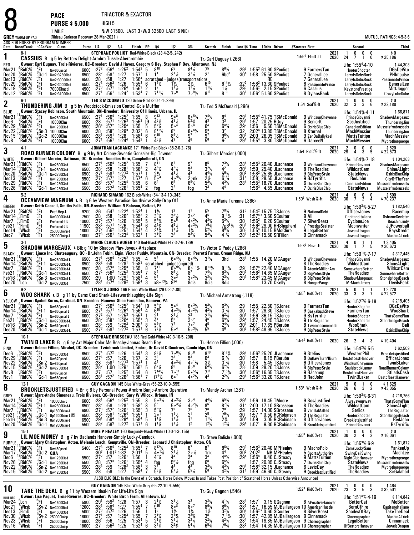TRIACTOR & EXACTOR

**PURSE \$ 5,000**HIGH 5

**PACE**

8

1 MILEN/W \$1500. LAST 3 (W/O \$2500 LAST 5 N/E)

|                                      | <b>GREY</b> WARM-UP PAD             |                                            | I MILE<br>(Rideau Carleton Raceway 28-Mar-2021)                                                                                                        |                      |                                      |                                      |                                                                              |                                            |                                                                                           | IN/W ? I JUU. LA SI J (W/U ? 2 JUU LA SI J N/E)                                                                      |                                                                                         |                                             |                                                                                        |                                            |                                 |                                                                                                                                      |                                                                                               |              |                                                                                                                | <b>MUTUEL RATINGS: 4-5-3-6</b>                |
|--------------------------------------|-------------------------------------|--------------------------------------------|--------------------------------------------------------------------------------------------------------------------------------------------------------|----------------------|--------------------------------------|--------------------------------------|------------------------------------------------------------------------------|--------------------------------------------|-------------------------------------------------------------------------------------------|----------------------------------------------------------------------------------------------------------------------|-----------------------------------------------------------------------------------------|---------------------------------------------|----------------------------------------------------------------------------------------|--------------------------------------------|---------------------------------|--------------------------------------------------------------------------------------------------------------------------------------|-----------------------------------------------------------------------------------------------|--------------|----------------------------------------------------------------------------------------------------------------|-----------------------------------------------|
|                                      | Date Race#Track °CCndVar            |                                            | ASK FOR HORSE BY PROGRAM NUMBER<br>Class                                                                                                               |                      | Purse 1/4 1/2 3/4                    |                                      |                                                                              | Finish PP 1/4                              |                                                                                           | 1/2                                                                                                                  | 3 4                                                                                     | Stretch                                     | Finish                                                                                 |                                            |                                 | Last1/4 Time \$0dds Driver                                                                                                           | #Starters First                                                                               |              | Second                                                                                                         | Third                                         |
| 1                                    | $8-1$                               |                                            | <b>CASSIUS</b> B g 5 by Bettors Delight-Armbro Tussle-Abercrombie                                                                                      |                      |                                      |                                      |                                                                              |                                            | STEPHANE POULIOT Red-White-Black (28-4-2-5-.242)                                          |                                                                                                                      |                                                                                         | Tr.-Carl Duguay (.266)                      |                                                                                        |                                            |                                 |                                                                                                                                      | $1:554$ FlmD $\cdot$ ft                                                                       | 2021<br>2020 | 0<br>0<br>0<br>24<br>$\overline{7}$<br>$\mathbf{1}$<br>0                                                       | \$0<br>\$25,186                               |
| RED<br>Mar <sub>21</sub>             | RidC%                               | Ft                                         | Owner: Carl Duguay, Trois-Rivieres, QC--Breeder: David J Hayes, Gregory S Dey, Stephen P Dey, Allentown, NJ<br>Nw650pscd                               | 6000                 | $:27^{2}$                            |                                      |                                                                              | $1:54^{2}$ 5                               |                                                                                           |                                                                                                                      |                                                                                         |                                             |                                                                                        |                                            |                                 | $1:553$ 61.60 SPouliot                                                                                                               | 9 FarmersTan                                                                                  |              | Life: 1:55 <sup>4</sup> 4-10<br>HooterShooter                                                                  | \$44,308<br>DGsDeVito                         |
| Dec20<br>Dec13                       | RidC%:<br>RidC%:                    | (Gd-1                                      | Nw2r32500lcd<br>Nw2r30000lcd                                                                                                                           | 6500<br>6500         | $:28^2$                              | :58                                  | $:56^4$ 1:25 <sup>2</sup><br>:58 <sup>1</sup> 1:27<br>1:27                   | $1:57^{2}$<br>$\overline{1}$               | $3^{10}_{11}$                                                                             | $2^1\frac{1}{2}$                                                                                                     | $8^{4}\frac{1}{2}$<br>3 <sup>1</sup> / <sub>2</sub>                                     | $^{75}_{2^1}$                               | $8^{6}\%$<br>6be <sup>3</sup>                                                          | $^{129^2}_{130^4}$                         |                                 | 1:58 25.50 SPouliot<br>RE                                                                                                            | 7 GeneralLee<br>7 GeneralLee                                                                  |              | LarryIsDebsRock<br><b>LarrylsDebsRock</b>                                                                      | PHImpulse<br><b>PassionatePrince</b>          |
| Nov29<br>Nov19                       | $^{4}_{4}$ RidC%<br>*RidC%          | <sub>3上</sub><br>2片<br>6斤<br>5斤            | Nw2r30000lcd<br>7000Clmcd                                                                                                                              | 6500<br>4500         | $: 28$<br>$: 273$<br>$: 273$         | $:56^{3}$<br>:57 <sup>1</sup>        | 1:26<br>1:26 <sup>4</sup>                                                    | $1:56^{4}$<br>$1:55^{3}$<br>$1:56^{2}$     | $1^2$<br>$\overline{2}$                                                                   | scratched judges(transportation)<br>6 $1^{2}_{2}/_{2}$ $1^{1}_{2}$ $2^{1}_{2}$ $6$<br>$\frac{1}{2}$<br>$\frac{1}{2}$ | $\bar{1}^{1}\frac{1}{2}$                                                                | $1^{11}$                                    | $6^{14}$ <sup>1</sup> / <sub>2</sub><br>$1\frac{1}{2}$                                 | $:29^{3}$                                  |                                 | :58 <sup>2</sup> 13.30 SPouliot<br>$1:562$ 2.15 SPouliot                                                                             | 6 PassionatePrince<br>6 Cassius                                                               |              | LarryIsDebsRock<br><b>KeystonePrestige</b>                                                                     | GeneralLee<br>MittJagger                      |
| Nov12                                | °RidC%                              |                                            | Nw2r31000lcd                                                                                                                                           |                      | 6500 : 27 <sup>1</sup>               | :56 <sup>1</sup>                     | $1:24^2$                                                                     | $1:53^{4}$                                 | $7^{11}$ <sup>1</sup> / <sub>2</sub><br>$\overline{7}$                                    | 7° <sup>9</sup>                                                                                                      | $7 \circ 9\frac{1}{2}$                                                                  | $8^{11}$                                    | $8^{15}$                                                                               | $:30^1$                                    |                                 | $1:562 51.60$ SPouliot                                                                                                               | 8 DylansBank                                                                                  |              | LarryIsDebsRock                                                                                                | CrazyLukeDuke                                 |
| 2                                    | $6-1$                               |                                            | THUNDERING JIM B g 5 by Woodstock-Emission Control-Cole Muffler                                                                                        |                      |                                      |                                      |                                                                              |                                            | TED S MCDONALD 120 Green-Gold (3-0-1-1-.296)                                              |                                                                                                                      |                                                                                         | Tr.-Ted S McDonald (.296)                   |                                                                                        |                                            |                                 |                                                                                                                                      | 1:54 Scd%-ft                                                                                  | 2021<br>2020 | 0<br>0<br>0<br>32<br>3<br>3<br>6                                                                               | \$ 0<br>\$ 22,180                             |
| <b>BLUE</b><br>Mar21                 | 'RidC%                              | '.Ft                                       | Owner: Stacey Robinson, South Mountain, ON-Breeder: University Of Illinois, Urbana, IL                                                                 | 6500                 | :27 <sup>1</sup>                     | $:56^4$                              | $1:25^{2}$                                                                   | 1:55                                       | 8                                                                                         | $9\circ$ <sup>8</sup>                                                                                                | $8\circ$ $^{53}\!$                                                                      | $74\%$                                      |                                                                                        | :29                                        |                                 | $1:554$ 41.75 TSMcDonald                                                                                                             | 9 WindsunCheyenne                                                                             |              | Life: 1:54%-4-11<br>PrinceGiovanni                                                                             | \$66,871<br>ShadowMargeaux                    |
| Dec6<br>Nov29                        | 'RidC%<br>RidC%                     | 7Ft.<br>$2$ <sub>rt</sub>                  | Nw2500I3cd<br>10000Clm                                                                                                                                 | 6000<br>5500         | :28                                  | :57'<br>:57 <sup>2</sup>             | $1:26^{3}$<br>$1:25^{4}$                                                     | $\frac{1:56^2}{1:55}$<br>2:02 <sup>2</sup> | [9<br>5<br>$4^{5}$ <sup>1</sup> / <sub>2</sub><br>$5^{7}$ %                               | $4^{3}$ <sup>1</sup> / <sub>2</sub><br>$5\circ 4$                                                                    | $\frac{5^{2}\%}{5^{04}}$                                                                |                                             | $\substack{8^4\3^3}$                                                                   | $^{129^4}_{129^2}$                         | 1:57<br>1:56                    | 20.25 RGuy<br>5.50 TSMcDonald                                                                                                        | 9 SeniorK<br>6 OsirisBlueChip                                                                 |              | SosJustified                                                                                                   | ThunderingJim<br>Musselsfrmbrussels           |
| Nov22                                | 'RidC%<br>RidC%;                    |                                            | Nw125013cd<br>$\frac{1}{5}$ Sn-3 10000Clm<br>$\frac{5}{5}$ Gd-2 10000Clm                                                                               | 6000                 | $\frac{126}{28}$                     | $:58^2$<br>:591                      | $1:29^{3}$<br>1:28                                                           | 1:58 <sup>4</sup>                          | $8^{11}\%$<br>6<br>$9^{10}$                                                               | $\bar{8}^9$<br>$8^{6}$ <sup>1/2</sup>                                                                                | $8\cdot 6\frac{1}{2}$<br>$9^7$                                                          | $\frac{6^4}{9^3}$                           | $6^{4}_{3}$ %<br>9 <sup>6</sup> %                                                      | :32<br>:303                                |                                 | 2:02 <sup>4</sup> 13.85 TSMcDonald<br>2:00 26.05 TSMcDonald                                                                          | 8 Xternal                                                                                     |              | CanadianEdition<br>MachMessier                                                                                 | ThunderingJim                                 |
| Nov15<br>Nov8                        | RidC <sup>%</sup>                   | $^{12}$ Ft                                 | 10000Clm                                                                                                                                               | 6000<br>6000         | $: 281$<br>:27 <sup>1</sup>          | :56 <sup>1</sup>                     | 1:24 <sup>4</sup>                                                            | $1:54^{2}$                                 | 6<br>$4^{5}$ <sup>1</sup> / <sub>2</sub>                                                  | 49                                                                                                                   | 46                                                                                      | 56                                          |                                                                                        | :29ª                                       | $1:55^{4}$                      | 3.80 TSMcDonald                                                                                                                      | 9 ZenDaBallykeel<br>6 DarceeN                                                                 |              | <b>MattsTuition</b><br>MachMessier                                                                             | MachMessier<br>Mybrothergeorge                |
| 3                                    | $4-1$                               |                                            | ROAD RUNNER COLONY B g 9 by Art Colony-Sweetie Gonzalez-Big Towner                                                                                     |                      |                                      |                                      |                                                                              |                                            |                                                                                           | JONATHAN LACHANCE 171 White-Red-Black (35-2-0-2-.76)                                                                 |                                                                                         | Tr. Gilbert Mercier (.000)                  |                                                                                        |                                            |                                 |                                                                                                                                      | 1:54 RidC%-ft                                                                                 | 2021<br>2020 | 0<br>$\frac{0}{3}$<br>$2\overline{9}$<br>0<br>4<br>5                                                           | \$520<br>\$22,573                             |
| WHITE<br>Mar21                       | RidC%                               | '.Ft                                       | Owner: Gilbert Mercier, Gatineau, OC-Breeder: Annelies Horn, Campbellcroft, ON<br>Nw2500I3cd                                                           | 6500                 | :27 <sup>1</sup>                     | $:56^4$                              | $1:25^{2}$                                                                   | 1:55                                       | 7                                                                                         | 8'                                                                                                                   | 9 <sup>7</sup>                                                                          | 85                                          |                                                                                        |                                            |                                 | $1:553$ 26.40 JLachance                                                                                                              | 9 WindsunCheyenne                                                                             |              | Life: 1:54% 7-18<br>PrinceGiovanni                                                                             | \$104,263                                     |
| Mar <sub>14</sub><br>Dec20           | ¦RidC%<br>,°RidC                    | $^{6}$ Ft-1<br>,'Gd-1                      | Nw2500l3cd                                                                                                                                             | 6500<br>6500         | $: 282$<br>:27 <sup>3</sup>          | $\frac{.58}{.58}$                    | 1:28 <sup>1</sup><br>1:27 <sup>2</sup>                                       | $1:58^{3}$<br>1:57 <sup>1</sup>            | $\frac{2}{1}$<br>$4^{3}\frac{1}{2}$<br>$2\frac{1}{2}$                                     | $4^{2}\%$                                                                                                            | $\frac{5^3}{4^3}$                                                                       | $32$ %<br>44½                               | $7^{3}\frac{1}{4}$<br>$56\%$                                                           | :30<br>:30ª                                | 1:59                            | 25.40 JLachance<br>$1:582$ 25.65 JLachance                                                                                           | 8 TheRoadies                                                                                  |              | WildcatCam<br><b>StateNews</b>                                                                                 | ShadowMargeaux<br>ShineALight                 |
| Dec 13                               | ?RidC%<br>RidC%                     | .°Ft<br>$\frac{2}{3}$ Ft                   | Nw275013cd<br>Nw125013cd                                                                                                                               | 5500                 | $: 27^2$<br>$: 26^4$<br>$: 28$       | :57 <sup>1</sup><br>:57 <sup>2</sup> | 1:27<br>1:25 <sup>4</sup>                                                    | 1:57 <sup>4</sup><br>1:55                  | 6<br>$5^{\circ 4}$<br>6 <sup>9</sup><br>6                                                 | $\frac{4^{3}\frac{1}{2}}{4^{3}\frac{1}{2}}$                                                                          | $2 \circ nk$<br>$6^{5}$ <sup>1</sup> / <sub>2</sub>                                     | $2\frac{1}{2}$<br>$\bar{5}^{3}_{2}$ %       | $6^{13}/4$<br>$4^{3}$ <sup>1</sup> / <sub>4</sub>                                      | $:31^{1}$<br>:28 <sup>4</sup>              | 1:58 <sup>1</sup>               | 28.55 JLachance<br>1:55 <sup>3</sup> 18.70 JLachance                                                                                 | 9 BigPetesStyle<br>9 BsTyrrific                                                               |              | RedJohn                                                                                                        | <b>OsirisBlueChip</b><br><b>CityOfTheYear</b> |
| Nov29<br>Nov26                       | 'RidC%                              | 'Gd-1                                      | Nw125013cd<br>Nw1250I3cd                                                                                                                               | 5500<br>5500         |                                      | $:57^{3}$                            | $1:26^{1}$                                                                   | $1:55^{4}$                                 | 2<br>fog                                                                                  | $6^{5}_{2^{2}}$                                                                                                      | tog                                                                                     |                                             |                                                                                        |                                            | 1:563                           | 4.55 JLachance                                                                                                                       | 6 OsirisBlueChip<br>7 OsirisBlueChip                                                          |              | CanadianEdition<br><b>StateNews</b>                                                                            | Musselsfrmbrussels<br>Musselsfrmbrussels      |
| 4                                    | $5-2$                               |                                            | OCEANVIEW MAGNUM L B g 6 by Western Paradise-Southview Sally-Drop Off                                                                                  |                      |                                      |                                      |                                                                              |                                            | RICHARD SIMARD 162 Black-White (54-13-4-10-.343)                                          |                                                                                                                      |                                                                                         | Tr. Anne Marie Turenne (.366)               |                                                                                        |                                            |                                 |                                                                                                                                      | $1:50^3$ Wbsb $%$ -ft                                                                         | 2021<br>2020 | 0<br>0<br>0<br>30<br>Ž<br>$\overline{2}$<br>4                                                                  | \$500<br>70,237 \$                            |
| <b>GREEN</b><br>Mar2'                | RidC%                               | $\frac{7}{2}$ Ft                           | Owner: Keith Cassell, Smiths Falls, ON-Breeder: William N Roloson, Belfast, PE<br>Pref-Hcp-L                                                           | 9200                 | :26                                  | :54'                                 |                                                                              | 1.52 <sup>4</sup>                          |                                                                                           |                                                                                                                      | 1 <sup>1</sup>                                                                          |                                             |                                                                                        | :31                                        |                                 | :54 <sup>2</sup> 15.75 TSJones                                                                                                       | 9 NationalDebt                                                                                |              | Life: 1:50 <sup>3</sup> %-5-27<br>OfficerJones                                                                 | \$182,540<br>Racemup                          |
| Mar <sub>14</sub><br>Mar7            | (FimD<br>'FlmD                      | ".Ft                                       | Nw3000l3cd-L<br>Preferred-3-L                                                                                                                          | 7500<br>10000        | $\overline{.28}$                     | :58<br>:57 <sup>1</sup>              | $1:224$<br>$1:262$<br>1:26                                                   | $1:55^{3}$<br>$1:55^{4}$ 5                 | $\frac{1}{2} \frac{1}{2}$<br>$5^{7}$ <sup>3</sup> / <sub>4</sub>                          | $\frac{3^{3}1}{5^{5}}$                                                                                               | 2 <sup>o</sup><br>$40^{21/2}$                                                           | $\frac{5^5}{4^5}$<br>$4^{3}\%$              | $7^{8}\frac{1}{2}$<br>9 <sup>11</sup> / <sub>2</sub><br>$5^{3}$ <sup>1/2</sup>         | :31<br>:30                                 |                                 | $1:57^{4*}$ 3.60 SCoulter<br>$1:562$ 6.20 SCoulter                                                                                   | 9 Ali<br><b>7 SilverBeast</b>                                                                 |              | Capitanoltaliano<br>CycloneJoe                                                                                 | <b>OsborneSeelster</b><br>BeachinLindy        |
| Feb21<br>Dec 14                      | ¦FlmD<br>, Wbsb                     | rFt<br>6Ft<br>5Ft<br>3Ft                   | Preferred-2-L                                                                                                                                          | 11500<br>18000       | $: 272$<br>$: 282$<br>$: 272$        | $:57^{1}$<br>:56 <sup>2</sup>        | $\frac{1.26}{1.25}$                                                          | $1:54^{3}$<br>1:54 <sup>1</sup>            | $4^{4}_{4}\frac{3}{4}$<br>$2^{1}\frac{3}{4}$<br>6<br>4                                    | $4^{5}$ <sup>1</sup> / <sub>4</sub><br>$7^{1}$                                                                       | $40^{31/2}$<br>$1\frac{3}{4}$                                                           | $7^{63}$<br>$5^{2}$ %                       | $7p683/4$<br>881/4<br>413/4                                                            | :29'<br>:30 $^3$                           |                                 | 1:56 <sup>2</sup> 29.00 RHShepherd<br>1:55 <sup>4</sup> 10.15 BMcClure                                                               | 7 PrestigeSeelster<br>9 LegalBettor                                                           |              | Moonwriter                                                                                                     | JJPowerball<br>RaysKredit                     |
| Dec7                                 | °Wbsb                               |                                            | 25000Clmhp-L<br>25000Clmhp-L                                                                                                                           | 18000                | $:27^{3}$                            | :56'                                 | 1:23 <sup>4</sup>                                                            | 1:52 <sup>1</sup>                          | $3^{1}$ <sup>1</sup> / <sub>2</sub>                                                       | 3 <sup>3</sup>                                                                                                       | $5^{3}$ <sup>%</sup>                                                                    | $5^{3}$ <sup>1</sup> / <sub>4</sub>         |                                                                                        | :281                                       |                                 | $1:523$ 15.50 SRFilion                                                                                                               | 9 Cinnamack                                                                                   |              | JewelsDragon<br>JewelsDragon                                                                                   | <b>MachinATrick</b>                           |
| 5                                    | $3-1$                               |                                            | SHADOW MARGEAUX L Blk g 10 by Shadow Play-Joyeux-Artsplace                                                                                             |                      |                                      |                                      |                                                                              |                                            |                                                                                           | MARIE CLAUDE AUGER 140 Red-Black-White (47-3-7-6-189)                                                                |                                                                                         | Tr. Victor C Puddy (.286)                   |                                                                                        |                                            |                                 |                                                                                                                                      | $1:582$ Hnvr $\cdot$ ft                                                                       | 2021<br>2020 | 4<br>0<br>30<br>$\overline{1}$<br>7<br>5                                                                       | \$2,405<br>\$20,673                           |
| <b>BLACK</b><br>Mar21                | RidC <sup>5</sup>                   | .Ft                                        | Owner: Limco Inc, Chateauguay, QC - Dr.John Tobin, Elgin, Victor Puddy, Mountain, ON-Breeder: Perretti Farms, Cream Ridge, NJ<br>Nw2500I3cd-L          | 6500                 | :27'                                 | $:56^4$                              | $1:25^2$ 1:55                                                                |                                            | $\overline{4}$<br>- 56                                                                    | $6^{\circ 4}$ %                                                                                                      | $6 \circ 4\frac{1}{2}$                                                                  | $3^{1}$ <sup>/</sup> 4                      | 3hd                                                                                    | :284                                       |                                 | 1:55 14.20 MCAuger                                                                                                                   | 9 WindsunCheyenne                                                                             |              | Life: 1:50 <sup>1</sup> %-7-17<br>PrinceGiovanni                                                               | \$317,445                                     |
| Mar <sub>14</sub><br>Mar7            | RidC%<br>RidC%                      | Fti                                        | Ft-1 Nw250013cd-L                                                                                                                                      | 6500<br>6500         | :28 <sup>2</sup>                     | :58<br>$:57^{3}$                     | 1:28 <sup>1</sup><br>1:25 <sup>3</sup>                                       | $1:58^{3}$<br>1:55                         | 8                                                                                         | scratched - judges(injured)<br>$8^{\circ 9}$ <sup>2</sup>                                                            | $8^{\circ}$ <sup>13</sup> / <sub>2</sub>                                                | $8^{13}$ %                                  |                                                                                        |                                            |                                 | RE<br>1:57 <sup>4</sup> 22.40 MCAuger                                                                                                | 8 TheRoadies<br>8 AtomicMillionAm                                                             |              | WildcatCam<br>SomewhereBettor                                                                                  | ShadowMargeaux<br>ShineALight<br>WildcatCam   |
| Feb21                                | RidC%                               |                                            | Nw275013cd-L<br>Gd-1 <sub>Nw275013cd-L</sub>                                                                                                           | 6500                 | : 28.272                             | $:56^2$                              | $1:25^{2}$                                                                   | $1.55^{4}$                                 | $7^{11}_{8}$<br>7<br>56                                                                   | $8^{9}\frac{1}{2}$<br>$3^{\circ}$ <sup>2</sup>                                                                       | 8 <sup>7</sup><br>$3^{\circ}2\frac{1}{2}$                                               | $7^4$ <sup>1</sup> / <sub>2</sub>           | $8^{13}\%$<br>6 <sup>31/2</sup><br>2 <sup>31</sup> /4                                  | $:29^{3}$<br>$:29^{3}$<br>:29 <sup>1</sup> |                                 | 1:56 $2$ 14.85 MCAuger                                                                                                               | 9 BigPetesStyle                                                                               |              | TheRoadies                                                                                                     | SomewhereBettor                               |
| Feb16<br>Dec20                       | ?RidC%<br>'Lon                      |                                            | Sn-3 Nw275013cd-L<br>Gd-2 Nw375013cd                                                                                                                   | 6500<br>7500         | :29<br>:28                           | 1:00<br>$:57^4$                      | 1:29 <sup>1</sup><br>1:28 <sup>2</sup>                                       | 1:58 <sup>1</sup><br>$1:59^{4}$            | 4<br>$x8 \circ 13\frac{1}{4}$<br>3                                                        | $8^{24}$                                                                                                             | 8dis                                                                                    | $32$ / <sub>2</sub><br>8dis                 | 8dis                                                                                   |                                            |                                 | $1:584$ 23.45 MCAuger<br>13.70 CKelly                                                                                                | 8 BigPetesStyle<br>8 HungerPangs                                                              |              | ShadowMargeaux<br>MrMachJimmy                                                                                  | StonebridgeBeach<br><b>DevilsPeak</b>         |
| 6                                    | $9-2$                               |                                            | WOO SHARK L B g 11 by Cams Card Shark-Lifesworthlaughing-Life Sign                                                                                     |                      |                                      |                                      |                                                                              |                                            | TYLER S JONES 166 Green-White-Black (29-0-3-2-.80)                                        |                                                                                                                      |                                                                                         | Tr. Michael Armstrong (.118)                |                                                                                        |                                            |                                 |                                                                                                                                      | $1:552$ RidC $%$ -ft                                                                          | 2021<br>2020 | $\frac{5}{33}$<br>1<br>š<br>3<br>7                                                                             | \$2,220<br>\$22,572                           |
| YELLOW<br>Mar21                      | RidC%                               | ′Ft                                        | Owner: Rachel Burns, Cardinal, ON-Breeder: Hanover Shoe Farms Inc, Hanover, PA<br>Nw650pscd-L                                                          | 6000                 | $:27^{2}$                            | :56 <sup>4</sup>                     | $1:25^{2}$                                                                   | $1:54^{2}$                                 | [9<br>$5^{5}$ <sup>1</sup> / <sub>2</sub>                                                 | $5^{\circ 4}$                                                                                                        | $603\frac{1}{4}$                                                                        |                                             |                                                                                        |                                            | 1:55                            | 22.50 TSJones                                                                                                                        | 9 FarmersTan                                                                                  |              | Life: $1:522%-6.18$<br><b>HooterShooter</b>                                                                    | \$215,405<br><b>DGsDeVito</b>                 |
| Mar14<br>Mar7                        | $\mathrm{RidC}$ %<br>'RidC%         | .°Ft-1<br>°Ft                              | Nw650pscd-L<br>Nw650pscd-L                                                                                                                             | 6000<br>6000         | $:27^{1}$<br>$:27^{2}$               | $\frac{.57}{.57}$                    | $1:26^{4}$<br>$1:25^{3}$                                                     | $1.56^{4}$<br>$1:55^{3}$                   | $6^{10}$<br>4                                                                             | $403\frac{1}{2}$<br>$3^{1}$ 1/2                                                                                      | $4 \cdot 2\frac{1}{2}$<br>$2^2$                                                         | $4^{2}\frac{1}{2}$                          | $6^{3}\frac{1}{2}$<br>3 <sup>13</sup> / <sub>4</sub><br>6 <sup>23</sup> / <sub>4</sub> | $\overline{30}$<br>$:30^{\circ}$           | 1:57 <sup>1</sup>               | 29.30 TSJones<br>$1:561$ 36.15 TSJones                                                                                               | 9 SaskabushSteve<br>9 BsTyrrific                                                              |              | FarmersTan<br>HooterShooter                                                                                    | WooShark<br><b>ThatsSomePlan</b>              |
| Feb21<br>Feb16                       | 'RidC%<br>;RidC%                    | (Gd-1                                      | Nw275013cd-L<br>$^{10}$ Sn-2 Nw610pscd-L                                                                                                               | 6500<br>6000         | :28 <sup>2</sup>                     | $:58^{1}$<br>:59                     | 1:26 <sup>4</sup>                                                            | 1:55 <sup>1</sup><br>$2:00^{2}$            | 4 <sup>4</sup><br>3<br>8                                                                  | $\frac{5^3}{7^7}$                                                                                                    | $\overline{3}$ $\circ$ <sup>2</sup><br>7 <sup>0</sup>                                   | $4^{6}_{4^{5}_{5^{5}}}$                     | $69\%$                                                                                 | $:2941301}$                                | 1:57                            | 24.45 TSJones<br>2:01 <sup>1</sup> 17.65 PBerube                                                                                     | 9 TheRegulator<br>8 Twomacsonemach                                                            |              | HooterShooter<br>WooShark                                                                                      | StonebridgeBeach<br>Bali                      |
| Dec20                                | °RidC%                              | 'Gd-1                                      | Nw275013cd-L                                                                                                                                           | 6500                 | $\frac{.28^2}{.27^3}$                | :58                                  | $\frac{1.29^{3}}{1.27^{2}}$                                                  | $1:57^{1}$                                 | $\frac{5^4}{2^6}$<br>6                                                                    | $5^{\circ 4}$                                                                                                        | $5 \circ 3\frac{1}{2}$                                                                  |                                             | $\frac{2^{4}v_{2}}{4^{6}}$                                                             | :30ª                                       |                                 | $1:582$ 48.95 TSJones                                                                                                                | 9 BigPetesStyle                                                                               |              | <b>StateNews</b>                                                                                               | OsirisBlueChip                                |
| 7                                    | $10-1$                              |                                            | TWIN B LAKER B g 6 by Art Major-Color Me Beachy-Jennas Beach Boy                                                                                       |                      |                                      |                                      |                                                                              |                                            |                                                                                           | STEPHANE BROSSEAU 183 Red-Gold-White (49-3-10-5-.208)                                                                |                                                                                         | Tr.-Helene Fillion (.000)                   |                                                                                        |                                            |                                 |                                                                                                                                      | 1:54 $^2$ RidC $%$ -ft                                                                        | 2020         | 26<br>2 4<br>- 3                                                                                               | \$19,404                                      |
| <b>PINK</b><br>Dec6                  | RidC%                               |                                            | Owner: Helene Fillion, Mirabel, QC-Breeder: Twinbrook Limited, Embro, Dr David C Goodrow, Cambridge, ON<br>Nw275013cd                                  | 6500                 | :27 <sup>4</sup>                     |                                      |                                                                              | 1:54 <sup>1</sup>                          | $8^{8}$ <sup>1</sup> / <sub>2</sub>                                                       |                                                                                                                      |                                                                                         | $8^{10}$                                    | $8^{12}\%$                                                                             | $.29^{2}$                                  |                                 | :563 25.20 JLachance                                                                                                                 | 9 Stelios                                                                                     |              | Life: 1:54 <sup>2</sup> %-5-5<br>WesternPhil                                                                   | \$62,509<br>Brookletsjustified                |
| Nov29<br>Nov22                       | :RidC%                              | ∵Ft                                        | Nw870pscd                                                                                                                                              | 6500<br>6500         | :27 <sup>4</sup>                     | $:57^2$ 1:26<br>:57 1:26             | $:58^1$ 1:27 <sup>3</sup>                                                    | 1:57                                       | $\frac{3}{2}$<br>3 <sup>2</sup><br>4 <sup>4</sup><br>$\overline{1}$                       | $\frac{7}{3^3}$ <sup>61</sup> / <sub>2</sub><br>$403\frac{3}{4}$                                                     | $8^{\circ}_{5^3}$<br>$40^{13}/4$                                                        | 6 <sup>3</sup><br>3 <sub>2</sub>            |                                                                                        | $:30^3$                                    | 1:57 <sup>1</sup>               | 8.15 PBerube                                                                                                                         | 8 OutlawTurnNBurn<br>6 OfficerJones                                                           |              | BestofbestHanover<br>WindsunCheyenne                                                                           | <b>OfficerJones</b><br>TwinBLaker             |
| Nov15<br>Nov8                        | $_{6}^{8}$ RidC $_{8}^{9}$<br>RidC% |                                            | $\frac{1}{5}$ Sn-2 Nw850pscd<br>5Gd-2 Nw850pscd<br>12Gd-2 Nw2750l3cd                                                                                   | 6500<br>6500         | $: 28$<br>$: 28^2$<br>$: 27$         | .57                                  | $1:00$ $1:29$ <sup>1</sup><br>1:25 <sup>2</sup>                              | $1:57^{3}$<br>$1:58^{3}$<br>1:54           | $6^7\frac{1}{2}$<br>5<br>$7^{14}$<br>6                                                    | 86<br>$70$ <sup>11</sup>                                                                                             | $8^{\circ}$ <sup>6</sup><br>$5 \cdot \frac{53}{4}$                                      | $\frac{6}{7}$ <sup>4</sup> / <sub>2</sub>   | $6^{11/2}$<br>3 <sup>13/4</sup><br>$6^{21/2}$<br>7 <sup>133</sup> / <sub>4</sub>       | $:30$<br>$:28^{3}$<br>:30 <sup>1</sup>     |                                 | 1:58 5.45 TSJones<br>1:59, 28.20 TSJones<br>$1:564$ 16.65 TSJones                                                                    | 8 BigPetesStyle<br>9 Racemup                                                                  |              | SaulsbrookLanny<br>BestofbestHanover                                                                           | <b>RoadRunnerColony</b><br>StLadsCash         |
| Nov1                                 | 'RidC%                              |                                            | $4$ Ft Nw870pscd<br>$4$ Gd-1 Nw860pscd                                                                                                                 |                      | 6500 : 28 <sup>1</sup>               |                                      | $:57^2$ 1:26 <sup>2</sup>                                                    | 1:56 <sup>1</sup>                          | $17^{7}\%$<br>7                                                                           | 600                                                                                                                  | $4 \cdot 2\frac{1}{2}$                                                                  | 4 <sup>3</sup>                              | $2^{2}\frac{1}{4}$                                                                     | :29ª                                       |                                 | $1:563$ 33.20 TSJones                                                                                                                | 8 RedJohn                                                                                     |              | TwinBLaker                                                                                                     | BestofbestHanover                             |
| 8                                    | $12-1$                              |                                            | <b>BROOKLETSJUSTIFIED L Br</b> g 8 by Personal Power-Armbro Banjo-Armbro Operative                                                                     |                      |                                      |                                      |                                                                              |                                            | GUY GAGNON 145 Blue-White-Grey (55-22-10-9-.555)                                          |                                                                                                                      |                                                                                         | Tr.-Mandy Archer (.281)                     |                                                                                        |                                            |                                 |                                                                                                                                      | $1:531$ Wbsb $%$ -ft                                                                          | 2021<br>2020 | 5<br>0<br>0<br>26<br>$\overline{2}$<br>6<br>3                                                                  | \$1,625<br>\$43,055                           |
| <b>GREY</b><br>Mar <sub>21</sub>     | RidC%                               | '.Ft                                       | Owner: Marc-Andre Simoneau, Trois Rivieres, QC--Breeder: Gary W Wilcox, Urbana, IN<br>10000Clm-L                                                       | 6000                 | :28 <sup>1</sup>                     | :56 <sup>4</sup>                     | $1:25^2$                                                                     | 1:55                                       | $5 \circ 3\frac{1}{2}$<br>8                                                               | $403\frac{3}{4}$                                                                                                     | 30 <sup>4</sup>                                                                         |                                             |                                                                                        | .29 <sup>4</sup>                           |                                 | 1:56 18.45 TMoore                                                                                                                    | 9 SosJustified                                                                                |              | Life: $1:50^3\%$ 6.31<br>Alwaysyourway                                                                         | \$216,766<br><b>ThatsSomePlan</b>             |
| Mar <sub>14</sub><br>Mar7            | RidC%;<br>RidC%                     | "Ft                                        | $h$ Ft-1 Nw250013cd-L<br>Op15000clm-L                                                                                                                  | 6500<br>6900         | $\frac{.28^2}{.27^3}$                | :58<br>$:57^{2}$                     | $1:281$<br>$1:261$                                                           | $1:58^3$<br>$1:55^2$<br>$1:55^1$           | 8<br>5 <sup>6</sup><br>3                                                                  | $50^{3}/4$<br>75                                                                                                     | $40^{21/2}$<br>76                                                                       | 86<br>78                                    | $6^{5}\frac{1}{2}$<br>$8^{7}\frac{1}{2}$<br>$7^{8}$                                    | $:312$<br>:29 <sup>3</sup>                 | 2:00<br>1:57                    | 17.10 SBrosseau<br>14.30 SBrosseau                                                                                                   | 8 TheRoadies<br>9 VanillaMalted                                                               |              | WildcatCam<br>Stelios                                                                                          | <b>ShineALight</b><br>TheRegulator            |
| Feb21<br>Feb16                       | RidC%<br>RidC%                      |                                            | , Gd-1 0p12000clm-L C<br>$^{10}$ Sn-3 0p12000clm-L                                                                                                     | 6500<br>6500         | $:28^{2}$<br>$:29^{1}$               | .58 <sup>1</sup><br>:584             | 1:26 <sup>4</sup>                                                            |                                            | $\frac{5^{6}\%}{2^{0}}$<br>$\overline{1}$<br>$1^{11}/2$<br>5                              | $11\frac{1}{2}$<br>$1^{11}$                                                                                          | $\frac{2^1}{1^1}$                                                                       | 2 <sup>5</sup>                              | $7^{9}$ <sup>1/2</sup>                                                                 | :30<br>:30'                                | 1:57<br>1:59                    | * 0.50 RCRobinson<br>3.05 RCRobinson                                                                                                 | 9 The Regulator<br>8 OfficerJones                                                             |              | HooterShooter<br>Brookletsjustified                                                                            | StonebridgeBeach<br>RedJohn                   |
| Dec20                                | "RidC%                              |                                            | <sup>0</sup> Gd-1 0p12000clm-L                                                                                                                         | 5500                 | $:28^2$                              | $:58^{3}$                            | $1:28^4$<br>$1:27^2$                                                         | $1:584$<br>$1:571$                         | $1^{11}$<br>6                                                                             | $1^{11}$                                                                                                             | 1 <sup>2</sup>                                                                          | $1\frac{1}{2}\frac{1}{2}$                   | $2\frac{3}{4}$<br>$1^{2}\frac{3}{4}$                                                   | $:29^{4}$                                  | 1:57 <sup>1</sup>               | 9.30 RCRobinson                                                                                                                      | 8 Brookletsjustified                                                                          |              | PrinceGiovanni                                                                                                 | <b>BsTyrrific</b>                             |
| 9                                    | $15-1$                              |                                            | <b>LIL MOE MONEY</b> B g 7 by Badlands Hanover-Simply Lucky-Camluck                                                                                    |                      |                                      |                                      |                                                                              |                                            |                                                                                           | MIKE P HEALEY 160 Burgundy-Black-White (10-0-1-3-.155)                                                               |                                                                                         | Tr. Steve Belisle (.000)                    |                                                                                        |                                            |                                 |                                                                                                                                      | $1:553$ RidC $%$ -ft                                                                          | 2021<br>2020 | 0<br>$\begin{smallmatrix} 0 \ 4 \end{smallmatrix}$<br>0<br>30 <sup>°</sup><br>$\overline{2}$<br>$\overline{2}$ | \$0<br>\$16,061                               |
| <b>PURPLE</b><br>Mar21               | RidC%                               | $2\frac{Ft}{2}$                            | Owner: Mary Christopher, Acton, Melanie Leach, Kemptville, ON-Breeder: Leonard J Christopher, Acton, ON<br>Nw450pscd                                   | 5400                 | $:27^{3}$                            |                                      |                                                                              | 1:55 <sup>1</sup>                          | $8^{12}\%$<br>7                                                                           | $8^{10}$                                                                                                             | 8 <sup>7</sup>                                                                          | 8′                                          | $8^{63}$ /4                                                                            |                                            |                                 | 1:563 20.40 MPHealev                                                                                                                 | 9 MachoPolo                                                                                   |              | Life: $1:55^{3}\%$ 6.9<br>CamsLuckySam                                                                         | \$61,872<br>YankeeUp                          |
| Mar <sub>17</sub><br>Dec6            | RidC%<br>$2$ RidC%                  | $^{2}_{4}$ Gd-2 QUA<br>$^{4}_{2}$ Ft Nw12! |                                                                                                                                                        |                      | :30 <sup>3</sup><br>:27 <sup>2</sup> |                                      | $:56^4$ 1:25 <sup>3</sup><br>1:01 <sup>2</sup> 1:32<br>:57 1:26 <sup>1</sup> | 2:01 <sup>4</sup><br>1:56                  | $4 \cdot \frac{13}{4}$<br>5<br>$4^{5}$ <sup>1</sup> / <sub>2</sub>                        | $2^{11/2}$<br>44                                                                                                     | $2 \circ \frac{1}{2}$<br>3 <sup>4</sup>                                                 | 1ņk<br>34                                   | 44<br>$4^{4}$ <sup>1</sup> / <sub>2</sub>                                              | $: 293$<br>$: 303$<br>$:29^{4}$            | $2:02^{3}$<br>1:56 <sup>4</sup> | NB MPHealey<br>8.40 CJSteacy                                                                                                         | 5 SportsAuthority<br>9 MattsTuition                                                           |              | SwingDaliSwing                                                                                                 | MachLee                                       |
| Nov26<br>Nov22                       | RidC%<br>$^6$ RidC%                 |                                            | Nw125013cd<br>3Gd-1 Nw125013cd<br>$^{1}_{5}$ Sn-2 Nw140013cd                                                                                           | 5500<br>5500<br>5500 | $: 28$<br>$: 28^3$                   | $:57^3$<br>:59                       | $1:26^{1}$<br>$1:28^{2}$                                                     | $1:55^{4}$<br>$1:58^{1}$                   | 4<br>fog<br>3 <sup>3</sup><br>3                                                           | $5^{8}$ <sup>1</sup> / <sub>2</sub><br>43                                                                            | $\frac{f_{0}g}{4^{3}}$                                                                  | 6 <sup>8</sup>                              | $6^{6}\%$                                                                              |                                            | 1:57                            | 20.85 CJSteacy<br>$1:584$ 32.15 JLachance                                                                                            | 7 OsirisBlueChip<br>6 LevisDay                                                                |              | NightClubHanover<br><b>StateNews</b><br><b>TheRoadies</b>                                                      | Mybrothergeorge<br><b>Musselsfrmbrussels</b>  |
| Nov15                                | °RidC%                              |                                            | 'Gd-2 Nw125013cd                                                                                                                                       | 5500                 | :28                                  | :58                                  | 1:27                                                                         | 1:58 <sup>4</sup>                          | $5^{6}$ %                                                                                 | $5^{7}$ %                                                                                                            | $5^{5}$ <sup>%</sup>                                                                    | $\frac{3^{3}1}{5^{6}}$                      | $4^{3}\frac{1}{2}$<br>$4^{2}\frac{1}{2}$                                               | $:29^{4}$<br>$:31^{1}$                     |                                 | $1:591$ 46.60 CJSteacy                                                                                                               | 9 Brookletsjustified                                                                          |              | <b>TheRoadies</b>                                                                                              | Mybrothergeorge<br>SirGalahad                 |
|                                      |                                     |                                            |                                                                                                                                                        |                      |                                      |                                      |                                                                              |                                            | GUY GAGNON 145 Blue-White-Grey (55-22-10-9-.555)                                          |                                                                                                                      |                                                                                         |                                             |                                                                                        |                                            |                                 | ALSO ELIGIBLE: In the Event of a Scratch, Horse Below Moves In and Takes Post Position of Scratched Horse Unless Otherwise Announced |                                                                                               |              | 0                                                                                                              |                                               |
| 10                                   |                                     |                                            | <b>TAKE THE DEAL</b> B g 11 by Western Ideal-In For Life-Life Sign<br>Owner: Lise Paquet, Trois-Rivieres, QC--Breeder: White Birch Farm, Allentown, NJ |                      |                                      |                                      |                                                                              |                                            |                                                                                           |                                                                                                                      |                                                                                         | Tr.-Guy Gagnon (.546)                       |                                                                                        |                                            |                                 |                                                                                                                                      | 1:52 $3$ RidC $%$ -ft                                                                         | 2021<br>2020 | 0<br>5<br>3<br>23<br>3                                                                                         | \$464<br>\$32,501                             |
| <b>BLUE/RED</b><br>Mar <sub>24</sub> | ªLon                                | ≗Ft                                        | Nw1500l3cd                                                                                                                                             | 5800                 | .29 <sup>1</sup>                     | $:59^2$ 1:28                         |                                                                              | 1:57                                       | 3<br>$2^{11/2}$<br>9 <sup>15</sup>                                                        | $3^{1}\frac{1}{2}$<br>8.8                                                                                            | 3 <sup>2</sup>                                                                          | $3^2\%$                                     | $4^{1}\frac{1}{4}$<br>$8^{6}\frac{1}{4}$                                               | $:28^{4}$                                  | 1:57 <sup>1</sup>               | 3.15 GGagnon                                                                                                                         | 8 APositiveHanover                                                                            |              | Life: 1:51 <sup>4</sup> %-4-19<br>BettorCat                                                                    | \$114,842<br><b>MoBettor</b>                  |
| Dec21<br>Dec13                       | y Wbsb<br><sub>2</sub> FlmD         |                                            | $^{3}_{0}$ Sy-2 Nw300015cd<br>$^{0}$ Ft Nw150013cd                                                                                                     | 12000<br>5000        | $: 283$<br>$: 273$<br>$: 271$        | $:58^4$<br>$:57^2$<br>$:57$          | $\frac{1:27}{1:26}$<br>1:26                                                  | $1:55^{4}$<br>$1:56$                       | 7<br>1 <sup>3</sup><br>1                                                                  |                                                                                                                      | $8°^7$                                                                                  | $8^6\%$<br>$\frac{1}{3^8}$                  | $\frac{3^{2}\frac{1}{4}}{7^{10}\frac{1}{2}}$                                           | $: 283$<br>:30 <sup>2</sup>                | 1:57                            | $1:56^{2*}$ 0.60 SCoulter                                                                                                            | 16.55 MJBaillargeon 10 AmericanHustle<br>8 SilverBeast                                        |              | <b>BornOfFire</b><br><b>ShadesOfBay</b>                                                                        | Capitanoltaliano<br><b>TakeTheDeal</b>        |
| Nov30<br>Nov23                       | -Wbsb<br>, Wbsb                     |                                            | $^{15}_{1}$ Sy-2 25000Clmhp<br>25000Clmhp                                                                                                              | 18000<br>18000       | $\frac{.26^4}{.27}$                  | :56 <sub>2</sub>                     | 1:25<br>1:25                                                                 | 1:55<br>$1:534$<br>1:52 <sup>4</sup>       | $\overline{7}$<br>$2^{1}$ <sup>1</sup> / <sub>2</sub><br>$\frac{2^{11/2}}{3^{41/4}}$<br>5 | $\frac{1}{2}$<br>$\frac{1}{3}$<br>$\frac{2}{3}$<br>$\frac{1}{4}$                                                     | $\frac{13}{3^{33/4}}$<br>3 <sup>3</sup> / <sub>4</sub><br>3 <sup>2</sup> / <sub>4</sub> | $\frac{2^{2}\frac{1}{4}}{6^{5}\frac{3}{4}}$ | $4^{2}\%$                                                                              | $:30^{3}$<br>:284                          |                                 |                                                                                                                                      | 1:57 42.85 MJBaillargeon 9 Cinnamack<br>1:54 <sup>1</sup> 19.85 MJBaillargeon 9 Choreographer |              | Choreographer<br>LegalBettor                                                                                   | <b>MachinATrick</b><br>Cinnamack              |
| Nov16                                | <sup>4</sup> Wbsb                   | 'Ft                                        | 25000Clmhp                                                                                                                                             | 18000                |                                      |                                      |                                                                              |                                            | 6                                                                                         | $3^{23}/4$                                                                                                           | $5^{4}$ %                                                                               |                                             | $7^{63}$                                                                               | :28 <sup>2</sup>                           |                                 |                                                                                                                                      | 1:54 <sup>1</sup> 14.35 MJBaillargeon 10 Choreographer                                        |              | UfBettorsHanover                                                                                               | JewelsDragon                                  |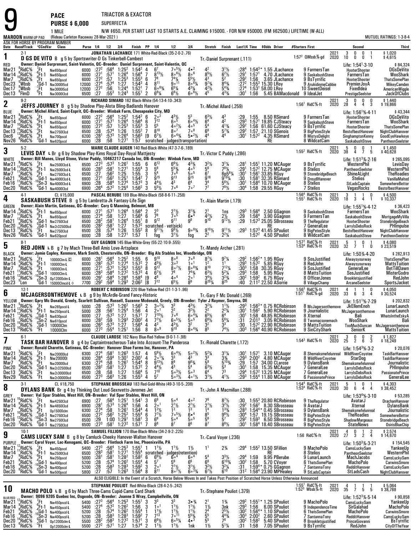TRIACTOR & EXACTOR

**PURSE \$ 6,000**SUPERFECTA

**PACE**

9

|                                    |                                   |                                                  | 1 MILE                                                                                                                                                                                   |                               |                                                               |                                      |                                                            |                                         |                     |                                                       |                                                                       |                                                                                                 |                                                                    |                                                                                     |                                      |                               | N/W \$650. PER START LAST 10 STARTS A.E. CLAIMING \$15000. • FOR N/W \$50000. (FM \$62500.) LIFETIME (W-ALL)                                                                              |                 |                                                                                                        |              |                                                                                                                |                                                   |
|------------------------------------|-----------------------------------|--------------------------------------------------|------------------------------------------------------------------------------------------------------------------------------------------------------------------------------------------|-------------------------------|---------------------------------------------------------------|--------------------------------------|------------------------------------------------------------|-----------------------------------------|---------------------|-------------------------------------------------------|-----------------------------------------------------------------------|-------------------------------------------------------------------------------------------------|--------------------------------------------------------------------|-------------------------------------------------------------------------------------|--------------------------------------|-------------------------------|-------------------------------------------------------------------------------------------------------------------------------------------------------------------------------------------|-----------------|--------------------------------------------------------------------------------------------------------|--------------|----------------------------------------------------------------------------------------------------------------|---------------------------------------------------|
|                                    | <b>MAROON</b> WARM-UP PAD         |                                                  | (Rideau Carleton Raceway 28-Mar-2021)<br>ASK FOR HORSE BY PROGRAM NUMBER                                                                                                                 |                               |                                                               |                                      |                                                            |                                         |                     |                                                       |                                                                       |                                                                                                 |                                                                    |                                                                                     |                                      |                               |                                                                                                                                                                                           |                 |                                                                                                        |              |                                                                                                                | MUTUEL RATINGS: 1-3-8-4                           |
|                                    | Date Race#Track °CCndVar<br>$2-1$ |                                                  | Class                                                                                                                                                                                    |                               |                                                               | Purse 1/4 1/2 3/4                    |                                                            | Finish PP 1/4                           |                     |                                                       | 1/2<br>JONATHAN LACHANCE 171 White-Red-Black (35-2-0-2-.76)           | 3 4                                                                                             | Stretch                                                            | Finish                                                                              |                                      |                               | Last1/4 Time \$0dds Driver                                                                                                                                                                | #Starters First |                                                                                                        | 2021<br>2020 | Second<br>$\begin{smallmatrix} 3 \ 10 \end{smallmatrix}$<br>0<br>0                                             | Third<br>$$1,020$<br>$$4,615$                     |
| 1<br>RED                           |                                   |                                                  | D GS DE VITO B g 5 by Sportswriter-D Gs Tinkerbell-Cambest<br>Owner: Daniel Surprenant, Saint-Valentin, QC--Breeder: Daniel Surprenant, Saint-Valentin, QC                               |                               |                                                               |                                      |                                                            |                                         |                     |                                                       |                                                                       |                                                                                                 | Tr.-Daniel Surprenant (.111)                                       |                                                                                     |                                      |                               |                                                                                                                                                                                           |                 | 1:57 $^2$ QWbsb $\%$ -gd                                                                               |              | 0<br>0<br>-1<br>Life: $1:54^1.3.10$                                                                            | \$84,324                                          |
| Mar2 <sup>1</sup>                  | RidC%<br>RidC%                    | .Ft                                              | Nw650pscd                                                                                                                                                                                | 6000<br>6000                  | $:27^{2}$<br>$\frac{1}{2}$ 7 <sup>1</sup>                     | :56 $^4$<br>$:57^{1}$                | $1:25^2$<br>$1:26^4$                                       | $1:54^2$ 4<br>1:56 <sup>4</sup>         | 7                   | 6 <sup>7</sup><br>$8^{13}$ %                          | 7°5%<br>$806\frac{1}{2}$                                              | $4\cdot^2$<br>$8^{\circ}$ <sup>6</sup>                                                          | $8^{5}$ <sup>1</sup> / <sub>2</sub>                                | $3^{11/2}$<br>$6^{21/2}$                                                            | $:29^{1}$                            | 1:57 <sup>1</sup>             | $1:54^{3*}$ 1.55 JLachance<br>4.70 JLachance                                                                                                                                              |                 | 9 FarmersTan                                                                                           |              | HooterShooter                                                                                                  | <b>DGsDeVito</b><br>WooShark                      |
| Mar 14<br>Mar7<br>Dec23            | 'RidC%<br>¦Wbsb                   | (Ft-1<br>$\frac{9}{5}$ Ft.<br>$\frac{5}{2}$ Gd-1 | Nw650pscd<br>Nw650pscd                                                                                                                                                                   | 6000<br>12000                 | $:27^{2}$<br>:27 <sup>4</sup>                                 | :57<br>:57 <sup>4</sup>              | $1:25^{3}$<br>1:27                                         | $1:55^{3}$<br>$1:54^{3}$                | 6<br>4              | 78<br>$8^{11}$                                        | $7^4\%$<br>$9^{\circ}$ <sup>11</sup>                                  | $5^{5}$ <sup>1</sup> / <sub>2</sub><br>800/4                                                    | 43<br>$9^{7}$ <sup>3</sup> / <sub>4</sub>                          | $5^2$<br>$8^{4}$ <sup>3</sup> / <sub>4</sub>                                        | :292<br>$:27^{2}$                    | 1:56                          | 3.65 JLachance<br>$1:553$ 15.30 LRoy                                                                                                                                                      |                 | 9 SaskabushSteve<br>9 BsTyrrific<br>9 ArukidinmeCabbie                                                 |              | FarmersTan<br>HooterShooter<br>PremierJoyA                                                                     | <b>ThatsSomePlan</b>                              |
| Dec 17<br>Dec13                    | , Wbsb<br>°FImD                   | .Ft<br>$\mathrm{P}_{\mathrm{H}}$                 | Nw300015cd<br>Nw3000I5cd                                                                                                                                                                 | 12000<br>6500                 | $:27^{2}$<br>:27                                              | :56<br>$:55^3$                       | 1:24 <sup>4</sup><br>$1:24^{3}$                            | $1:52^{1}$<br>$1:55^{1}$                | $\overline{7}$<br>2 | $60^{6}$<br>$6^{8}$ <sup>%</sup>                      | $65\%$<br>$6^8\%$                                                     | $4^{3}\%$<br>$600\frac{1}{2}$                                                                   | $4^{2}\%$                                                          | $5^{43}$<br>$4^{33}$                                                                | :274<br>:30'                         | 1:56                          | $1:531 58.00$ LRoy<br>5.45 BAMacdonald 9 IdealJet                                                                                                                                         |                 | 10 SweetDeisel                                                                                         |              | FixedIdea                                                                                                      | MikeyCamden<br>AmericanWiggle<br>JackOfClubs      |
|                                    | $9-2$                             |                                                  | Nw3000I3cd                                                                                                                                                                               |                               |                                                               |                                      |                                                            |                                         |                     |                                                       | RICHARD SIMARD 162 Black-White (54-13-4-10-.343)                      |                                                                                                 |                                                                    |                                                                                     |                                      |                               |                                                                                                                                                                                           |                 |                                                                                                        | 2021         | PrestigeSeelster<br>0<br>3<br>0<br>0                                                                           | \$1,440                                           |
| 2<br><b>BLUE</b>                   |                                   |                                                  | JEFFS JOURNEY B g 5 by Shadow Play-Alota Bling-Badlands Hanover<br>Owner: Michel Allard, Saint-Esprit, QC--Breeder: Winbak Farm, Chesapeake City, MD                                     |                               |                                                               |                                      |                                                            |                                         |                     |                                                       |                                                                       |                                                                                                 | Tr. Michel Allard (.259)                                           |                                                                                     |                                      |                               |                                                                                                                                                                                           |                 | $1:561$ RidC $%$ -ft                                                                                   | 2020         | 28<br>4<br>4<br>3<br>Life: $1:56^{1}\%$ 4.11                                                                   | \$19,866<br>\$43,344                              |
| Mar21<br>Mar 14                    | 'RidC%<br>RidC%                   | 'Ft<br>$^{\circ}_{9}$ Ft-1                       | Nw650pscd<br>Nw650pscd                                                                                                                                                                   | 6000<br>6000                  | $:27^{2}$<br>$:27^{1}$                                        | :56 $^4$<br>:571                     | $1:25^{2}$<br>1:26 <sup>4</sup>                            | $1:54^2$ 6<br>1:56 <sup>4</sup>         | 6                   | 20 <sup>2</sup><br>$7^{12}$                           | $\frac{4^{3}1}{6^{5}}$                                                | 5 <sup>3</sup><br>$6^{\circ 4}$ %                                                               | $6^{3}$ <sup>1</sup> / <sub>2</sub><br>6 <sup>4</sup>              | 4 <sup>2</sup>                                                                      | $:29^{3}$                            | 1:55                          | 8.50 RSimard<br>$1:571$ 19.85 CJSteacv                                                                                                                                                    |                 | 9 FarmersTan<br>9 SaskabushSteve                                                                       |              | HooterShooter<br>FarmersTan                                                                                    | <b>DGsDeVito</b><br>WooShark                      |
| Mar7<br>Dec 13                     | RidC%<br>RidC%                    | ្គFt<br>:Ft                                      | Nw650pscd<br>Nw275013cd                                                                                                                                                                  | 6000<br>6500                  | $\frac{1}{2}$ 7 <sup>2</sup><br>:28                           | :57<br>:57 <sup>4</sup>              | $1:25^{3}$<br>1:26                                         | $1:55^{3}$<br>$1:55^{2}$                | 3<br>7              | 5 <sup>5</sup><br>810                                 | $40^{21}$<br>807                                                      | 40 <sup>5</sup><br>$7\degree$ <sup>8</sup>                                                      | $\bar{5}^4$<br>$6^8$                                               | $4^{13}$ / <sub>4</sub><br>$5^{7}$ <sup>3</sup> / <sub>4</sub>                      | $:29^{2}$<br>$:29^{2}$               |                               | 1:56 61.60 CJSteacy<br>1:57 21.10 SGenois                                                                                                                                                 |                 | 9 BsTyrrific<br>9 BigPetesStyle                                                                        |              | HooterShooter<br>BestofbestHanover                                                                             | <b>ThatsSomePlan</b><br>NightClubHanover          |
| Dec6<br>Nov26                      | RidC%<br>°RidC%                   | $\int_{0}^{4}$ Ft<br>$3$ Gd-1                    | Nw700pscd<br>Nw620pscd                                                                                                                                                                   | 6200<br>6000                  | :28 <sup>1</sup><br>:28                                       | $:57^{3}$<br>:58                     | $1:26^4$<br>1:27 <sup>1</sup>                              | $1:56^{3}$<br>1:57                      | [9                  | $6^7\frac{1}{2}$<br>scratched                         | $604\frac{3}{4}$<br>- judges(transportation)                          | $5 \cdot \frac{21}{2}$                                                                          | 4 <sup>4</sup>                                                     | 44                                                                                  | $:30^1$                              |                               | 1:57 $^{2}$ 4.35 RSimard<br>RE                                                                                                                                                            |                 | 8 MistysDelight<br>8 WildcatCam                                                                        |              | SinghamptonKenny<br>SaskabushSteve                                                                             | GoodEyeHawkeye<br>PantheonSeelster                |
| 3                                  | $5-2$                             |                                                  |                                                                                                                                                                                          |                               |                                                               |                                      |                                                            |                                         |                     |                                                       | MARIE CLAUDE AUGER 140 Red-Black-White (47-3-7-6-.189)                |                                                                                                 |                                                                    |                                                                                     |                                      |                               |                                                                                                                                                                                           |                 | $1:552$ RidC $%$ -ft                                                                                   | 2021<br>2020 | $\frac{0}{7}$<br>5<br>0<br>38<br>$\ddot{4}$<br>-5                                                              | \$1,450<br>\$40,628                               |
| <b>WHITE</b>                       |                                   |                                                  | LEVIS DAY L Br g 6 by Shadow Play-Kims Royal Day-Royal Mattjesty<br>Owner: Bill Manes, Lloyd Stone, Victor Puddy, 10462217 Canada Inc, ON-Breeder: Winbak Farm, MD                       |                               |                                                               |                                      |                                                            |                                         |                     |                                                       |                                                                       |                                                                                                 | Tr. Victor C Puddy (.286)                                          |                                                                                     |                                      |                               |                                                                                                                                                                                           |                 |                                                                                                        |              | Life: $1:513% 2.16$                                                                                            | \$265,095                                         |
| Mar21<br>Mar 14                    | RidC%<br>'RidC%                   | .Ft<br>$^{\circ}_{\circ}$ Et-1                   | Nw2500l3cd-L<br>Nw2500I3cd-L                                                                                                                                                             | 6500 :273<br>6500             | $\frac{1}{2}8^{3}$                                            |                                      | $:57^3$ 1:26 <sup>1</sup><br>$:58^1$ 1:27 <sup>1</sup>     | 1:55<br>$1:55^{4}$                      | 6<br>3              | $6^{12}$<br>$\bar{5}^8$                               | $5^{52}$                                                              | $\frac{4^{3}\%}{4^{5}}$                                                                         | $3^2\frac{1}{2}$<br>$\frac{5^6}{6^7}$                              | $7^{8}$ <sup>1</sup> / <sub>4</sub>                                                 | :28'<br>:29                          |                               | 1:55 <sup>1</sup> 11.20 MCAuger<br>1:57 <sup>2</sup> 12.75 MCAuger                                                                                                                        |                 | 9 BsTvrrific<br>8 Stelios                                                                              |              | WesternPhil<br>PantheonSeelster                                                                                | LevisDay<br>WesternPhil                           |
| Mar7<br>Feb21                      | RidC%<br>RidC%;                   | Έt.<br>:Gd-1                                     | Nw275013cd-L<br>Nw4000l3cd-L                                                                                                                                                             | 6500<br>6900                  | .27<br>:27 <sup>1</sup>                                       | $:56^2$<br>$:56^2$                   | 1:25<br>1:25                                               | 1:55<br>$1.54^{2}$                      | 3<br>$\overline{7}$ | 5 <sup>4</sup><br>9 <sup>15</sup>                     | 706<br>9 <sup>13</sup>                                                | 50 <sup>5</sup><br>$9^{15}$                                                                     | g <sub>18</sub>                                                    | 6p5 <sup>6</sup> <sup>1</sup> /4<br>$9^{19}$ <sup>1</sup>                           | $:30^{1}$<br>:30                     |                               | $1:56^1$ 33.85 RGuy<br>$1:581$ 32.35 RSimard                                                                                                                                              |                 | 9 StonebridgeBeach<br>9 DreydlHanover                                                                  |              | ShineALight<br><b>Stelios</b>                                                                                  | <b>TheRoadies</b><br>VanillaMalted                |
| Feb16<br>Dec20                     | ¦RidC%<br>"RidC%                  | $^{10}$ Sn-3<br>'Gd-1                            | Nw4000l3cd-L<br>Nw4000l3cd                                                                                                                                                               | 6900<br>6900                  | : 28<br>:26 $4$                                               | $:58^4$<br>$:57^2$                   | 1:27 <sup>4</sup><br>1:25 <sup>4</sup>                     | $1:57^{3}$<br>$1:56^{2}$                | 3<br>3              | $4^{4}$ <sup>1</sup> / <sub>2</sub><br>$5^{5}$        | Д3<br>$7^{\circ}$ <sup>6</sup>                                        | 6 <sup>4</sup><br>7ه 7                                                                          | $\frac{3^4}{7^7}$                                                  | $\frac{56}{2}$<br>$\frac{7}{2}$                                                     | $:30^1$<br>:30ª                      |                               | 1:58 <sup>4</sup> 10.70 MCAuger<br>1:58 29.55 RGuy                                                                                                                                        |                 | 8 Stelios<br><b>7 Stelios</b>                                                                          |              | StLadsCaptain<br>VegasRocks                                                                                    | <b>SomewhereBettor</b><br>BestofbestHanover       |
| 4                                  | 4-1                               |                                                  | CL \$15,000<br><b>SASKABUSH STEVE</b> B g 5 by Lambretta-Jk Fantasy-Life Sign                                                                                                            |                               |                                                               |                                      |                                                            |                                         |                     |                                                       | PASCAL BERUBE 189 Blue-White-Black (58-8-6-11-.258)                   |                                                                                                 | Tr. Alain Martin (.179)                                            |                                                                                     |                                      |                               |                                                                                                                                                                                           |                 | 1:56 <sup>4</sup> RidC%-ft<br>1:55 <sup>1</sup> RidC%-ft                                               | 2021<br>2020 | 3<br>$\mathbf{1}$<br>0<br>$\overline{1}$<br>18<br>3<br>4                                                       | \$4,500<br>\$10,337                               |
| GREEN<br>Mar 14                    | RidC%                             | 1-Ft∘                                            | Owner: Alain Martin, Gatineau, OC--Breeder: Cory G Manning, Belmont, MB                                                                                                                  | 6000                          | $:27^{1}$                                                     |                                      |                                                            | 1:56 <sup>4</sup>                       |                     |                                                       |                                                                       |                                                                                                 |                                                                    |                                                                                     |                                      | $1:56^4$                      | 2.50 GGagnon                                                                                                                                                                              |                 | 9 SaskabushSteve                                                                                       |              | Life: 1:55 <sup>1</sup> % 4-12<br>FarmersTan                                                                   | \$36,423<br>WooShark                              |
| Mar7<br>Feb21                      | RidC%<br>'RidC%                   | :Ft<br>$^4$ Gd-1                                 | Nw650pscd<br>Nw650pscd                                                                                                                                                                   | 6000<br>6500                  | :27 <sup>4</sup><br>:28 $^{2}$                                | :581                                 | $:57^1$ 1:26 <sup>4</sup><br>:58 1:27<br>1:26 <sup>4</sup> | $1.56^{4}$<br>1:55 <sup>1</sup>         | 6<br>8              | $\frac{2^3}{7^8}$<br>$9^{12}$                         | $\frac{2^{1}\frac{1}{2}}{7^{o}}$<br>9 <sup>11</sup>                   | $3^{13/4}$<br>g9                                                                                | $\frac{2^1}{4^2\%}$<br>$9^{10}$                                    | 1ns<br>$\frac{2\frac{1}{2}}{9^{12}\frac{1}{2}}$                                     | :29 <sup>3</sup><br>:29<br>:29       |                               | $1:564$ 3.90 GGagnon<br>$1:573$ 25.05 SBrosseau                                                                                                                                           |                 | 9 FarmersTan                                                                                           |              | SaskabushSteve<br>HooterShooter                                                                                | MortgageMyVilla                                   |
| Dec20<br>Dec 13                    | 'RidC%<br>;RidC%                  | %Gd-1<br>,Ft ∴                                   | Nw275013cd<br>Nw2r32500lcd<br>Nw275013cd                                                                                                                                                 | 6500<br>6500                  | $:28^{2}$<br>:28                                              | :58 <sup>1</sup><br>$:57^4$          | 1:27<br>1:26                                               | 1:57 <sup>2</sup><br>$1:55^{2}$         | 8                   | $9^{11}\%$                                            | scratched - vet(sick)<br>$98$ / <sub>2</sub>                          | 9.93/4                                                                                          | $9^{10}$ %                                                         | $9^{11}$ %                                                                          | $:29^{3}$                            |                               | КĿ<br>1:57 <sup>3</sup> 41.45 SPouliot                                                                                                                                                    |                 | 9 TheRegulator<br>7 GeneralLee<br>9 BigPetesStyle                                                      |              | LarryIsDebsRock<br>BestofbestHanover                                                                           | StonebridgeBeach<br>PHImpulse<br>NightClubHanover |
| Nov26                              | 'RidC%                            |                                                  | <sup>3</sup> Gd-1 Nw620pscd                                                                                                                                                              | 6000                          | :28                                                           | :58                                  | 1:27 <sup>1</sup>                                          | 1:57                                    | -1                  | fog                                                   | $3^{1}$ 1/2                                                           | fog                                                                                             | 2 <sup>2</sup>                                                     | $2^{2}\frac{1}{4}$                                                                  |                                      |                               | $1:572$ 4.50 SPouliot                                                                                                                                                                     |                 | 8 WildcatCam                                                                                           |              | SaskabushSteve                                                                                                 | PantheonSeelster                                  |
| 5                                  | $8-1$                             |                                                  | <b>RED JOHN L B</b> g 7 by Mach Three-Bell Amis Love-Artsplace                                                                                                                           |                               |                                                               |                                      |                                                            |                                         |                     |                                                       | GUY GAGNON 145 Blue-White-Grey (55-22-10-9-.555)                      |                                                                                                 | Tr.-Mandy Archer (.281)                                            |                                                                                     |                                      |                               |                                                                                                                                                                                           |                 | $1:57^2$ RidC %-ft<br>$1.534$ RidC $%$ ft                                                              | 2021<br>2020 | 5<br>0<br>$\overline{1}$<br>$\overline{\phantom{0}}$<br>32 <sup>°</sup><br>$\overline{7}$<br>$\mathbf{1}$<br>0 | \$4,080<br>\$23,519                               |
| <b>BLACK</b><br>Mar21              | RidC%                             | ′Ft                                              | Owner: Jamie Copley, Kenmore, Mark Smith, Chesterville, ON-Breeder: Big Als Stables Inc, Woodbridge, ON<br>10000Clm-L C                                                                  | 6000                          | $:28^{1}$                                                     | $:56^4$                              | $1:25^{2}$                                                 | 1:55                                    | 6                   | $9^{10}$                                              | 808                                                                   | $7o$ 8                                                                                          | $8^{7}$ <sup>1</sup> / <sub>2</sub>                                | 9 <sup>7</sup> %                                                                    | :29ª                                 |                               | 1:56 <sup>2</sup> * 1.95 RGuy                                                                                                                                                             |                 | 9 SosJustified                                                                                         |              | Life: 1:50% 4-20<br>Alwaysyourway                                                                              | \$282,913<br><b>ThatsSomePlan</b>                 |
| Mar 14<br>Mar7                     | RidC%<br>RidC%                    | $_{9}^{6}$ Ft-1<br>"Ft                           | 10000Clm-L<br>10000Clm-L                                                                                                                                                                 | 6000<br>6000                  | $:28^2$<br>:27 <sup>1</sup>                                   | $:57^2$<br>$:57^2$                   | 1:27 <sup>4</sup><br>$1:25^3$<br>$1:27^2$                  | $1:57^{2}$<br>$1:55^{3}$                | $\overline{2}$<br>8 | $4^{5}$ <sup>1</sup> / <sub>2</sub><br>q12            | $3^{\circ}$<br>$80^{7}$ %                                             | 1 <sup>0</sup><br>$808\frac{3}{6}$                                                              | 1 <sup>2</sup><br>810                                              | 1 <sup>1</sup><br>$7^{12}$ %                                                        | $:29^{3}$<br>:30 <sup>3</sup>        |                               | $1:57^2$ 5.85 RGuv<br>1:58 30.35 RGuy                                                                                                                                                     |                 | 8 RedJohn<br>9 SosJustified                                                                            |              | Alwaysyourway<br>GeneralLee                                                                                    | <b>MattsTuition</b><br>BetTillDawn                |
| Feb21<br>Feb16                     | RidC%<br>RidC%                    | :Gd-1                                            | 10000Clm-L<br>$^{10}$ Sn-3 0p12000clm-L                                                                                                                                                  | 6000<br>6500 :29 <sup>1</sup> | $:28^{3}$                                                     | :58 $4$<br>$:58^4$                   | 1:28 <sup>4</sup>                                          | $1:57^{3}$<br>$1:58^{4}$                | 4<br>19             | $6^7\frac{1}{2}$<br>46                                | 76<br>40 <sup>4</sup>                                                 | $7^{43}$ /4<br>1ه 2                                                                             | $6^{3}$ <sup>1</sup> / <sub>2</sub><br>$3^4\%$                     | $5^2\%$<br>$3^{23}$ /4                                                              | :293<br>:30ª                         | 1:58                          | 5.95 RGuy<br>$1:59^2$ 6.75 RGuy                                                                                                                                                           |                 | 8 MattsTuition<br>8 OfficerJones                                                                       |              | SosJustified<br>Brookletsjustified                                                                             | <b>MisterGodro</b><br>RedJohn                     |
| Dec23                              | "Lon<br>$12-1$                    |                                                  | $'Gd-1$ 15000 Clmcd-L $\diamond$                                                                                                                                                         |                               | 7700 :29 <sup>2</sup>                                         | $:59^4$                              | $1:29^{3}$                                                 | 2:06 <sup>2</sup>                       | [8                  | $7^{12}$                                              | $65\%$<br>ROBERT C ROBINSON 220 Blue-Yellow-Red (31-1-3-1-.96)        | 8 <sup>9</sup>                                                                                  | 8201/4                                                             | $6^{25}$                                                                            | :40                                  |                               | $2:11^2$ 22.50 ASorrie                                                                                                                                                                    |                 | 8 VillageChamp<br>1:56 <sup>3</sup> RidC <sup>5</sup> %-ft<br>1:51 <sup>1</sup> RidC <sup>5</sup> %-gd |              | ArcaneSeelster<br>4<br>$\overline{1}$<br>0                                                                     | SportsJacket                                      |
| 6<br>YELLOW                        |                                   |                                                  | MCJAGERSONTHEMOVE L B g 9 by McArdle-Grand Fancy-Historic<br>Owner: Gary Mc Donald, Greely, Scarlett Sullivan, Russell, Suzanne Mcdonald, Greely, ON-Breeder: Tyler J Raymer, Smyrna, DE |                               |                                                               |                                      |                                                            |                                         |                     |                                                       |                                                                       |                                                                                                 | Tr.-Gary F Mc Donald (.269)                                        |                                                                                     |                                      |                               |                                                                                                                                                                                           |                 |                                                                                                        | 2021<br>2020 | 33<br>3<br>6<br>4<br>Life: 1:51 <sup>1</sup> %-7-29                                                            | \$4,050<br>\$30,524<br>\$202,832                  |
| Mar21                              | 'RidC%<br>:RidC%                  | '.Ft                                             | Nw265pscd-L                                                                                                                                                                              | 5000 :28<br>5000              | :28                                                           | $:56^{1}$                            | $:57^3$ 1:26 <sup>2</sup>                                  | $1:56^3$ 2<br>1:56                      | 4                   | $3^{\circ}2\frac{1}{2}$<br>2 <sup>0</sup>             | 3 <sup>3</sup><br>$2^2$                                               |                                                                                                 | $3^2\frac{1}{2}$<br>2 <sup>2</sup>                                 | $1^{11}/2$<br>$2^2\frac{1}{4}$                                                      | :30 <sup>1</sup>                     |                               | $:29^3$ 1:56 <sup>3</sup> $*$ 0.75 RCRobinson<br>$1.562$ 5.90 RCRobinson                                                                                                                  |                 | 8 McJagersonthemove<br>9 Journalistic                                                                  |              | JkEllemEnoh                                                                                                    | LunarLaunch<br>LunarLaunch                        |
| Mar 14<br>Feb21<br>Feb16           | ,RidC%<br>:RidC%                  | "Ft-1<br>(Gd-1                                   | Nw250pscd-L<br>Nw630pscd<br>${}^{0}_{\sim}$ Sn-2 Nw610pscd                                                                                                                               | 6000<br>6000                  | $\overline{.27}$<br>$:28^2$                                   | $:57^{3}$<br>:59                     | $1:25^4$<br>$1:27$<br>$1:29^{3}$                           | 1:57 <sup>1</sup><br>$2:00^2$           | $\overline{7}$<br>4 | $7^{10}$ %<br>$7^{7}\frac{1}{2}$                      | $\overline{7}$ $\circ$ <sup>6</sup><br>$60^{51/2}$                    | $3^{2}\frac{1}{2}$<br>6.4%<br>50 <sup>5</sup>                                                   | $\bar{6}^{5}\%$<br>$6^{6}$ <sup>1</sup> / <sub>2</sub>             | 6 <sup>4</sup><br>$5^{6}$ <sup>%</sup>                                              | $:30^1$<br>:31                       | 2:01 <sup>3</sup>             | 1:58 48.85 RCRobinson<br>3.05 RCRobinson                                                                                                                                                  |                 | 8 Xternal<br>8 Twomacsonemach                                                                          |              | McJagersonthemove<br>Bali<br>WooShark                                                                          | WhatsIntheEskyA<br>Bali                           |
| Dec20<br>Dec13                     | $^{10}_{10}$ RidC%<br>'RidC%      | 'Ft                                              | $^{9}_{3}$ Gd-1 10000Clm<br>10000Clm                                                                                                                                                     | 6000<br>6000                  | $:26^{3}$<br>$:27^{3}$                                        | $:57^{3}$<br>$:55^{4}$               | 1:27<br>1:25 <sup>1</sup>                                  | $1:56^{4}$<br>1:56                      | 4<br>8              | $4^3$<br>$8^{\circ}$ <sup>9</sup>                     | $4^{3}\frac{1}{2}$                                                    | 3 <sup>2</sup><br>$\bar{\mathbf{8}}\circ \mathbf{^{43}\!}/_{\!\!\mathbf{4}}$                    | 32<br>Q <sub>5</sub>                                               | 3 <sup>3</sup><br>741/                                                              | :30                                  |                               | $1:572$ 22.90 RCRobinson<br>$\frac{1}{20}$ 30 <sup>3</sup> 1:56 <sup>4</sup> 40.90 RCRobinson                                                                                             |                 | 9 MattsTuition<br>9 SinCityShark                                                                       |              | TooMuchDuncan McJagersonthemove<br>SeniorK                                                                     | <b>MattsTuition</b>                               |
| 7                                  | $6-1$                             |                                                  |                                                                                                                                                                                          |                               |                                                               |                                      |                                                            |                                         |                     |                                                       | CLAUDE LAROSE 162 Navy Blue-Red-Yellow (9-0-1-1-.98)                  |                                                                                                 |                                                                    |                                                                                     |                                      |                               |                                                                                                                                                                                           |                 | $1:54^3$ RidC%-ft                                                                                      | 2021<br>2020 | $_{6}^{0}$<br>$\frac{0}{2}$<br>$\frac{2}{3}$<br>$\frac{3}{25}$                                                 | \$1,827<br>\$18,249                               |
| PINK                               |                                   |                                                  | <b>TASK BAR HANOVER</b> B g 4 by Captaintreacherous-Take Into Account-The Panderosa<br>Owner: Ronald Charette, Gatineau, QC-Breeder: Hanover Shoe Farms Inc, Hanover, PA                 |                               |                                                               |                                      |                                                            |                                         |                     |                                                       |                                                                       |                                                                                                 | Tr. Ronald Charette (.172)                                         |                                                                                     |                                      |                               |                                                                                                                                                                                           |                 |                                                                                                        |              | Life: $1:54^{3}\%$ 3.2                                                                                         | \$20,076                                          |
| Mar21<br>Mar 14                    | RidC%<br>'RidC%                   | ،Ft                                              | <b>Nw20000Icd</b><br><b>Nw20000I</b>                                                                                                                                                     | 6300<br>6300                  | :27 <sup>4</sup><br>$:28^{4}$                                 | :581<br>$:59^{4}$                    | $1:26^{3}$<br>$1:30^{1}$                                   | 1:57<br>2:00 <sup>1</sup>               | 4<br>4              | $\frac{5^{6}\frac{1}{2}}{2^{6}\frac{1}{4}}$           | $6\cdot \frac{4}{2}$<br>3 <sup>3</sup>                                | $\frac{5}{4^3}$ <sup>2</sup> / <sub>2</sub>                                                     | $\frac{5^{2}\%}{5^{3}}$                                            | $3^{1}/4$<br>$3^{3}/4$<br>$5^{10}$<br>$5^{3}$<br>$7^{3}$                            | :30 <sup>1</sup><br>$:29^{3}$        | 1:57 <sup>1</sup><br>$2:00^2$ | 3.10 MCAuger<br>4.80 MCAuger                                                                                                                                                              |                 | 8 WildRiverCoyotee                                                                                     |              | 8 Shemaksmefelunreal WildRiverCoyotee<br>StarDog                                                               | TaskBarHanover<br>TaskBarHanover                  |
| Mar7<br>Dec20                      | RidC%<br>"RidC%                   | $\frac{9}{10}$ Ft 1<br>$\frac{1}{10}$ Gd 1       | Nw20000lcd<br>Nw2r32500lcd                                                                                                                                                               | 6300<br>6500                  | $\frac{.274}{.28^2}$                                          | :58<br>:58 <sup>1</sup>              | 1:26 <sup>1</sup><br>$1:27$<br>$1:27$                      | $1:54^{4}$<br>$1:57^{2}$                | 8<br>$\frac{2}{5}$  | $9^{13}$ <sup>1</sup> / <sub>2</sub>                  | 8 <sup>9</sup><br>Δ3                                                  | $\frac{9^{8}}{5^{4}}$                                                                           | $6^{3}$ <sup>1</sup> / <sub>2</sub>                                |                                                                                     | $^{129}_{130}$                       |                               | 1:57 34.00 CLarose<br>1:58 15.35 MCAuger                                                                                                                                                  |                 | 9 DylansBank<br>7 GeneralLee                                                                           |              | Shemaksmefelunreal<br>LarryIsDebsRock                                                                          | Journalistic<br>PHImpulse                         |
| Dec13<br>Nov29                     | ,"RidC%<br>*RidC%                 | ្អFt<br>$2$ Ft                                   | Nw2r30000lcd<br>Nw2r30000lcd                                                                                                                                                             | 6500<br>6500                  | : 28<br>$:27^{3}$                                             | .58<br>$:56^{3}$                     | 1:26                                                       | $1.56^{4}$<br>$1:55^{3}$                | 4                   | 710<br>$5^7$                                          | $5 \circ 3\frac{1}{2}$<br>$50^{31/2}$                                 | 50 <sup>3</sup><br>$4 \circ 1\frac{1}{2}$                                                       | 6 <sup>4</sup><br>$3^{11}/2$                                       | $4^{1}$ %                                                                           | :29 <sup>4</sup><br>:29 <sup>3</sup> |                               | $1:572$ 13.25 MCAuger<br>$1:554$ 11.80 MCAuger                                                                                                                                            |                 | 7 GeneralLee<br>6 PassionatePrince                                                                     |              | LarryIsDebsRock<br>LarryIsDebsRock                                                                             | <b>PassionatePrince</b><br>GeneralLee             |
| 8                                  | $3-1$                             |                                                  | CL \$18,750<br><b>DYLANS BANK</b> Br g 4 by Thinking Out Loud-Sexnvetts-Jeremes Jet                                                                                                      |                               |                                                               |                                      |                                                            |                                         |                     |                                                       | STEPHANE BROSSEAU 183 Red-Gold-White (49-3-10-5-.208)                 |                                                                                                 | Tr. John A Macmillan (.288)                                        |                                                                                     |                                      |                               |                                                                                                                                                                                           |                 | 1:54 <sup>4</sup> RidC%-ft<br>1:53 <sup>4</sup> RidC%-ft                                               | 2021<br>2020 | 5<br>$\begin{smallmatrix} 0 \ 4 \end{smallmatrix}$<br>-1<br>30<br>6<br>$\overline{4}$                          | \$4,303<br>\$38,452                               |
| GREY                               | RidC%                             | '.Ft                                             | Owner: Val Spar Stables, West Hill, ON-Breeder: Val Spar Stables, West Hill, ON                                                                                                          |                               | :27                                                           | $:56^4$                              | $1:25^{1}$                                                 | 1:54 <sup>1</sup>                       | -3                  |                                                       | $5^{\circ 4}$                                                         | 40 <sup>2</sup>                                                                                 |                                                                    | $8^{7}\%$                                                                           |                                      |                               | 1:553 20.80 RCRobinson                                                                                                                                                                    |                 |                                                                                                        |              | Life: $1:534%3.10$                                                                                             | \$53,285                                          |
| Mar21<br>Mar14                     | RidC%<br>RidC%                    | $^{\circ}_{9}$ Ft-1                              | Nw425013cd<br>Nw4650I3cd                                                                                                                                                                 | 6900<br>6900<br>6300          | $:281$<br>$:274$                                              | $:57^{3}$<br>:58                     | 1:26 <sup>4</sup>                                          | 1:56<br>1:54 <sup>4</sup>               | 4<br>4              | 2 <sup>0</sup><br>$1^2$ <sup>1</sup> / <sub>2</sub>   | $\frac{2^{1}}{1^{2}}$                                                 | $\frac{2^{1}}{1^{3}}$                                                                           |                                                                    | $3^{2}\%$<br>$1^{32/4}$                                                             | :30<br>$: 29^2$<br>$: 28^3$          |                               | 1:56 <sup>2</sup> 8.30 SBrosseau<br>1:54 <sup>4</sup> 0.45 SBrosseau                                                                                                                      |                 | 9 TheRegulator<br>9 AvatarJ<br>9 DylansBank                                                            |              | AvatarJ<br>Xternal<br>Shemaksmefelunreal                                                                       | DrachanHanover<br>DylansBank<br>Journalistic      |
| Mar7<br>Feb21<br>Feb <sub>16</sub> | RidC%<br>'RidC%                   | "Ft∴<br>:Gd-1                                    | 0p15000clm<br>Nw275013cd                                                                                                                                                                 | 6500<br>6500                  | $:27^{2}$<br>:29                                              | $:56^2$                              | $1:261$<br>1:25 <sup>2</sup><br>1:00 1:29 <sup>1</sup>     | $1:55^{4}$<br>1:58 <sup>1</sup>         | 6<br>3              | $7^{7}$ <sup>1</sup> / <sub>2</sub><br>6 <sup>9</sup> | $7.5\%$<br>5∘4                                                        | 6• <sup>4</sup><br>$5^{\circ}$                                                                  | $\frac{2^{11}}{1^{4}}$<br>8 <sup>5</sup><br>5 <sup>6</sup>         | $96$ %<br>$5^7$                                                                     | $:30^{4}$<br>:292                    |                               | 1:57 19.15 SBrosseau<br>$1:593$ 6.50 SBrosseau                                                                                                                                            |                 | 9 BigPetesStyle<br>8 BigPetesStyle                                                                     |              | <b>TheRoadies</b><br>ShadowMargeaux                                                                            | SomewhereBettor                                   |
| Dec20                              | 'RidC%                            |                                                  | 10 Sn-3 Nw275013cd<br>0 Gd-1 Nw275013cd                                                                                                                                                  |                               | 6500 : 27 <sup>3</sup>                                        | :58 <sup>1</sup>                     | 1:27 <sup>2</sup>                                          | 1:57 <sup>1</sup>                       | 7                   | 8 <sup>8</sup>                                        | 87                                                                    | 86                                                                                              | 8 <sup>7</sup>                                                     | $8^{8}$ <sup>1/2</sup>                                                              | :30 <sup>1</sup>                     |                               | 1:58 <sup>4</sup> 18.40 SBrosseau                                                                                                                                                         |                 | 9 BigPetesStyle                                                                                        |              | <b>StateNews</b>                                                                                               | StonebridgeBeach<br><b>OsirisBlueChip</b>         |
| 9                                  | $10-1$                            |                                                  | <b>CAMS LUCKY SAM B</b> g 8 by Camluck-Cheeky Hanover-Walton Hanover                                                                                                                     |                               |                                                               |                                      |                                                            |                                         |                     |                                                       | SAMUEL FILLION 170 Blue-Black-White (34-2-9-2-.225)                   |                                                                                                 | Tr.-Carol Voyer (.236)                                             |                                                                                     |                                      |                               |                                                                                                                                                                                           |                 | 1:56 RidC%-ft                                                                                          | 2021<br>2020 | $\overline{2}$<br>$^{4}_{27}$<br>0<br>$\mathbf{1}$<br>$\overline{2}$<br>3<br>4                                 | \$2,574<br>\$14,670                               |
| PURPLE,<br>Mar21                   | RidC <sup>5</sup> %               | .Ft                                              | Owner: Carol Voyer, Lac-Kenogami, QC--Breeder: Flintlock Farm Inc, Phoenixville, PA<br>Nw450pscd                                                                                         |                               |                                                               | :564                                 |                                                            |                                         |                     | $1^{1}\frac{1}{2}$                                    | $1^{11}/2$                                                            | $1\frac{1}{2}$                                                                                  | 1 <sup>1</sup>                                                     | $2\frac{3}{4}$                                                                      | :29 $^4$                             |                               | $1:552 13.50$ SFillion                                                                                                                                                                    |                 | 9 MachoPolo                                                                                            |              | Life: $1:503%3.21$<br>CamsLuckySam                                                                             | \$154,545                                         |
| Mar 14<br>Mar7                     | ',RidC%<br>RidC%;                 | °Ft∙1<br>:Ft                                     | Nw2500l3cd<br>Nw250pscd                                                                                                                                                                  | 5000                          | $5400$ :27 <sup>3</sup><br>6500 :28 <sup>3</sup><br>$:28^{1}$ | $:581$<br>:58 <sup>1</sup>           | $1:25^3$<br>$1:27^1$<br>1:28 <sup>2</sup>                  | $1:55^1$ 1<br>$1:55^4$ so<br>$1:58^{2}$ | 6                   | $6^{6}\%$                                             | scratched - judges (retention)                                        | 6°                                                                                              | 5 <sup>4</sup>                                                     |                                                                                     | :29ª                                 | 1:59                          | <b>RE</b><br>9.95 PBerube                                                                                                                                                                 |                 | 8 Stelios<br>9 LunarLaunch                                                                             |              | PantheonSeelster<br>MachJacobs                                                                                 | YankeeUp<br>WesternPhil<br>CamsLuckySam           |
| Feb21<br>Feb16                     | ?RidC%<br>RidC%;                  | 7Gd-1<br>$^{10}$ gu-1                            | Nw400pscd<br>Nw400pscd                                                                                                                                                                   | 5200<br>5200                  | :28<br>: 28                                                   | :57 <sup>4</sup><br>$:58^3$          | $1:26^2$<br>$1:28^{3}$                                     | $1:55^{4}$<br>$1:59^{2}$                | 4<br>3              | 5 <sup>7</sup><br>2 <sup>0</sup>                      |                                                                       | 6 <sup>6</sup>                                                                                  | 6 <sup>8</sup><br>$32$ %                                           | $3^{3}\frac{1}{2}$<br>6 <sup>103</sup> / <sub>4</sub><br>$3^{2}\frac{1}{4}$         | :30 <sup>2</sup><br>:31              | 1:58                          | 5.70 CVoyer<br>$1:59^{4*}$ 0.75 GGagnon                                                                                                                                                   |                 | 6 ThatsSomePlan<br>7 SantannaTony                                                                      |              | MachoPolo<br>RedditHanover                                                                                     | CarwinsSmore<br>CamsLuckySam                      |
| Dec20                              | "RidC%                            |                                                  | <sup>c</sup> Gd-1 Nw500pscd                                                                                                                                                              | 5800                          | :27                                                           | :57                                  | $1:26^{3}$                                                 | $1:56^{4}$                              | 8                   | $8^{11}$                                              | $8\cdot\frac{71}{2}$                                                  | $3^{1}\frac{1}{2}$<br>6.3%                                                                      | $6^7\frac{1}{2}$                                                   |                                                                                     |                                      |                               | :31 <sup>2</sup> 1:58 <sup>4</sup> 23.90 MPHealey<br>ALSO ELIGIBLE: In the Event of a Scratch, Horse Below Moves In and Takes Post Position of Scratched Horse Unless Otherwise Announced |                 | 9 StLadsCaptain                                                                                        |              | StLadsCash                                                                                                     | NightClubHanover                                  |
| 10                                 |                                   |                                                  |                                                                                                                                                                                          |                               |                                                               |                                      |                                                            |                                         |                     |                                                       | STEPHANE POULIOT Red-White-Black (28-4-2-5-.242)                      |                                                                                                 |                                                                    |                                                                                     |                                      |                               |                                                                                                                                                                                           |                 | 1:55 <sup>1</sup> RidC%-ft<br>1:52 <sup>3</sup> Wbsb%-ft                                               | 2021<br>2020 | 4<br>35<br>5<br>5                                                                                              | \$5,064<br>\$38,788                               |
| BLUE/RED                           |                                   |                                                  | <b>MACHO POLO L B</b> g 6 by Mach Three-Cams Cupid-Cams Card Shark<br>Owner: 9096 9205 Quebec Inc, Osgoode, ON-Breeder: Joanne S Wray, Campbellville, ON                                 |                               |                                                               |                                      |                                                            |                                         |                     |                                                       |                                                                       |                                                                                                 | Tr. Stephane Pouliot (.379)                                        |                                                                                     |                                      |                               |                                                                                                                                                                                           |                 |                                                                                                        |              | 7<br>Life: 1:52 <sup>3</sup> % 5-14                                                                            | \$90,858                                          |
| Mar21<br>Mar14                     | RidC%<br>RidC%                    | .Ft<br>$^{\circ}$ Ft-1                           | Nw450pscd-L<br>Nw450pscd-L                                                                                                                                                               | 5400<br>5400                  | $:27^{3}$<br>:27 <sup>4</sup>                                 | $:56^4$<br>$:57^2$                   | $1:25^{3}$<br>$1:26^2$                                     | $1:55^{1}$<br>1:56                      | 3<br>3              | 3 <sup>3</sup><br>1 <sup>0</sup>                      | 33                                                                    | $3 \cdot \frac{3}{4}$                                                                           | $2^1$                                                              | $1\frac{3}{4}$                                                                      | $:29^{3}$                            | 1:56                          | $1:55^{1*}$ 1.25 SPouliot<br>6.00 SPouliot                                                                                                                                                |                 | 9 MachoPolo<br>9 IndependenceTime                                                                      |              | CamsLuckySam<br>SirGalahad                                                                                     | YankeeUp<br><b>MachoPolo</b>                      |
| Feb21<br>Feb16                     | RidC%;<br>,RidC%                  |                                                  | <sup>4</sup> Gd-1 Nw400pscd-L<br><sub>0</sub> Sn-3 Nw400pscd-L                                                                                                                           | 5200<br>5200                  | :28<br>: 28                                                   | :57 <sup>4</sup><br>:58 <sup>3</sup> | 1:26 <sup>2</sup><br>$1:28^{3}$                            | 1:55 <sup>4</sup><br>$1:59^{2}$         | 7                   | $\frac{11}{2}$                                        | $\frac{11\frac{1}{2}}{11\frac{1}{2}}$<br>7 <sup>o</sup> <sup>11</sup> | $1\frac{1}{2}$<br>$1\frac{1}{2}$<br>$1\frac{1}{2}$<br>$5\frac{3}{4}$<br>$4\bullet$ <sup>3</sup> | $\frac{1}{2}$<br>$\frac{24}{5}$<br>$\frac{5}{5}$<br>5 <sup>5</sup> | $\begin{array}{l} 3nk \\ 2^{5}\frac{1}{2} \\ 4^{4}\frac{3}{4} \\ 7^{6} \end{array}$ | :30 <sup>2</sup><br>$:30^3$          | $1:56^{4}$<br>$2:00^{2}$      | 1.10 SPouliot<br>2.60 SPouliot                                                                                                                                                            |                 | 6 ThatsSomePlan<br>7 SantannaTony                                                                      |              | <b>MachoPolo</b><br>RedditHanover                                                                              | <b>CarwinsSmore</b><br>CamsLuckySam               |
| Dec20<br>Dec 13                    | *RidC%<br>"RidC%                  | $^{\circ}$ Gd-1<br>Έt                            | Op12000clm-L<br>Op12000clm-L                                                                                                                                                             | 5500<br>5500                  | $\frac{128^2}{27^2}$                                          | $:58^{3}$<br>:57 $1$                 | 1:27 <sup>2</sup><br>1:27                                  | 1.57 <sup>1</sup><br>1:57 <sup>4</sup>  | 3<br>$\overline{2}$ | $6^{8}$ <sup>1/2</sup><br>$1^{11}/2$                  | $6 \circ 5\frac{1}{4}$<br>$1^{11}/2$                                  | 1nk                                                                                             | $1\frac{1}{2}$                                                     | $5^{1}$ <sup>%</sup>                                                                | :30 <sup>2</sup><br>:31              | $1:58^{2}$<br>1:58            | 5.40 SPouliot<br>7.05 SPouliot                                                                                                                                                            |                 | 8 Brookletsjustified<br>9 BsTyrrific                                                                   |              | PrinceGiovanni<br>RedJohn                                                                                      | <b>BsTyrrific</b><br>CityOfTheYear                |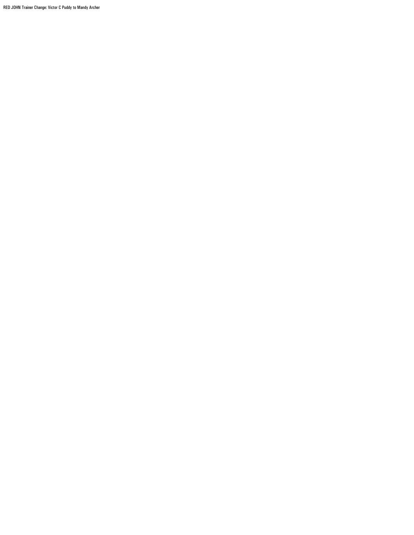RED JOHN Trainer Change: Victor C Puddy to Mandy Archer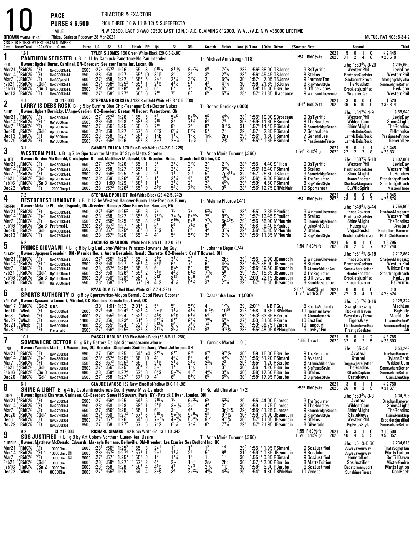|                                                                               |                                                                                                             |                                                                                                            | <b>PACE</b>                                                                                                                                                                                                                            |                                                    |                                                                                            |                                                                                               |                                                                                                                      | TRIACTOR & EXACTOR                                                                                                                              |                                                                                                                                                                          |                                                                                     |                                                                                                                 |                                                                                                                        |                                                                                                                           |                                                                                                                                                                               |                                                                                            |                                 |                                                                                                                                                                                                |                                                                                                                 |              |                                                                                                                                                  |                                            |                                                                                                                                  |
|-------------------------------------------------------------------------------|-------------------------------------------------------------------------------------------------------------|------------------------------------------------------------------------------------------------------------|----------------------------------------------------------------------------------------------------------------------------------------------------------------------------------------------------------------------------------------|----------------------------------------------------|--------------------------------------------------------------------------------------------|-----------------------------------------------------------------------------------------------|----------------------------------------------------------------------------------------------------------------------|-------------------------------------------------------------------------------------------------------------------------------------------------|--------------------------------------------------------------------------------------------------------------------------------------------------------------------------|-------------------------------------------------------------------------------------|-----------------------------------------------------------------------------------------------------------------|------------------------------------------------------------------------------------------------------------------------|---------------------------------------------------------------------------------------------------------------------------|-------------------------------------------------------------------------------------------------------------------------------------------------------------------------------|--------------------------------------------------------------------------------------------|---------------------------------|------------------------------------------------------------------------------------------------------------------------------------------------------------------------------------------------|-----------------------------------------------------------------------------------------------------------------|--------------|--------------------------------------------------------------------------------------------------------------------------------------------------|--------------------------------------------|----------------------------------------------------------------------------------------------------------------------------------|
|                                                                               |                                                                                                             |                                                                                                            | <b>PURSE \$6,500</b><br>1 MILE                                                                                                                                                                                                         |                                                    |                                                                                            |                                                                                               |                                                                                                                      |                                                                                                                                                 |                                                                                                                                                                          |                                                                                     | PICK THREE (10 & 11 & 12) & SUPERFECTA                                                                          |                                                                                                                        |                                                                                                                           |                                                                                                                                                                               |                                                                                            |                                 |                                                                                                                                                                                                |                                                                                                                 |              |                                                                                                                                                  |                                            |                                                                                                                                  |
| <b>BROWN</b> WARM-UP PAD                                                      |                                                                                                             |                                                                                                            | (Rideau Carleton Raceway 28-Mar-2021)                                                                                                                                                                                                  |                                                    |                                                                                            |                                                                                               |                                                                                                                      |                                                                                                                                                 |                                                                                                                                                                          |                                                                                     |                                                                                                                 |                                                                                                                        |                                                                                                                           |                                                                                                                                                                               |                                                                                            |                                 | N/W \$2500. LAST 3 (W/O \$9500 LAST 10 N/E) A.E. CLAIMING \$12000. (W-ALL) A.E. N/W \$35000 LIFETIME                                                                                           |                                                                                                                 |              |                                                                                                                                                  |                                            | <b>MUTUEL RATINGS: 5-3-4-2</b>                                                                                                   |
|                                                                               |                                                                                                             |                                                                                                            | ASK FOR HORSE BY PROGRAM NUMBER<br>Date Race#Track °CCndVar Class                                                                                                                                                                      | Purse 1/4 1/2 3/4                                  |                                                                                            |                                                                                               |                                                                                                                      | Finish PP 1/4                                                                                                                                   |                                                                                                                                                                          |                                                                                     | 1/2                                                                                                             | 3 4                                                                                                                    | Stretch Finish                                                                                                            |                                                                                                                                                                               |                                                                                            |                                 | Last1/4 Time \$0dds Driver                                                                                                                                                                     | #Starters First                                                                                                 |              | Second                                                                                                                                           |                                            | <b>Third</b>                                                                                                                     |
| 1                                                                             | 12-1                                                                                                        |                                                                                                            | PANTHEON SEELSTER L B g 11 by Camluck-Panettone-No Pan Intended                                                                                                                                                                        |                                                    |                                                                                            |                                                                                               |                                                                                                                      | TYLER S JONES 166 Green-White-Black (29-0-3-2-.80)                                                                                              |                                                                                                                                                                          |                                                                                     |                                                                                                                 |                                                                                                                        | Tr.-Michael Armstrong (.118)                                                                                              |                                                                                                                                                                               |                                                                                            |                                 |                                                                                                                                                                                                | $1:54^1$ RidC%-ft                                                                                               | 2021<br>2020 | -5<br>0<br>31<br>$\overline{2}$                                                                                                                  | 0<br>-1<br>6<br>4                          | \$2,445<br>\$20,510                                                                                                              |
| RED<br>Mar21<br>Mar <sub>14</sub><br>Mar7<br>Feb21<br>Feb16<br>Dec13          | . <sup>8</sup> RidC%<br>RidC%,<br>$^{12}$ RidC%<br>$^{10}_{12}$ RidC %<br>*RidC%                            | '.Ft<br>$^{\circ}_{9}$ Ft-1<br>"Ft<br>$\begin{array}{c} \n ^{4}Gd-1 \\  ^{10}Sn-3 \\  ^{3}Ft\n\end{array}$ | Owner: Rachel Burns, Cardinal, ON-Breeder: Seelster Farms Inc, Lucan, ON<br>Nw2500l3cd-L<br>Nw2500l3cd-L<br>Nw650pscd-L<br>Nw275013cd-L<br>Nw275013cd-L<br>Nw4000l3cd-L                                                                | 6500<br>6500<br>6000<br>6500<br>6500<br>6900 :274  | $:28^{3}$<br>:27 <sup>4</sup><br>$:27^{2}$<br>$:29^{1}$                                    | :58 $1$<br>:58<br>$:56^2$<br>:584<br>:58 <sup>2</sup>                                         | $:27^3$ $:57^3$ 1:26 <sup>1</sup><br>1:27 <sup>1</sup><br>1:27<br>$1:25^2$<br>1:28 <sup>4</sup><br>1:27 <sup>4</sup> | $1:55$<br>$1:55^4$<br>1:56 <sup>4</sup><br>$1:55^{4}$<br>1:58 <sup>4</sup><br>$1:56^{3}$                                                        | 8<br>$3^{3}\%$<br>$\begin{bmatrix} 9 \\ 5 \end{bmatrix}$<br>$2^{\circ}$ <sup>1</sup><br>$2^{11}/2$<br>$\overline{1}$<br>3<br>$7^{10}$<br>6                               | $9^{16}\%$                                                                          | $\frac{8^{11}\%}{3^3}$<br>$2^{11}$<br>76                                                                        | $3^{3^{73/4}}$<br>$3^{11/2}$<br>$\frac{5^3}{7^5}$<br>8 <sup>7</sup>                                                    | $\frac{8^8}{3^5}$<br>$\frac{2^1}{4^3}$<br>$6^{5}$ <sup>%</sup><br>6 <sup>6</sup>                                          | $7^{7}\frac{1}{2}$<br>2 <sup>4</sup> $\frac{1}{2}$<br>$\bar{5}^{23}$<br>$4^{1}$ %<br>6 <sup>5</sup><br>$5^{4}$ %                                                              | :28ª<br>$:30^1$<br>:30<br>:30<br>:28 <sup>2</sup>                                          |                                 | 1:56 <sup>2</sup> 66.90 TSJones<br>$1:563$ 45.45 TSJones<br>$1:572$ 7.05 TSJones<br>1:56 21.65 TSJones<br>$1:594$ 15.30 PBerube<br>$1:573$ 21.85 JLachance                                     | 9 BsTyrrific<br>8 Stelios<br>9 FarmersTan<br>9 BigPetesStyle<br>8 OfficerJones<br>9 WindsunCheyenne             |              | Life: 1:53 <sup>4</sup> % 9-20<br>WesternPhil<br>PantheonSeelster<br>SaskabushSteve<br>TheRoadies<br>Brookletsjustified<br>WranglerCash          |                                            | \$205,669<br>LevisDay<br>WesternPhil<br>MortgageMyVilla<br>SomewhereBettor<br>RedJohn<br>WesternPhil                             |
| $\boldsymbol{2}$                                                              | $4-1$                                                                                                       |                                                                                                            | CL \$12,000<br>LARRY IS DEBS ROCK B g 5 by Sunfire Blue Chip-Teenager Girls-Dexter Nukes                                                                                                                                               |                                                    |                                                                                            |                                                                                               |                                                                                                                      |                                                                                                                                                 |                                                                                                                                                                          |                                                                                     | STEPHANE BROSSEAU 183 Red-Gold-White (49-3-10-5-.208)                                                           |                                                                                                                        | Tr.-Robert Bernicky (.000)                                                                                                |                                                                                                                                                                               |                                                                                            |                                 |                                                                                                                                                                                                | 1:54 <sup>3</sup> RidC <sup>5</sup> %-ft                                                                        | 2021<br>2020 | $\frac{3}{39}$<br>0<br>6                                                                                                                         | 0<br>0<br>10 <sup>°</sup><br>-5            | $$520$<br>\$39,814                                                                                                               |
| BLUE<br>Mar21                                                                 | RidC%                                                                                                       | $E_{\rm a}$                                                                                                | Owner: Robert Bernicky, L'Ange-Gardien, QC--Breeder: Gaetan M Hebert, Waterdown, ON<br>Nw2500l3cd                                                                                                                                      | 6500                                               | $:27^3$ $:57^3$                                                                            |                                                                                               | 1:26 <sup>1</sup>                                                                                                    | 1:55<br>- 5                                                                                                                                     | $5^7$                                                                                                                                                                    |                                                                                     | 5∘6                                                                                                             | $6\circ^5\%$                                                                                                           |                                                                                                                           |                                                                                                                                                                               | :283                                                                                       |                                 | $1:554$ 19.00 SBrosseau                                                                                                                                                                        | 9 BsTyrrific                                                                                                    |              | Life: $1:543%4.9$<br>WesternPhil                                                                                                                 |                                            | \$58,940<br>LevisDay                                                                                                             |
| Mar <sub>14</sub><br>Mar7<br>Dec20<br>Dec13<br>Nov29                          | $^{10}_{\Lambda}$ RidC $^{50}_{\Lambda}$<br>RidC%<br>$9$ RidC $%$<br>$3$ RidC%<br>*RidC%                    | $^{\circ}_{9}$ Ft-1<br>ីFt<br>$\frac{1}{3}$ Gd-1<br>$\frac{3}{2}$ Ft<br>'Ft                                | Op12000clm<br>0p12000clm<br>0p15000clm<br>0p15000clm<br>Op15000clm                                                                                                                                                                     | 6500<br>6500<br>6500<br>6500<br>6500               | :28 <sup>2</sup><br>:27<br>:28 <sup>2</sup><br>:28<br>$:27^{3}$                            | .58<br>:56 <sup>2</sup><br>$:58^1$<br>:58<br>$:56^{3}$                                        | $1:28$ <sup>1</sup><br>$1:25$<br>$1:27$<br>1:27<br>1:26                                                              | $1:58^{3}$<br>1:55<br>$1:57^{2}$<br>$1:56^{4}$<br>$1:55^{3}$                                                                                    | $7^{10}$<br>6<br>$7^{10}$<br>6<br>$6^{6}\%$<br>6<br>3<br>1nk<br>3<br>3 <sup>0</sup>                                                                                      |                                                                                     | 87<br>8 <sup>9</sup><br>$6^{6}$ <sup>1</sup> / <sub>2</sub><br>$1^{11}$<br>$2 \circ \frac{1}{2}$                | $7^{4}\%$<br>78<br>$6^{5}$ <sup>1/2</sup><br>1nk<br>$1 \circ \frac{1}{2}$                                              | $\frac{5^6}{6^4}$<br>$\frac{8^9}{5^3}$<br>1nk                                                                             | $\frac{4^4}{7^4}$<br>$8^{14}$ %<br>$2^1$<br>2ns<br>$2\frac{3}{4}$                                                                                                             | :30ª<br>:31'<br>:293<br>:29 <sup>4</sup><br>:29 <sup>4</sup>                               | $1:57^{3}$<br>1:56 <sup>4</sup> | 1:59 <sup>2</sup> 11.60 RSimard<br>1:57 <sup>4</sup> 14.45 RSimard<br>2.85 RSimard<br>1.60 RSimard<br>1:55 <sup>4</sup> * 0.65 RSimard                                                         | 8 TheRoadies<br>9 StonebridgeBeach<br>7 GeneralLee<br>7 GeneralLee<br>6 PassionatePrince                        |              | WildcatCam<br><b>ShineALight</b><br>LarryIsDebsRock<br>LarryIsDebsRock<br>LarryIsDebsRock                                                        |                                            | ShineALight<br><b>TheRoadies</b><br>PHImpulse<br><b>PassionatePrince</b><br>GeneralLee                                           |
| 3                                                                             | $3-1$                                                                                                       |                                                                                                            | WESTERN PHIL L B g 7 by Sportswriter-Matter Of Style-Matts Scooter                                                                                                                                                                     |                                                    |                                                                                            |                                                                                               |                                                                                                                      | SAMUEL FILLION 170 Blue-Black-White (34-2-9-2-.225)                                                                                             |                                                                                                                                                                          |                                                                                     |                                                                                                                 |                                                                                                                        | Tr. Anne Marie Turenne (.366)                                                                                             |                                                                                                                                                                               |                                                                                            |                                 |                                                                                                                                                                                                | 1:54 <sup>4</sup> RidC %-gd                                                                                     | 2021<br>2020 | $2\overline{2}$<br>0<br>$\overline{2}$                                                                                                           | $7\overline{ }$<br>8                       | \$3,445<br>\$28,331                                                                                                              |
| <b>WHITE</b><br>Mar21<br>Mar <sub>14</sub><br>Mar7<br>Feb21<br>Feb16<br>Dec22 | . <sup>8</sup> RidC%<br>RidC%<br>RidC%<br>$^{13}$ RidC %<br>',3RidC%<br><sup>3</sup> Wbsb                   | .Ft<br>" <sup>9</sup> Ft-1<br>"Ft<br>" <sup>4</sup> Gd-1<br>$\frac{0}{1}$ Sn-3                             | Owner: Gordon Mc Donald, Christopher Boland, Matthew Mcdonald, ON-Breeder: Hudson Standrdbrd Stb Inc, QC<br>Nw2500l3cd-L<br>Nw2500l3cd-L<br>Nw275013cd-L<br>Op12000clm-L<br>Nw275013cd-L<br>12000Clmhp-L                               | 6500 :273<br>6500<br>6500<br>6500<br>6500<br>10000 | $\frac{128}{127}$<br>$\frac{127}{128^2}$<br>$\frac{1}{28}$                                 | $:57^3$<br>:58 $1$<br>:56 <sup>2</sup><br>:58 <sup>1</sup><br>1:00<br>$:57^{3}$               | $1:26^{1}$<br>1:27 <sup>1</sup><br>1:25<br>1:26 <sup>4</sup><br>1:29 <sup>1</sup><br>$1:26^{3}$                      | 1:55<br>$1.55^{4}$<br>1:55<br>$\overline{2}$<br>$1:55^{1}$<br>1:58 <sup>1</sup><br>$1:55^{2}$                                                   | 3 <sup>1</sup><br>2 <sup>2</sup><br>-1<br>$\bar{2}^1$<br>5<br>1 <sup>1</sup><br>$\overline{1}$<br>$4^{4}$ <sup>1</sup> / <sub>4</sub><br>9                               |                                                                                     | $2^{11/2}$<br>1 <sup>1</sup><br>$2^{11/2}$<br>$\frac{2^{11/2}}{5^{41/2}}$                                       | $\frac{3^{1}\frac{1}{2}}{2^{1}}$<br>$\frac{2^{1}}{4^{3}}$<br>$\frac{2^{2}}{7^{5}\frac{1}{4}}$                          | $\frac{2^2}{2^4}$<br>5 <sup>7</sup><br>5 <sup>6</sup><br>2 <sup>2</sup><br>7 <sup>4</sup> <sup>/</sup> / <sub>2</sub>     | $2^{1}$ <sup>/</sup> / <sub>4</sub><br>$\frac{1}{3^{4}}\frac{3/4}{7}$<br>7p6 <sup>11</sup> <sup>/4</sup><br>$4^{8}$ <sup>1</sup> / <sub>4</sub><br>461/4<br>9 <sup>5</sup>    | :28 $4$<br>:291<br>:32<br>:29ª<br>:294<br>:28 <sup>4</sup>                                 | $1.56^{4}$                      | $1:551$ 4.40 SFillion<br>1:56 <sup>4</sup> 15.40 RSimard<br>$1:571$ 26.80 TSJones<br>9.30 RSimard<br>$1.59^{2}$ 4.50 RSimard<br>1:56 <sup>2</sup> 12.75 DRMcNair                               | 9 BsTyrrific<br>8 Stelios<br>9 StonebridgeBeach<br>9 TheRegulator<br>8 BigPetesStyle<br><b>10 Sportsnest</b>    |              | Life: 1:50 <sup>3</sup> %-5-10<br>WesternPhil<br>PantheonSeelster<br>ShineALight<br><b>HooterShooter</b><br>ShadowMargeaux<br>ELWildSpirit       |                                            | \$107,861<br>LevisDay<br>WesternPhil<br><b>TheRoadies</b><br><b>StonebridgeBeach</b><br>StonebridgeBeach<br><b>MissionThree</b>  |
| 4                                                                             | $7-2$                                                                                                       |                                                                                                            | BESTOFBEST HANOVER L B h 13 by Western Hanover-Bunny Lake-Precious Bunny                                                                                                                                                               |                                                    |                                                                                            |                                                                                               |                                                                                                                      | STEPHANE POULIOT Red-White-Black (28-4-2-5-.242)                                                                                                |                                                                                                                                                                          |                                                                                     |                                                                                                                 |                                                                                                                        | Tr. Melanie Plourde (.41)                                                                                                 |                                                                                                                                                                               |                                                                                            |                                 |                                                                                                                                                                                                | $1:54^1$ RidC %-ft                                                                                              | 2021<br>2020 | 4<br>0<br>28<br>$\overline{4}$                                                                                                                   | 0<br>0<br>$\overline{4}$<br>$\overline{7}$ | $$845$<br>\$28,674                                                                                                               |
| GREEN<br>Mar21<br>Mar <sub>14</sub><br>Mar7<br>Feb16<br>Dec20<br>Dec13        | <sup>11</sup> RidC <sup>5</sup> %<br>RidC <sup>%</sup><br>RidC%<br>¦°RidC%<br>?RidC%<br><sup>15</sup> RidC% | .Ft<br>$\frac{8}{10}$ Ft-1<br>$\frac{3}{1}$                                                                | Owner: Melanie Plourde, Osgoode, ON--Breeder: Hanover Shoe Farms Inc, Hanover, PA<br>Nw2500l3cd-L<br>Nw2500l3cd-L<br>Nw275013cd-L<br>$^{10}_{0}$ Sn-3 Preferred-L<br>$^{0}_{2}$ Gd-1 Nw400013cd-1<br>Nw4000l3cd-L<br>Nw275013cd-L      | 6500<br>6500<br>6500<br>9200<br>6900<br>6500       | $:27^{1}$<br>$\frac{1}{2}8^{3}$<br>$\overline{.27}$<br>$: 281$<br>:26 <sup>4</sup><br>: 28 | $:56^{4}_{1}$<br>:56 <sup>2</sup><br>$:57^3$<br>$:57^2$<br>:57 <sup>4</sup>                   | $1:25^2$<br>$1:27^1$<br>1:25<br>1:27<br>1:25 <sup>4</sup><br>1:26                                                    | $1:55$<br>$1:55^4$<br>1:55<br>1:56 <sup>1</sup><br>$1:56^{2}$<br>$1:55^{2}$                                                                     | 6<br>Ğ.<br>9 <sup>13</sup><br>8<br>6 <sup>7</sup><br>$7^{8}$ <sup>1</sup> / <sub>2</sub><br>6<br>4 <sup>5</sup><br>4                                                     | $7^{11}$ <sup>1</sup> / <sub>2</sub>                                                | $7 \circ 7\frac{1}{4}$<br>$9^{10}\frac{1}{2}$<br>$\frac{6^6}{6^5}$<br>$\bar{5}^4$                               | $60^{61/2}$<br>$8^{\circ}$ <sup>9</sup><br>$\frac{7^{53}}{6^{6}}$<br>$5^{4}$ %                                         | $\frac{5^{2}1}{7^{8}}$<br>$7^{7}$ <sup>1</sup> / <sub>2</sub><br>$6^{7}_{4}$<br>3 <sup>3</sup>                            | 5'<br>$8^{9}$ <sup>%</sup><br>$5p^{45}\%$<br>$3^{13}/4$<br>$2^{11/2}$                                                                                                         | :28 <sup>4</sup><br>:29 <sup>1</sup><br>$:29^{1}$<br>:294<br>:29ª<br>:28 <sup>4</sup>      | 1:55 <sup>1</sup>               | 3.35 SPouliot<br>$1:573$ 13.45 SPouliot<br>1:56 56.90 MPlourde<br>1:58 9.40 SPouliot<br>$1:564 35.85$ MPlourde<br>$1:553$ 11.35 MPlourde                                                       | 9 WindsunCheyenne<br>8 Stelios<br>9 StonebridgeBeach<br>7 LukeAndDuke<br><b>7 Stelios</b><br>9 BigPetesStyle    |              | Life: $1:48^4\%$ 5.44<br>PrinceGiovanni<br>PantheonSeelster<br>ShineALight<br>Racemup<br>VegasRocks<br>BestofbestHanover                         |                                            | \$756,905<br>ShadowMargeaux<br>WesternPhil<br><b>TheRoadies</b><br>AvatarJ<br>BestofbestHanover<br>NightClubHanover              |
| 5                                                                             | $5-2$                                                                                                       |                                                                                                            | <b>PRINCE GIOVANNI</b> L B g 8 by Big Bad John-Wildfire Princess-Towners Big Guy                                                                                                                                                       |                                                    |                                                                                            |                                                                                               |                                                                                                                      | JACQUES BEAUDOIN White-Red-Black (15-0-2-0-.74)                                                                                                 |                                                                                                                                                                          |                                                                                     |                                                                                                                 |                                                                                                                        | Tr. Johanne Begin (.74)                                                                                                   |                                                                                                                                                                               |                                                                                            |                                 |                                                                                                                                                                                                | 1:54 RidC%-ft                                                                                                   | 2021<br>2020 | $\begin{smallmatrix} &5\28\end{smallmatrix}$<br>0<br>$\overline{2}$                                                                              | $\frac{1}{5}$<br>0<br>7                    | \$2,795<br>\$20,740                                                                                                              |
| <b>BLACK</b><br>Mar21<br>Mar 14<br>Mar7<br>Feb21<br>Feb16<br>Dec20            | RidC <sup>%</sup><br>¦¦RidC%<br>$^{5}_{13}$ RidC%<br>$^{12}_{14}$ RidC %<br>*RidC%                          | $_{6}^{\prime}$ Ft<br>$^{\circ}_{9}$ Ft-1<br>"Ft<br>$^{4}_{10}$ Gd-1<br>$^{10}_{0}$ Sn-3                   | Owner: Jacques Beaudoin, ON - Maurice Houle, Andre Beaudoin, Ronald Charette, QC--Breeder: Carl T Howard, OH<br>Nw2500l3cd-L<br>Nw2500l3cd-L<br>Nw275013cd-L<br>Op12000clm-L<br>Op12000clm-L<br>$^{\circ}$ Gd-1 $_{\rm 0p12000c}$ lm-L | 6500<br>6500<br>6500<br>6500<br>6500<br>5500       | $:27^{1}$<br>$:28^{3}$<br>$\frac{128}{28^2}$<br>$:29^{1}$<br>$:28^2$                       | $:56^4$<br>:58 <sup>1</sup><br>$:57^3$<br>:581<br>:58 <sup>4</sup><br>:58 <sup>3</sup>        | $1:25^{2}$<br>1:27 <sup>1</sup><br>$1:25^{3}$<br>1:26 <sup>4</sup><br>1:28 <sup>4</sup><br>1:27 <sup>2</sup>         | 1:55<br>$1.55^{4}$<br>$\frac{1.55}{1.55}$<br>1:58 <sup>4</sup><br>1:57 <sup>1</sup>                                                             | $2^{11}/2$<br>2<br>$\overline{4}$<br>$69\frac{1}{2}$<br>6<br>6 <sup>9</sup><br>$\frac{3^{2}\%}{8^{12}}$<br>$\frac{2}{7}$<br>$4^{5}$ <sup>1</sup> / <sub>2</sub><br>[9    |                                                                                     | $\frac{3^{1}\%}{6^{7}}$<br>$\bar{5}$ °<br>$4^{2}\frac{1}{2}$<br>$R^{13}$<br>$4^{3}$ <sup>1</sup> / <sub>2</sub> | $\frac{3^2}{7^7}$<br>$6^{4}\%$<br>$6^{3}\%$<br>$5^{4}$ %                                                               | $\frac{2^1}{6^7}$<br>58<br>$77\frac{1}{2}$<br>$\frac{76}{3^3}$                                                            | $4^{7}$ <sup>3</sup> / <sub>4</sub><br>$5^{8}$ <sup>1</sup> / <sub>4</sub><br>59<br>77<br>$2^{23}/4$                                                                          | :29'<br>:28 <sup>4</sup><br>$:29^{3}$<br>:29 <sup>1</sup><br>:30 <sup>2</sup><br>$:29^{3}$ |                                 | 1:55 9.90 JBeaudoin<br>1:57 <sup>2</sup> 86.90 JBeaudoin<br>1:56 <sup>3</sup> 39.50 JBeaudoin<br>1:57 15.35 JBeaudoin<br>2:00 <sup>1</sup> 22.15 JBeaudoin<br>1:57 <sup>4</sup> 5.85 JBeaudoin | 9 WindsunCheyenne<br>8 Stelios<br>8 AtomicMillionAm<br>9 TheRegulator<br>8 OfficerJones<br>8 Brookletsjustified |              | Life: 1:51 <sup>4</sup> % 5-18<br>PrinceGiovanni<br>PantheonSeelster<br>SomewhereBettor<br>HooterShooter<br>Brookletsjustified<br>PrinceGiovanni |                                            | \$217,867<br>ShadowMargeaux<br>WesternPhil<br>WildcatCam<br>StonebridgeBeach<br>RedJohn<br><b>BsTyrrific</b>                     |
| 6                                                                             | $8-1$                                                                                                       |                                                                                                            | <b>SPORTS AUTHORITY</b> B g 8 by Sportswriter-Alcyon Semalu-Good News Scooter                                                                                                                                                          |                                                    |                                                                                            |                                                                                               |                                                                                                                      | RYAN GUY 170 Red-Black-White (32-7-7-4-.381)                                                                                                    |                                                                                                                                                                          |                                                                                     |                                                                                                                 |                                                                                                                        | Tr.-Cassandra Lecourt (.000)                                                                                              |                                                                                                                                                                               |                                                                                            |                                 |                                                                                                                                                                                                | 2:01 <sup>4</sup> ORidC%-gd<br>1:51 <sup>4</sup> Wbsb%-ft                                                       | 2021<br>2020 | 0<br>0<br>$2\overline{2}$<br>3                                                                                                                   | 0<br>0<br>4                                | 0 \$<br>25,524 \$                                                                                                                |
| YELLOW<br>Mar17<br>Dec 10<br>Dec <sub>3</sub><br>Nov27<br>Nov21<br>Nov8       | RidC%<br>"Whsh<br>,Wbsb<br>, Wbsb<br>W <sub>bsb</sub><br>'FImD                                              | $^{2}_{3}$ Gd-2 QUA<br>$_{6}^{\circ}$ Ft<br>្អFt<br>$\frac{4}{11}$ Ft                                      | Owner: Cassandra Lecourt, Mirabel, QC-Breeder: Semalu Inc, Laval, QC<br>$\frac{3}{2}$ Et Nw300015cd 12000 :27 <sup>1</sup> :56 1:24 <sup>4</sup> 1:52 <sup>4</sup> 4<br>Nw5000I5cd<br>Nw5000I5cd<br>Nw5000I5cd<br>Preferred-3          | 14000<br>14000<br>14000<br>8500                    | $\frac{.27}{.27^3}$<br>$:26^{4}$<br>$:27^4$                                                | :55 <sup>3</sup><br>:56<br>$:55^{2}$<br>:56 <sup>4</sup>                                      | 1:24<br>1:23 <sup>4</sup><br>1:24<br>$1:25^{2}$                                                                      | :30 <sup>3</sup> 1:01 <sup>2</sup> 1:32 2:01 <sup>4</sup> 2<br>1:52 <sup>4</sup><br>1:51 <sup>4</sup><br>1:52 <sup>1</sup><br>1:53 <sup>2</sup> | ${\bf 5}^4$<br>$\frac{2}{5}$<br>$4^{23}/4$<br>3<br>8                                                                                                                     | $2 \cdot \frac{1}{2}$<br>$8^{113}$ /4<br>$8^{13}\frac{3}{4}$<br>$8^{11}\frac{1}{4}$ | 5 <sup>6</sup><br>$11\frac{1}{2}$<br>$5^{4}_{3/4}$<br>8 <sup>12</sup><br>$8\frac{89}{2}$                        | $5^4\%$<br>$4^{4}$ %<br>$64\frac{1}{2}$<br>$9\frac{1}{2}$<br>$7^{6}_{/2}$<br>9 <sup>8</sup> <sup>/2</sup>              | 4 <sup>1</sup><br>$9^{12}\%$<br>5 <sup>4</sup><br>$7^{8}$ <sup>1/4</sup><br>7 <sup>8</sup><br>8 <sup>9</sup>              | $1^{2}\frac{1}{2}$<br>10 <sup>26</sup><br>64<br>$5^{6}$ %<br>$9^{5}_{4}$<br>$9^{10}_{4}$                                                                                      | $:29^{\degree}$ 2:01 <sup>4</sup><br>:272<br>:28'<br>$:28^{3}$                             |                                 | NB RGuy<br>$:32^2$ 1:58 4.85 DRMcNair<br>1:53 <sup>3</sup> 63.65 RZeron<br>1:53 81.65 RZeron<br>1:53 88.75 RZeron<br>$1:553$ 48.95 APHaughan                                                   | 5 SportsAuthority<br>10 HeismanPlayer<br>9 AintnobettorA<br>10 EastEnd<br>10 Fancourt<br>9 JayEyeEm             |              | Life: 1:51 <sup>2</sup> %-3-16<br><b>SwingDaliSwing</b><br>RockinInHeaven<br>WestsluckyTerror<br>TigersWay<br>TheDowntownBus<br>PrestigeSeelster |                                            | \$128,324<br>MachLee<br><b>BigBully</b><br>MachCode<br>CasimirRichieP<br>AmericanHustle<br>Ali                                   |
| 7                                                                             | $10-1$                                                                                                      |                                                                                                            | <b>SOMEWHERE BETTOR B</b> g 5 by Bettors Delight-Someracesomewhere-                                                                                                                                                                    |                                                    |                                                                                            |                                                                                               |                                                                                                                      |                                                                                                                                                 |                                                                                                                                                                          |                                                                                     | PASCAL BERUBE 189 Blue-White-Black (58-8-6-11-.258)                                                             |                                                                                                                        | Tr. Yannick Martel (.101)                                                                                                 |                                                                                                                                                                               |                                                                                            |                                 |                                                                                                                                                                                                | 1:55 Trrvs-ft                                                                                                   | 2021<br>2020 | -5<br>0<br>32                                                                                                                                    | -1<br>-2<br>6 2 5                          | \$3,785<br>26,603 \$                                                                                                             |
| PINK<br>Mar21<br>Mar <sub>14</sub><br>Mar7<br>Feb21<br>Feb16<br>Dec20         | $5$ RidC $%$<br>¦RidC%<br>RidC%<br>RidC%<br>,RidC%<br>°RidC%                                                | .Ft<br>$^{\circ}_{\circ}$ Ft-1<br>"Ft<br>"Gd-1<br>$\frac{0}{2}$ Sn-3<br>'Gd-1                              | Owner: Yannick Martel, L'Assomption, QC-Breeder: Stephanie Smithrothaug, West Jefferson, OH<br>Nw4250I3cd<br>Nw4650I3cd<br>Nw275013cd<br>Nw2750I3cd<br>Nw4000l3cd<br>Nw2750I3cd                                                        | 6900<br>6900<br>6500<br>6500<br>6900<br>6500       | :27<br>:28 <sup>1</sup><br>:28<br>$:27^{2}$<br>:28<br>$:27^{3}$                            | $:56^4$<br>$:57^{3}$<br>$:57^{3}$<br>$:56^2$<br>:58 $4$<br>$:58^1$                            | $1:25^{1}$<br>1:26 <sup>4</sup><br>$1:25^{3}$<br>$1:25^{2}$<br>1:27 <sup>4</sup><br>1:27 <sup>2</sup>                | $\frac{1.54^{\scriptscriptstyle 1}}{1.56}$<br>1:55<br>$1:55^{4}$<br>$1:57^{3}$<br>1:57 <sup>1</sup>                                             | х4<br>[9<br>$2^{11}/2$<br>$\overline{1}$<br>2<br>$3^{\circ2}$<br>$6^7\frac{1}{2}$<br>6<br>19<br>$4^2$                                                                    | $9^{13}\frac{1}{2}$                                                                 | 9 <sup>12</sup><br>$44\frac{1}{2}$<br>$2^{11/2}$<br>1 <sup>1</sup><br>$5 \circ 3\frac{1}{2}$<br>65              | $9^{18}$<br>$\tilde{6}^5$<br>$2^2$ <sup>1</sup> / <sub>2</sub><br>$\frac{1}{4}$ <sub>o</sub> <sup>2</sup><br>$6^{4}$ % | 9 <sup>21</sup><br>44<br>$2^2$ <sup>1</sup> / <sub>2</sub><br>1 <sup>1</sup><br>$4^{4}$ <sup>1</sup> / <sub>2</sub><br>65 | $9^{24}$ <sup>1</sup> / <sub>2</sub><br>$4^{3}\frac{1}{2}$<br>$2^3$<br>3 <sup>1</sup><br>$3^{4}$ <sup>1</sup> / <sub>4</sub><br>$6^{6}$ <sup>%</sup>                          | :30'<br>:28ª<br>:293<br>:30ª<br>:30 $^{\circ}$<br>:30 $^{\circ}$                           |                                 | 1:59 16.30 PBerube<br>$1:563 51.20$ RSimard<br>$1:553$ 1.20 PBerube<br>1:56 4.20 PBerube<br>$1:582$ 17.50 PBerube<br>$1:582$ 17.95 PBerube                                                     | 9 TheRegulator<br>9 AvatarJ<br>8 AtomicMillionAm<br>9 BigPetesStyle<br>8 Stelios<br>9 BigPetesStyle             |              | Life: 1:55-4-8<br>AvatarJ<br>Xternal<br>SomewhereBettor<br><b>TheRoadies</b><br>StLadsCaptain<br><b>StateNews</b>                                |                                            | \$53,249<br>DrachanHanover<br>DylansBank<br>WildcatCam<br>SomewhereBettor<br>SomewhereBettor<br><b>OsirisBlueChip</b>            |
| 8                                                                             | $6-1$                                                                                                       |                                                                                                            | <b>SHINE A LIGHT</b> B g 4 by Captaintreacherous-Countryview Miss-Camluck                                                                                                                                                              |                                                    |                                                                                            |                                                                                               |                                                                                                                      |                                                                                                                                                 |                                                                                                                                                                          |                                                                                     | CLAUDE LAROSE 162 Navy Blue-Red-Yellow (9-0-1-1-.98)                                                            |                                                                                                                        | Tr.-Ronald Charette (.172)                                                                                                |                                                                                                                                                                               |                                                                                            |                                 |                                                                                                                                                                                                | 1:53 <sup>3</sup> RidC%-ft                                                                                      | 2021<br>2020 | 0<br>3<br>26<br>8                                                                                                                                | $\mathbf{1}$<br>$\overline{2}$<br>-5       | \$2,750<br>\$31,671                                                                                                              |
| GREY<br>Mar21<br>Mar <sub>14</sub><br>Mar7<br>Dec20<br>Dec6<br>Nov29          | RidC%<br>$^{10}_{11}$ RidC%<br>RidC%<br>$\frac{1}{8}$ RidC %<br>®RidC%                                      | ′Ft∴<br>$^{\circ}$ Ft-1<br>″Ft<br>$^{0}$ Gd-1<br>$^{4}$ Ft<br>"Ft                                          | Owner: Ronald Charette, Gatineau, QC-Breeder: Steve H Stewart, Paris, KY - Patrick E Ryan, London, ON<br>Nw4250I3cd<br>Nw250013cd<br>Nw2750I3cd<br>Nw275013cd<br>Nw2750I3cd<br>Nw2800I3cd                                              | 6900<br>6500<br>6500<br>6500<br>6500<br>6500       | :27<br>:28 <sup>2</sup><br>:27<br>$:27^{3}$<br>:27 <sup>4</sup><br>:27                     | :564<br>:58<br>:56 <sup>2</sup><br>:58 <sup>1</sup><br>$:57^2$<br>:58                         | $1:25^{1}$<br>1:28 <sup>1</sup><br>$1:25$<br>$1:27^2$<br>1:26<br>1:27 <sup>2</sup>                                   | $1:54^{1}$<br>$1:58^{3}$<br>1:55<br>1:57 <sup>1</sup><br>1:54 <sup>1</sup><br>1:57                                                              | 5<br>$2^{11}/2$<br>8<br>6<br>$79$ <sup>1</sup> / <sub>2</sub><br>5                                                                                                       | $7^{10}$ <sup>1</sup> / <sub>2</sub><br>$9^{10}$ %<br>$7 \cdot \frac{7}{2}$         | 76<br>3∘'½<br>32<br>$9°^{7}\%$<br>$4 \cdot \frac{31}{2}$<br>$6^5\%$                                             | $60^{3}/4$<br>2 <sup>0</sup><br>9003/4<br>$5 \circ 4\frac{1}{2}$<br>$7^5\frac{1}{2}$                                   | 6 <sup>5</sup><br>4 <sup>3</sup><br>$3^{4}_{9^{8}}$<br>$\bar{9}^{12}$<br>8 <sup>5</sup>                                   | $5^{3}$ <sup>%</sup><br>3 <sup>2</sup><br>$3p2^2$ <sup>1</sup> / <sub>2</sub><br>9 <sup>10</sup> <sup>1</sup> / <sub>2</sub><br>g <sup>153</sup> / <sub>4</sub><br>$7^{33/4}$ | :30ª<br>:293<br>:30ª<br>$:30^{3}$<br>$:29^{2}$                                             |                                 | 1:55 44.00 CLarose<br>1:59 1.75 CLarose<br>$1:552$ 41.25 CLarose<br>$1:591$ 51.90 JBeaudoin<br>1:57 $2$ 11.35 JBeaudoin<br>1:57 <sup>4</sup> 21.95 JBeaudoin                                   | 9 The Regulator<br>8 TheRoadies<br>9 StonebridgeBeach<br>9 BigPetesStyle<br>9 Stelios<br>8 Silverado            |              | Life: $1:533%3.8$<br>AvatarJ<br>WildcatCam<br>ShineALight<br>StateNews<br>WesternPhil<br><b>BigPetesStyle</b>                                    |                                            | \$34,796<br>DrachanHanover<br>ShineALight<br>TheRoadies<br><b>OsirisBlueChip</b><br><b>Brookletsjustified</b><br>SomewhereBettor |
| 9                                                                             | $9-2$                                                                                                       |                                                                                                            | CL \$12,000<br><b>SOS JUSTIFIED</b> L B g 9 by Art Colony-Northern Queen-Real Desire                                                                                                                                                   |                                                    |                                                                                            |                                                                                               |                                                                                                                      | RICHARD SIMARD 162 Black-White (54-13-4-10-.343)                                                                                                |                                                                                                                                                                          |                                                                                     |                                                                                                                 |                                                                                                                        | Tr. Anne Marie Turenne (.366)                                                                                             |                                                                                                                                                                               |                                                                                            |                                 |                                                                                                                                                                                                | 1:55 RidC%-ft<br>1:54 <sup>3</sup> RidC%-gd                                                                     | 2021<br>2020 | 5<br>3<br>40<br>14                                                                                                                               | $\mathbf{1}$<br>0<br>5<br>5                | \$10,500<br>\$55,852                                                                                                             |
| PURPLE<br>Mar21<br>Mar <sub>14</sub><br>Mar7<br>Feb21<br>Feb16<br>Dec22       | RidC%<br>$\,{}^{\circ}_{\circ}$ RidC $\,{}^{\circ}_{\circ}$<br>'RidC%<br>¦RidC%<br>RidC%<br>'Wbsb           | .Ft<br>$^{9}$ Ft-1<br>$^{4}$ Ft<br>7Gd-1<br>$\frac{0}{15}$ Sn-2<br>Ft                                      | Owner: Matthew McDonald, Edwards, Makayla Romano, Belleville, ON-Breeder: Les Ecuries Sos Bedford Inc, QC<br>10000Clm-L<br>10000Clm-L C<br>10000Clm-L<br>10000Clm-L<br>10000Clm-L<br>8000Clm                                           | 6000<br>6000<br>6000<br>6000<br>6000<br>8000       | :28 $^1$<br>$: 28^2$<br>$: 27^1$<br>$: 28^3$<br>$^{1284}_{1274}$                           | $:56^4$<br>:57 <sup>2</sup><br>:57 <sup>2</sup><br>$:58^{4}$<br>$.58^{1}$<br>:56 <sup>3</sup> | $1:25^{2}$<br>$1:274$<br>$1:253$<br>$1:272$<br>$1:28$<br>$1:25$ <sup>1</sup>                                         | 1:55<br>$1:57^{2}$<br>$1.55^{3}$<br>$1:57^{3}$<br>$1:58^{3}$<br>1:54                                                                            | 3<br>2 <sup>0</sup><br>2 <sup>0</sup><br>$\overline{1}$<br>1 <sup>2</sup><br>3<br>4 <sup>4</sup><br>$\overline{2}$<br>4<br>$4^{4}\frac{1}{2}$<br>$3^{3}\frac{1}{4}$<br>4 |                                                                                     | $1^{11}$<br>ا ہ2<br>3 <sup>4</sup>                                                                              | $\frac{2^1}{1^1}$<br>1 <sup>0</sup><br>$3^{\circ 3}$<br>$30^{23}$                                                      | $1^2$<br>5 <sup>7</sup><br>11<br>2ns<br>$2^{11/2}$<br>4 <sup>4</sup> / <sub>4</sub>                                       | 6 <sup>9</sup><br>1 <sup>1</sup><br>2hd<br>$\frac{1\frac{1}{2}}{4^{3}\frac{3}{4}}$                                                                                            | $:29^{3}$<br>:31'<br>:30<br>:30 <sup>1</sup><br>:30<br>:29                                 | $1:58^{3}$<br>$1:54^{4}$        | 1:55 * 1.95 RSimard<br>1:59 <sup>1</sup> * 0.85 JBeaudoin<br>$1:55^{3*}$ 0.85 RSimard<br>$1:57^{3*}$ 2.00 PBerube<br>5.80 PBerube<br>4.80 DRMcNair                                             | 9 SosJustified<br>8 RedJohn<br>9 SosJustified<br>8 MattsTuition<br>6 SosJustified<br>10 Veneno                  |              | Life: 1:51% 5-30<br>Alwaysyourway<br>Alwaysyourway<br>GeneralLee<br>SosJustified<br>Badstormanyport<br><b>SunshinesFinest</b>                    |                                            | \$234,613<br><b>ThatsSomePlan</b><br><b>MattsTuition</b><br>BetTillDawn<br>MisterGodro<br><b>MattsTuition</b><br>CoolRock        |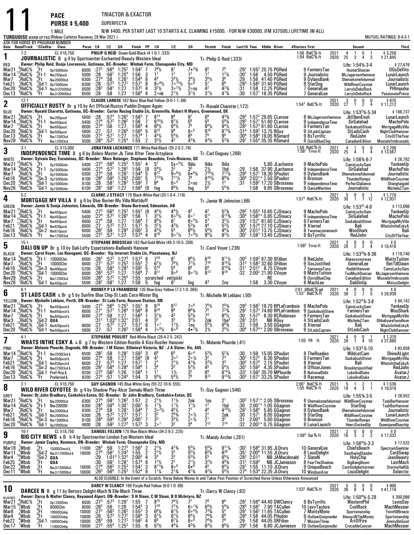|                                                                        |                                                                                                     |                |                                                                                | <b>PACE</b><br><b>PURSE \$5,400</b><br>1 MILE                                                                                                                                                                                                                                          |                                                                     |                                                                              | SUPERFECTA                                                                           |                                                                                                                 | TRIACTOR & EXACTOR                                                                                                                                                |                                                                                                                          |                                                                                                                                                                  |                                                                                                                                |                                                                                                           |                                                                                                                                                                      |                                                                 |                                                              | N/W \$400. PER START LAST 10 STARTS A.E. CLAIMING \$15000. - FOR N/W \$30000. (FM \$37500.) LIFETIME (W-ALL)                                                                              |                 |                                                                                                                        |              |                                                                                       |                                                                                                |                     |                                                                                                                                                  |
|------------------------------------------------------------------------|-----------------------------------------------------------------------------------------------------|----------------|--------------------------------------------------------------------------------|----------------------------------------------------------------------------------------------------------------------------------------------------------------------------------------------------------------------------------------------------------------------------------------|---------------------------------------------------------------------|------------------------------------------------------------------------------|--------------------------------------------------------------------------------------|-----------------------------------------------------------------------------------------------------------------|-------------------------------------------------------------------------------------------------------------------------------------------------------------------|--------------------------------------------------------------------------------------------------------------------------|------------------------------------------------------------------------------------------------------------------------------------------------------------------|--------------------------------------------------------------------------------------------------------------------------------|-----------------------------------------------------------------------------------------------------------|----------------------------------------------------------------------------------------------------------------------------------------------------------------------|-----------------------------------------------------------------|--------------------------------------------------------------|-------------------------------------------------------------------------------------------------------------------------------------------------------------------------------------------|-----------------|------------------------------------------------------------------------------------------------------------------------|--------------|---------------------------------------------------------------------------------------|------------------------------------------------------------------------------------------------|---------------------|--------------------------------------------------------------------------------------------------------------------------------------------------|
|                                                                        |                                                                                                     |                |                                                                                | TURQUOISE WARM-UP PAD (Rideau Carleton Raceway 28-Mar-2021)<br>ASK FOR HORSE BY PROGRAM NUMBER                                                                                                                                                                                         |                                                                     |                                                                              |                                                                                      |                                                                                                                 |                                                                                                                                                                   |                                                                                                                          |                                                                                                                                                                  |                                                                                                                                |                                                                                                           |                                                                                                                                                                      |                                                                 |                                                              |                                                                                                                                                                                           |                 |                                                                                                                        |              |                                                                                       |                                                                                                |                     | MUTUEL RATINGS: 8-4-3-1                                                                                                                          |
| Date Race#Track                                                        | $7-2$                                                                                               |                | <b>°CCndVar</b>                                                                | Class<br>CL \$18,750<br>JOURNALISTIC B g 4 by Sportswriter-Enchanted Beauty-Western Ideal                                                                                                                                                                                              |                                                                     | Purse 1/4 1/2                                                                |                                                                                      | 3/4                                                                                                             | Finish PP 1/4                                                                                                                                                     | PHILIP G REID Green-Gold-Black (4-1-0-1-.333)                                                                            | 1/2                                                                                                                                                              | 3 4                                                                                                                            | Stretch Finish<br>Tr. Philip G Reid (.333)                                                                |                                                                                                                                                                      |                                                                 |                                                              | Last1/4 Time \$0dds Driver                                                                                                                                                                | #Starters First | 1:56 RidC%-ft<br>1:54 RidC%-ft                                                                                         | 2021<br>2020 | $\frac{4}{25}$<br>3                                                                   | Second<br>0<br>4                                                                               | $\dot{3}$           | Third<br>\$3,256<br>\$21,845                                                                                                                     |
| RED<br>Mar2 <sup>1</sup><br>Mar 14<br>Mar7<br>Feb21<br>Dec20<br>Dec 13 | $\degree$ RidC%<br>RidC%;<br>,RidC%<br>¦RidC%<br>¦RidC%<br><sup>3</sup> RidC%                       |                | .Ft<br>:Ft-1<br>$\frac{9}{4}$ Ft<br>$\frac{3}{1}$ Ft                           | Owner: Philip Reid, Dunja Lovrenovic, Gatineau, QC-Breeder: Winbak Farm, Chesapeake City, MD<br>Op15000clm<br>Nw250pscd<br>Nw20000lcd<br>$^{4}$ Gd-1 0p15000clm<br>Gd-1 Nw2r32500lcd<br>Nw2r30000lcd                                                                                   | 6000 :27 <sup>2</sup><br>5000<br>6300<br>6300<br>6500<br>6500 :28   | $\overline{.28}$<br>$:27^{4}$<br>$\overline{.28}$<br>$:28^{2}$               | :58.573<br>:58 <sup>1</sup><br>:58                                                   | $:56^4$ 1:25 <sup>2</sup><br>:56 <sup>1</sup> 1:25 <sup>4</sup><br>$\frac{1:26^1}{1:27^1}$<br>1:27<br>1:27      | $1:54^2$ 7<br>1:56 3<br>$1:54^{4}$<br>6<br>1:57 <sup>1</sup><br>8<br>$1:57^{2}$<br>4<br>1:56 <sup>4</sup><br>4                                                    | $7^{8}$ <sup>1</sup> / <sub>2</sub><br>1 <sup>1</sup><br>4 <sup>4</sup><br>$80.9\%$<br>$3^{2}\frac{1}{2}$<br>2∘nk        | $^{87}_{12}$<br>$3^{3}$ <sup>1</sup> / <sub>2</sub><br>$7°13\frac{1}{2}$<br>$3^{\circ 2}$ %<br>$2^{11/2}$                                                        | $7 \cdot \frac{33}{4}$<br>$3^{4}\frac{1}{2}$<br>5.8<br>$2 \circ ns$<br>$3^{11}/2$                                              | $8^{5}_{1^{2}}$<br>$3^{5}\frac{1}{2}$<br>$5^{7}\frac{1}{4}$<br>$3^{11}/2$                                 | $1^2\frac{1}{4}$<br>36<br>$\bar{6}^6$<br>$4^{23}/4$<br>$4^{13}/4$                                                                                                    | :29'<br>$:30^{1}$<br>:29<br>:29<br>:31<br>:30                   | 1:56                                                         | $1:55^2$ 20.75 PGReid<br>4.50 PGReid<br>1:56 41.40 PGReid<br>1:58 <sup>2</sup> 31.40 PGReid<br>1:58 12.25 PGReid<br>$1:571$ 18.35 PGReid                                                  |                 | 9 FarmersTan<br>9 Journalistic<br>9 DylansBank<br>9 StarDog<br>7 GeneralLee<br>7 GeneralLee                            |              | Life: 1:54% 3.4<br>McJagersonthemove<br>Shemaksmefelunreal<br><b>WildRiverCoyotee</b> | HooterShooter<br>LarryIsDebsRock<br>LarryIsDebsRock                                            |                     | \$27,476<br><b>DGsDeVito</b><br>LunarLaunch<br>Journalistic<br>LunarLaunch<br>PHImpulse<br><b>PassionatePrince</b>                               |
| 2                                                                      | $12-1$                                                                                              |                |                                                                                | <b>OFFICIALLY RUSTY</b> Br g 10 by Art Official Rustys Puddin Dragon Again                                                                                                                                                                                                             |                                                                     |                                                                              |                                                                                      |                                                                                                                 |                                                                                                                                                                   |                                                                                                                          | CLAUDE LAROSE 162 Navy Blue-Red-Yellow (9-0-1-1-.98)                                                                                                             |                                                                                                                                | Tr.-Ronald Charette (.172)                                                                                |                                                                                                                                                                      |                                                                 |                                                              |                                                                                                                                                                                           |                 | $1:54^3$ RidC %-ft                                                                                                     | 2021<br>2020 | 3<br>27<br>$\overline{1}$                                                             | 0<br>$\frac{0}{2}$                                                                             | $\frac{0}{4}$       | \$670<br>\$11,212                                                                                                                                |
| BLUE<br>Mar2 <sup>1</sup><br>Mar14<br>Mar7<br>Dec20<br>Dec13<br>Nov29  | $\degree$ RidC%<br>RidC%<br>RidC%<br>RidC%<br>${}^6$ RidC ${}^6\!\!\!/\!\!$<br>RidC%                |                | '.Ft<br>°Ft-1<br>nF<br>$\frac{3}{2}$ Ft<br>°Ft                                 | Owner: Ronald Charette, Gatineau, QC-Breeder: Carter Racing Stable Llc, Greenville, Robert H Myers, Greenwood, DE<br>Nw265pscd<br>Nw450pscd<br>Nw650pscd<br>Gd-1 Nw500pscd<br>Nw125013cd<br>Nw1250I3cd                                                                                 | 5000 :28<br>5400<br>6000<br>5800<br>5500<br>5500 : 26 <sup>4</sup>  | :27 <sup>4</sup><br>:27 <sup>4</sup><br>$\overline{.27}$<br>:27 <sup>2</sup> | :57 <sup>2</sup><br>:58<br>:57<br>:57 <sup>1</sup><br>:57 <sup>2</sup>               | $1:26^2$<br>1:27<br>$1.26^{3}$<br>1:27<br>$1:25^{4}$                                                            | $:57^3$ 1:26 <sup>2</sup> 1:56 <sup>3</sup> 7<br>1:56<br>7<br>1:56 <sup>4</sup><br>4<br>1:56 <sup>4</sup><br>- 5<br>1:57 <sup>4</sup><br>1<br>1:55<br>2           | $8^{13}$<br>$9^{10}$ %<br>$6^{6}\frac{1}{2}$<br>$4^{3}\frac{1}{2}$<br>$3^2\frac{1}{2}$                                   | $8^{7}$ <sup>1</sup> / <sub>2</sub><br>$6^{4}$ <sup>1</sup> / <sub>2</sub><br>9 <sup>9</sup><br>$5^{4}$ %<br>43                                                  | $\frac{5^6}{7^5}$<br>8 <sup>5</sup><br>85<br>$4^{3}\%$                                                                         | 66<br>56<br>$\frac{9^{4}y_{2}}{9^{10}}$<br>75<br>431/4                                                    | $4^{3}\frac{3}{4}$<br>5 <sup>6</sup> $\frac{1}{4}$<br>$9^{4}$ %<br>$8^{13}\%$<br>9 <sup>5</sup><br>$5^{3}$ %                                                         | :293<br>:293<br>$:29^{3}$<br>$:31^4$<br>:30ª<br>:29'            |                                                              | $1:572$ 29.65 CLarose<br>$1:571 51.60$ CLarose<br>1:57 <sup>3</sup> 61.60 CLarose<br>1:59 <sup>2</sup> 13.75 RGuy<br>1:58 <sup>4</sup> 19.05 RSimard<br>$1:554$ 35.35 RSimard             |                 | 8 McJagersonthemove<br>9 IndependenceTime<br>9 FarmersTan<br>9 StLadsCaptain<br>9 BsTyrrific<br>6 OsirisBlueChip       |              | Life: $1:532%-5.34$                                                                   | JkEllemEnoh<br><b>SirGalahad</b><br>SaskabushSteve<br>StLadsCash<br>RedJohn<br>CanadianEdition |                     | \$168,737<br>LunarLaunch<br><b>MachoPolo</b><br>MortgageMyVilla<br>NightClubHanover<br><b>CityOfTheYear</b><br>Musselsfrmbrussels                |
| 3                                                                      | $3-1$                                                                                               |                |                                                                                | CL \$15,000<br><b>INDEPENDENCE TIME B</b>                                                                                                                                                                                                                                              |                                                                     |                                                                              |                                                                                      |                                                                                                                 |                                                                                                                                                                   | g 6 by Bolero Master-Jk Time After Time-Artsplace                                                                        | JONATHAN LACHANCE 171 White-Red-Black (35-2-0-2-.76)                                                                                                             |                                                                                                                                | Tr. Carl Duguay (.266)                                                                                    |                                                                                                                                                                      |                                                                 |                                                              |                                                                                                                                                                                           |                 | 1:56 RidC%-ft<br>1:58 <sup>1</sup> Trrvs-ft                                                                            | 2021<br>2020 | $\overline{4}$<br>$\overline{1}$<br>25<br>4                                           | 0<br>$\mathbf{1}$                                                                              | 0<br>$\overline{4}$ | \$2,700<br>\$13,567                                                                                                                              |
| WHITE<br>Mar21<br>Mar 14<br>Mar7<br>Feb16<br>Dec20<br>Nov26            | RidC <sup>5</sup> %<br>$\frac{9}{4}$ RidC%<br>RidC%<br>$8$ RidC%<br>$2$ RidC <sup>%</sup><br>'RidC% |                | .Ft<br>$\frac{8}{9}$ Et-1<br>۲t                                                | Owner: Sylvain Day, Escuminac, OC-Breeder: Marc Belanger, Stephane Beaudoin, Trois-Rivieres, OC<br>0p15000clm<br>Op15000clm<br>0p15000clm<br>$^{10}_{0}$ Sn-3 0p15000clm<br>$^{0}_{3}$ Gd-1 0p15000clm<br>$'Gd-1$ 0p15000clm                                                           | 5400 :273<br>5400<br>6300<br>6100<br>6100<br>6100                   | $-274$<br>:27 <sup>4</sup><br>:28 <sup>4</sup><br>:28<br>$:28^{1}$           | $\frac{.57^2}{.58}$<br>:59 $^3$<br>:58 <sup>1</sup><br>:58 <sup>1</sup>              | $:56^4$ 1:25 <sup>3</sup><br>$:57^2$ 1:26 <sup>2</sup><br>$1:26^{1}$<br>$1:29^{3}$<br>1:28 <sup>2</sup><br>1:27 | 1:55 <sup>1</sup><br>4<br>1:56<br>$1.54^{4}$<br>2:00 <sup>1</sup><br>5<br>1:59 <sup>2</sup><br>1:56 <sup>4</sup>                                                  | $5^7$<br>[9<br>5<br>$5^{4}\frac{1}{2}$<br>$7^{13}$ <sup>%</sup><br>8 <sup>8</sup><br>$\overline{7}$<br>[9<br>fog         | $5x \circ 5\frac{1}{2}$<br>$9.9\%$<br>$7^{11}$ <sup>1</sup><br>60 <sup>4</sup><br>$8^{9}$ <sup>1</sup> / <sub>2</sub>                                            | 9dis<br>$6 • 6\frac{1}{4}$<br>79<br>2∘ns<br>tog                                                                                | 9dis<br>$2\frac{1}{2}$<br>$9^{10}$ %<br>$\frac{2\%}{5^6}$                                                 | 9dis<br>$1hd$ <sub>7</sub> 12 <sub>1/4</sub><br>$8^{93/4}$<br>1 <sup>2</sup><br>$5^{5}_{4}$                                                                          | :29.294<br>$:30^4$<br>:31                                       | 1:58                                                         | 5.80 JLachance<br>1:56 37.90 JLachance<br>1:57 <sup>1</sup> 18.30 SPouliot<br>2:02 <sup>1</sup> * 2.50 SPouliot<br>$1:592$ 17.20 SBrosseau<br>9.65 SBrosseau                              |                 | 9 MachoPolo<br>9 IndependenceTime<br>9 DylansBank<br>9 Bronson<br>9 IndependenceTime<br>9 DanceMachine                 |              | Life: 1:56%-6-7<br>Shemaksmefelunreal                                                 | CamsLuckySam<br>SirGalahad<br><b>ThunderRomps</b><br>PerfectDaliance<br>Journalistic           |                     | \$26,792<br>YankeeUp<br><b>MachoPolo</b><br>Journalistic<br><b>WildRiverCoyotee</b><br>Shanghaigold<br>MicheleZTam                               |
| 4                                                                      | $5-2$                                                                                               |                |                                                                                | MORTGAGE MY VILLA B g 6 by Blue Burner-My Villa-Mattduff                                                                                                                                                                                                                               |                                                                     |                                                                              |                                                                                      |                                                                                                                 |                                                                                                                                                                   |                                                                                                                          | CLARKE J STEACY 170 Black-White-Red (20-1-0-4-.116)                                                                                                              |                                                                                                                                | Tr. Jamie W Johnston (.66)                                                                                |                                                                                                                                                                      |                                                                 |                                                              |                                                                                                                                                                                           |                 | 1:57 $3$ RidC $%$ -ft                                                                                                  | 2021<br>2020 | $\begin{array}{cccccc} & 5 & 0 & 0 & 1 \\ 30 & 1 & 1 & 12 \end{array}$                |                                                                                                |                     | \$1,770<br>\$12,931                                                                                                                              |
| GREEN<br>Mar2′<br>Mar 14<br>Mar7<br>Feb21<br>Feb16<br>Dec13            | RidC <sup>%</sup><br>RidC%!<br>RidC%<br>,RidC%<br>°RidC,<br>${}^6$ RidC ${}^5\!\!\%$                |                | .Ft<br>:Ft-1<br>$^{9}$ Ft<br>, Gd-1<br>$\frac{{}^{10}$ Sn-2<br><sup>3</sup> Ft | Owner: Jamie & Sonja Johnston, Edwards, ON-Breeder: Diane Bertrand, Edmonton, AB<br>Nw450pscd<br>Nw450pscd<br>Nw650pscd<br>Nw630pscd<br>Nw610pscd<br>Nw125013cd                                                                                                                        | 5400 : 27 <sup>3</sup><br>5400<br>6000 :274<br>6000<br>6000<br>5500 | :27 <sup>4</sup><br>.27<br>:28 <sup>2</sup><br>:27 <sup>2</sup>              | $:57^{2}$<br>:58<br>$:57^{3}$<br>.59<br>:571                                         | $:56^4$ 1:25 $^3$<br>$1:26^2$<br>$\begin{array}{c} 1:27 \\ 1:27 \\ 1:29^3 \end{array}$<br>1:27                  | $1:55^{1}$<br>1:56<br>1:56 <sup>4</sup><br>7<br>1:57 <sup>1</sup><br>5<br>3<br>$2:00^{2}$<br>1:57 <sup>4</sup><br>4                                               | [9<br>451/2<br>$3^{2}\%$<br>$8^{9}$ %<br>$3^2$ <sup>1</sup> / <sub>2</sub><br>$\frac{4^3}{8^{10}}$                       | $\frac{4^{4}\frac{1}{2}}{6^{6}\frac{5}{2}}$<br>87<br>$\frac{4^{3}1}{5^{5}}$<br>$90^{7}$                                                                          | 43<br>60 <sup>7</sup><br>$80^{5}$ %<br>$5^{3}$ <sup>/</sup> / <sub>4</sub><br>$6^{6}\frac{1}{2}$<br>$7 \cdot \frac{41}{2}$     | $\frac{4^2}{6^{11}}$<br>5 <sup>3</sup><br>44<br>$5^{6}$ %<br>$8^5\%$                                      | $5^{23/4}$<br>6 <sup>123</sup> / <sub>4</sub><br>$3^{2}\frac{1}{2}$<br>$5^{3}$ <sup>1</sup> / <sub>2</sub><br>$46\frac{1}{4}$<br>$8^{2}$ <sup>1</sup> / <sub>2</sub> | :293<br>$:30^4$<br>:29'<br>:30 <sup>1</sup><br>:30ª<br>:30 $^2$ |                                                              | $1:554$ 10.65 CJSteacy<br>$1:58^{3*}$ 0.85 CJSteacy<br>1:57 <sup>1</sup> 81.60 CJSteacy<br>1:57 <sup>4</sup> 27.10 CJSteacy<br>2:01 <sup>3</sup> 13.75 CJSteacy<br>$1:581$ 13.45 CJSteacy |                 | 9 MachoPolo<br>9 IndependenceTime<br>9 FarmersTan<br>8 Xternal<br>8 Twomacsonemach<br>9 BsTyrrific                     |              | Life: $1:53^{31}$ 4.9                                                                 | CamsLuckySam<br>SirGalahad<br>SaskabushSteve<br>Bali<br>WooShark<br>RedJohn                    |                     | \$113,096<br>YankeeUp<br><b>MachoPolo</b><br>MortgageMyVilla<br>WhatsIntheEskyA<br>Bali<br>CityOfTheYear                                         |
| 5                                                                      | $15-1$                                                                                              |                |                                                                                | DALI ON UP Br g 10 by Dali-Lofty Expectations-Badlands Hanover                                                                                                                                                                                                                         |                                                                     |                                                                              |                                                                                      |                                                                                                                 |                                                                                                                                                                   |                                                                                                                          | STEPHANE BROSSEAU 183 Red-Gold-White (49-3-10-5-.208)                                                                                                            |                                                                                                                                | Tr.-Carol Voyer (.236)                                                                                    |                                                                                                                                                                      |                                                                 |                                                              |                                                                                                                                                                                           |                 | $1:563$ Trrvs-ft                                                                                                       | 2021<br>2020 | 3<br>$\frac{0}{2}$<br>26                                                              | $\frac{0}{2}$                                                                                  | $\frac{0}{4}$       | \$0<br>\$10,416                                                                                                                                  |
| <b>BLACK</b><br>Mar14<br>Mar7<br>Feb16<br>Dec20<br>Nov29<br>Nov26      | $\degree$ RidC%<br>RidC%<br>*RidC%<br>'RidC%<br>RidC%<br>'RidC%                                     |                | Ft<br>$2$ Ft                                                                   | Owner: Carol Voyer, Lac-Kenogami, QC--Breeder: Vip Internet Stable LIc, Piscataway, NJ<br>$K^6$ Ft-1 10000Clm<br>10000Clm<br>$^{10}$ Sn-3 Nw400pscd<br>(Gd-1 10000Clm<br>Nw125013cd<br><sup>2</sup> Gd-1 Nw450pscd                                                                     | 6000<br>6000<br>5200<br>6000<br>5500<br>5500 :28 <sup>2</sup>       | $:28^2$<br>:27 <sup>1</sup><br>:28<br>$:26^{3}$<br>:26 $4$                   | :58 <sup>3</sup><br>$:57^{3}$<br>$:57^2$ 1:25 <sup>4</sup><br>:58 <sup>1</sup>       | $:57^2$ 1:27 <sup>4</sup><br>$:57^{2}$ 1:25 <sup>3</sup><br>$1:28^{3}$<br>1:27<br>1:27                          | $1:57^2$ 6<br>$1:55^{3}$<br>$\overline{2}$<br>$1:59^{2}$<br>5<br>$1:56^{4}$<br>7<br>1:55<br>1:58<br>5                                                             | $7^{10}$<br>$6^{7}\frac{1}{2}$<br>$9^{11}$<br>scratched - vet(sick)<br>fog                                               | 8 <sup>7</sup><br>$\frac{76}{59}$<br>9°8                                                                                                                         | $8^{6}\frac{1}{2}$<br>$7^{7}\frac{1}{2}$<br>$9°^{7}\%$<br>tog                                                                  | 810<br>$7^{10}$<br>6 <sup>9</sup><br>$\tilde{8}^{13}$<br>4 <sup>3</sup>                                   | $8^{11}\frac{1}{4}$<br>$6^{10}_{8}$<br>2ns                                                                                                                           | :30ª<br>:31 <sup>3</sup><br>:31 <sup>1</sup><br>$\overline{32}$ | 1:58                                                         | $1:593$ 87.30 SFillion<br>$1:583$ 32.60 SFillion<br>2:01 <sup>2</sup> 8.75 CVoyer<br>2:00 <sup>2</sup> 21.90 CVoyer<br>RE<br>3.30 CVover                                                  |                 | 8 RedJohn<br>9 SosJustified<br>7 SantannaTony<br><b>9 MattsTuition</b><br>6 OsirisBlueChip<br>6 MachLee                |              | Life: $1:533%-6.36$                                                                   | Alwaysyourway<br>GeneralLee<br>RedditHanover<br>CanadianEdition<br>Dali0nUp                    |                     | \$119,740<br><b>MattsTuition</b><br>BetTillDawn<br>CamsLuckySam<br>TooMuchDuncan McJagersonthemove<br>Musselsfrmbrussels<br><b>MistysDelight</b> |
| 6                                                                      | $8-1$                                                                                               |                |                                                                                | ST LADS CASH L Br g 5 by Sunfire Blue Chip-St Lads Coco-Mister Big                                                                                                                                                                                                                     |                                                                     |                                                                              |                                                                                      |                                                                                                                 |                                                                                                                                                                   |                                                                                                                          | RODNEY P LA FRAMBOISE 135 Blue-Grey-Yellow (7-2-1-0-.365)                                                                                                        |                                                                                                                                | Tr.-Michelle M Leblanc (.50)                                                                              |                                                                                                                                                                      |                                                                 |                                                              |                                                                                                                                                                                           |                 | 2:01 ORidC <sup>5</sup> / <sub>9</sub> -gd<br>$1.531$ RidC%-ft                                                         | 2021<br>2020 | 4<br>0<br>36<br>2                                                                     | $\frac{0}{7}$                                                                                  | $\frac{0}{5}$       | 0 \$<br>29,939 \$                                                                                                                                |
| YELLOW<br>Mar21<br>Mar 14<br>Mar7<br>Mar3<br>Feb21<br>Dec20            | $^{12}_{6}$ RidC%<br>,°RidC,<br>RidC%<br>RidC%<br>RidC%<br>°RidC%                                   |                | :Ft<br>$^{2}$ Gd-2 QUA                                                         | Owner: Michelle Leblanc, Perth, ON-Breeder: St Lads Farm, Ruscom Station, ON<br>$\int_{0}^{7}$ Ft Nw450pscd-L<br><b>Ft-I Nw65Opscd-L</b><br>Nw650pscd-L<br>Gd-1 Nw630pscd-L<br>'Gd-1 Nw500pscd-L                                                                                       | 6000<br>6000<br>6000<br>5800                                        | :27<br>:27 <sup>4</sup><br>$:31^2$<br>:27<br>:27                             | :57' 1:26'<br>:58<br>$1:02^3$ 1:32 <sup>1</sup><br>$:57^{3}$<br>:57                  | 1:27<br>1:27<br>$1:26^{3}$                                                                                      | 5400 :273 :564 1:253 1:551 8 914<br>־טכ: ו<br>ิช<br>1:56 <sup>4</sup><br>2:01<br>4<br>1:57 <sup>1</sup><br>6<br>1:56 <sup>4</sup>                                 | $9^{15}$<br>$3^{1}/2$<br>$3^3$<br>1 <sup>0</sup><br>$7°9\frac{1}{2}$                                                     | 9 <sup>12</sup><br>n <sub>8</sub><br>3 <sup>3</sup><br>$\frac{11}{6}$ <sup>0</sup>                                                                               | $7\degree$ <sup>6</sup><br>063/<br>531⁄4<br>$3^{3}\%$<br>$\frac{1 \text{ns}}{4 \cdot {}^{2}/4}$                                | $7^5\frac{1}{2}$<br>7 <sup>4</sup><br>2nk<br>$5^5\%$<br>$2\frac{1}{2}$                                    | $7^{5}_{4}$<br>$8^4\frac{1}{2}$<br>1be <sup>3</sup><br>$8^{8}$ <sup>3</sup> / <sub>4</sub><br>$2^{5}$ <sup>1</sup> / <sub>2</sub>                                    | :30<br>:281<br>:32<br>:30ª                                      | $1.51^2$<br>$1:57^{3}$<br>2:01<br>1:59<br>$1:57^{4*}$        | $:293$ 1:56 <sup>2</sup> 19.70 RPLaFrambois 9 MachoPolo<br>74.60 RPLaFrambois<br>8.30 RCRobinson<br>NB RGuy<br>3.50 GGagnon<br>2.00 SBrosseau                                             |                 | 9 SaskabushSteve<br>9 Farmers Tan<br>4 StLadsCash<br>8 Xternal<br>9 StLadsCaptain                                      |              | Life: $1:52^3\% \cdot 3.8$                                                            | CamsLuckySam<br>Farmers I an<br>SaskabushSteve<br>MicheleZTam<br>Bali<br>StLadsCash            |                     | \$84,142<br>YankeeUp<br>woosnark<br>MortgageMyVilla<br>Ohbabywefoundlove<br>WhatsIntheEskyA<br>NightClubHanover                                  |
| 7                                                                      | $4-1$                                                                                               |                |                                                                                | <b>WHATS INTHE ESKY A LB q 7 by Western Edition-Rustlin A Kiss-Rustler Hanover</b>                                                                                                                                                                                                     |                                                                     |                                                                              |                                                                                      |                                                                                                                 |                                                                                                                                                                   | STEPHANE POULIOT Red-White-Black (28-4-2-5-.242)                                                                         |                                                                                                                                                                  |                                                                                                                                | Tr. Melanie Plourde (.41)                                                                                 |                                                                                                                                                                      |                                                                 |                                                              |                                                                                                                                                                                           |                 | $1:55$ YR $\cdot$ ft                                                                                                   | 2021<br>2020 | 0<br>4<br>28 1                                                                        | 0 <sub>1</sub><br>4 10                                                                         |                     | \$1,370<br>\$37,880                                                                                                                              |
| PINK<br>Mar <sub>14</sub><br>Mar7<br>Feb21<br>Feb16<br>Dec20<br>Dec 13 | <sup>}</sup> RidC%<br>,RidC%<br>RidC%;<br><sup>9</sup> RidC%                                        | RidC%<br>RidC% | Ft-1<br>:Ft<br>$\overline{F}$ Ft                                               | Owner: Melanie Plourde, Osgoode, ON-Breeder: I M Slater, Elliminyt Victoria, NZ - J A Slater, Vic, AUL<br>Nw2500l3cd-L<br>Nw650pscd-L<br>$^{4}_{0}$ Gd-1 Nw630pscd-L<br>$^{10}_{0}$ Sn-3 Nw275013cd-L<br>Gd-1 Pref-Hcp- <b>L</b><br>Preferred-L                                        | 6500<br>6000<br>6000<br>6500<br>9200<br>9200 :273                   | :28 <sup>2</sup><br>:27 <sup>4</sup><br>:27<br>.29 <sup>1</sup><br>$:27^{3}$ | :58<br>.58<br>$:57^{3}$<br>$:58^{4}$<br>$:56^{2}$<br>:57                             | $1:281$<br>1:27<br>1:27<br>1:28 <sup>4</sup><br>1:26<br>1:24 <sup>4</sup>                                       | $1:58^{3}$<br>3<br>1:56 <sup>4</sup><br>1:57 <sup>1</sup><br>1:58 <sup>4</sup><br>1:56 <sup>4</sup><br>1:54<br>3                                                  | $6^8$<br>$\bar{4}^3$<br>19<br>$\frac{2^1}{3^4}$<br>$5^{6}$ %                                                             | 65<br>$3^{\circ}{}^2$<br>$2^{11/2}$<br>33<br>$1\frac{1}{2}$<br>$5^{4}$ %                                                                                         | 60 <sup>4</sup><br>$20\frac{1}{2}$<br>$4^{13}/4$<br>$5^{3}$ %<br>79                                                            | $5^{3}$ <sup>1</sup> / <sub>2</sub><br>3 <sup>2</sup><br>$\frac{3^{3}\%}{4^{5}}$<br>89<br>9 <sup>12</sup> | $\frac{5^{2}3}{7^{3}}$<br>$3^3$<br>$5^{4}$ %<br>$8^{14}$ / <sub>4</sub><br>9 <sup>153</sup> / <sub>4</sub>                                                           | :30<br>:304<br>:30ª<br>$:30^{\circ}$<br>:33'<br>:303            | 1:59<br>$1:57^{2}$<br>1:57 <sup>4</sup><br>$1:59^{3}$        | 15.05 SPouliot<br>6.30 SPouliot<br>2.15 SPouliot<br>4.35 SPouliot<br>$1:593$ 35.70 MPlourde<br>$1:571$ 33.25 SPouliot                                                                     |                 | 8 TheRoadies<br>9 FarmersTan<br>8 Xternal<br>8 OfficerJones<br>8 NationalDebt<br>9 Racemup                             |              | Life: $1:533$ 5 10<br><b>Brookletsjustified</b>                                       | WildcatCam<br>SaskabushSteve<br>Bali<br><b>LukeAndDuke</b><br>LukeAndDuke                      |                     | \$93,958<br><b>ShineALight</b><br>MortgageMyVilla<br>WhatsIntheEskyA<br>RedJohn<br>AvatarJ<br>AvatarJ                                            |
| 8                                                                      | $2-1$                                                                                               |                |                                                                                | CL \$18,750<br>WILD RIVER COYOTEE Br g 4 by Shadow Play-Alcor Semalu-Mach Three                                                                                                                                                                                                        |                                                                     |                                                                              |                                                                                      |                                                                                                                 |                                                                                                                                                                   | <b>GUY GAGNON 145 Blue-White-Grey (55-22-10-9-.555)</b>                                                                  |                                                                                                                                                                  |                                                                                                                                | Tr.-Guy Gagnon (.546)                                                                                     |                                                                                                                                                                      |                                                                 |                                                              |                                                                                                                                                                                           |                 | $2:00^1$ RidC $%$ -ft<br>1:55 RidC%-ft                                                                                 | 2021<br>2020 | 5<br>-1<br>19<br>4                                                                    | $\overline{2}$<br>3 <sub>1</sub>                                                               | -1                  | \$7,536<br>\$19,016                                                                                                                              |
| GREY<br>Mar2'<br>Mar 14<br>Mar7<br>Feb21<br>Feb16<br>Dec20             | RidC%<br>RidC <sup>5</sup><br>'RidC%<br>,RidC%<br>RidC%<br>°RidC%                                   |                | '.Ft<br>"Ft                                                                    | Owner: Dr.John Bradbury, Cookshire-Eaton, QC--Breeder: Dr John Bradbury, Cookshire-Eaton, QC<br><b>Nw20000lcd</b><br>$^{6}_{9}$ Ft-1 Nw 200000<br><b>Nw20000Icd</b><br>Gd-1 <sub>Nw20000lcd</sub><br>$^{10}$ CO <sub>2</sub> 1 Nw <sub>15000lcd</sub><br>'Gd-1 o <sub>p</sub> 10000clm | 6300<br>6300<br>6300<br>6300<br>6100<br>4800 :28                    | :27 <sup>4</sup><br>$:28^{4}$<br>:27 <sup>4</sup><br>:28<br>:28 $4$          | :59 $^4$<br>:58<br>$:57^{3}$<br>$:59^{3}$<br>$:59^2$                                 | $:58^1$ 1:26 <sup>3</sup><br>$1:30^{1}$<br>$1:26^{1}$<br>1:27 <sup>1</sup><br>$1:29^{3}$<br>$1:27^{3}$          | 2<br>1:57<br>5<br>2:00 <sup>1</sup><br>$\overline{\phantom{a}}$<br>$1:54^{4}$<br>1:57 <sup>1</sup><br>$\overline{7}$<br>2:00 <sup>1</sup><br>7<br>$1:57^{3}$<br>3 | $2^{11/2}$<br>$1^{11}/4$<br>$3^{\circ}{}^{3}\frac{1}{2}$<br>3 <sup>3</sup><br>3 <sup>3</sup><br>2 <sup>0</sup>           | $1\frac{1}{2}$<br>$1\frac{1}{2}$<br>$4\frac{5}{2}$<br>$2^{8\frac{7}{4}}$<br>$3^{3}$ <sup>1</sup> / <sub>2</sub><br>3 <sup>2</sup>                                | 2nk<br>$\frac{1^{11}}{7^{7}}$<br>$20\frac{1}{2}$<br>$2 \circ \frac{1}{2}$<br>34                                                | 1ņs<br>1 <sup>2</sup><br>48<br>$\frac{2^1}{2^1}$                                                          | $2^1$<br>1hd<br>$4^{10}$ %<br>2nk<br>32<br>$7^{14}$                                                                                                                  | :30ª<br>:30<br>:29'<br>:30<br>:31<br>:32                        | $2:00^{1*}$<br>$1:56^{4}$<br>1.57 <sup>1</sup><br>$2:00^{3}$ | $1:57^{1*}$ 2.05 SBrosseau<br>1.05 GGagnon<br>5.65 GGagnon<br>6.05 GGagnon<br>5.80 GGagnon<br>$2:00^{2*}$ 0.75 GGagnon                                                                    |                 | 8 Shemaksmefelunreal WildRiverCoyotee<br>8 WildRiverCoyotee<br>9 DylansBank<br>9 StarDog<br>9 Bronson<br>8 LunarLaunch |              | Life: 1:55% 3-5<br>Shemaksmefelunreal<br><b>WildRiverCoyotee</b>                      | StarDog<br><b>ThunderRomps</b><br>HeerzSockedUp                                                |                     | \$26,552<br>TaskBarHanover<br>TaskBarHanover<br>Journalistic<br>LunarLaunch<br><b>WildRiverCoyotee</b><br><b>QueenjaneBluechip</b>               |
| 9                                                                      | $10-1$                                                                                              |                |                                                                                | CL \$18,750<br>BIG CITY NEWS L B h 4 by Sportswriter-London Eye-Western Ideal                                                                                                                                                                                                          |                                                                     |                                                                              |                                                                                      |                                                                                                                 |                                                                                                                                                                   |                                                                                                                          | SAMUEL FILLION 170 Blue-Black-White (34-2-9-2-.225)                                                                                                              |                                                                                                                                | Tr.-Mandy Archer (.281)                                                                                   |                                                                                                                                                                      |                                                                 |                                                              |                                                                                                                                                                                           |                 | 1:56 $4$ Sar $%$ -ft                                                                                                   | 2021<br>2020 | $\frac{2}{16}$<br>0<br>3                                                              | $\frac{0}{2}$                                                                                  | $\frac{0}{2}$       | $$0$<br>\$17,532                                                                                                                                 |
| PURPLE<br>Mar18<br>Mar 11<br>Mar4<br>Feb25<br>Dec22<br>Dec 11          | $\int_{9}^{7}$ Whsh<br>°,Wbsb<br>Wbsb)<br>$9$ Wbsb<br>ຶ Wbsb<br>°Wbsb                               |                | :Ft∵<br>¦Gd-2 QUA<br>, Ft<br>;⊦t<br>Έt                                         | Owner: Jamie Copley, Kenmore, ON-Breeder: Winbak Farm, Chesapeake City, MD<br>15000Clmcd-L<br>Gd-2 Nw2r17000lcd-L<br>QUA<br>Nw2r15000lcd<br>Nw2r15000lcd                                                                                                                               | 11000 :28 <sup>3</sup><br>16000<br>16000<br>16000                   | :27 <sup>4</sup><br>:29<br>:30<br>$:27^4$<br>$:26^{3}$                       | $:59$<br>$:561$<br>$1:01^3$ 1:32 <sup>2</sup><br>:591<br>$:56^2$<br>:56 <sup>4</sup> | $1:24^{3}$<br>1:28 <sup>1</sup><br>$1:25^{3}$<br>$1:25^{3}$                                                     | $1:27^3$ $1:56^3$ 2<br>$\overline{2}$<br>1:55<br>$2:00^{3}$<br>1:57 <sup>4</sup><br>6<br>1:54 <sup>1</sup><br>3<br>1:52 <sup>4</sup><br>9                         | $2^{1}\frac{1}{2}$<br>$2^{1}/2$<br>$1^2$ <sup>1</sup> / <sub>2</sub><br>$8^{113}$ /4<br>$1^{11}/4$                       | $4^{23}$ /4<br>$3^{3}_{3^{3}}$<br>$2^{2}_{8^{9}}$<br>$2^{13}/4$                                                                                                  | $5^5\%$<br>$5^{5}$ <sup>%</sup><br>$5^{3}$ <sup>1</sup> / <sub>2</sub><br>$2^{1}\frac{1}{2}$<br>6• <sup>6</sup><br>$4^{13}$ /4 | 5 <sup>6</sup> %<br>$6^{8}_{-}\%$<br>55<br>$3^{2}\frac{1}{2}$<br>$4^{2}\%$                                | $9^{11}\%$<br>$6^{29}$<br>$6^{5}\%$<br>$4^{93}/4$<br>$6^{4}$ <sup>1</sup> / <sub>4</sub><br>$5^{5}$ <sup>1</sup> / <sub>2</sub>                                      | :30'<br>:35'<br>:283<br>$:31^2$<br>:281<br>:27ª                 | 2:01 <sup>3</sup><br>$1:59^{4}$                              | $1:584$ 31.95 JLDrury<br>2:00 <sup>4</sup> 11.55 JLDrury<br><b>NB JAMacdonald</b><br>NB JCJamieson<br>1:55 11.10 JLDrury<br>1:53 <sup>4</sup> 22.35 JLDrury                               |                 | 10 GeneralLee<br>8 LousDelight<br>7 SlateN<br>8 FearTheShadow<br>9 UniqueBeach<br>10 WindsunAzar                       |              | Life: 1:56 <sup>4</sup> % 3.3<br>SouthwindSandor<br>Cantfindabettorman                | ChiefsBeach<br>HolyChip<br><b>BigBangBoom</b><br>LousDelight                                   |                     | \$17,532<br>SpectrumSeelster<br>CardSwap<br>JoesBeauty<br>LastMach<br>StormyHallGb<br>Solarctic                                                  |
| 10                                                                     |                                                                                                     |                |                                                                                |                                                                                                                                                                                                                                                                                        |                                                                     |                                                                              |                                                                                      |                                                                                                                 |                                                                                                                                                                   |                                                                                                                          | DARCY W CLANCY 168 Purple-Red-Yellow (8-0-1-0-.69)                                                                                                               |                                                                                                                                |                                                                                                           |                                                                                                                                                                      |                                                                 |                                                              | ALSO ELIGIBLE: In the Event of a Scratch, Horse Below Moves In and Takes Post Position of Scratched Horse Unless Otherwise Announced                                                      |                 | $1:533$ RidC $%$ -ft                                                                                                   | 2021         | 5<br>$_{8}^{\tiny 0}$                                                                 | $\begin{smallmatrix} 0 \ 4 \end{smallmatrix}$                                                  | $\frac{0}{5}$       | \$900                                                                                                                                            |
| BLUE/RED                                                               |                                                                                                     |                |                                                                                | <b>DARCEE N</b> B g 11 by Bettors Delight-Mach N Elle-Mach Three<br>Owner: Darcy & Walter Clancy, Raymond Alport, ON-Breeder: S H Sloan, C M Sloan, B D McIntyre, NZ                                                                                                                   |                                                                     |                                                                              |                                                                                      |                                                                                                                 |                                                                                                                                                                   |                                                                                                                          |                                                                                                                                                                  |                                                                                                                                | Tr.-Darcy W Clancy (.92)                                                                                  |                                                                                                                                                                      |                                                                 |                                                              |                                                                                                                                                                                           |                 |                                                                                                                        | 2020         | 36<br>Life: $1:504%-5.28$                                                             |                                                                                                |                     | \$41,114<br>\$300,066                                                                                                                            |
| Mar21<br>Mar 15<br>Mar8<br>Mar4<br>Feb22<br>Dec 17                     | RidC%<br>$\frac{9}{7}$ Wbsb<br>,Wbsb<br>Mbsb;<br>, Wbsb<br>'Wbsb                                    |                | .′Ft<br>$^{2}$ Ft<br>"Ft<br>$\int_{7}^{5}$ Ft<br>$\frac{1}{2}$ Gd-1<br>ʻFt     | Op12000clm<br>8000Clm<br>10000Clmhp<br>10000Clmhp<br>10000Clmhp<br>11000Clmhp                                                                                                                                                                                                          | 6500 :273<br>8000<br>10000<br>10000<br>10000<br>10000               | $:26^2$<br>$:27^{2}$<br>:28<br>$:28^{3}$<br>$:27^{3}$                        | :56<br>:56 <sup>3</sup><br>$:57^{3}$<br>:59<br>$:55^4$                               | $:57^3$ 1:26 <sup>1</sup><br>1:26<br>$1:26^2$<br>1:27 <sup>2</sup><br>1:27 <sup>2</sup><br>$1:25^{3}$           | 1:55<br>7<br>$1:54^{3}$<br>3<br>$1:55^{3}$<br>3<br>$1:56^{4}$<br>3<br>$1:56^{2}$<br>4<br>1:55<br>6                                                                | $8^{15}$<br>$7^{10}$<br>$6^{6}\%$<br>$6^{7}$ <sup>1</sup> / <sub>2</sub><br>$6^8$<br>$5^{3}$ <sup>1</sup> / <sub>2</sub> | $79\frac{1}{2}$<br>$7^{7}\frac{1}{2}$<br>6 <sup>7</sup> $\frac{1}{2}$<br>$6^{7}\%$<br>$6^{7}$ <sup>1</sup> / <sub>4</sub><br>$4^{4}$ <sup>1</sup> / <sub>4</sub> | $60^{7}$ %<br>$6^{\circ 4}$ %<br>$6^4\frac{1}{2}$<br>608<br>$4^{3}\frac{3}{4}$                                                 | 78<br>$6^{9}_{2}$<br>$7^{3}_{6}_{/4}$<br>$7^{8}_{4}$<br>$6^{3}\frac{1}{2}$                                | $\frac{5^{9}\%}{5^{4}}$<br>$\frac{6^{6}}{7^{8}}$<br>65%                                                                                                              | :29 <sup>1</sup><br>:28ª<br>:29'<br>:29ª<br>:29<br>:293         | 1:56                                                         | $1:564$ 44.40 DWClancy<br>$1:562$ 7.90 TACullen<br>1:56 <sup>2</sup> 11.65 TACullen<br>1:58 44.05 PHudon<br>1:58 44.05 SRFilion<br>6.80 JCJamieson                                        |                 | 9 BsTyrrific<br>10 LevyTaylore<br>7 MontyMono<br>9 OutlawGunpowder<br>7 MissionThree<br>10 OutlawGunpowder             |              | AlwaysNTheMoney                                                                       | WesternPhil<br>CoolRock<br>Sportsmanship<br><b>ArtOfFire</b><br>CrocadileCanyon                |                     | LevisDay<br><b>MachMessier</b><br>FernHillBreeze<br>Sportsmanship<br>JimmyBeGood<br>MachMessier                                                  |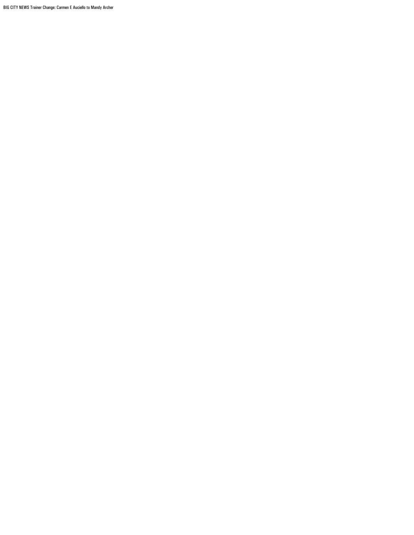BIG CITY NEWS Trainer Change: Carmen E Auciello to Mandy Archer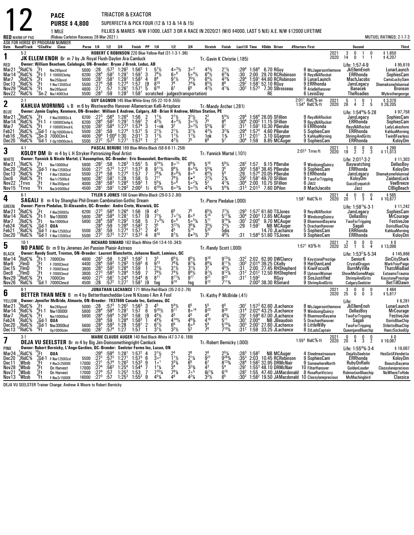|                               |                                      |                                                            | <b>PACE</b>                                                                                                                                                                                     |                |                                                 |                                    |                                                                      | TRIACTOR & EXACTOR                                                                                                                                                                                  |                   |                                                                            |                                                                  |                                                                |                                                        |                                                                   |                                                 |                           |                                                                                                              |                 |                                                          |              |                                                 |                               |                                               |
|-------------------------------|--------------------------------------|------------------------------------------------------------|-------------------------------------------------------------------------------------------------------------------------------------------------------------------------------------------------|----------------|-------------------------------------------------|------------------------------------|----------------------------------------------------------------------|-----------------------------------------------------------------------------------------------------------------------------------------------------------------------------------------------------|-------------------|----------------------------------------------------------------------------|------------------------------------------------------------------|----------------------------------------------------------------|--------------------------------------------------------|-------------------------------------------------------------------|-------------------------------------------------|---------------------------|--------------------------------------------------------------------------------------------------------------|-----------------|----------------------------------------------------------|--------------|-------------------------------------------------|-------------------------------|-----------------------------------------------|
|                               |                                      |                                                            | <b>PURSE \$4,800</b>                                                                                                                                                                            |                |                                                 |                                    |                                                                      |                                                                                                                                                                                                     |                   |                                                                            | SUPERFECTA & PICK FOUR (12 & 13 & 14 & 15)                       |                                                                |                                                        |                                                                   |                                                 |                           |                                                                                                              |                 |                                                          |              |                                                 |                               |                                               |
|                               | <b>RED WARM-UP PAD</b>               |                                                            | 1 MILE<br>(Rideau Carleton Raceway 28-Mar-2021)                                                                                                                                                 |                |                                                 |                                    |                                                                      |                                                                                                                                                                                                     |                   |                                                                            |                                                                  |                                                                |                                                        |                                                                   |                                                 |                           | FILLIES & MARES - N/W \$1000. LAST 3 OR A RACE IN 2020/21 (W/O \$4000. LAST 5 N/E) A.E. N/W \$12000 LIFETIME |                 |                                                          |              |                                                 |                               | MUTUEL RATINGS: 2-1-7-3                       |
|                               | Date Race#Track °CCndVar             |                                                            | ASK FOR HORSE BY PROGRAM NUMBER<br>Class                                                                                                                                                        |                | Purse 1/4 1/2 3/4                               |                                    |                                                                      | Finish PP 1/4                                                                                                                                                                                       |                   |                                                                            | 1/2                                                              | 3 4                                                            | Stretch Finish                                         |                                                                   |                                                 |                           | Last1/4 Time \$0dds Driver                                                                                   | #Starters First |                                                          |              | Second                                          |                               | <b>Third</b>                                  |
| 1                             | $5-2$                                |                                                            | JK ELLEM ENOH Br m 7 by Jk Royal Flush-Daylon Ara-Camluck                                                                                                                                       |                |                                                 |                                    |                                                                      |                                                                                                                                                                                                     |                   |                                                                            | ROBERT C ROBINSON 220 Blue-Yellow-Red (31-1-3-1-.96)             |                                                                | Tr. Gavin K Christie (.185)                            |                                                                   |                                                 |                           |                                                                                                              |                 |                                                          | 2021<br>2020 | 3<br>0<br>14<br>0                               | 0<br>-1<br>1<br>-1            | \$1,650<br>\$4,207                            |
| RED                           |                                      |                                                            | Owner: William Beacham, Calabogie, ON-Breeder: Bryan J Brook, Leduc, AB                                                                                                                         |                |                                                 |                                    |                                                                      |                                                                                                                                                                                                     |                   |                                                                            |                                                                  |                                                                |                                                        |                                                                   |                                                 |                           |                                                                                                              |                 |                                                          |              | Life: 1:57-4-9                                  |                               | \$95,619                                      |
| Mar21<br>Mar 14               | $.8$ Rid $C\%$<br>RidC%"             | 'Ft<br>$^{\circ}_{\circ}$ Ft-1                             | Nw265pscd<br>F-10000Clmhp                                                                                                                                                                       | 5000<br>6200   | :28<br>:28 <sup>4</sup>                         | $:58^2$                            | $:57^3$ 1:26 <sup>2</sup><br>1:29 <sup>1</sup>                       | $1:56^{3}$<br>1:59 <sup>1</sup>                                                                                                                                                                     | 3                 | $\frac{5^{7}\frac{1}{2}}{7^{8}\frac{1}{2}}$                                | $4 \cdot \frac{31}{2}$<br>606                                    | $3^{\circ}$ <sup>3</sup><br>$50^{4}$                           | $4^{3}\frac{1}{2}$<br>6 <sup>4</sup> $\frac{1}{2}$     | $2^{11/2}$<br>$6^{33/4}$                                          | :29 <sup>4</sup><br>:30                         |                           | 1:56 <sup>4</sup> 6.70 RGuy<br>2:00 29.70 RCRobinson                                                         |                 | 8 McJagersonthemove<br>9 ReysNARocket                    |              | JkEllemEnoh<br>ERRhonda                         |                               | LunarLaunch<br>SophiesCam                     |
| Mar7<br>Dec 13                | RidC%<br>"RidC%                      | (Ft<br>$^{3}$ Ft<br>,Ft                                    | Nw250pscd<br>F-Nw1350I3cd                                                                                                                                                                       | 5000<br>5500   | :28 <sup>1</sup><br>:27 <sup>4</sup>            | :58 <sup>1</sup><br>$:58$<br>:57   | $1:28^{2}$<br>1:27 <sup>4</sup>                                      | $1:58^{2}$<br>1:57                                                                                                                                                                                  | 4<br>[9<br>5      | 8 <sup>9</sup><br>$8^{10}$                                                 | $9^{7}$ <sup>1</sup> / <sub>2</sub><br>76                        | $7^{5}$ <sup>1</sup> / <sub>2</sub><br>$7^{4}_{6}$ %           | $6^{4}$ <sup>1</sup> / <sub>2</sub><br>$8^{5}_{42}\%$  | $4^{33}$<br>8 <sup>6</sup>                                        | :29 <sup>4</sup><br>$: 292$<br>:30 <sup>2</sup> |                           | 1:59 <sup>1</sup> 44.60 RCRobinson<br>1:58 <sup>1</sup> 52.10 RGuy                                           |                 | 9 LunarLaunch<br>9 ERRhonda                              |              | MachJacobs<br>JansLegacy                        |                               | CamsLuckySam<br>Shemaksmefelunreal            |
| Nov29<br>Nov22                | RidC%!<br>°RidC%                     |                                                            | Nw265pscd<br>Sn-2 Nw140013cd                                                                                                                                                                    | 4800<br>5500   | :27<br>: 28 <sup>3</sup>                        | :59                                | 1:26 <sup>1</sup><br>1:28 <sup>2</sup>                               | 1:57 <sup>1</sup>                                                                                                                                                                                   |                   | $\tilde{6}^{10}$                                                           | $1:581$ scratched - judges (transportation)                      |                                                                |                                                        | $4^{13}$ /4                                                       |                                                 |                           | 1:57 <sup>3</sup> 7.30 SBrosseau<br>RE                                                                       |                 | 9 ArielleHanover<br>6 LevisDay                           |              | Banacek<br><b>TheRoadies</b>                    |                               | <b>Bronson</b><br>Mybrothergeorge             |
| $\mathbf 2$                   | $2-1$                                |                                                            |                                                                                                                                                                                                 |                |                                                 |                                    |                                                                      | GUY GAGNON 145 Blue-White-Grey (55-22-10-9-.555)                                                                                                                                                    |                   |                                                                            |                                                                  |                                                                |                                                        |                                                                   |                                                 |                           |                                                                                                              |                 | 2:01 <sup>1</sup> RidC%-sn<br>1:54 <sup>4</sup> RidC%-ft | 2021<br>2020 | 5<br>$\mathbf{1}$<br>26<br>4                    | 0<br>$\overline{2}$<br>5      | \$3,370<br>\$26,205                           |
| BLUE                          |                                      |                                                            | <b>KAHLUA MORNING</b> L B m 6 by Westwardho Hanover-Allamerican Kelli-Artsplace<br>Owner: Jamie Copley, Kenmore, ON-Breeder: William E Andrew, Calgary, AB - Brian H Andrew, Milton Station, PE |                |                                                 |                                    |                                                                      |                                                                                                                                                                                                     |                   |                                                                            |                                                                  |                                                                | Tr.-Mandy Archer (.281)                                |                                                                   |                                                 |                           |                                                                                                              |                 |                                                          |              | Life: 1:54 <sup>4</sup> %-5-28                  |                               | \$97,758                                      |
| Mar21<br>Mar 14               | ?RidC%<br>RidC%                      | ′.Ft<br>$^6$ Ft-1                                          | F-Nw200013s-L<br>F-10000Clmhp-L                                                                                                                                                                 | 6200<br>6200   | :27 $^3$<br>:28 <sup>4</sup>                    | $:58^{2}$                          | $:56^4$ 1:26 <sup>4</sup><br>1:29 <sup>1</sup>                       | 1:56<br>$1.59$ <sup>1</sup>                                                                                                                                                                         | 2                 | $1^{11}/2$<br>$4^{3}$ <sup>1</sup> / <sub>2</sub>                          | $4 \cdot 4\frac{1}{2}$                                           | $3^{1}\frac{1}{2}$<br>$3^{\circ}\frac{2}{2}$                   | $\frac{2^2}{7^5}$                                      | $5^4\frac{1}{2}$<br>8 <sup>6</sup>                                | :29ª<br>$:30^4$                                 |                           | 1:56 <sup>4</sup> 26.05 SFillion<br>2:00 <sup>2</sup> 11.15 SFillion                                         |                 | 9 ReysNARocket<br>9 ReysNARocket                         |              | JansLegacy<br><b>ERRhonda</b>                   |                               | SophiesCam<br>SophiesCam                      |
| Mar7<br>Feb21                 | °RidC%,<br>,RidC%                    | .Ft<br>:Gd-1                                               | F-10000Clmcd-L<br>F-0p10000clm-L                                                                                                                                                                | 6200<br>5500   | $: 28^{2}$<br>:28 <sup>1</sup>                  |                                    | $\frac{158^4}{59}$ $\frac{1.27^3}{1.27^4}$                           | 1:57 <sup>4</sup><br>1:57 <sup>1</sup>                                                                                                                                                              | $\frac{2}{3}$     | 1∘nk<br>$2^{1}\frac{1}{2}$                                                 | $2^{11}/2$                                                       | $3^{\circ}2\frac{1}{2}$<br>$3^{1}$ <sup>1</sup> / <sub>2</sub> | $5^{5}_{4}$<br>4 <sup>3</sup> $\frac{1}{2}$            | 6 <sup>7</sup><br>$3^{23}/4$                                      | :31'<br>:29ª                                    | 1:57 <sup>4</sup>         | 1:59 <sup>1</sup> 10.30 PBerube<br>4.60 PBerube                                                              |                 | 9 ERRhonda<br>5 SophiesCam                               |              | ReysNARocket<br>ERRhonda                        |                               | LadyLakeshore<br>KahluaMorning                |
| Feb16<br>Dec20                | $\cdot$ <sup>3</sup> RidC%<br>'RidC% |                                                            | 10 Sn-3 7000Clm-L<br><sup>0</sup> Sn-3 7000Clm-L<br><sup>0</sup> Gd-1 F-0p10000clm-L                                                                                                            | 4800<br>5500   | $:29^{4}$<br>$:27^{2}$                          |                                    | 1:00 <sup>4</sup> 1:30<br>$:57^3$ 1:27 <sup>1</sup>                  | 2:01 <sup>1</sup><br>$1:57^{3}$                                                                                                                                                                     | 3                 | $1^{11}$<br>2 <sup>1</sup>                                                 | $1\frac{1}{2}$<br>$4^{3}\frac{1}{2}$                             | $1\frac{1}{2}$<br>75                                           | 1nk<br>66                                              | $1\frac{3}{4}$                                                    | :31 <sup>1</sup><br>:30 $^4$                    | 2:01 <sup>1</sup><br>1:59 | 3.10 GGagnon                                                                                                 |                 | 5 KahluaMorning                                          |              | <b>ShrimpAndGrits</b>                           |                               | TwinBFearless                                 |
|                               | $4-1$                                |                                                            |                                                                                                                                                                                                 |                |                                                 |                                    |                                                                      |                                                                                                                                                                                                     |                   |                                                                            | PASCAL BERUBE 189 Blue-White-Black (58-8-6-11-.258)              |                                                                |                                                        |                                                                   |                                                 |                           | 8.85 MCAuger                                                                                                 |                 | 9 SophiesCam                                             | 2021<br>2020 | ERRhonda<br>0                                   | 0<br>0                        | KoloyDm<br>$$290$<br>\$11,013                 |
| 3<br><b>WHITE</b>             |                                      |                                                            | KOLOY DM Br m 4 by L H Stryker-Patronizing-Real Artist<br>Owner: Yannick & Nicole Martel, L'Assomption, QC-Breeder: Eric Beausoleil, Berthierville, QC                                          |                |                                                 |                                    |                                                                      |                                                                                                                                                                                                     |                   |                                                                            |                                                                  |                                                                | Tr. Yannick Martel (.101)                              |                                                                   |                                                 |                           |                                                                                                              |                 | $2:013$ Trrvs-ft                                         |              | 19<br>$\overline{2}$<br>Life: $2:013 \cdot 3:2$ | $\overline{2}$<br>-3          | \$11,303                                      |
| Mar21                         | RidC%                                | .Ft                                                        | Nw10000lcd                                                                                                                                                                                      | 5800           | :28 <sup>2</sup>                                | :58                                | $1:26^{3}$                                                           | $1:55^{1}$                                                                                                                                                                                          | 5                 | $9^{14}$ %                                                                 | $80$ <sup>11</sup>                                               | $6^{9}$ <sup>3</sup> / <sub>4</sub>                            | $5^{10}$                                               | $5^{9}$ <sup>1</sup> / <sub>2</sub>                               | :28 <sup>2</sup>                                |                           | 1:57 9.15 PBerube                                                                                            |                 | 9 WindsongQuincy                                         |              | Baywatching                                     |                               | DellasBoy                                     |
| Dec20<br>Dec13                | ¦RidC%<br>7RidC%                     | $^{3}$ Ft                                                  | Gd-1 F-Nw125013cd<br>F-Nw1350l3cd                                                                                                                                                               | 5500<br>5500   | $: 27^{2}$<br>:27 <sup>4</sup>                  | $:57^{3}$<br>:58                   | 1:27 <sup>1</sup><br>1:27 <sup>4</sup>                               | $1:57^{3}$<br>1:57                                                                                                                                                                                  | 8<br>7            | $9^{11}$ %<br>$7^{83}$                                                     | $\frac{99}{2}$<br>8.6%                                           | $80^{51/4}$<br>8 <sup>5</sup>                                  | $5^{5}_{4}\%$                                          | $\frac{3^{5}}{5^{4}}$                                             | :30ª<br>:29                                     |                           | $1:583$ 38.45 PBerube<br>$1:574$ 20.05 PBerube                                                               |                 | 9 SophiesCam<br>9 ERRhonda                               |              | ERRhonda<br>JansLegacy                          |                               | KoloyDm<br>Shemaksmefelunreal                 |
| Dec6<br>Nov22<br>Nov15        | RidC%<br>"Trrvs                      | "Ft<br>3 <sup>2</sup> Ft                                   | Nw1r7500lcd<br>F-Nw350pscd                                                                                                                                                                      | 5600<br>4000   | :28 <sup>2</sup><br>: 28 <sup>3</sup>           | $:58^{1}$<br>$:58^{3}$             | 1:28<br>1:28 <sup>4</sup>                                            | 1.58<br>$1:59^{3}$                                                                                                                                                                                  | 5<br>$\mathbf{1}$ | $7^{11}$<br>$5^{5}$ <sup>1</sup> / <sub>4</sub>                            | $7^{8}\frac{1}{2}$<br>5.6                                        | 6• <sup>4</sup><br>$50^{2}$ %                                  | $2^{2}\frac{1}{2}$<br>5 <sup>2</sup>                   | $2\frac{3}{4}$<br>$4^{13}$ /4                                     | $:29^{2}$<br>$:30^4$                            |                           | 1:58 <sup>1</sup> 49.70 SFillion<br>2:00 10.75 SFillion                                                      |                 | 9 TwoForTripping<br>6 Jazz                               |              | KoloyDm<br>GucciEyepatch                        |                               | ZaidansLuck<br>VeeBreeze                      |
|                               | $2$ Trrvs                            |                                                            | Nw3r5000lcd                                                                                                                                                                                     | 4500           | :28 <sup>1</sup>                                | $:59^{1}$                          | $1:29^{3}$                                                           | $2:00^{3}$                                                                                                                                                                                          | 1i                | $6^{10}\%$                                                                 | $60^{3}$ %<br>TYLER S JONES 166 Green-White-Black (29-0-3-2-.80) | $5 \cdot \frac{21}{2}$                                         | 431/4                                                  | $5^{4}$ %                                                         | $:31^3$                                         |                           | $2:013$ 7.60 DPilon                                                                                          |                 | 8 MachJacobs                                             |              | Jazz<br>4                                       | 0                             | <b>CIBiaBeach</b>                             |
| 4                             | $6-1$                                |                                                            | SAGALI B m 4 by Shanghai Phil-Dream Cambination-Gothic Dream                                                                                                                                    |                |                                                 |                                    |                                                                      |                                                                                                                                                                                                     |                   |                                                                            |                                                                  |                                                                | Tr. Pierre Piedalue (.000)                             |                                                                   |                                                 |                           |                                                                                                              |                 | $1:581$ RidC $%$ -ft                                     | 2021<br>2020 | 0<br>20<br>1                                    | 0<br>3<br>$\overline{4}$      | $$565$<br>\$10,677                            |
| GREEN<br>Mar21                | $\frac{6}{3}$ RidC%                  | 'Ft                                                        | Owner: Pierre Piedalue, St-Alexandre, QC--Breeder: Andre Crete, Warwick, QC<br>F-Nw2000I3s                                                                                                      | 6200           | :27 <sup>3</sup>                                |                                    | 1:26 <sup>4</sup>                                                    |                                                                                                                                                                                                     |                   | $4^3$                                                                      | 6 <sup>5</sup>                                                   |                                                                |                                                        |                                                                   |                                                 |                           | 1:57 <sup>2</sup> 61.60 TSJones                                                                              |                 | 9 ReysNARocket                                           |              | Life: $1:58^{1}\%$ 3-1<br>JansLegacy            |                               | \$11,242<br>SophiesCam                        |
| Mar 14<br>Mar7                | $9$ RidC%<br>∱RidC                   | $_{.9}^{\circ}$ Ft-1<br>.Ft                                | Nw10000I<br>Nw10000lcd                                                                                                                                                                          | 5800<br>5800   | :28 <sup>4</sup><br>:28 <sup>4</sup>            | $\frac{.56^4}{.58^4}$<br>$:59^{4}$ | 1:28 <sup>1</sup><br>$1:29^{3}$                                      | 1:56<br>1:57<br>1:58                                                                                                                                                                                | [9<br>[9<br>5     | $7^{7}$ <sup>1</sup> / <sub>2</sub><br>$7\cdot\frac{1}{9}\frac{1}{2}$      | $7 \cdot \frac{7}{2}$<br>608                                     | 608<br>$50^{5}$ %                                              | $5^{14}$<br>$\bar{5}^{11}$                             | $\frac{17}{2}$<br>5 <sup>173</sup> / <sub>4</sub><br>$9^{14}$     | $: 29^3$<br>$: 30^4$<br>:30 <sup>1</sup>        |                           | $2:003$ 12.65 MCAuger<br>$2:004$ 9.70 MCAuger                                                                |                 | 9 WindsongQuincy<br>9 BluemoonBayama                     |              | DellasBoy<br><b>TwoForTripping</b>              |                               | MrCourage<br><b>FestiveJoe</b>                |
| Feb24<br>Feb21                | ¦RidC%<br>FRidC%:                    | Gd-1<br>Gd-1                                               | QUA                                                                                                                                                                                             | 5500           | :284<br>:28 <sup>1</sup>                        | $\frac{.59}{.59}$                  | 1:28 <sup>4</sup><br>1:27 <sup>4</sup>                               | $1:58^{3}$<br>1:57 <sup>1</sup>                                                                                                                                                                     | $\frac{2}{2}$     | $3^{5}_{4^{5}}$                                                            | $3^{12}$ <sup>1</sup> / <sub>2</sub>                             | $3^{63/4}$                                                     | $3^{5}/_{2}$<br>532                                    | $2^{3}\frac{1}{2}$<br>5dis                                        | :29                                             | $1:59^{1}$                | <b>NB MCAuger</b><br>14.70 JLachance                                                                         |                 | 5 DrachanHanover<br>5 SophiesCam                         |              | Sagali<br>ERRhonda                              |                               | <b>OsirisBlueChip</b><br>KahluaMorning        |
| Dec20                         | 'RidC%                               |                                                            | F-Nw1250l3cd<br><sup>0</sup> Gd-1 F-Nw125013cd                                                                                                                                                  | 5500           | : 27 <sup>2</sup>                               | $:57^{3}$                          | 1:27 <sup>1</sup>                                                    | 1:57 <sup>3</sup>                                                                                                                                                                                   | $\overline{4}$    | 810                                                                        | $8^{7}$ %                                                        | $6 • 3\frac{1}{2}$                                             | $\bar{3}^5$                                            | $4^{6}$ <sup>1</sup> / <sub>2</sub>                               | :31                                             |                           | $1:584 51.60$ TSJones                                                                                        |                 | 9 SophiesCam                                             |              | ERRhonda                                        |                               | KoloyDm                                       |
| 5                             | $10-1$                               |                                                            | NO PANIC Br m 9 by Jeremes Jet-Passion Plaisir-Astreos                                                                                                                                          |                |                                                 |                                    |                                                                      |                                                                                                                                                                                                     |                   |                                                                            | RICHARD SIMARD 162 Black-White (54-13-4-10-.343)                 |                                                                | Tr.-Randy Scott (.000)                                 |                                                                   |                                                 |                           |                                                                                                              |                 | $1:57^1$ KD%-ft                                          | 2021<br>2020 | n<br>2<br>32<br>1                               | 0<br>0<br>5<br>4              | \$0<br>\$13,098                               |
| <b>BLACK</b>                  |                                      |                                                            | Owner: Randy Scott, Trenton, ON-Breeder: Laurent Blanchette, Johanne Nault, Lemieux, OC<br>$^{6}_{3}$ Et 1 7000Clm                                                                              |                |                                                 |                                    |                                                                      |                                                                                                                                                                                                     |                   |                                                                            |                                                                  |                                                                | $9^{10}$                                               | $9^{13}$ <sup>1</sup> / <sub>4</sub>                              |                                                 |                           | 2:02 62.90 DWClancy                                                                                          |                 |                                                          |              | Life: 1:53 <sup>2</sup> %-5-34                  |                               | \$145,866                                     |
| Mar14<br>Mar6                 | "RidC%<br>ElmD)                      | - Ft                                                       | F-7000Clmcd                                                                                                                                                                                     | 4800<br>4400   | :28 $^3$<br>:28 <sup>4</sup>                    | :58<br>$:59^{3}$                   | $1:28^{3}$<br>$1:29^{3}$                                             | $1:59^{2}$<br>$1:59^{3}$ 6                                                                                                                                                                          |                   | g <sub>13</sub>                                                            | $6^5\frac{1}{2}$<br>$76\frac{3}{4}$                              | $8^5\frac{1}{2}$<br>$8^{7}$ <sup>3</sup> / <sub>4</sub>        | $8^{8}$ <sup>1/4</sup>                                 | $8^{11}$ / <sub>2</sub>                                           | $:30^{3}$                                       |                           | 2:01 <sup>4</sup> 39.25 CKelly                                                                               |                 | 9 KeystonePrestige<br>9 HerOwnLand                       |              | SeniorK<br>CrystalDragon<br>BurnMyVilla         |                               | SinCityShark<br>MarkYourPaige<br>ThatsMiaBad  |
| Dec 15<br>Dec8                | $^{\cdot}$ FlmD<br>, FimD            | .Ft<br>.Ft                                                 | F-7000Clmcd<br>F-7000Clmcd                                                                                                                                                                      | 3800<br>3800   | $: 28^{3}$<br>$: 27^{3}$                        | $:59^{2}$<br>:58 <sup>3</sup>      | 1:28 <sup>4</sup><br>1:28 <sup>4</sup>                               | 1:59<br>1:59                                                                                                                                                                                        | $\mathbf{1}$<br>7 | $2^{11/2}$<br>$\frac{79}{8^{11}}$                                          | $\frac{3^{1}\frac{1}{2}}{7^{4}\frac{1}{2}}$                      | $\frac{3^{1}1}{8^{6}1/2}$<br>$\frac{9^{17}}{9^{17}}$           | 32<br>$8^{7}$ %                                        | $4^{5}\frac{1}{2}$<br>8 <sup>12</sup> <sup>1</sup> / <sub>4</sub> | :31<br>$:31^2$                                  |                           | 2:00 27.45 RHShepherd<br>2:01 <sup>2</sup> 12.50 RHShepherd                                                  |                 | 9 KiwiFocusN<br>8 UptownWoman                            |              | ShowMeSomeMagic                                 |                               | EataamsTrauma                                 |
| Nov29<br>Nov26                | $13$ RidC <sup>%</sup><br>°RidC%     | $\frac{2}{3}$ Ft<br>$3$ Gd-1                               | 7000Clm<br>7000Clmcd                                                                                                                                                                            | 4800<br>4500   | $:27^{3}$<br>:28                                | $:56^{1}$<br>$:57^{2}$             | 1:24 <sup>4</sup><br>1:27 <sup>1</sup>                               | $1:54^{4}$<br>1:58 <sup>1</sup>                                                                                                                                                                     | 6<br>[9           | fog                                                                        | $8^{11}$ %<br>9 <sup>14</sup>                                    | foa                                                            | $9^{21}$<br>$8^{12}$                                   | $\overline{9}^{23}$<br>$7^{113}$ /4                               | :31 <sup>1</sup>                                | 1:59 <sup>2</sup>         | RGuy<br>2:00 <sup>3</sup> 38.30 RSimard                                                                      |                 | 9 SosJustified<br>9 ShrimpAndGrits                       |              | <b>ShrimpAndGrits</b><br>CalgarySeelster        |                               | <b>KeystonePrestige</b><br><b>BetTillDawn</b> |
| 6                             | $8-1$                                |                                                            |                                                                                                                                                                                                 |                |                                                 |                                    |                                                                      |                                                                                                                                                                                                     |                   |                                                                            | JONATHAN LACHANCE 171 White-Red-Black (35-2-0-2-.76)             |                                                                |                                                        |                                                                   |                                                 |                           |                                                                                                              |                 |                                                          | 2021<br>2020 | $2\overline{5}$<br>0<br>0                       | 0<br>0<br>Ò.<br>3             | $$464$<br>\$5,817                             |
| YELLOW                        |                                      |                                                            | <b>BETTER THAN MEN</b> B m 4 by Betterthancheddar-Love N Kisses-I Am A Fool<br>Owner: Jennifer McBride, Almonte, ON-Breeder: 7837666 Canada Inc, Gatineau, QC                                   |                |                                                 |                                    |                                                                      |                                                                                                                                                                                                     |                   |                                                                            |                                                                  |                                                                | Tr. Kathy P McBride (.41)                              |                                                                   |                                                 |                           |                                                                                                              |                 |                                                          |              | Life:                                           |                               | \$6,281                                       |
| Mar21<br>Mar14 $\cdot$ RidC\% | ୍ନRidC%                              |                                                            | $^{7}_{6}$ Ft Nw26bps<br>$^{6}_{6}$ Ft-1 Nw100001                                                                                                                                               |                |                                                 |                                    |                                                                      | 5000 :28 :57 <sup>3</sup> 1:26 <sup>2</sup> 1:56 <sup>3</sup> 3<br>$\overline{5800}$ $\overline{.28}$ <sup>4</sup> $\overline{.58}$ <sup>4</sup> $\overline{1.28}$ <sup>1</sup> $\overline{1.57}$ 6 | 45                | q101/2                                                                     | $5^4\frac{1}{2}$<br>q11                                          | 6 <sup>5</sup><br>$8^{\circ}$ <sup>14</sup>                    | R <sup>23</sup>                                        | 65<br>829                                                         |                                                 |                           | :30 <sup>1</sup> 1:57 <sup>3</sup> 62.60 JLachance<br>:31 <sup>4</sup> 2:02 <sup>4</sup> 43.25 JLachance     |                 | 9 WindsongQuincy                                         |              | 8 McJagersonthemove JkEllemEnoh<br>DellasBoy    |                               | LunarLaunch<br><b>MrCourage</b>               |
| Mar7<br>Feb24                 | ,RidC%<br>,RidC%                     | $\frac{9}{1}$ Ft<br>$\frac{1}{1}$ Gd-1                     | QUA                                                                                                                                                                                             | 5800           | :28 $^4$<br>: 28 <sup>4</sup>                   |                                    | $:59^4$ $:29^3$<br>$:59$ $:28^4$<br>$:59^3$ $:28^4$<br>$:59^3$ $:28$ | $\frac{1:58}{1:58^3}$                                                                                                                                                                               | $\frac{1}{1}$     | $4^{5}$ <sup>1</sup> / <sub>2</sub><br>$4^{9}$ <sup>1</sup> / <sub>2</sub> | 45<br>$4^{14}$ <sup>1</sup> / <sub>2</sub>                       | 45<br>$4^{8}$ <sup>3</sup> / <sub>4</sub>                      | 48<br>410                                              | $4^{9}$ <sup>/</sup> / <sub>4</sub><br>$5^{11}$                   | :291<br>:30'                                    | 2:00 <sup>4</sup>         | $1:594$ 67.00 JLachance<br><b>NB JBeaudoin</b>                                                               |                 | 9 BluemoonBayama<br>5 DrachanHanover                     |              | <b>TwoForTripping</b><br>Sagali                 |                               | FestiveJoe<br><b>OsirisBlueChip</b>           |
| Dec20<br>Dec 13               | "RidC%<br>°RidC%                     | ្ធុំGd-1<br>$\widetilde{f}$ Ft                             | Nw3000lcd<br>0p10000clm                                                                                                                                                                         | 5600<br>4800   | :28 <sup>4</sup><br>:28 <sup>1</sup>            | :57 <sup>4</sup>                   | 1:27                                                                 | 1:58 <sup>1</sup><br>1:57                                                                                                                                                                           | $\frac{2}{1}$     | $\frac{6^7}{2^1}$                                                          | 6 <sup>6</sup><br>$3^{3}$ <sup>1</sup> / <sub>2</sub>            | 608<br>5 <sup>3</sup>                                          | $\frac{5^9}{7^6}$                                      | $5^{10}$ %<br>$7^{10}\%$                                          | :30ª<br>:31 <sup>2</sup>                        |                           | 2:00 <sup>1</sup> 27.60 JLachance<br>1:59 33.25 JLachance                                                    |                 | 8 LittleWilly<br>8 StLadsCaptain                         |              | <b>TwoForTripping</b><br>QueenjaneBluechip      |                               | <b>StilettoBlueChip</b><br>HeerzSockedUp      |
|                               | 3-1                                  |                                                            |                                                                                                                                                                                                 |                |                                                 |                                    |                                                                      |                                                                                                                                                                                                     |                   |                                                                            | MARIE CLAUDE AUGER 140 Red-Black-White (47-3-7-6-189)            |                                                                |                                                        |                                                                   |                                                 |                           |                                                                                                              |                 |                                                          | 2021         | 0<br>0                                          | 0<br>0                        | 0 \$<br>19,067 \$                             |
| 7<br>PINK                     |                                      |                                                            | <b>DEJA VU SEELSTER</b> Br m 4 by Big Jim-Doinsomethingright-Camluck<br>Owner: Robert Bernicky, L'Ange-Gardien, QC--Breeder: Seelster Farms Inc, Lucan, ON                                      |                |                                                 |                                    |                                                                      |                                                                                                                                                                                                     |                   |                                                                            |                                                                  |                                                                | Tr. Robert Bernicky (.000)                             |                                                                   |                                                 |                           |                                                                                                              |                 | $1:554$ RidC $%$ -ft                                     | 2020         | 20<br>4<br>Life: $1:554%3.4$                    | $\overline{2}$<br>$3^{\circ}$ | \$19,067                                      |
| Mar <sub>24</sub><br>Dec20    | RidC <sup>%</sup><br>¦RidC%          |                                                            | QUA                                                                                                                                                                                             | 5500           | $:29^{4}$<br>:27 <sup>2</sup>                   | $:59^{4}$<br>:57 <sup>3</sup>      | $1:281$<br>$1:271$                                                   | $1:57^2$<br>$1:57^3$                                                                                                                                                                                | $\frac{4}{6}$     | $\frac{2^{1}\frac{1}{2}}{3^{o^2}}$                                         | $\frac{1}{1}$ <sup>1</sup> / <sub>2</sub>                        | $\frac{2^8}{2^1\%}$                                            | $\overline{9}$ <sup>21</sup>                           | $2^{5}_{9}$ /4<br>$9^{26}_{9}$ /4                                 | $:35^3$                                         | $1:58^{2}$                | <b>NB MCAuger</b><br>2:03 10.45 RCRobinson                                                                   |                 | 4 Steelmeatreasure<br>9 SophiesCam                       |              | DejaVuSeelster<br>ERRhonda                      |                               | HesGotAVendetta<br>KoloyDm                    |
| Dec 11                        | $\frac{7}{9}$ Wbsb                   |                                                            | F-Nw1250I3cd<br>F-Nw2r25000l                                                                                                                                                                    | 17000          | :27 <sup>1</sup>                                | :57 <sup>4</sup>                   | $1:26^{3}$                                                           | $1.53^{3}$                                                                                                                                                                                          | 9                 | 1 <sup>0</sup>                                                             | $3^{3}$ <sup>/</sup> / <sub>4</sub>                              |                                                                | 6 <sup>7</sup>                                         | $8^{13\frac{7}{4}}$                                               | :28 <sup>4</sup>                                |                           | 1:56 <sup>2</sup> 32.95 DRMcNair                                                                             |                 | 9 SomewhereNorth                                         |              | <b>RubyOnRails</b>                              |                               | BeautyBayama                                  |
| Nov28<br>Nov21                | °,Wbsb<br>$8$ Wbsb                   | o <sup>c</sup> d-1<br><sup>3</sup> Ft<br>4Ft<br>2Ft<br>4Ft | <b>On Harvest</b><br>On Harvest                                                                                                                                                                 | 17000<br>17000 | $:27^4$<br>:27 <sup>4</sup><br>:27 <sup>3</sup> | $:56^3$<br>:57<br>:57              | $1:25^{4}$<br>$1:25^{3}$                                             | $1.54^{4}$<br>1.53                                                                                                                                                                                  | 7<br>7            | $1^{11}$<br>$7^{10}$ <sup>1</sup>                                          | $79\frac{1}{4}$                                                  | $3^{23/4}$                                                     | 4 <sup>3</sup><br>$6i^{7}$ <sup>3</sup> / <sub>4</sub> | 5 <sup>4</sup><br>$6^{10}$                                        | :291                                            |                           | 1:553 48.10 DRMcNair<br>$:282$ 1:55 47.40 JAMacdonald 8 RoseRunVictory                                       |                 | 10 FilterHanover                                         |              | GoldenLeader<br>RobmotionBluechip               |                               | Classylaneprecious<br>NoWhereToHide           |
| Nov13                         | <sup>4</sup> Wbsb                    |                                                            | F-Nw2r15000l                                                                                                                                                                                    | 16000          |                                                 |                                    | $1:25^{3}$                                                           | $1:55^2$ 9                                                                                                                                                                                          |                   | $4^{5}$ <sup>/</sup> / <sub>4</sub>                                        |                                                                  | $4^{2}\%$                                                      | $3^2\frac{1}{2}$                                       | 6 <sup>5</sup>                                                    | :30 $^2$                                        |                           | 1:56 <sup>2</sup> 19.50 JAMacdonald 10 Classylaneprecious                                                    |                 |                                                          |              | MsMachingbird                                   |                               | Classica                                      |

DEJA VU SEELSTER Trainer Change: Andrew A Moore to Robert Bernicky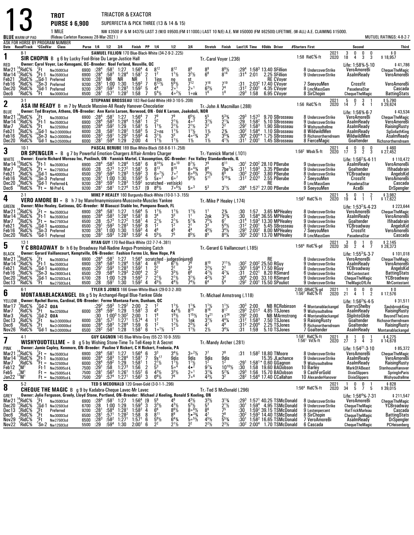|                                                                             |                                                                                                                                                                                                                                                                             |                                                                | <b>TROT</b>                                                                                                                                                                                                                                                    |  |                                              |                                                                                                    |                                                                                              | TRIACTOR & EXACTOR                                                                                                                                                                              |                                                                                                |                                                        |                                                                                                                                                               |                                                                                                                                                                                                                           |                                                                                                                                |                                                                                                                                                                                        |                                                                                                                        |                                                                                             |                                                                                                              |                                                                                                                                                                                |                                                        |                                                                                                                                  |                                             |                                                                                                                                                  |                                                    |                                                                                                                               |
|-----------------------------------------------------------------------------|-----------------------------------------------------------------------------------------------------------------------------------------------------------------------------------------------------------------------------------------------------------------------------|----------------------------------------------------------------|----------------------------------------------------------------------------------------------------------------------------------------------------------------------------------------------------------------------------------------------------------------|--|----------------------------------------------|----------------------------------------------------------------------------------------------------|----------------------------------------------------------------------------------------------|-------------------------------------------------------------------------------------------------------------------------------------------------------------------------------------------------|------------------------------------------------------------------------------------------------|--------------------------------------------------------|---------------------------------------------------------------------------------------------------------------------------------------------------------------|---------------------------------------------------------------------------------------------------------------------------------------------------------------------------------------------------------------------------|--------------------------------------------------------------------------------------------------------------------------------|----------------------------------------------------------------------------------------------------------------------------------------------------------------------------------------|------------------------------------------------------------------------------------------------------------------------|---------------------------------------------------------------------------------------------|--------------------------------------------------------------------------------------------------------------|--------------------------------------------------------------------------------------------------------------------------------------------------------------------------------|--------------------------------------------------------|----------------------------------------------------------------------------------------------------------------------------------|---------------------------------------------|--------------------------------------------------------------------------------------------------------------------------------------------------|----------------------------------------------------|-------------------------------------------------------------------------------------------------------------------------------|
|                                                                             |                                                                                                                                                                                                                                                                             |                                                                | <b>PURSE \$6,900</b>                                                                                                                                                                                                                                           |  |                                              |                                                                                                    |                                                                                              |                                                                                                                                                                                                 |                                                                                                |                                                        |                                                                                                                                                               | SUPERFECTA & PICK THREE (13 & 14 & 15)                                                                                                                                                                                    |                                                                                                                                |                                                                                                                                                                                        |                                                                                                                        |                                                                                             |                                                                                                              |                                                                                                                                                                                |                                                        |                                                                                                                                  |                                             |                                                                                                                                                  |                                                    |                                                                                                                               |
|                                                                             | <b>BLUE</b> WARM-UP PAD                                                                                                                                                                                                                                                     |                                                                | 1 MILE<br>(Rideau Carleton Raceway 28-Mar-2021)                                                                                                                                                                                                                |  |                                              |                                                                                                    |                                                                                              |                                                                                                                                                                                                 |                                                                                                |                                                        |                                                                                                                                                               |                                                                                                                                                                                                                           |                                                                                                                                |                                                                                                                                                                                        |                                                                                                                        |                                                                                             |                                                                                                              | NW \$3500 (F & M \$4375) LAST 3 (W/O \$9500.(FM \$11000.) LAST 10 N/E) A.E. NW \$50000 (FM \$62500) LIFETIME. (W-ALL) A.E. CLAIMING \$15000.                                   |                                                        |                                                                                                                                  |                                             |                                                                                                                                                  |                                                    | MUTUEL RATINGS: 4-8-2-7                                                                                                       |
|                                                                             |                                                                                                                                                                                                                                                                             |                                                                | ASK FOR HORSE BY PROGRAM NUMBER<br>Date Race#Track "CCndVar Class                                                                                                                                                                                              |  |                                              | Purse 1/4 1/2 3/4                                                                                  |                                                                                              |                                                                                                                                                                                                 | Finish PP 1/4                                                                                  |                                                        |                                                                                                                                                               | 1/2                                                                                                                                                                                                                       | 3/4                                                                                                                            | Stretch Finish                                                                                                                                                                         |                                                                                                                        |                                                                                             |                                                                                                              | Last1/4 Time \$0dds Driver                                                                                                                                                     | #Starters First                                        |                                                                                                                                  |                                             | Second                                                                                                                                           |                                                    | Third                                                                                                                         |
| 1                                                                           | $8-1$                                                                                                                                                                                                                                                                       |                                                                | SIR CHOPIN B g 6 by Lucky Fool-Brise Du Large-Justice Hall                                                                                                                                                                                                     |  |                                              |                                                                                                    |                                                                                              |                                                                                                                                                                                                 |                                                                                                |                                                        |                                                                                                                                                               | SAMUEL FILLION 170 Blue-Black-White (34-2-9-2-.225)                                                                                                                                                                       |                                                                                                                                | Tr. Carol Voyer (.236)                                                                                                                                                                 |                                                                                                                        |                                                                                             |                                                                                                              |                                                                                                                                                                                | 1:58 RidC%-ft                                          |                                                                                                                                  | 2021<br>2020                                | 3<br>0<br>18<br>4                                                                                                                                | 0<br>0<br>3<br>3                                   | \$0<br>\$18,957                                                                                                               |
| RED<br>Mar21<br>Mar 14<br>Feb21                                             | $^4$ RidC $%$<br>,°RidC<br>RidC%:                                                                                                                                                                                                                                           | '.Ft<br>$^{9}$ Ft-1<br>Gd-1                                    | Owner: Carol Voyer, Lac-Kenogami, QC--Breeder: Noel Ferland, Neuville, QC<br>Nw3500l3cd<br>Nw3500l3cd<br>Preferred                                                                                                                                             |  | 6900<br>6900<br>9200                         | :28 <sup>4</sup><br>$\frac{1}{28}$ <sup>4</sup><br>:28 <sup>1</sup>                                | $:58^1$ 1:27<br>$:58^3$ 1:284<br>NR                                                          | 1:28 <sup>4</sup><br>NR                                                                                                                                                                         | $1:56^{4}$<br>1:58 <sup>1</sup><br>ΝR                                                          | 4<br>$\overline{2}$                                    | $8^{12}$<br>$\overline{1}^2$<br>1ins                                                                                                                          | $8^{12}$<br>$1^{11}$<br>no                                                                                                                                                                                                | $\frac{8^9}{3^2\%}$                                                                                                            | $8^{9}_{6}$                                                                                                                                                                            | $8^{9}_{14}$                                                                                                           | $:29^{4}$<br>$:31^{4}$                                                                      | 2:01                                                                                                         | $1:583 13.40$ SFillion<br>2.25 SFillion<br><b>RE CVoyer</b>                                                                                                                    |                                                        | 8 UndercoverStrike<br>9 UndercoverStrike                                                                                         |                                             | Life: 1:58% 5-10<br>VeroAmoreBi<br>AsalmReady                                                                                                    |                                                    | \$41,786<br>ChequeTheMagic<br>VeroAmoreBi                                                                                     |
| Feb16<br>Dec20<br>Dec6                                                      | ,RidC%<br>*RidC%<br>'RidC%                                                                                                                                                                                                                                                  | $4$ <sub>Ft</sub>                                              | $^{10}_{0}$ Sn-3 Preferred<br>$^{0}_{4}$ Gd-1 Preferred<br>Nw3000l3cd                                                                                                                                                                                          |  | 9200<br>9200<br>6500 :281                    | :28 <sup>1</sup><br>$:28^{3}$                                                                      | $1:00$ $1:30$<br>$:59^{3}$<br>:57 <sup>1</sup>                                               | $1:28^{3}$<br>$1:28^{2}$                                                                                                                                                                        | $1:59^{3}$<br>$1:59^{2}$<br>1:58                                                               | 7<br>5<br>7                                            | $6^{12}\%$<br>$5^{4}$ <sup>1</sup> / <sub>2</sub>                                                                                                             | $\frac{5^{6}\%}{2^{0}}$<br>$40^{21/2}$                                                                                                                                                                                    | $\frac{st}{7^{12}}$<br>2 <sup>0</sup><br>1∘nk                                                                                  | 716<br>$6^{3}$ <sup>1</sup> / <sub>2</sub><br>1 <sup>6</sup>                                                                                                                           | $7^{19}$<br>74<br>1 <sup>8</sup>                                                                                       | $:31$<br>$:312$<br>:293                                                                     | 2:00 <sup>1</sup><br>1:58                                                                                    | 2:03 <sup>2</sup> 17.40 CVoyer<br>4.35 CVover<br>6.95 CVover                                                                                                                   |                                                        | 7 SeeyouMen<br>8 LmcMassGem<br>8 SirChopin                                                                                       |                                             | Crossfit<br>PasadenaStar<br><b>ChequeTheMagic</b>                                                                                                |                                                    | VeroAmoreBi<br>Cascada<br><b>BattingStats</b>                                                                                 |
| $\mathbf 2$                                                                 | STEPHANE BROSSEAU 183 Red-Gold-White (49-3-10-5-.208)<br>$3-1$<br>ASA IM READY B m 7 by Muscle Massive-All Ready Hanover-Chocolatier<br>Tr.-John A Macmillan (.288)<br>Owner: Ted Brayton, Athens, ON-Breeder: Ann Karin Larsen, Norwood, ON - Odd K Larsen, Joakobsli, NOR |                                                                |                                                                                                                                                                                                                                                                |  |                                              |                                                                                                    |                                                                                              |                                                                                                                                                                                                 |                                                                                                |                                                        |                                                                                                                                                               |                                                                                                                                                                                                                           |                                                                                                                                | 1:56 RidC%-ft                                                                                                                                                                          |                                                                                                                        | 2021<br>2020                                                                                | 0<br>5<br>14<br>7                                                                                            | 3<br>$\overline{\phantom{0}}$<br>4<br>$\overline{1}$                                                                                                                           | \$5,790<br>\$29,624                                    |                                                                                                                                  |                                             |                                                                                                                                                  |                                                    |                                                                                                                               |
| BLUE<br>Mar21<br>Mar 14<br>Mar7<br>Feb21<br>Feb16<br>Dec20                  | ,RidC%<br>,RidC%<br>¦RidC%<br>RidC%:<br>$\frac{9}{7}$ RidC%<br>'RidC%                                                                                                                                                                                                       | ′.Ft<br>$_{.9}^{\circ}$ Et-1<br>:Ft<br>Gd-1                    | Nw3500l3cd<br>Nw3500l3cd<br>Nw32500lcd<br>Nw2r30000lcd<br>$^{10}$ Sn-3 Nw2r30000lcd<br>Gd-1 Nw2r35000lcd                                                                                                                                                       |  | 6900<br>6900<br>6000<br>6000<br>6000<br>6000 | :28 <sup>4</sup><br>:28 <sup>4</sup><br>$: 28^{4}$<br>:28<br>: 28 <sup>3</sup><br>:28 <sup>1</sup> | :58 <sup>1</sup><br>:58 <sup>3</sup><br>$:592$<br>:58 <sup>2</sup><br>$:59^{1}$<br>$:59^{4}$ | 1:27<br>1:28 <sup>4</sup><br>$\frac{1:29}{1:28^2}$<br>$1:29^{2}$<br>1:29                                                                                                                        | $1:56^{4}$<br>1:58 <sup>1</sup><br>1:58 <sup>1</sup><br>$1:58^{3}$<br>$1:59^{3}$<br>2:00       | -5<br>5<br>4<br>4                                      | 7 <sup>9</sup><br>2 <sup>2</sup><br>$1^{11}/2$<br>$2 \circ ns$<br>$3^{1}/2$<br>$1^{11}/2$                                                                     | 79<br>$2^{11}/2$<br>$2^{1}$ <sup>1</sup> / <sub>2</sub><br>$1^{11}$<br>3 <sup>3</sup><br>$1^{11}$                                                                                                                         | $6^{5}\frac{1}{2}$<br>4. <sup>3</sup><br>$2^{1}\frac{1}{2}$<br>$1^{1}\frac{1}{2}$<br>$4^{\circ}2\frac{3}{4}$<br>$1\frac{1}{2}$ | $3^{1}$ %<br>$2^2$<br>$\overline{1}$ 1/ <sub>2</sub><br>3 <sup>5</sup><br>$1\frac{1}{2}$                                                                                               | $5^{3}$ %<br>$2^{11/4}$<br>$2^2$<br>$\frac{23}{3^{53}}$<br>$4^{1}$ %                                                   | $:29^{3}$<br>$:29$<br>:29 <sup>2</sup><br>:30 <sup>2</sup><br>:30 <sup>4</sup><br>$:31^{1}$ | $1:57^{3}$<br>1:58 <sup>2</sup><br>$1:58^{3}$<br>1:58 <sup>4</sup><br>2:00 <sup>4</sup><br>2:00 <sup>1</sup> | 9.70 SBrosseau<br>5.10 SBrosseau<br>1.90 SBrosseau<br>1.10 SBrosseau<br>1.75 SBrosseau<br>1.45 SBrosseau                                                                       |                                                        | 8 UndercoverStrike<br>9 UndercoverStrike<br>9 Wishyoudtellme<br>8 WildwildMen<br>8 FierceMagic                                   | 9 Richsnortherndream                        | Life: 1:56% 6-7<br>VeroAmoreBi<br>AsalmReady<br>AsalmReady<br>AsalmReady<br>WildwildMen<br>Goaltender                                            |                                                    | \$43,534<br>ChequeTheMagic<br>VeroAmoreBi<br>RaisingRusty<br>SgGoliathKing<br>AsalmReady<br>Richsnortherndream                |
| 3                                                                           | $10-1$                                                                                                                                                                                                                                                                      |                                                                | <b>DR SPENGLER</b> = B g 7 by Powerful Emotion-Chargers Affair-Armbro Charger                                                                                                                                                                                  |  |                                              |                                                                                                    |                                                                                              |                                                                                                                                                                                                 |                                                                                                |                                                        |                                                                                                                                                               | PASCAL BERUBE 189 Blue-White-Black (58-8-6-11-.258)                                                                                                                                                                       |                                                                                                                                | Tr. Yannick Martel (.101)                                                                                                                                                              |                                                                                                                        |                                                                                             |                                                                                                              |                                                                                                                                                                                | $1:562$ Wbsb $%$ -ft                                   |                                                                                                                                  | 2021<br>2020                                | 0<br>4<br>17<br>3                                                                                                                                | 0<br>0<br>$\overline{2}$<br>$\overline{3}$         | $$460$<br>\$27,452                                                                                                            |
| WHITE<br>Mar14<br>Mar7<br>Feb21<br>Feb16<br>Dec20<br>Dec6                   | RidC%<br>RidC%;<br>$^{4}$ RidC%<br>$^{6}$ RidC%<br>$^{4}$ RidC%<br>"RidC%                                                                                                                                                                                                   | 'Ft-1                                                          | Nw3500l3cd<br>$\zeta$ Ft = Nw275013cd<br>$^{4}_{10}$ Gd-1 Nw40000lcd<br>10 <b>Sn-3</b> Preferred<br>Gd-1 Preferred- <b>L</b><br>$4Ft = NI-Pref-L$                                                                                                              |  | 6900<br>6500<br>6500<br>9200<br>9200<br>9200 | :28 <sup>4</sup><br>$\frac{128}{1291}$<br>$\frac{129}{1281}$<br>$:28^{3}$<br>$:28^{\circ}$         | $1:00$ $1:30$<br>$:59^{3}$<br>:58†                                                           | $:58^3$ 1:28 <sup>4</sup><br>$:57^{3}$ 1:27 <sup>2</sup><br>$:59^3$ 1:28 <sup>3</sup><br>$1:28^{3}$<br>1:27 <sup>4</sup>                                                                        | 1:58 <sup>1</sup><br>1:58 <sup>1</sup><br>$1:59^{2}$<br>$1:59^{3}$<br>$1:59^{2}$<br>1:57       | 6<br>5<br>-3<br>5<br>19                                | $8^{14}$ <sup>1</sup> / <sub>2</sub><br>$8^{13}$<br>$6^{\circ}$ <sup>7</sup> / <sub>2</sub><br>$5x \circ$ <sup>7</sup><br>$8^{8}$ <sup>1</sup> / <sub>2</sub> | $8^{\circ}$ <sup>10</sup><br>$8^{10}$<br>7°7<br>60 <sup>7</sup><br>scratched - vet(sick)<br>$7 \cdot 5\frac{1}{2}$                                                                                                        | $8^{7}\frac{1}{2}$<br>$80^{43}$<br>$6^{\circ 61/2}$<br>$5^{6}$ <sup>1</sup> / <sub>2</sub><br>5003                             | Owner: Ecurie Richard Moreau Inc, Puslinch, ON - Yannick Martel, L'Assomption, QC--Breeder: Fox Valley Standardbreds, IL<br>$\frac{7^9}{8^6}$<br>$\frac{76}{5^{11}}$<br>5 <sup>3</sup> | $6^{11}$<br>$7$ be <sup>7</sup> $\frac{1}{4}$<br>$5^{15}$ <sup>%</sup><br>$3^{11}/2$                                   | :30'<br>:31 <sup>1</sup><br>:30ª<br>:31 <sup>2</sup><br>:28ª                                | $1:59^{3}$<br>2:00 <sup>2</sup><br>2:02 <sup>3</sup>                                                         | $2:002 28.10$ PBerube<br>3.35 PBerube<br>3.80 PBerube<br>2.55 PBerube<br>RE<br>$1:571$ 27.00 PBerube                                                                           |                                                        | 9 UndercoverStrike<br>9 UndercoverStrike<br>8 UndercoverStrike<br>7 SeeyouMen<br>8 LmcMassGem<br>9 SeeyouMen                     |                                             | Life: $1:56^2\% - 4.11$<br>AsalmReady<br>Goaltender<br>YCBroadway<br>Crossfit<br>PasadenaStar<br>AceBi                                           |                                                    | \$110,472<br>VeroAmoreBi<br><b>Ifihadabrain</b><br>AngelsKid<br>VeroAmoreBi<br>Cascada<br><b>DrSpengler</b>                   |
| 4                                                                           | $2-1$                                                                                                                                                                                                                                                                       |                                                                | <b>VERO AMORE BI</b> = B h 7 by Manofmanymissions-Muscovite-Muscles Yankee                                                                                                                                                                                     |  |                                              |                                                                                                    |                                                                                              |                                                                                                                                                                                                 |                                                                                                |                                                        |                                                                                                                                                               | MIKE P HEALEY 160 Burgundy-Black-White (10-0-1-3-.155)                                                                                                                                                                    |                                                                                                                                | Tr.-Mike P Healey (.174)                                                                                                                                                               |                                                                                                                        |                                                                                             |                                                                                                              |                                                                                                                                                                                | 1:56 $3$ RidC $%$ -ft                                  |                                                                                                                                  | 2021<br>2020                                | 5<br>0<br>19<br>4 1                                                                                                                              | $\overline{1}$<br>$\overline{2}$<br>$\overline{1}$ | \$3,982<br>\$17,622                                                                                                           |
| <b>GREEN</b><br>Mar21<br>Mar 14<br>Mar7<br>Feb21<br>Feb16<br>Dec20          | $^{14}_{12}$ RidC %<br>.RidC%<br>$^{15}$ RidC $^{9}$<br>*RidC%<br>,RidC%<br>$4$ RidC $\%$                                                                                                                                                                                   |                                                                | Owner: Mike Healey, Gatineau, QC--Breeder: M Biasuzzi Stable Inc, Pompano Beach, FL<br>$K$ Ft = Nw350013cd<br>$Br1$ Nw350013cd<br>$Ft = Nw275013cd$<br>Gd-1 Nw40000lcd<br><sup>u</sup> Sn-3 Preferred<br><sup>0</sup> Gd-1 Preferred                           |  | 6900<br>6900<br>6500<br>6500<br>9200<br>9200 | $^{128^4}_{128^4}$<br>: 28<br>$:29^{1}$<br>$\frac{1}{28}$ <sup>1</sup><br>:28 <sup>3</sup>         | $:58^1$<br>:58 <sup>3</sup><br>$:57^{3}$<br>$:59^{3}$                                        | 1:27<br>1:28 <sup>4</sup><br>1:27 <sup>2</sup><br>$:59^3$ $:28^3$<br>1:00 1:30<br>$1:28^{3}$                                                                                                    | $1:56^{4}$<br>$1:58^{1}$<br>1:58 <sup>1</sup><br>$1:59^{2}$<br>$1:59^{3}$<br>$1:59^{2}$        | -5<br>ē<br>4<br>-8<br>4<br>4                           | $\frac{11}{3}$<br>$2^{11}/2$<br>1 <sup>2</sup><br>46<br>$5^{5}$ %                                                                                             | $3^3$<br>$2^{11/2}$<br>1 <sup>2</sup><br>$\frac{4^5}{7^5}$                                                                                                                                                                | $1^{11/2}$<br>$5^{13}/4$<br>2 <sup>1</sup><br>Ā4<br>$8^{5}$ <sup>1</sup> / <sub>2</sub>                                        | 2nk<br>$7^{5}$ <sup>1</sup> / <sub>2</sub><br>3 <sup>3</sup><br>$45\frac{1}{2}$<br>85                                                                                                  | $2\frac{3}{4}$<br>$3^{2}\frac{3}{4}$<br>$\bar{6}^7$<br>$\frac{5^4}{3^4}\frac{1}{2}$<br>$8^{4}\frac{1}{4}$              | :30<br>:31 <sup>4</sup><br>:31 <sup>2</sup><br>$:29^{3}$<br>:30 <sup>3</sup>                |                                                                                                              | 1:57 3.65 MPHealey<br>1:58 <sup>4</sup> 36.55 MPHealey<br>1:593 13.30 MPHealey<br>$2:00^1$ 5.45 SBrosseau<br>$2:00^2$ 8.00 MPHealey<br>$2:001$ 13.70 MPHealey                  |                                                        | 8 UndercoverStrike<br>9 UndercoverStrike<br>9 UndercoverStrike<br>8 UndercoverStrike<br>7 SeeyouMen<br>8 LmcMassGem              |                                             | Life: 1:53 <sup>2</sup> %-4-23<br>VeroAmoreBi<br>AsalmReady<br>Goaltender<br>YCBroadway<br>Crossfit<br>PasadenaStar                              |                                                    | \$223,644<br>ChequeTheMagic<br>VeroAmoreBi<br>Ifihadabrain<br>AngelsKid<br>VeroAmoreBi<br>Cascada                             |
| 5                                                                           | $12-1$                                                                                                                                                                                                                                                                      |                                                                | Y C BROADWAY Br h 6 by Broadway Hall-Nadine Angus-Promising Catch                                                                                                                                                                                              |  |                                              |                                                                                                    |                                                                                              |                                                                                                                                                                                                 |                                                                                                |                                                        | RYAN GUY 170 Red-Black-White (32-7-7-4-.381)                                                                                                                  |                                                                                                                                                                                                                           |                                                                                                                                | Tr. Gerard G Vaillancourt (.185)                                                                                                                                                       |                                                                                                                        |                                                                                             |                                                                                                              |                                                                                                                                                                                | $1:564$ RidC $%-gd$                                    |                                                                                                                                  | 2021<br>2020                                | 3<br>$\mathbf{0}$<br>30<br>2                                                                                                                     | $\mathbf{1}$<br>0<br>4<br>7                        | \$2,145<br>\$28,373                                                                                                           |
| <b>BLACK</b><br>Mar21<br>Mar 14<br>Feb21<br>Feb16<br>Dec20<br>Dec 13        | ,RidC%<br>$^{13}_{\phantom{1}4}$ RidC %<br>*RidC%<br>°RidC%<br>$^3$ RidC%<br>"RidC%                                                                                                                                                                                         | ′Ft<br>$^{\circ}$ Ft-1<br>;Gd-1<br>$\int_{0}^{10}$ Sn-3<br>Έt  | Owner: Gerard Vaillancourt, Kemptville, ON-Breeder: Fashion Farms Llc, New Hope, PA<br>Nw3500I3cd<br>Nw3500l3cd<br>Nw40000lcd<br>Nw2800l3cd-L<br>Gd-1 Nw325013cd-L)<br>Nw275013cd-L                                                                            |  | 6900<br>6900<br>6500<br>6500<br>6700<br>6500 | :28 $^4$<br>:28 <sup>4</sup><br>$^{.29}_{.29}$<br>$\overline{.28}$<br>.28                          | :581<br>$:58^{3}$<br>$:59^{3}$<br>$:58^{4}$<br>1:00<br>:591                                  | 1:27<br>1:28 <sup>4</sup><br>$\frac{1.28}{1.29}^{3}$<br>1:29<br>1:30                                                                                                                            | 1:56 <sup>4</sup><br>1:58 <sup>1</sup><br>$1:59^{2}$<br>$2:00^{4}$<br>$1:59^{3}$<br>$1:59^{2}$ | $\overline{4}$<br>$\overline{1}$<br>$\frac{2}{7}$<br>4 | $6^{10}$<br>$\frac{2^2}{3^2}$<br>$2^{11/2}$<br>$4^{5}$ <sup>1</sup> / <sub>2</sub>                                                                            | scratched - judges(injured)<br>4 6 <sup>10</sup> 6 <sup>71</sup> / <sub>2</sub> 7 <sup>6</sup><br>$6'$ <sup>1</sup> / <sub>2</sub><br>2<br>$\bar{3}^{3}\%$<br>$2^{11}/2$<br>$4^{4}$ <sup>1</sup> / <sub>2</sub>           | $3^{3}_{6^{8}}$<br>$3^{1}/2$<br>$7^{4}$ <sup>1</sup> / <sub>2</sub>                                                            | $8^{10}$<br>$2^{2}\frac{1}{2}$<br>$4^{2}\frac{1}{2}$<br>6 <sup>4</sup>                                                                                                                 | $\begin{array}{l} 7^{11}\% \\ 2^2 \\ 4^7\% \\ 3^2 \\ 5^4 \end{array}$                                                  | $:30^2$<br>$\frac{130^{3}}{31}$<br>:30 <sup>4</sup><br>$:29^{2}$                            | 2:02 <sup>1</sup><br>2:00                                                                                    | RE<br>2:00 <sup>2</sup> 25.50 RGuy<br>1:59 <sup>4</sup> 17.50 RGuy<br>8.20 RSimard<br>33.10 RSimard<br>$2:001$ 15.50 SPouliot                                                  |                                                        | 8 UndercoverStrike<br>9 UndercoverStrike<br>8 UndercoverStrike<br>6 UndercoverStrike<br>9 UndercoverStrike<br>9 UndercoverStrike |                                             | Life: $1:55^3\% \cdot 3.7$<br>VeroAmoreBi<br>AsalmReady<br>YCBroadway<br>MrContestant<br><b>ChequeTheMagic</b><br><b>TheMagicOfLife</b>          |                                                    | \$101,018<br>ChequeTheMagic<br>VeroAmoreBi<br>AngelsKid<br><b>BattingStats</b><br>YCBroadway<br><b>MrContestant</b>           |
| 6                                                                           | $6-1$                                                                                                                                                                                                                                                                       |                                                                | <b>MONTANABLACKANGEL</b> Blk g 5 by Archangel-Regal Blue-Yankee Glide                                                                                                                                                                                          |  |                                              |                                                                                                    |                                                                                              |                                                                                                                                                                                                 |                                                                                                |                                                        |                                                                                                                                                               | TYLER S JONES 166 Green-White-Black (29-0-3-2-.80)                                                                                                                                                                        |                                                                                                                                | Tr.-Michael Armstrong (.118)                                                                                                                                                           |                                                                                                                        |                                                                                             |                                                                                                              |                                                                                                                                                                                | 2:00 QRidC%-gd<br>1:56 <sup>2</sup> RidC%-ft           |                                                                                                                                  | 2021<br>2020                                | 0<br>$\mathbf{1}$<br>21<br>4                                                                                                                     | 0<br>0<br>$\overline{2}$<br>-1                     | \$0<br>\$17,576                                                                                                               |
| YELLOW<br>Mar 17<br>Mar7<br>Mar3<br>Dec13<br>Dec6<br>Nov26                  | RidC%<br>'RidC‰<br>RidC%<br>,RidC%<br>RidC%;<br>'RidC%                                                                                                                                                                                                                      | $^{2}$ Gd-2 0UA<br>$^{3}$ Et Nw2r3<br>"Ft<br><sup>3</sup> Gd-1 | Owner: Rachel Burns, Cardinal, ON-Breeder: Ferme Montana Farm, Dunham, QC<br>$\frac{2}{9}$ Gd-2 QUA<br>$\frac{2}{9}$ Ft Nw32500lcd<br>Nw2r30000lcd<br>Nw2r30000lcd<br>Nw2r30000lcd                                                                             |  | 6000<br>6000<br>6500                         | :30<br>:28 <sup>1</sup><br>:28 <sup>4</sup><br>$:28^2$                                             | $:58^{3}$<br>:58 <sup>1</sup>                                                                | $:29^2$ $:59^3$ $1:29^2$ 2:00 2<br>6000 $:28^4$ 59 <sup>2</sup> 1:29 1:58 <sup>1</sup> 3 4 <sup>5</sup><br>$1:00^3$ 1:30 <sup>2</sup><br>:57 <sup>2</sup> 1:27 <sup>1</sup><br>$1:28^4$<br>1:28 | $^{2:00}_{1:57^4}$<br>$\frac{1:59}{1:58}$                                                      | 4<br>6<br>6                                            | 1 <sup>2</sup><br>16<br>1 <sup>2</sup><br>1 <sup>2</sup><br>$1 \circ 1\frac{1}{2}$                                                                            | $1^{11}/2$<br>$4x^{4}$ %<br>$19\frac{1}{2}$<br>$1^{11}/2$<br>$1^{21/2}$                                                                                                                                                   | $3^{13/4}$<br>$1^{15}$ <sup>1</sup> / <sub>2</sub><br>1nk<br>$2^{3}\frac{1}{2}$<br>$1\frac{1}{2}$                              | $\frac{1^{1}}{8^{16}}$<br>$1x^{21}$<br>$3^{1}/_{2}$<br>47<br>$2\frac{1}{2}$                                                                                                            | $\frac{1^{1}}{8^{17}}$<br>$x1^{24}$<br>$4^{4}$ <sup>1</sup> / <sub>4</sub><br>49<br>$3^{4}$ <sup>%</sup>               | $: 29^{3}$<br>$: 31^{2}$<br>$:31^2$<br>:31                                                  | $:30^3$ 2:00<br>$2:00$<br>$1:583$<br>2:00 <sup>4</sup><br>1:59                                               | <b>NB RCRobinson</b><br>$:29^3$ $\overline{2:01^3}$ 4.85 TSJones<br><b>NB MArmstrong</b><br>7.50 TSJones<br>2.25 TSJones<br>5.10 TSJones                                       |                                                        | 9 Wishyoudtellme<br>4 Montanablackangel<br>9 RaisingRusty<br>7 Goaltender                                                        | 4 Montanablackangel<br>8 Richsnortherndream | Life: $1:56^2\% \cdot 4 \cdot 5$<br>BarrysShelby<br>AsalmReady<br>SlipIntoGlide<br>Goaltender<br>Goaltender<br>AsalmReady                        |                                                    | \$31,511<br>SaulsbrookKing<br>RaisingRusty<br>BeyondTheLens<br>Richsnortherndream<br><b>RaisingRusty</b><br>Montanablackangel |
| 7                                                                           | 4-1                                                                                                                                                                                                                                                                         |                                                                | WISHYOUDTELLME = B g 5 by Wishing Stone-Time To Tell-Keep It A Secret                                                                                                                                                                                          |  |                                              |                                                                                                    |                                                                                              |                                                                                                                                                                                                 |                                                                                                |                                                        | GUY GAGNON 145 Blue-White-Grey (55-22-10-9-.555)                                                                                                              |                                                                                                                                                                                                                           |                                                                                                                                | Tr.-Mandy Archer (.281)                                                                                                                                                                |                                                                                                                        |                                                                                             |                                                                                                              |                                                                                                                                                                                | 1:58 <sup>1</sup> RidC%-ft<br>1:56 <sup>1</sup> Vd%-ft |                                                                                                                                  | 2021<br>2020                                | 8<br>-1<br>27<br>3                                                                                                                               | 0<br>4<br>-3                                       | \$4,275<br>\$14,678                                                                                                           |
| <b>PINK</b><br>Mar21<br>Mar14<br>Mar7<br>Feb <sub>12</sub><br>Feb5<br>Jan22 | <sub>*</sub> RidC%<br>¦,RidC%<br>'RidC%<br>$^{4}_{3}$ M <sup>1</sup><br>'M<br>$13^{13}$ M <sub>1</sub>                                                                                                                                                                      |                                                                | Owner: Jamie Copley, Kenmore, ON-Breeder: Pauline V Rickert, C H Rickert, Fredonia, PA<br>$k$ Ft = Nw350013cd<br>$9Ft - 1$ Nw350013cd<br>Pri = Nw325001cd<br>Ft-1 Nw250015cd-L<br>$\mathbf{H} = \mathbf{N} \mathbf{w}$ 250015cd-L<br>$Ft = Nw250015cd \cdot L$ |  | 6900<br>6900<br>6000<br>7500<br>7500<br>7500 | $:28^{4}$<br>$:28^{4}$<br>:28 <sup>4</sup><br>$:29^{1}$<br>:28 <sup>1</sup><br>$:29^{1}$           | $:58^{1}$<br>:58 <sup>3</sup><br>$:59^{2}$<br>:58<br>$:56^3$<br>$:57^{4}$                    | 1:27<br>1:28 <sup>4</sup><br>1:29<br>$1:27^{3}$<br>$1:261$<br>1:27 <sup>1</sup>                                                                                                                 | $1:56^{4}$<br>$1:58^{1}$<br>1:58 <sup>1</sup><br>1:56<br>$1:55^{2}$<br>$1:56^{2}$              | $\frac{6}{7}$<br>$\overline{1}$<br>- 6<br>-3           | $\bar{9}x^{17}$<br>$2^{11/2}$<br>5 <sup>3</sup><br>$4^{3}\frac{1}{2}$<br>$6^{6}\%$                                                                            | $3^4\%$<br>9dis<br>$\frac{11}{2}$<br>5.4<br>$\frac{3^{3}\%}{7^{6}}$                                                                                                                                                       | $3 \cdot \frac{21}{2}$<br>9dis<br>$1^{11/2}$<br>$4 \cdot 2$<br>2 <sup>0</sup><br>$7\circ ^6$                                   | 7'<br>9dis<br>$9^{7}\frac{1}{4}$<br>$3^{1}\frac{1}{4}$<br>$4^{3}\frac{1}{2}$                                                                                                           | 78<br>$\frac{9}{1^2}$<br>$10^{10}$ <sup>%</sup><br>$\frac{5^{2}}{3^{2}}$                                               | :31<br>:29'<br>:30<br>$:29^{3}$<br>:28 <sup>2</sup>                                         | 1:58                                                                                                         | $1:582 18.80$ TMoore<br>15.35 JLachance<br>$1:58^{1*}$ 0.60 GGagnon<br>19.60 BADobson<br>1:56 15.70 BADobson<br>$1:564$ 17.40 CCallahan                                        |                                                        | 8 UndercoverStrike<br>9 UndercoverStrike<br>9 Wishyoudtellme<br>10 Barley<br>9 CashForGold<br>10 AlexanderHanover                |                                             | Life: 1:54 <sup>21</sup> -3-10<br>VeroAmoreBi<br>AsalmReady<br>AsalmReady<br><b>MarkOfABeast</b><br><b>DixieSlippers</b><br><b>DixieSlippers</b> |                                                    | \$85,372<br>ChequeTheMagic<br>VeroAmoreBi<br>RaisingRusty<br>StenhouseHanover<br><b>SpringInParis</b><br>Wishyoudtellme       |
| 8                                                                           | TED S MCDONALD 120 Green-Gold (3-0-1-1-.296)<br>$5-2$<br><b>CHEQUE THE MAGIC</b> B g 9 by Kadabra-Cheque Lavec-Mr Lavec<br>Tr.-Ted S McDonald (.296)                                                                                                                        |                                                                |                                                                                                                                                                                                                                                                |  |                                              |                                                                                                    |                                                                                              |                                                                                                                                                                                                 |                                                                                                |                                                        |                                                                                                                                                               |                                                                                                                                                                                                                           |                                                                                                                                | 1:56 <sup>4</sup> RidC <sup>5</sup> %-ft                                                                                                                                               |                                                                                                                        | 2021<br>2020                                                                                | 0<br>34<br>5                                                                                                 | $\frac{0}{7}$<br>$\overline{1}$<br>5                                                                                                                                           | 828 \$<br>39,015 \$                                    |                                                                                                                                  |                                             |                                                                                                                                                  |                                                    |                                                                                                                               |
| <b>GREY</b><br>Mar21<br>Dec20<br>Dec 13<br>Dec6<br>Nov29<br>Nov22           | RidC%<br>¦°RidC%<br>$\frac{2}{2}$ RidC%<br>;RidC%<br>$1$ RidC%<br>'RidC%                                                                                                                                                                                                    | ′Ft<br>.°Gd-1<br>°,Ft<br>$2$ Ft<br>$2$ Ft                      | Nw3500l3cd<br>Nw325013cd<br>Preferred<br>Nw3000l3cd<br>Nw2750I3cd<br>Sn-2 Nw125013cd                                                                                                                                                                           |  | 6900<br>6700<br>9200<br>6500<br>6500<br>5500 | :28 $^4$<br>:28<br>:28 <sup>1</sup><br>$\frac{.28}{.28}^{1}$<br>:29                                | $\frac{158^4}{57^1}$<br>$\frac{158^2}{58^2}$<br>$:59^4$                                      | $:58^1$ 1:27<br>1:00 1:29<br>$:58^4$ 1:28 <sup>1</sup><br>$\frac{1:28^2}{1:27^1}$<br>1:30                                                                                                       | 1:56 <sup>4</sup><br>$1.59^{3}$<br>$1:58^{2}$<br>$1:58$<br>$1:57$<br>2:00 <sup>1</sup>         | 19<br>$\overline{3}$<br>4<br>8<br>6<br>6               | 56<br>$3^{3}$ <sup>1</sup> / <sub>2</sub><br>$\check{8}^{11}$<br>$5^{6}$ <sup>1</sup> / <sub>2</sub><br>2 <sup>2</sup>                                        | Owner: Julie Ferguson, Greely, Lloyd Stone, Portland, ON-Breeder: Michael J Keeling, Ronald S Keeling, ON<br>46<br>$4^{3}$ <sup>1</sup> / <sub>2</sub><br>$8^{61/2}$<br>$6^{4}$ <sup>3</sup> / <sub>4</sub><br>$2^{11}/2$ | $4^{3}\frac{1}{2}$<br>$5^{3}\frac{1}{2}$<br>$806\frac{1}{2}$<br>$5 \cdot \frac{33}{4}$<br>$5.5\%$<br>2 <sup>2</sup>            | $3^{3}\frac{1}{2}$<br>$\frac{8^6}{4^7}$<br>$4^{5}$ <sup>1</sup> / <sub>2</sub><br>$2^{2}\frac{1}{2}$                                                                                   | $3^{13}/4$<br>$2^{11/2}$<br>75<br>$\frac{2^8}{5^5}$ <sup>3</sup> / <sub>4</sub><br>$2^{3}$ <sup>1</sup> / <sub>2</sub> | :293<br>:30†<br>:30<br>:30 <sup>2</sup><br>:30 <sup>1</sup>                                 | $:30^2$ 2:00 <sup>4</sup>                                                                                    | $1:571$ 40.25 TSMcDonald<br>$1:594$ 4.95 TSMcDonald<br>$1:592$ 39.15 TSMcDonald<br>1:59 <sup>3</sup> 14.40 TSMcDonald<br>1:58 <sup>2</sup> 16.65 TSMcDonald<br>1.70 TSMcDonald |                                                        | 8 UndercoverStrike<br>9 UndercoverStrike<br>9 Lestenpercent<br>8 SirChopin<br>7 VeroAmoreBi<br>6 Cascada                         |                                             | Life: $1:564% - 7.31$<br>VeroAmoreBi<br><b>ChequeTheMagic</b><br><b>HatTrickMarleau</b><br><b>ChequeTheMagic</b><br>AsalmReady<br>ChequeTheMagic |                                                    | \$211,547<br><b>ChequeTheMagic</b><br>YCBroadway<br>Cascada<br><b>BattingStats</b><br><b>DrSpengler</b><br>PCHeisenberg       |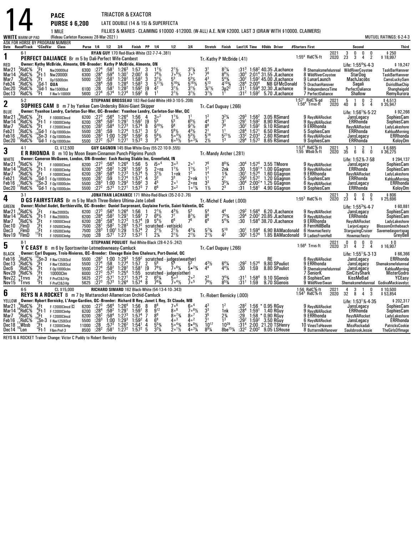|                                                                   | <b>WHITE</b> WARM-UP PAD                                                                     |                                                                                           | <b>PACE</b><br><b>PURSE \$6,200</b><br>1 MILE<br>(Rideau Carleton Raceway 28-Mar-2021)                                                                                                                                                      |                                                                                     |                                                                                                                                      |                                                                                | TRIACTOR & EXACTOR<br>LATE DOUBLE (14 & 15) & SUPERFECTA                                                                                                                                                                                        |                                                                                                                                                                                                |                                                        |                                                                                                                                     |                                                                                                                                                                             |                                                                                                                  |                                                                                                                     |                                                                                                          |                                                                                          |                                                                                  | FILLIES & MARES - CLAIMING \$10000 -\$12000. (W-ALL) A.E. N/W \$2000. LAST 3 (DRAW WITH \$10000. CLAIMERS)                                                                             |                                                                                                                            |                                                                                                                                                       | MUTUEL RATINGS: 6-2-4-3                                                                                               |
|-------------------------------------------------------------------|----------------------------------------------------------------------------------------------|-------------------------------------------------------------------------------------------|---------------------------------------------------------------------------------------------------------------------------------------------------------------------------------------------------------------------------------------------|-------------------------------------------------------------------------------------|--------------------------------------------------------------------------------------------------------------------------------------|--------------------------------------------------------------------------------|-------------------------------------------------------------------------------------------------------------------------------------------------------------------------------------------------------------------------------------------------|------------------------------------------------------------------------------------------------------------------------------------------------------------------------------------------------|--------------------------------------------------------|-------------------------------------------------------------------------------------------------------------------------------------|-----------------------------------------------------------------------------------------------------------------------------------------------------------------------------|------------------------------------------------------------------------------------------------------------------|---------------------------------------------------------------------------------------------------------------------|----------------------------------------------------------------------------------------------------------|------------------------------------------------------------------------------------------|----------------------------------------------------------------------------------|----------------------------------------------------------------------------------------------------------------------------------------------------------------------------------------|----------------------------------------------------------------------------------------------------------------------------|-------------------------------------------------------------------------------------------------------------------------------------------------------|-----------------------------------------------------------------------------------------------------------------------|
|                                                                   |                                                                                              |                                                                                           | ASK FOR HORSE BY PROGRAM NUMBER<br>Date Race#Track °CCndVar Class                                                                                                                                                                           |                                                                                     | Purse 1/4                                                                                                                            | $1/2$ $3/4$                                                                    |                                                                                                                                                                                                                                                 | Finish PP 1/4                                                                                                                                                                                  |                                                        |                                                                                                                                     | 1/2                                                                                                                                                                         | 3 4                                                                                                              | Stretch                                                                                                             | Finish                                                                                                   |                                                                                          |                                                                                  | Last1/4 Time \$0dds Driver                                                                                                                                                             | #Starters First                                                                                                            | Second                                                                                                                                                | Third                                                                                                                 |
| 1<br><b>RED</b>                                                   | $6-1$                                                                                        |                                                                                           | PERFECT DALIANCE Br m 5 by Dali-Perfect Wife-Cambest<br>Owner: Kathy McBride, Almonte, ON-Breeder: Kathy P McBride, Almonte, ON                                                                                                             |                                                                                     |                                                                                                                                      |                                                                                | RYAN GUY 170 Red-Black-White (32-7-7-4-.381)                                                                                                                                                                                                    |                                                                                                                                                                                                |                                                        |                                                                                                                                     |                                                                                                                                                                             |                                                                                                                  | Tr. Kathy P McBride (.41)                                                                                           |                                                                                                          |                                                                                          |                                                                                  |                                                                                                                                                                                        | 2021<br>2020<br>$1:554$ RidC $%$ -ft                                                                                       | $\mathsf{n}$<br>$\mathsf{n}$<br>$\frac{3}{23}$<br>$\mathbf{0}$<br>2<br>3<br>4<br>Life: 1:55 <sup>4</sup> %-4-3                                        | $$250$<br>\$18,997<br>\$19,247                                                                                        |
| Mar21<br>Mar14<br>Mar7<br>Feb24<br>Dec20<br>Dec13                 | .RidC%<br>RidC%<br>$\frac{9}{2}$ RidC $\frac{6}{8}$<br>RidC%;<br>'RidC%<br>'RidC%            | ′.Ft<br>$E$ Ft-1<br>$\frac{9}{5}$ <sub>1</sub><br>$^{1}$ Gd-1<br>$^{0}$ Gd-1<br>≚Ft       | Nw20000lcd<br><b>Nw20000I</b><br>Op15000clm<br>QUA<br>Nw15000lcd<br>F-Nw1r10000l                                                                                                                                                            | 6300<br>6300<br>5000<br>6100<br>5600                                                | :27 <sup>4</sup><br>:28 <sup>4</sup><br>$:28^{1}$<br>:284<br>: 28<br>:27 <sup>4</sup>                                                | $:58^1$<br>$:59^{4}$<br>:58 <sup>1</sup><br>:59<br>:58 <sup>1</sup><br>$:57^4$ | $1:26^{3}$<br>$1:30^{1}$<br>$1:28^{2}$<br>1:28 <sup>4</sup><br>1:28 <sup>2</sup><br>1:27 <sup>4</sup>                                                                                                                                           | 1:57<br>2:00 <sup>1</sup><br>1:58 <sup>2</sup><br>$1:58^{3}$<br>1:59 <sup>2</sup><br>$1:59^{2}$                                                                                                | 3<br>6<br>3<br>3<br>[9<br>6                            | $7^{81/2}$<br>$3^{1}$ %<br>$5^{11}$ %<br>$\mathbf{A}^2$<br>1 <sup>1</sup>                                                           | $2^{1}\frac{1}{2}$<br>$7^{0.6}\frac{1}{2}$<br>5 <sup>3</sup><br>$5^{16}$ %<br>$3^{11}/2$<br>$2^{11}/2$                                                                      | $3^{1}/4$<br>7.5<br>$5^{3}\frac{1}{2}$<br>$5^{16}\frac{1}{2}$<br>$3^{11/2}$<br>$3^{11}/2$                        | $\frac{3^1}{7^6}$<br>$5^{13}$<br>$3^{1}/_{2}$<br>$3^{1}$ <sup>1</sup> / <sub>2</sub>                                | $8^{7}\%$<br>$8^{8}\%$<br>$5^{4}_{4}$<br>4 <sup>103</sup> / <sub>4</sub><br>$\frac{3}{1}p^{\frac{2}{2}}$ | :303<br>:30 <sup>2</sup><br>:28 <sup>4</sup><br>:31 <sup>1</sup>                         | $2:00^{4}$                                                                       | $1:582$ 40.35 JLachance<br>$2:014$ 31.55 JLachance<br>1:59 <sup>2</sup> 45.00 JLachance<br><b>NB GFMcDonald</b><br>$1:594$ 32.30 JLachance<br>$:31^2$ 1:59 <sup>2</sup> 5.70 JLachance | 8 Shemaksmefelunreal<br>8 WildRiverCoyotee<br>9 LunarLaunch<br>5 DrachanHanover<br>9 IndependenceTime<br>7 PerfectDaliance | <b>WildRiverCoyotee</b><br>StarDog<br>MachJacobs<br>Sagali<br>PerfectDaliance<br>Shallow                                                              | <b>TaskBarHanover</b><br>TaskBarHanover<br>CamsLuckySam<br>OsirisBlueChip<br>Shanghaigold<br><b>RemyAurora</b>        |
| $\overline{\mathbf{2}}$                                           | $5-2$                                                                                        |                                                                                           | <b>SOPHIES CAM</b> B m 7 by Yankee Cam-Undersky Bikini-Giant Skipper                                                                                                                                                                        |                                                                                     |                                                                                                                                      |                                                                                |                                                                                                                                                                                                                                                 |                                                                                                                                                                                                |                                                        |                                                                                                                                     | STEPHANE BROSSEAU 183 Red-Gold-White (49-3-10-5-.208)                                                                                                                       |                                                                                                                  | Tr.-Carl Duguay (.266)                                                                                              |                                                                                                          |                                                                                          |                                                                                  |                                                                                                                                                                                        | 1:57 <sup>1</sup> RidC%-gd<br>1:56 <sup>4</sup> Trrvs-ft<br>2021<br>2020                                                   | 5<br>$\overline{1}$<br>0<br>40<br>8<br>5<br>4                                                                                                         | $$4,513$<br>$$35,947$                                                                                                 |
| <b>BLUE</b><br>Mar21<br>Mar14<br>Mar7<br>Feb21<br>Feb16<br>Dec20  | <sup>6</sup> RidC%<br>,RidC%<br>RidC%;<br>(RidC%<br>RidC%<br>'RidC%                          | '.Ft<br>°Ft-1<br>°Ft                                                                      | Owner: Yvanhoe Landry, Carleton-Sur-Mer, QC--Breeder: Yvanhoe Landry, Carleton-Sur-Mer, QC<br>F-10000Clmcd<br>F-10000Clmhp<br>F-12000Clmcd<br>"Gd-1 F.op10000clm<br>$^{10}$ Sn-3 F-0p10000cm<br>$^{0}$ Sn-3 F-0p10000cm<br>Gd-1 F-0p10000cm | 6200 :27 <sup>3</sup><br>6200<br>6200<br>5500<br>5500<br>5500                       | :28 <sup>4</sup><br>$:28^2$<br>:28 <sup>1</sup><br>$:28^{3}$<br>:27 <sup>2</sup>                                                     | $:582$<br>$:584$<br>:59<br>$:57^{3}$                                           | $:56^4$ 1:26 <sup>4</sup> 1:56<br>$1:29^{1}$<br>$1:27^{3}$<br>1:27 <sup>4</sup><br>$1:00$ $1:293$<br>1:27 <sup>1</sup>                                                                                                                          | $1:59^{1}$<br>$1.57^{4}$<br>$1:57^{1}$<br>$1:59^{2}$<br>$1:57^{3}$                                                                                                                             | $\overline{4}$<br>[9<br>8<br>3<br>6<br>3               | $3°^2$<br>5 <sup>5</sup><br>$9^{10}$ %<br>$\tilde{5}^7$<br>$5^{6}$ %<br>$\bar{7}^8$                                                 | $1^{11}/2$<br>5 <sup>5</sup><br>9 <sup>8</sup><br>$5^{6}$ %<br>$50^{4}$<br>$6.5\frac{1}{2}$                                                                                 | 65%<br>$\frac{9^7}{4^3\frac{1}{2}}$<br>$5^{31/2}$<br>$5^{31/4}$                                                  | $\frac{4^4}{8^8}$<br>$\frac{2^1}{5^{14}}$<br>$2\frac{1}{2}$                                                         | $3^2\%$<br>3 <sup>1</sup><br>$\frac{7}{1}$ <sup>8</sup><br>$5^{21}$ %<br>$\overline{1}3$                 | $:29^{3}$<br>:29 <sup>1</sup><br>$:30^2$<br>:284<br>:33 <sup>2</sup><br>:29 <sup>4</sup> | $1:56^{2}$<br>$1.59^{2}$<br>$1:59^{2}$<br>$1:57^{1}$<br>$2.03^{3}$<br>$1:57^{3}$ | 3.05 RSimard<br>8.90 RSimard<br>9.10 RSimard<br>6.50 RSimard<br>2.60 RSimard<br>8.65 RSimard                                                                                           | 9 ReysNARocket<br>9 ReysNARocket<br>9 ERRhonda<br>5 SophiesCam<br>6 ReysNARocket<br>9 SophiesCam                           | Life: 1:56 <sup>1</sup> %-5-22<br>JansLegacy<br><b>ERRhonda</b><br>ReysNARocket<br>ERRhonda<br>JansLegacy<br><b>ERRhonda</b>                          | \$92,266<br>SophiesCam<br>SophiesCam<br>LadyLakeshore<br>KahluaMorning<br>ERRhonda<br>KoloyDm                         |
| 3                                                                 | $4-1$                                                                                        |                                                                                           | CL \$12,500<br>E R RHONDA B m 10 by Moon Beam-Cinnamon Punch-Pilgrims Punch                                                                                                                                                                 |                                                                                     |                                                                                                                                      |                                                                                |                                                                                                                                                                                                                                                 |                                                                                                                                                                                                |                                                        |                                                                                                                                     | GUY GAGNON 145 Blue-White-Grey (55-22-10-9-.555)                                                                                                                            |                                                                                                                  | Tr.-Mandy Archer (.281)                                                                                             |                                                                                                          |                                                                                          |                                                                                  |                                                                                                                                                                                        | 1:57 <sup>4</sup> RidC%-ft<br>2021<br>1:55 Wbsb $%$ -ft<br>2020                                                            | 5<br>2<br>$\overline{1}$<br>35<br>6<br>6<br>0                                                                                                         | $$6,685$<br>$$36,275$                                                                                                 |
| <b>WHITE</b><br>Mar21<br>Mar14<br>Mar7<br>Feb21<br>Feb16<br>Dec20 | <sup>6</sup> RidC%<br>RidC%<br>6RidC%<br>4RidC≸<br>RidC%<br>'RidC%                           | ′.Ft                                                                                      | Owner: Cameron McQueen, London, ON-Breeder: Eash Racing Stable Inc, Greenfield, IN<br>F-10000Clmcd<br>$\frac{10}{9}$ Ft-1 F-10000Clmhp<br>F-10000Clmcd<br>46d-1 F-0p10000clm<br>10Sn-3 F-0p10000clm<br>6d-1 F-0p10000clm                    | 5500<br>5500<br>5500                                                                | :28 $1$<br>$: 28^{3}$<br>$: 27^{2}$                                                                                                  | :59<br>$:57^{3}$                                                               | 6200 :27 <sup>3</sup> :56 <sup>4</sup> 1:26 <sup>4</sup><br>6200 :28 <sup>4</sup> :58 <sup>2</sup> 1:26 <sup>4</sup><br>6200 :28 <sup>2</sup> :58 <sup>4</sup> 1:27 <sup>3</sup><br>1:27 <sup>4</sup><br>$1.00$ $1.29^{3}$<br>1:27 <sup>1</sup> | 1:56<br>$1:591$<br>1:57 <sup>4</sup><br>1:57 <sup>1</sup><br>$1:59^{2}$ 3<br>$1:57^{3}$                                                                                                        | 5<br>$\frac{5}{5}$<br>$\overline{4}$<br>$\overline{7}$ | $i5°^4$<br>$2 \circ ns$<br>$3^{1}/2$<br>3 <sup>3</sup><br>$\frac{4^5}{6^6}$                                                         | 30 <sup>3</sup><br>$1^{11}/2$<br>1∘nk<br>3 <sup>3</sup><br>20 <sup>1</sup><br>30 <sup>2</sup>                                                                               | 20 <sup>1</sup><br>$\frac{1}{1^2}$<br>2∘nk<br>$2 \circ \text{ns}$<br>$1 \circ 1\frac{1}{4}$                      | 76<br>1 <sup>2</sup><br>$\frac{1}{1}$ <sup>4</sup><br>$\frac{3^3}{1!_2}$                                            | $8^{8}$ <sup>3</sup> / <sub>4</sub><br>2nk<br>$1\frac{3}{4}$<br>$2^{1}$<br>$\frac{5}{2}^{5}\%$           | :30 <sup>4</sup><br>$\frac{.30}{.30}$<br>$:29^{3}$<br>$:30^4$<br>:31                     | $1:57^{2}$<br>1:58 <sup>1</sup>                                                  | $1:57^4$ 3.55 TMoore<br>$1:59^{1*}$ 1.00 GGagnon<br>$1:57^4$ 1.60 GGagnon<br>1.20 GGagnon<br>$2:00^{2*}$ 1.25 GGagnon<br>4.90 GGagnon                                                  | 9 ReysNARocket<br>9 ReysNARocket<br>9 ERRhonda<br>5 SophiesCam<br>6 ReysNARocket<br>9 SophiesCam                           | Life: 1:52%-7-58<br>JansLegacy<br>ERRhonda<br>ReysNARocket<br><b>ERRhonda</b><br>JansLegacy<br><b>ERRhonda</b>                                        | \$294,137<br>SophiesCam<br>SophiesCam<br>LadyLakeshore<br>KahluaMorning<br>ERRhonda<br>KoloyDm                        |
| 4                                                                 | $3-1$                                                                                        |                                                                                           | D GS FAIRYSTARS Br m 5 by Mach Three-Bolero Ultima-Jate Lobell                                                                                                                                                                              |                                                                                     |                                                                                                                                      |                                                                                |                                                                                                                                                                                                                                                 |                                                                                                                                                                                                |                                                        |                                                                                                                                     | JONATHAN LACHANCE 171 White-Red-Black (35-2-0-2-.76)                                                                                                                        |                                                                                                                  | Tr.-Michel E Audet (.000)                                                                                           |                                                                                                          |                                                                                          |                                                                                  |                                                                                                                                                                                        | 2021<br>2020<br>$1:553$ RidC $%$ -ft                                                                                       | 3<br>0<br>0<br>$\frac{0}{5}$<br>$2\overline{3}$<br>4<br>4                                                                                             | $$806$<br>\$25,696                                                                                                    |
| <b>GREEN</b><br>Mar21<br>Mar 14<br>Mar7<br>Dec10<br>Dec3<br>Nov19 | <sup>8</sup> RidC%<br><sup>4</sup> RidC%<br>RidC%<br>$\frac{1}{2}$ FlmD<br>(FimD<br>°FImD    | $E_6$ <sup>-1</sup><br>:Ft-1<br>$\frac{9}{2}$ Ft<br>$\frac{2}{2}$ Ft<br>$\frac{12}{2}$ Ft | Owner: Michel Audet, Berthierville, QC-Breeder: Daniel Surprenant, Guylaine Fortin, Saint-Valentin, QC<br>F-Nw2000I3s<br>F-Nw2000I3s<br>F-10000Clmcd<br>F-10500Clmhp<br>F-10500Clmhp<br>F-10500Clmhp                                        | 6200<br>6200<br>7500 :28                                                            | $:27^{3}$<br>: 28 <sup>4</sup><br>$\begin{array}{@{}ll@{}} 6200 & :28^2 \\ 6200 & :28^1 \\ 7500 & :28^1 \\ 7500 & :28^3 \end{array}$ | :56 <sup>4</sup><br>$:58^2$<br>$:57^1$                                         | $1:264$<br>$1:291$<br>$:58^4$ 1:27 <sup>3</sup><br>$\frac{158^2}{1.00^1}$ 1:28 <sup>3</sup><br>1:27                                                                                                                                             | 1:56<br>1:59 <sup>1</sup><br>1:57 <sup>4</sup> [9 5 <sup>4</sup> <sup>1</sup> / <sub>2</sub><br>1:57 <sup>2</sup> scratched<br>1:57 <sup>4</sup> 2 2 <sup>1</sup> / <sub>2</sub><br>$1:57^{2}$ | $\overline{1}$<br>7<br>$\mathbf{1}$                    | $2^{11/2}$<br>6 <sup>61/2</sup><br>$2\frac{1}{4}$                                                                                   | $\frac{4^3}{7^7}$<br>6 <sup>6</sup><br>scratched vet(sick)<br>$2^{1}/2$<br>$2^{11}/2$                                                                                       | $8^{7}/_{2}$<br>7 <sup>6</sup><br>$4^{3}\frac{1}{4}$<br>$2^{11/2}$                                               | $\frac{5^4}{8^6}$<br>$5^{7}_{4}$<br>$2^{1}\frac{1}{2}$                                                              | $7^{5}_{4}$<br>$5^{43}$ /4<br>$5^{10}$<br>$\mathbf{4}^2$                                                 | :294<br>:30<br>:303                                                                      | $:30^{\scriptscriptstyle +}$ 1:59 $^{\scriptscriptstyle 4}$<br>1:57 <sup>4</sup> | $1:564$ 6.20 JLachance<br>$2:002$ 20.85 JLachance<br>$1:584$ 38.70 JLachance<br>6.90 BAMacdonald<br>1.85 BAMacdonald                                                                   | 9 ReysNARocket<br>9 ReysNARocket<br>9 ERRhonda<br>8 FernHillBella<br>6 Howmacfiesty<br>9 LadiesFromHell                    | Life: $1:55^{3}\%$ 4.7<br>JansLegacy<br><b>ERRhonda</b><br>ReysNARocket<br>LarjonLegacy<br><b>StargazingCruiser</b><br>Howmacfiesty                   | \$60,881<br>SophiesCam<br>SophiesCam<br>LadyLakeshore<br><b>BlossomOnthebeach</b><br>Savemedasportspag<br>GreyBell    |
| 5                                                                 | $8-1$                                                                                        |                                                                                           | Y C EASY B m 6 by Sportswriter-Letmedowneasy-Camluck                                                                                                                                                                                        |                                                                                     |                                                                                                                                      |                                                                                |                                                                                                                                                                                                                                                 |                                                                                                                                                                                                |                                                        |                                                                                                                                     | STEPHANE POULIOT Red-White-Black (28-4-2-5-.242)                                                                                                                            |                                                                                                                  |                                                                                                                     |                                                                                                          |                                                                                          |                                                                                  |                                                                                                                                                                                        | 2021<br>2020<br>1:56 <sup>4</sup> Trrvs-ft                                                                                 | 0<br>$\begin{smallmatrix} 0 \ 2 \end{smallmatrix}$<br>$\pmb{0}$<br>0<br>31<br>4<br>4                                                                  | \$0<br>\$16,907                                                                                                       |
| <b>BLACK</b><br>Feb16<br>Dec13<br>Dec6<br>Nov29<br>Nov22<br>Nov15 | $\frac{7}{6}$ RidC%<br>$2$ RidC $%$<br>RidC%<br>RidC%<br>$\int_{0}^{6}$ Trrvs<br>$87 - 8$    | 3Ft<br>4Ft<br>1Ft<br>1Ft<br>5Ft                                                           | Owner: Carl Duguay, Trois-Rivieres, OC-Breeder: Elevage Baie Des Chaleurs, Port-Daniel, OC<br>$^{10}$ Sn-3 F-Nw1250l3cd<br>F-Nw1350I3cd<br>F-0p10000clm<br>10000Clm<br>F-Pref2&3-Hp<br>F-Pref2&3-Hp                                         | 5500<br>5500<br>6000<br>$\begin{array}{r} 5625 & :27^2 \\ 5625 & :27^3 \end{array}$ | :27 <sup>4</sup><br>$\frac{127^4}{27^3}$                                                                                             | :58<br>$:58^{2}$<br>$:57^{2}$<br>:57 <sup>1</sup><br>$.57^{3}$                 | 1:27 <sup>4</sup><br>$\frac{1.28^2}{1.25^4}$<br>1:27 <sup>1</sup><br>1:26 <sup>4</sup>                                                                                                                                                          | 1:57<br>1:58 <sup>1</sup><br>1:55<br>1:57 <sup>4</sup><br>1:57 <sup>4</sup>                                                                                                                    | $\overline{2}$<br>[9<br>2<br>8                         | 5 <sup>6</sup><br>$7^{8}$ <sup>1</sup> / <sub>2</sub><br>$6^{5}$ <sup>1</sup> / <sub>4</sub><br>$7^{8}$ <sup>3</sup> / <sub>4</sub> | 5500 :28 <sup>3</sup> 1:00 1:29 <sup>3</sup> 1:59 <sup>2</sup> scratched - judges(weather)<br>$7^{\circ}6\%$<br>scratched - judges(other)<br>50 <sup>3</sup><br>$7°^{41/2}$ | $5 \cdot \frac{23}{4}$<br>2 <sup>o</sup><br>7 <sup>5</sup>                                                       | Tr.-Carl Duguay (.266)<br>$4^{3}$ <sup>1</sup> / <sub>2</sub><br>44<br>$2^3$<br>$7^{6}$ <sup>1</sup> / <sub>2</sub> | $6^{4}$ <sup>1</sup> / <sub>4</sub><br>$44\frac{1}{4}$<br>$3^{43}$ /4<br>$8^{53}$                        | :292<br>:30<br>:31 $^1$                                                                  | 1:57 <sup>4</sup><br>1:59<br>$:31^{1}$ 1:58 <sup>4</sup><br>1:59                 | RE<br>9.80 SPouliot<br>8.80 SPouliot<br>9.10 SGenois<br>9.70 SGenois                                                                                                                   | 6 ReysNARocket<br>9 ERRhonda<br>9 Shemaksmefelunreal<br>7 SeniorK<br>8 SophiesCam<br>9 WildRiverSwan                       | Life: 1:55 <sup>1</sup> %-3-13<br>JansLegacy<br>JansLegacy<br>JansLegacy<br><b>SinCity Shark</b><br>KissMeBad<br>Shemaksmefelunreal GodivaMackiavelyc | \$66,366<br>ERRhonda<br>Shemaksmefelunreal<br>KahluaMorning<br><b>MisterGodro</b><br>YCEasy                           |
| 6                                                                 | $6-5$                                                                                        |                                                                                           | CL \$15,000<br>REYS N A ROCKET B m 7 by Mattarocket-Allamerican Orchid-Camluck                                                                                                                                                              |                                                                                     |                                                                                                                                      |                                                                                |                                                                                                                                                                                                                                                 |                                                                                                                                                                                                |                                                        |                                                                                                                                     | RICHARD SIMARD 162 Black-White (54-13-4-10-.343)                                                                                                                            |                                                                                                                  | Tr.-Robert Bernicky (.000)                                                                                          |                                                                                                          |                                                                                          |                                                                                  |                                                                                                                                                                                        | 1:56 RidC%-ft<br>1:54 <sup>3</sup> RidC%-ft<br>2021<br>2020                                                                | 4<br>$\frac{3}{8}$<br>$\frac{0}{3}$<br>$\mathbf{1}$<br>32<br>4                                                                                        | \$10,500<br>\$53,854                                                                                                  |
| YELLOW<br>Mar21<br>Mar 14<br>Mar7<br>Feb16<br>Dec18<br>Dec 14     | <sup>8</sup> RidC%<br><sup>14</sup> RidC%<br><sup>6</sup> RidC%<br>RidC%<br>Wbsb<br>$10$ Lon | ′Ft<br>Fti<br>$\frac{3}{2}$ Ft<br>'Ft-1                                                   | Owner: Robert Bernicky, L'Ange-Gardien, QC--Breeder: Richard B Rey, Janet L Rey, St Claude, MB<br>$F-12000C$ lmcd $C$<br>$^{16}_{9}$ Ft-1 F-12000Clmhp<br>F-12000Clmcd<br>$\mathcal{S}$ n- $3$ F-Nw125013cd<br>F-12000Clmhp<br>F&m-Pref-3   | 6200<br>6200<br>6200<br>5500<br>11000<br>8500                                       | $:27^{3}$<br>$\frac{.28^4}{.28^2}$<br>$\frac{128}{28}$<br>:28 <sup>2</sup>                                                           | $:582$<br>:58 <sup>4</sup><br>$:57^{3}$<br>:58 $1$                             | $:56^4$ 1:26 <sup>4</sup><br>$\frac{1:29}{1:27^3}$<br>$1:00$ $1:293$<br>$1:26^{2}$<br>1:27 <sup>2</sup>                                                                                                                                         | 1:56<br>1:59 <sup>1</sup><br>1:57 <sup>4</sup><br>$1:59^{2}$<br>1:54 <sup>1</sup><br>$1:57^2$ 5                                                                                                | 8<br>$\frac{8}{7}$<br>4<br>4                           | 88<br>9 <sup>12</sup><br>8 <sup>9</sup><br>$6^8$<br>$5^{53}$<br>$3^{3}$ <sup>1</sup> / <sub>4</sub>                                 | 7 <sub>0</sub> 6<br>$8^{\circ8}$<br>$8^{\circ}$ <sup>73</sup> / <sub>4</sub><br>40 <sup>3</sup><br>$50^{4}$ %<br>$2 \cdot \frac{1}{2}$                                      | 60 <sup>4</sup><br>$7.6\%$<br>8 <sup>0</sup><br>40 <sup>2</sup><br>$9 • 9\frac{1}{2}$<br>$4 \circ 3 \frac{1}{4}$ | $3^{3}_{5}$<br>$2^{1}$<br>$10^{17}$<br>$8^{9}$ <sup>1</sup> / <sub>4</sub>                                          | 1 <sup>2</sup><br>1nk<br>$\frac{2\frac{3}{4}}{1^3}$<br>$10^{29}$<br>$8be^{15}\%$                         | $\frac{.28}{.29}$<br>:292                                                                |                                                                                  | 1:56 * 0.95 RGuy<br>$1:591$ 1.40 RGuy<br>$1:58$ * 0.90 RGuy<br>1:59 $^{2}$ 3.50 RGuy<br>:31 <sup>4</sup> 2:00 21.20 TSHenry<br>$:32^2$ 2:00 <sup>2</sup> 9.05 LSHouse                  | 9 ReysNARocket<br>9 ReysNARocket<br>9 ERRhonda<br>6 ReysNARocket<br>10 VinesToHeaven<br>8 ButtermilkHanover                | Life: 1:53 <sup>1</sup> %-4-35<br>JansLegacy<br><b>ERRhonda</b><br>ReysNARocket<br>JansLegacy<br>MissRockadali<br>SaulsbrookJessie                    | \$202,317<br>SophiesCam<br>SophiesCam<br>LadyLakeshore<br><b>ÉRRhonda</b><br>PatricksCookie<br><b>TheGirlsOfImage</b> |

REYS N A ROCKET Trainer Change: Victor C Puddy to Robert Bernicky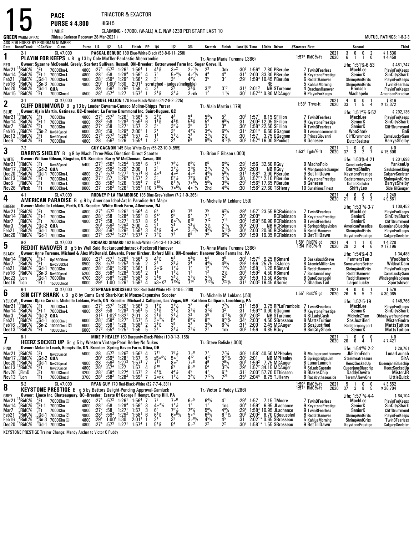|                                                                    |                                                                                                                                                                                                       |                                                            | <b>PACE</b>                                                                                                                                                                                                                                                                            |                                              |                                                                                           |                                                                                    |                                                                                                                                                                           | TRIACTOR & EXACTOR                                                                                                                                                                                                                                       |                                                      |                                                                                                                                  |                                                                                                                                                 |                                                                                                                                              |                                                                                                                           |                                                                                                                                     |                                                             |                                                              |                                                                                                                                                                                   |                  |                                                                                                                      |              |                                                                                                                                                            |                                     |                                                                                                                                      |
|--------------------------------------------------------------------|-------------------------------------------------------------------------------------------------------------------------------------------------------------------------------------------------------|------------------------------------------------------------|----------------------------------------------------------------------------------------------------------------------------------------------------------------------------------------------------------------------------------------------------------------------------------------|----------------------------------------------|-------------------------------------------------------------------------------------------|------------------------------------------------------------------------------------|---------------------------------------------------------------------------------------------------------------------------------------------------------------------------|----------------------------------------------------------------------------------------------------------------------------------------------------------------------------------------------------------------------------------------------------------|------------------------------------------------------|----------------------------------------------------------------------------------------------------------------------------------|-------------------------------------------------------------------------------------------------------------------------------------------------|----------------------------------------------------------------------------------------------------------------------------------------------|---------------------------------------------------------------------------------------------------------------------------|-------------------------------------------------------------------------------------------------------------------------------------|-------------------------------------------------------------|--------------------------------------------------------------|-----------------------------------------------------------------------------------------------------------------------------------------------------------------------------------|------------------|----------------------------------------------------------------------------------------------------------------------|--------------|------------------------------------------------------------------------------------------------------------------------------------------------------------|-------------------------------------|--------------------------------------------------------------------------------------------------------------------------------------|
|                                                                    |                                                                                                                                                                                                       |                                                            | <b>PURSE \$4,800</b>                                                                                                                                                                                                                                                                   |                                              |                                                                                           | HIGH <sub>5</sub>                                                                  |                                                                                                                                                                           |                                                                                                                                                                                                                                                          |                                                      |                                                                                                                                  |                                                                                                                                                 |                                                                                                                                              |                                                                                                                           |                                                                                                                                     |                                                             |                                                              |                                                                                                                                                                                   |                  |                                                                                                                      |              |                                                                                                                                                            |                                     |                                                                                                                                      |
| <b>GREEN WARM-UP PAD</b>                                           |                                                                                                                                                                                                       |                                                            | 1 MILE<br>(Rideau Carleton Raceway 28-Mar-2021)                                                                                                                                                                                                                                        |                                              |                                                                                           |                                                                                    |                                                                                                                                                                           |                                                                                                                                                                                                                                                          |                                                      |                                                                                                                                  | CLAIMING - \$7000. (W-ALL) A.E. N/W \$230 PER START LAST 10                                                                                     |                                                                                                                                              |                                                                                                                           |                                                                                                                                     |                                                             |                                                              |                                                                                                                                                                                   |                  |                                                                                                                      |              |                                                                                                                                                            |                                     | MUTUEL RATINGS: 1-8-2-3                                                                                                              |
|                                                                    |                                                                                                                                                                                                       |                                                            | ASK FOR HORSE BY PROGRAM NUMBER<br>Date Race#Track CCndVar Class                                                                                                                                                                                                                       |                                              | Purse 1/4 1/2 3/4                                                                         |                                                                                    |                                                                                                                                                                           | Finish PP 1/4                                                                                                                                                                                                                                            |                                                      |                                                                                                                                  | 1/2                                                                                                                                             | 3 4                                                                                                                                          | Stretch Finish                                                                                                            |                                                                                                                                     |                                                             |                                                              | Last1/4 Time \$0dds Driver                                                                                                                                                        | #Starters First  |                                                                                                                      |              | Second                                                                                                                                                     |                                     | Third                                                                                                                                |
| 1                                                                  | $2-1$                                                                                                                                                                                                 |                                                            | CL \$7,000<br><b>PLAYIN FOR KEEPS L B</b> g 13 by Cole Muffler-Panfastic-Abercrombie                                                                                                                                                                                                   |                                              |                                                                                           |                                                                                    |                                                                                                                                                                           |                                                                                                                                                                                                                                                          |                                                      |                                                                                                                                  | PASCAL BERUBE 189 Blue-White-Black (58-8-6-11-.258)                                                                                             |                                                                                                                                              | Tr.-Anne Marie Turenne (.366)                                                                                             |                                                                                                                                     |                                                             |                                                              |                                                                                                                                                                                   |                  | 1:57 $3$ RidC $%$ -ft                                                                                                | 2021<br>2020 | 3<br>0<br>0<br>6<br>$\overline{1}$                                                                                                                         | $\frac{2}{0}$<br>$\overline{1}$     | $$1,536$<br>$$4,458$                                                                                                                 |
| RED<br>Mar21<br>Mar 14<br>Feb21<br>Feb16<br>Dec20<br>Mar 15        | <sup>13</sup> RidC%<br>"RidC%<br>RidC%<br>?RidC%<br>'RidC%<br>°RidC%                                                                                                                                  | ′.Ft<br>$^{0}_{4}$ Ft-1<br>$^{4}_{10}$ Gd-1<br>${}^{3}$ Ft | Owner: Suzanne McDonald, Greely, Scarlett Sullivan, Russell, ON-Breeder: Cottonwood Farm Inc, Sugar Grove, IL<br>7000Clm-L<br>7000Clm-L<br>7000Clm-L<br>$^{10}_{0}$ Sn-3 7000Clm<br>$^{0}_{2}$ Gd-1 QUA<br>7000Clmcd                                                                   | 4800<br>4800<br>4800<br>4800                 | :27 <sup>4</sup><br>$:28^{3}$<br>$:28^{3}$<br>$:29^4$<br>:29<br>4500 $\overline{.28}^{1}$ | :593                                                                               | $:57^2$ 1:26 <sup>1</sup><br>$:58$ 1:28 <sup>3</sup><br>$:59^3$ 1:29 <sup>2</sup><br>$1:00^4$ 1:30<br>$1:29^{2}$<br>$:57^3$ 1:27                                          | $1:56^4$ 1<br>$1:59^2$ 4<br>1:58 <sup>1</sup><br>2:01 <sup>1</sup><br>1:59<br>$1:57^{3}$                                                                                                                                                                 | $\overline{2}$<br>4<br>-1                            | $\frac{4^4}{7^8}$<br>3 <sup>3</sup><br>3 <sup>4</sup><br>$2^{11/2}$                                                              | $3^{\circ}$ <sup>2</sup><br>$5.4\%$<br>3 <sup>3</sup><br>scratched - judges(ineligible)<br>$3^{1}$ <sup>1</sup> / <sub>2</sub>                  | $2\circ$ <sup>11</sup> /2<br>$\bar{4} \cdot 2 \frac{1}{2}$<br>431/2<br>2∘nk                                                                  | $\frac{2^3}{4^3}$<br>$3^{10}$<br>1 <sup>2</sup>                                                                           | $\frac{3nk}{4^4}$<br>$3^7$<br>3 <sup>13</sup><br>$1\frac{1}{2}$                                                                     | :31'<br>:293<br>$:30^3$                                     | $:31^2$ 2:01 <sup>3</sup>                                    | :30 <sup>2</sup> 1:56 <sup>4</sup> 7.80 PBerube<br>$2:001$ 33.30 PBerube<br>$1:593$ 10.45 PBerube<br>КĿ<br><b>NB STurenne</b><br>$1:57^{3*}$ 0.80 MCAuger                         |                  | 7 TwinBFearless<br>9 KeystonePrestige<br>6 RedditHanover<br>5 KahluaMorning<br>4 DrachanHanover<br>9 PlayinForKeeps  |              | Life: 1:51% 6-53<br>MachLee<br>SeniorK<br><b>ShrimpAndGrits</b><br><b>ShrimpAndGrits</b><br>Bronson<br>Machapelo                                           |                                     | \$481,747<br>PlayinForKeeps<br>SinCityShark<br>PlayinForKeeps<br><b>TwinBFearless</b><br>PlayinForKeeps<br><b>AmericanParadise</b>   |
| $\mathbf 2$                                                        | $3-1$                                                                                                                                                                                                 |                                                            | CL \$7,000                                                                                                                                                                                                                                                                             |                                              |                                                                                           |                                                                                    |                                                                                                                                                                           |                                                                                                                                                                                                                                                          |                                                      |                                                                                                                                  | SAMUEL FILLION 170 Blue-Black-White (34-2-9-2-.225)                                                                                             |                                                                                                                                              |                                                                                                                           |                                                                                                                                     |                                                             |                                                              |                                                                                                                                                                                   |                  | 1:58 <sup>4</sup> Trrvs-ft                                                                                           | 2021<br>2020 | $\frac{0}{5}$<br>0<br>4<br>33<br>$\overline{1}$                                                                                                            | $\overline{1}$<br>$\overline{4}$    | $$816$<br>\$13,372                                                                                                                   |
| BLUE<br>Mar21<br>Mar14<br>Mar7<br>Feb16<br>Dec13<br>Dec6           | RidC%<br>$^4$ RidC%<br>.'RidC%<br>,°RidC`,<br>$^{11}_{10}$ RidC %<br>"RidC%                                                                                                                           | '.Ft<br>$\frac{6}{9}$ Ft-1<br>$\frac{10!}{3}$ Sn-2<br>†Ft  | <b>CLIFF DRUMMOND</b> B g 13 by Leader Bayama-Canaco Moline-Shipps Purser<br>Owner: Alain Martin, Gatineau, QC--Breeder: La Ferme Drummond Inc, Saint-Hugues, QC<br>7000Clm<br>7000Clm<br>7000Clm<br>Nw610pscd<br>Nw400pscd<br>7000Clm                                                 | 4800<br>4800<br>6000<br>5500<br>4800         | :27 <sup>2</sup><br>:28 <sup>2</sup><br>$:27^{3}$<br>:28                                  | $\frac{.58}{.59}$<br>:57 <sup>2</sup><br>$:56^3$                                   | 4800 :27 <sup>4</sup> :57 <sup>2</sup> 1:26 <sup>1</sup><br>$:28^3$ :58 1:28 <sup>3</sup><br>1:27 <sup>1</sup><br>$1:29^{3}$<br>$1:26^{3}$<br>1:26                        | $1:56^{4}$ 5<br>$1:59^2$ 6<br>$1:57$ 2<br>2:00 <sup>2</sup><br>$1:57$ 4<br>$1:55^{4}$                                                                                                                                                                    | -1                                                   | $2^{11/2}$<br>$1^{11}$<br>3 <sup>2</sup><br>2 <sup>1</sup><br>1 <sup>1</sup><br>3 <sup>3</sup>                                   | $4^{3}\%$<br>$3^{3}$ <sup>1</sup> / <sub>2</sub><br>3 <sup>3</sup><br>$2^{11}/2$                                                                | 5 <sup>4</sup><br>$5^3\frac{3}{4}$<br>36<br>$4^{3}$ <sup>1</sup> / <sub>2</sub><br>$\frac{2^2}{6^6}$                                         | Tr. Alain Martin (.179)<br>$5^4\%$<br>$\bar{5}^4$<br>37<br>$3^{4}$ %<br>$2^{11/2}$<br>$8^{8}$ <sup>1</sup> / <sub>2</sub> | $5^2$<br>$6^{5}$ <sup>1</sup> / <sub>2</sub><br>38<br>$6^{6}\%$<br>$\frac{2\frac{1}{2}}{8^{10}\frac{1}{2}}$                         | :30'<br>:31<br>:30'<br>:31 <sup>2</sup><br>:30<br>$:30^3$   | 1:57                                                         | $1:571$ 8.15 SFillion<br>2:00 <sup>2</sup> 12.05 SFillion<br>$1:583$ 22.50 SFillion<br>$2:013$ 6.60 GGagnon<br>3.75 GGagnon<br>1:57 <sup>4</sup> 16.00 SPouliot                   |                  | 7 TwinBFearless<br>9 KeystonePrestige<br>9 TwinBFearless<br>8 Twomacsonemach<br>9 PrinceGiovanni<br>8 Genesee        |              | Life: $1:514%-5.52$<br>MachLee<br>SeniorK<br><b>SeniorK</b><br>WooShark<br><b>CliffDrummond</b><br><b>DutchSeelster</b>                                    |                                     | \$292,136<br>PlayinForKeeps<br>SinCityShark<br>CliffDrummond<br>Bali<br>CamsLuckySam<br>BarrysShelby                                 |
| 3                                                                  | $7-2$                                                                                                                                                                                                 |                                                            | <b>BARRYS SHELBY</b> B g 9 by Mach Three-Miss Direction-Direct Scooter                                                                                                                                                                                                                 |                                              |                                                                                           |                                                                                    |                                                                                                                                                                           |                                                                                                                                                                                                                                                          |                                                      |                                                                                                                                  | GUY GAGNON 145 Blue-White-Grey (55-22-10-9-.555)                                                                                                |                                                                                                                                              | Tr. Brian F Gibson (.000)                                                                                                 |                                                                                                                                     |                                                             |                                                              |                                                                                                                                                                                   |                  | 1:53 <sup>4</sup> Tgdn <sup>5</sup> %-ft                                                                             | 2021<br>2020 | $\mathbf{0}$<br>37<br>$3^{\circ}$                                                                                                                          | $\mathbf 0$<br>0<br>$2\overline{7}$ | \$0<br>\$15,806                                                                                                                      |
| <b>WHITE</b><br>Mar21<br>Mar 17<br>Dec20<br>Dec13<br>Dec6<br>Nov26 | RidC%<br>'RidC%<br>"RidC%<br>$^{12}_{10}$ RidC %<br>RidC%;<br>'Wbsb                                                                                                                                   | ,′Ft<br>$rac{3}{4}$ Ft<br>$\frac{4}{7}$ Ft                 | Owner: William Gibson, Kingston, ON-Breeder: Barry W McClennan, Cavan, ON<br>Nw450pscd<br>$^{2}_{0}$ Gd-2 QUA<br>$^{2}_{2}$ Gd-1 7000Clm-L<br>7000Clm-L<br>7000Clm-L<br>8000Clm-L                                                                                                      | 4800<br>4800<br>4800 :28<br>8000 :27         | $\frac{1}{2}7^{3}$                                                                        | $:56^3$<br>$:56^{3}$                                                               | $5400$ :27 <sup>3</sup> :56 <sup>4</sup> 1:25 <sup>3</sup><br>$: 29^2$ $: 59^3$ $1: 29^2$<br>$: 27^4$ $: 57^3$ $1: 27^1$<br>$:57$ 1:26 <sup>3</sup><br>1:26<br>$1:26^{1}$ | $1:55^{1}$<br>2:00<br>$1:57^{4}$ 6<br>1:57 <sup>1</sup><br>$1.55^{4}$<br>$1:55^{2}$                                                                                                                                                                      | 6<br>2<br>$7^{\circ}$<br>[10]                        | 711<br>2 <sup>2</sup><br>40 <sup>4</sup><br>3 <sup>5</sup><br>$8^{13}$<br>$7^{10}$ <sup>1</sup> /4                               | $\frac{2^{11}}{4^{02}}$<br>$5^{3}$ <sup>1</sup> / <sub>2</sub><br>$8^{11}$ %<br>$7.6\frac{1}{2}$                                                | $6^{5}$ <sup>1</sup> / <sub>2</sub><br>$\frac{2^{13/4}}{4^{02}}$<br>$7^{3}\frac{3}{4}$<br>$7.6\%$<br>$4 \cdot 1\frac{1}{2}$                  | $2^{11/2}$<br>$\frac{4}{6}$<br>$\frac{4}{6}$<br>$\frac{5}{6}$ %<br>2hd                                                    | $6^{4}_{2}$<br>$2^{1}_{2}$<br>$5^{5}_{2}$<br>$4^{1}$ <sup>1</sup> / <sub>4</sub><br>$3^{4}_{4}$ %<br>4 <sup>43</sup> / <sub>4</sub> | :293<br>:30 <sup>2</sup><br>:31'<br>:30<br>$:29^{3}$<br>:30 | 2:00 <sup>1</sup>                                            | $1:56^1$ 32.50 RGuy<br>NB RGuy<br>$1:584$ 3.90 PBerube<br>$1:57^{2*}$ 2.10 PBerube<br>1:56 <sup>4</sup> 17.65 PBerube<br>$1:562$ 27.60 TSHenry                                    |                  | 9 MachoPolo<br>4 Montanablackangel<br>9 BetTillDawn<br>8 KeystonePrestige<br>8 Genesee<br>10 SunshinesFinest         |              | Life: 1:53% 4-21<br>CamsLuckySam<br>BarrysShelby<br><b>KeystonePrestige</b><br>Badstormanyport<br>DutchSeelster<br>ShiftyLeo                               |                                     | \$201,698<br>YankeeUp<br>SaulsbrookKing<br>CalgarySeelster<br><b>ShrimpAndGrits</b><br><b>BarrysShelby</b><br>SideHillGouger         |
| 4                                                                  | CL \$7,000<br>RODNEY P LA FRAMBOISE 135 Blue-Grey-Yellow (7-2-1-0-.365)<br>4-1<br>2021<br>2020<br>AMERICAN PARADISE B g 9 by American Ideal-Art In Paradise-Art Major<br>Tr.-Michelle M Leblanc (.50) |                                                            |                                                                                                                                                                                                                                                                                        |                                              |                                                                                           |                                                                                    |                                                                                                                                                                           |                                                                                                                                                                                                                                                          |                                                      |                                                                                                                                  |                                                                                                                                                 |                                                                                                                                              |                                                                                                                           |                                                                                                                                     |                                                             | 4<br>0<br>21<br>$\mathbf 0$                                  | $\begin{smallmatrix} 0 & 0 \\ 3 & 3 \end{smallmatrix}$                                                                                                                            | \$240<br>\$9,561 |                                                                                                                      |              |                                                                                                                                                            |                                     |                                                                                                                                      |
| GREEN<br>Mar21<br>Mar 14<br>Mar7<br>Mar3<br>Feb21<br>Dec20         | $^{13}$ RidC%<br>"RidC%<br>,°RidC∦<br>,"RidC%<br>¦RidC%<br>'RidC%                                                                                                                                     | ′.Ft<br>$\frac{9}{9}$ Ft-1<br>$2^2$ Gd-2 QUA               | Owner: Michelle Leblanc, Perth, ON-Breeder: White Birch Farm, Allentown, NJ<br>7000Clm<br>7000Clm<br>7000Clm<br>Gd-1 7000Clm<br><sup>0</sup> Gd-1 7000Clm                                                                                                                              | 4800<br>4800<br>4800<br>4800<br>4800         | :27 <sup>4</sup><br>$:28^{3}$<br>$:27^{2}$<br>:291<br>$:28^{3}$<br>.27 <sup>4</sup>       | :57 <sup>2</sup><br>:58<br>:58<br>$:59^2$<br>:59 <sup>3</sup><br>$:57^{3}$         | $1:261$<br>1:28 <sup>3</sup><br>1:27 <sup>1</sup><br>1:29 <sup>2</sup><br>1:29 <sup>2</sup><br>1:27 <sup>1</sup>                                                          | $1:56^4$ 4<br>1:59 <sup>2</sup> 8<br>1:57<br>2:00<br>1:58 <sup>1</sup><br>1:57 <sup>4</sup>                                                                                                                                                              | 8<br>4<br>3                                          | 6 <sup>7</sup><br>$\bar{9}^{12}$<br>9 <sup>8</sup><br>$2^2$<br>$\bar{4}^{4}\%$<br>$7^{8}$ <sup>1</sup> / <sub>2</sub>            | $\bar{9}^9$<br>$8 \cdot \frac{71}{2}$<br>$2^3$<br>$4\circ^4$                                                                                    | $\frac{7^6}{9^7}$<br>$8^{10}$<br>$2^2$ <sup>1</sup> / <sub>2</sub><br>$3^{\circ 2}$ <sup>1</sup> / <sub>2</sub>                              | 75<br>7 <sup>7</sup><br>$7^{12}$<br>$2\frac{1}{2}$<br>4 <sup>5</sup> / <sub>2</sub>                                       | $\frac{6^{2}1}{7^{7}}$<br>$7^{14}$<br>$\frac{2^{11/2}}{5^{10^{1/2}}}$<br>$6^{53}$                                                   | :30ª<br>$:30^3$<br>:30ª<br>:304<br>$:30^4$                  | $2:00^{4}$<br>2:00 <sup>1</sup><br>1:59                      | $1:571$ 23.55 RCRobinson<br>RCRobinson<br>1:59 <sup>4</sup> 56.90 RCRobinson<br><b>NB RCRobinson</b><br>$2:001$ 20.60 RCRobinson<br>19.35 RCRobinson                              |                  | 7 TwinBFearless<br>9 KeystonePrestige<br>9 TwinBFearless<br>4 Springbridgevision<br>6 RedditHanover<br>9 BetTillDawn |              | Life: $1:53^{1}\%$ 3.7<br>MachLee<br>SeniorK<br>SeniorK<br>AmericanParadise<br>ShrimpAndGrits<br><b>KeystonePrestige</b>                                   |                                     | \$100,452<br>PlayinForKeeps<br>SinCityShark<br>CliffDrummond<br>QueenjaneBluechip<br><b>PlayinForKeeps</b><br><b>CalgarySeelster</b> |
| 5                                                                  | 9.2                                                                                                                                                                                                   |                                                            | CL \$7,000<br>REDDIT HANOVER B g 5 by Well Said-Rockaroundthetrack-Rocknroll Hanover                                                                                                                                                                                                   |                                              |                                                                                           |                                                                                    |                                                                                                                                                                           |                                                                                                                                                                                                                                                          |                                                      |                                                                                                                                  | RICHARD SIMARD 162 Black-White (54-13-4-10-.343)                                                                                                |                                                                                                                                              | Tr. Anne Marie Turenne (.366)                                                                                             |                                                                                                                                     |                                                             |                                                              |                                                                                                                                                                                   |                  | 1:58 <sup>1</sup> RidC <sup>5</sup> / <sub>8</sub> -gd<br>1:54 RidC% ft                                              | 2021<br>2020 | $\mathbf{1}$<br>4<br>29<br>2                                                                                                                               | 0<br>4<br>6                         | \$4,220<br>\$17,196                                                                                                                  |
| <b>BLACK</b><br>Mar 14<br>Mar7<br>Feb21<br>Feb16<br>Dec23<br>Dec16 | °RidC%<br>PidC%<br>,RidC%<br>",RidC%<br>$\frac{7}{2}$ Lon<br><b>Lon</b>                                                                                                                               | Gd-1                                                       | Owner: Anne Turenne, Michael & Alex McDonald, Edwards, Peter Kircher, Oxford Mills, ON-Breeder: Hanover Shoe Farms Inc, PA<br>$^{6}_{9}$ Ft-1 Op15000clm<br>$^{4}$ Ft Nw2750l3cd<br>7000Clm<br>$^{10}$<br>$^{5}$ Sn-3 Nw400pscd<br>$^{5}$ Gd-1 7000Clm<br>Nw400pscd<br>Ft-1 15000Clmcd | 6000<br>6500<br>4800<br>5200<br>4700<br>6000 | :27 <sup>1</sup><br>:28<br>$^{+283}_{+28}$<br>$:28^{3}$<br>$:29^2$                        | $:59^{3}$<br>$:58^{3}$<br>:58 $^4$                                                 | $:57^1$ 1:26 <sup>4</sup><br>$:57^3$ 1:25 <sup>3</sup><br>1:29 <sup>2</sup><br>$1:28^{3}$<br>1:28 <sup>2</sup><br>$1:00$ $1:291$                                          | 1:56 <sup>4</sup><br>1:55<br>1:58 <sup>1</sup><br>$1:59^{2}$<br>$1:58^{3}$<br>$1:59^{2}$                                                                                                                                                                 | 3<br>$\overline{2}$<br>$\overline{1}$<br>2<br>3<br>4 | $4^{6}$ <sup>1</sup> / <sub>2</sub><br>3 <sup>4</sup><br>$2 \cdot \frac{1}{2}$<br>1 <sup>1</sup><br>$2^{13}/4$<br>$x3 \circ X^3$ | 5 <sup>4</sup><br>$3^{3}\frac{1}{2}$<br>$\frac{11}{2}$<br>$\frac{1}{2}$<br>$2^{2}\frac{1}{2}$<br>$7^{15}_{4}$                                   | $\frac{5^{33}}{3^{4}}$<br>1 <sup>2</sup><br>1 <sup>1</sup><br>$\frac{2^{1}}{7^{14}}$                                                         | 5 <sup>4</sup><br>$\frac{4^4}{1^3}$<br>1 <sup>2</sup><br>$2^{11/2}$<br>$7^{133/4}$                                        | 95<br>$4^{5}$ <sup>1</sup> / <sub>2</sub><br>$1^5$ <sup>1/2</sup><br>$\frac{2\frac{1}{2}}{2^2}$<br>7 <sup>20</sup> / <sub>2</sub>   | :29 $^3$<br>:284<br>:30ª<br>:30ª                            | $1:58^{1}$<br>$1:59^{2}$                                     | :30 <sup>1</sup> 1:57 <sup>4</sup> 9.25 RSimard<br>1:56 25.75 TSJones<br>1.25 RSimard<br>4.50 RSimard<br>1:59 13.50 ASorrie<br>:31 <sup>2</sup> 2:03 <sup>2</sup> 19.45 ASorrie   |                  | 9 SaskabushSteve<br>8 AtomicMillionAm<br>6 RedditHanover<br>7 SantannaTony<br>8 ButeCourageN<br>7 ShadowTail         |              | Life: 1:54% 4-3<br>FarmersTan<br>SomewhereBettor<br><b>ShrimpAndGrits</b><br>RedditHanover<br>RedditHanover<br>LarjonLucky                                 |                                     | \$34,488<br>WooShark<br>WildcatCam<br>PlayinForKeeps<br>CamsLuckySam<br>WindsongNapoleon<br>Sportslover                              |
| 6                                                                  | 6-1                                                                                                                                                                                                   |                                                            | CL \$7.000<br>SIN CITY SHARK L B g 8 by Cams Card Shark-Kat N Mouse-Expensive Scooter                                                                                                                                                                                                  |                                              |                                                                                           |                                                                                    |                                                                                                                                                                           |                                                                                                                                                                                                                                                          |                                                      |                                                                                                                                  | STEPHANE BROSSEAU 183 Red-Gold-White (49-3-10-5-.208)                                                                                           |                                                                                                                                              | Tr. Michelle M Leblanc (.50)                                                                                              |                                                                                                                                     |                                                             |                                                              |                                                                                                                                                                                   |                  | 1:55 $^1$ RidC $%$ -gd                                                                                               | 2021<br>2020 | 4<br>0<br>0<br>26<br>5                                                                                                                                     | $\overline{2}$<br>5                 | \$576<br>\$30.065                                                                                                                    |
| YELLOW<br>Mar3<br>Feb21<br>Feb16<br>Dec 13                         | RidC%<br>RidC%<br>',RidC%<br>°RidC%                                                                                                                                                                   | $4^2$ Gd-2 QUA                                             | Owner: Blake Curran, Michelle Leblanc, Perth, ON-Breeder: Michael J Callipare, Las Vegas, NV - Kathleen Callipare, Leechburg, PA<br>Mar21 $^{13}$ RidC% $^{7}$ Ft 7000Clm-L<br>Mar14 $^{4}$ RidC% $^{9}$ Ft-1 7000Clm-L<br>46d-1 10000Clm-L<br>-10Sn-2 10000Clm-L<br>-3Ft 10000Clm-L   | 6000<br>6000<br>6000                         | :28 $^3$<br>$: 284273}$                                                                   | $:58^{1}$<br>$:55^{4}$                                                             | $:31^2$ 1:02 <sup>3</sup> 1:32 <sup>1</sup><br>$:58^{4}$ 1:27 <sup>2</sup><br>1:28<br>$1:25^{1}$                                                                          | 4800 :27 <sup>4</sup> :57 <sup>2</sup> 1:26 <sup>1</sup> 1:56 <sup>4</sup> 3 $1^{11}/2$<br>4800 :28 <sup>3</sup> :58 1:28 <sup>3</sup> 1:59 <sup>2</sup> 5 2 <sup>1</sup> <sup>1</sup> / <sub>2</sub><br>2:01<br>$1:57^{3}$<br>1:58 <sup>3</sup><br>1:56 | 3<br>5<br>$\frac{2}{5}$                              | $\frac{2^{1}i\sqrt{2}}{3^{0}i^{2}i\sqrt{2}}$<br>$2^{11/2}$<br>$\overline{2}^2$                                                   | $2^{11}/2$<br>$2^{11/2}$<br>$\frac{1}{2}$ <sup>1</sup> / <sub>2</sub><br>$\bar{5}^{4}_{3}$ <sup>54</sup><br>$3^{1}$ <sup>/</sup> / <sub>4</sub> | 3 <sup>2</sup><br>$3^{11/2}$<br>$2^2$<br>$\frac{8}{3}$ <sup>8</sup> <sup>1</sup> / <sub>2</sub><br>$\frac{1}{2}$ <sup>1</sup> / <sub>4</sub> | 44<br>$3^{13}/4$<br>$\frac{3^{5}}{8^{21}}$<br>$3^{4}$ <sup>%</sup><br>$2^1$                                               | $7^7\%$<br>$3^2$<br>4 <sup>113</sup> /4<br>$8^{29}$ <sup>1</sup> / <sub>2</sub><br>$6^{7}$ <sup>3</sup> / <sub>4</sub><br>1nk       | :30ª<br>$:34^2$<br>:314<br>:30ª                             | 2:03 <sup>2</sup><br>2:03 <sup>2</sup><br>$2:00^{1}$<br>1:56 | : $313$ 1:58 <sup>1</sup> 3.75 RPLaFrambois 7 TwinBFearless<br>$\cdot 31$ 1:59 <sup>4</sup> $*$ 0.90 GGagnon<br><b>NB STurenne</b><br>4.50 SBrosseau<br>2.45 MCAuger<br>4.85 RGuy |                  | 9 KeystonePrestine<br>4 StLadsCash<br>8 MattsTuition<br>6 SosJustified<br>9 SinCityShark                             |              | Life: 1:52-5-19<br>MachLee<br>SeniorK<br>MicheleZTam<br>SosJustified<br>Badstormanyport<br>SeniorK                                                         |                                     | \$148,766<br>PlayinForKeeps<br><b>SinCityShark</b><br>Ohbabywefoundlove<br>MisterGodro<br><b>MattsTuition</b><br><b>MattsTuition</b> |
| 7                                                                  | $8-1$                                                                                                                                                                                                 |                                                            | HEERZ SOCKED UP Gr g 5 by Western Vintage-Pearl Berley-No Nukes                                                                                                                                                                                                                        |                                              |                                                                                           |                                                                                    |                                                                                                                                                                           |                                                                                                                                                                                                                                                          |                                                      |                                                                                                                                  | MIKE P HEALEY 160 Burgundy-Black-White (10-0-1-3-.155)                                                                                          |                                                                                                                                              | Tr.-Steve Belisle (.000)                                                                                                  |                                                                                                                                     |                                                             |                                                              |                                                                                                                                                                                   |                  |                                                                                                                      | 2021<br>2020 | 0<br>20<br>0                                                                                                                                               | $0\quad 0$<br>4<br>$\overline{1}$   | $$0$<br>\$7,421                                                                                                                      |
| <b>PINK</b><br>Mar21<br>Mar 17<br>Dec20<br>Dec13<br>Nov26<br>Nov13 | <sub>°</sub> RidC%<br>$\Im$ RidC $\%$<br>$\frac{0}{3}$ RidC%<br>$5$ RidC%<br>"FlmD<br>$\frac{3}{2}$ Lon                                                                                               | :Gd-2<br>°Ft<br>°Ft<br>°Ft                                 | Owner: Melanie Leach, Kemptville, ON-Breeder: Spring Haven Farm, Utica, OH<br>Nw265pscd<br>QUA<br>$0.64 - 1$ Nw250pscd<br>Nw200pscd<br>7000Clmcd<br>7000Clmcd                                                                                                                          | 5000<br>4800<br>4800<br>4200                 | $\frac{.28}{.301}$<br>:28<br>$:28^{1}$<br>$:28^3$<br>3700 : 28 <sup>1</sup>               | :57 <sup>3</sup><br>:59ª<br>$:59^{2}$<br>:57 <sup>4</sup><br>$:58^{4}$<br>:58 $^3$ | $1:26^2$<br>1:28 <sup>1</sup><br>$1:27^{3}$<br>1:27<br>1:27 <sup>4</sup><br>$1:28^{3}$                                                                                    | $1:56^3$ 4<br>$1:57$ 5<br>$1.57^{3}$<br>1.57<br>$1:57^{3}$<br>$1:59^3$ 7                                                                                                                                                                                 | 7<br>4<br>2                                          | $7^{11}$<br>$x5^{\circ}{}^{6}\%$<br>$7^{11}$<br>$8^{10}$<br>$4^{4}$ <sup>3</sup> / <sub>4</sub><br>2∘nk                          | $7^{6}$ %<br>5%<br>8°7<br>8 <sup>9</sup><br>$4^{4}$ <sup>1</sup> / <sub>2</sub><br>$1^{11}/2$                                                   | 706<br>$4^{12}$<br>7 <sup>8</sup><br>806<br>45<br>$3^{2}\%$                                                                                  | $4^{17}$<br>$\frac{4^9}{5^4}$<br>$7^{123}$ /4                                                                             | $7^{73/4}$<br>5 <sup>201</sup> / <sub>2</sub><br>$\frac{2^{9}\frac{1}{2}}{3^{2}\frac{1}{2}}$<br>6 <sup>14</sup><br>$7^{26}$         | :30ª<br>:30ª<br>$:30^{1}$<br>:291<br>:31'<br>:35 $^4$       | 2:01                                                         | $1:581$ 40.50 MPHealey<br><b>NB MPHealey</b><br>1:59 $2$ 7.75 MCAuger<br>1:57 $2$ 34.15 MCAuger<br>$2:002$ 57.70 DThiessen<br>$2:044$ 8.75 TJHenry                                |                  | 8 McJagersonthemove<br>5 SpringbridgeJim<br>8 LunarLaunch<br>8 StLadsCaptain<br>8 BlakesChip<br>8 Racebytheseaside   |              | Life: 1:54 <sup>4</sup> % 2-2<br><b>JkEllemEnoh</b><br>Steelmeatreasure<br>HeerzSockedUp<br><b>QueenjaneBluechip</b><br>DaddyDevito<br><b>TeremANewOne</b> |                                     | \$29,761<br>LunarLaunch<br>SirA<br><b>QueenjaneBluechip</b><br>HeerzSockedUp<br>MisterJR<br>LittleQuick                              |
| 8                                                                  | $5-2$                                                                                                                                                                                                 |                                                            | CL \$7.000<br><b>KEYSTONE PRESTIGE</b> B g 5 by Bettors Delight-Pending Approval-Camluck                                                                                                                                                                                               |                                              |                                                                                           |                                                                                    |                                                                                                                                                                           | RYAN GUY 170 Red-Black-White (32-7-7-4-.381)                                                                                                                                                                                                             |                                                      |                                                                                                                                  |                                                                                                                                                 |                                                                                                                                              | Tr. Victor C Puddy (.286)                                                                                                 |                                                                                                                                     |                                                             |                                                              |                                                                                                                                                                                   |                  | 1:59 $^2$ RidC $%$ -ft<br>$1:571$ RidC%-ft                                                                           | 2021<br>2020 | $\frac{5}{37}$<br>$_{\rm 8}^{\rm 0}$<br>$\overline{1}$<br>3                                                                                                | $\frac{0}{5}$                       | \$3,552<br>\$26,704                                                                                                                  |
| GREY<br>Mar21<br>Mar 14<br>Mar7<br>Feb21<br>Feb16<br>Dec20         | RidC%<br>$\frac{4}{3}$ RidC%<br>°RidC%<br>RidC%;<br>RidC%;<br><sup>2</sup> RidC                                                                                                                       | .Ft<br>$\frac{6}{9}$ Ft-1                                  | Owner: Limco Inc, Chateauguay, QC--Breeder: Estate Of George F Hempt, Camp Hill, PA<br>7000Clm C<br>7000Clm<br>7000Clm<br>(Gd-1 7000Clm ©<br>$^{10}$ Sn-3 7000Clm<br>'Gd-1 7000Clm<br>KEYSTONE PRESTIGE Trainer Change: Mandy Archer to Victor C Puddy                                 | 4800<br>4800<br>4800<br>4800<br>4800<br>4800 | $:28^{3}$<br>$:27^{2}$<br>:28 $^3$<br>$:29^{4}$<br>:27 <sup>4</sup>                       | :58<br>:57 $^3$                                                                    | $:27^4:57^2:1:26^1$<br>$1:28^{3}$<br>$:58$ 1:27 <sup>1</sup><br>:59 <sup>3</sup> 1:29 <sup>2</sup><br>$1:00^4$ 1:30<br>1:27 <sup>1</sup>                                  | 1:56 <sup>4</sup><br>$1:59^{2}$<br>$1:57$<br>$1:58$<br>2:01 <sup>1</sup><br>1:57 <sup>4</sup>                                                                                                                                                            | 3<br>$\frac{3}{6}$                                   | 79<br>$4 \cdot \frac{3\frac{1}{2}}{2}$<br>6 <sup>5</sup><br>$6^{6}\%$<br>3 <sup>4</sup><br>$5^{4}$ %                             | $7\cdot^6$<br>$\frac{1^{1}\frac{1}{2}}{7^{6}\frac{1}{2}}$<br>$\frac{6^{5}\frac{1}{2}}{6^{5}\frac{1}{2}}$<br>3 <sup>3</sup><br>5 <sup>4</sup>    | 60 <sup>5</sup><br>1 <sup>1</sup><br>$7^{8}\frac{1}{9}$<br>$3\circ 6\frac{1}{2}$<br>50 <sup>3</sup>                                          | $6^4\%$<br>$\frac{5^{8}\%}{6^{8}\%}$<br>$4\frac{5}{2}$<br>2 <sup>2</sup>                                                  | 41<br>1ns<br>$4^{8}\frac{1}{4}$<br>6 <sup>11</sup> / <sub>2</sub><br>45<br>2 <sup>2</sup>                                           | :30ª<br>:29ª<br>:30 <sup>1</sup><br>:31<br>:30ª             | 1:57<br>$1:59^{2}$<br>$2:00^2$                               | 7.15 TMoore<br>6.95 JLachance<br>$1:583$ 10.95 JLachance<br>8.70 CBeausoleil<br>$2:021$ * 0.65 SBrosseau<br>$1:58^{1*}$ 1.55 SBrosseau                                            |                  | 7 TwinBFearless<br>9 KeystonePrestige<br>9 TwinBFearless<br>6 RedditHanover<br>5 KahluaMorning<br>9 BetTillDawn      |              | Life: $1:57^{1}\%$ 4.4<br>MachLee<br>SeniorK<br>SeniorK<br><b>ShrimpAndGrits</b><br><b>ShrimpAndGrits</b><br><b>KeystonePrestige</b>                       |                                     | \$64,104<br>PlayinForKeeps<br>SinCityShark<br>CliffDrummond<br>PlayinForKeeps<br>TwinBFearless<br><b>CalgarySeelster</b>             |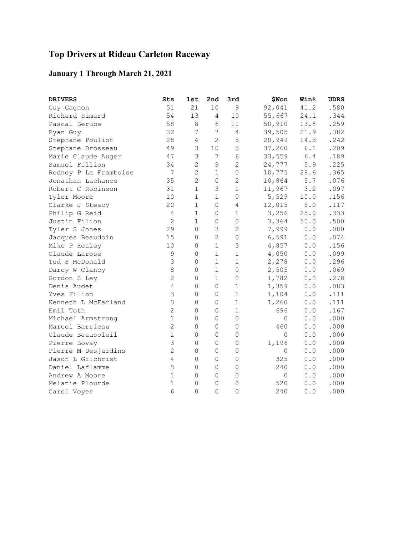# **Top Drivers at Rideau Carleton Raceway**

### **January 1 Through March 21, 2021**

| <b>DRIVERS</b>        | Sts            | 1st            | 2nd            | 3rd            | \$Won          | <b>Win%</b>                                         | <b>UDRS</b> |
|-----------------------|----------------|----------------|----------------|----------------|----------------|-----------------------------------------------------|-------------|
| Guy Gagnon            | 51             | 21             | 10             | 9              | 92,041         | 41.2                                                | .580        |
| Richard Simard        | 54             | 13             | 4              | 10             | 55,667         | 24.1                                                | .344        |
| Pascal Berube         | 58             | $\,8\,$        | 6              | 11             | 50,910         | 13.8                                                | .259        |
| Ryan Guy              | 32             | 7              | $\overline{7}$ | 4              | 39,505         | 21.9                                                | .382        |
| Stephane Pouliot      | 28             | 4              | $\overline{c}$ | 5              | 20,949         | 14.3                                                | .242        |
| Stephane Brosseau     | 49             | 3              | $10$           | 5              | 37,260         | $6.1$                                               | .209        |
| Marie Claude Auger    | 47             | 3              | 7              | 6              | 33,559         | $6\,.4$                                             | .189        |
| Samuel Fillion        | 34             | $\overline{2}$ | $\mathsf 9$    | $\overline{2}$ | 24,777         | 5.9                                                 | .225        |
| Rodney P La Framboise | 7              | $\overline{c}$ | 1              | $\overline{0}$ | 10,775         | 28.6                                                | .365        |
| Jonathan Lachance     | 35             | $\overline{c}$ | $\mathbb O$    | 2              | 10,864         | $5.7$                                               | .076        |
| Robert C Robinson     | 31             | $\mathbf{1}$   | 3              | $\mathbf{1}$   | 11,967         | 3.2                                                 | .097        |
| Tyler Moore           | 10             | $\mathbf{1}$   | $\mathbf 1$    | $\Omega$       | 5,529          | 10.0                                                | .156        |
| Clarke J Steacy       | 20             | $\mathbf 1$    | $\mathbf 0$    | 4              | 12,015         | $5.0$                                               | .117        |
| Philip G Reid         | 4              | $\mathbf{1}$   | 0              | 1              | 3,256          | 25.0                                                | .333        |
| Justin Filion         | $\overline{c}$ | $\mathbf{1}$   | 0              | 0              | 3,364          | 50.0                                                | .500        |
| Tyler S Jones         | 29             | $\Omega$       | 3              | 2              | 7,999          | 0.0                                                 | .080        |
| Jacques Beaudoin      | 15             | 0              | $\overline{c}$ | 0              | 6,591          | 0.0                                                 | .074        |
| Mike P Healey         | 10             | 0              | $\mathbf 1$    | 3              | 4,857          | 0.0                                                 | .156        |
| Claude Larose         | $\mathsf 9$    | 0              | $\mathbf 1$    | $\mathbf 1$    | 4,050          | 0.0                                                 | .099        |
| Ted S McDonald        | 3              | $\Omega$       | $\mathbf{1}$   | 1              | 2,278          | 0.0                                                 | .296        |
| Darcy W Clancy        | 8              | $\Omega$       | $\mathbf 1$    | 0              | 2,505          | 0.0                                                 | .069        |
| Gordon S Ley          | $\overline{c}$ | 0              | $\mathbf 1$    | 0              | 1,782          | $\ensuremath{\mathbf 0}$ . $\ensuremath{\mathbf 0}$ | .278        |
| Denis Audet           | $\overline{4}$ | 0              | 0              | $\mathbf 1$    | 1,359          | 0.0                                                 | .083        |
| Yves Filion           | 3              | $\Omega$       | $\circ$        | $\mathbf{1}$   | 1,104          | 0.0                                                 | .111        |
| Kenneth L McFarland   | 3              | $\Omega$       | $\mathbf 0$    | 1              | 1,260          | 0.0                                                 | .111        |
| Emil Toth             | $\overline{c}$ | 0              | 0              | 1              | 696            | 0.0                                                 | .167        |
| Michael Armstrong     | $\mathbf{1}$   | 0              | $\mathbf 0$    | 0              | 0              | 0.0                                                 | .000        |
| Marcel Barrieau       | $\mathbf{2}$   | 0              | $\mathbf 0$    | 0              | 460            | 0.0                                                 | .000        |
| Claude Beausoleil     | $\mathbf{1}$   | $\Omega$       | $\mathbf 0$    | $\Omega$       | $\overline{0}$ | 0.0                                                 | .000        |
| Pierre Bovay          | 3              | 0              | 0              | 0              | 1,196          | 0.0                                                 | .000        |
| Pierre M Desjardins   | $\overline{c}$ | 0              | $\mathbf 0$    | 0              | $\mathbf 0$    | 0.0                                                 | .000        |
| Jason L Gilchrist     | 4              | 0              | $\mathbf 0$    | 0              | 325            | 0.0                                                 | .000        |
| Daniel Laflamme       | 3              | 0              | $\mathbf 0$    | $\mathbf 0$    | 240            | 0.0                                                 | .000        |
| Andrew A Moore        | $\mathbf{1}$   | 0              | $\mathbf 0$    | 0              | $\overline{0}$ | 0.0                                                 | .000        |
| Melanie Plourde       | $\mathbf{1}$   | 0              | 0              | 0              | 520            | 0.0                                                 | .000        |
| Carol Voyer           | 6              | $\overline{0}$ | $\mathbf 0$    | $\Omega$       | 240            | 0.0                                                 | .000        |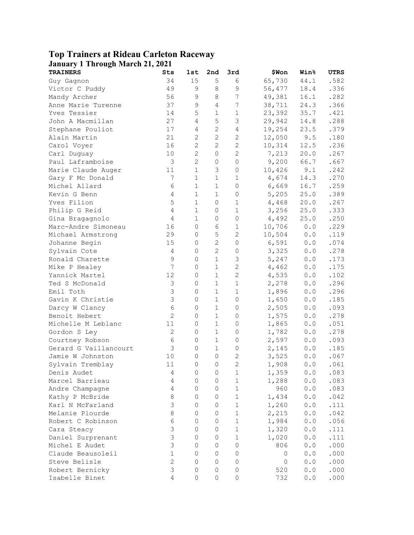## **Top Trainers at Rideau Carleton Raceway**

| <b>January 1 Through March 21, 2021</b> |                  |                |                |                     |              |                                                            |              |
|-----------------------------------------|------------------|----------------|----------------|---------------------|--------------|------------------------------------------------------------|--------------|
| <b>TRAINERS</b>                         | Sts              | 1st            | 2nd            | 3rd                 | \$Won        | <b>Win</b> %                                               | <b>UTRS</b>  |
| Guy Gagnon                              | 34               | 15             | 5              | 6                   | 65,730       | 44.1                                                       | .582         |
| Victor C Puddy                          | 49               | $\mathsf 9$    | 8              | 9                   | 56,477       | 18.4                                                       | .336         |
| Mandy Archer                            | 56               | 9              | $\,8\,$        | $\overline{7}$      | 49,381       | 16.1                                                       | .282         |
| Anne Marie Turenne                      | 37               | $\mathsf 9$    | $\overline{4}$ | 7                   | 38,711       | 24.3                                                       | .366         |
| Yves Tessier                            | 14               | 5              | $\mathbf 1$    | $\mathbf 1$         | 23,392       | 35.7                                                       | .421         |
| John A Macmillan                        | 27               | $\sqrt{4}$     | $\mathsf S$    | 3                   | 29,942       | 14.8                                                       | .288         |
| Stephane Pouliot                        | 17               | $\sqrt{4}$     | $\mathbf{2}$   | $\overline{4}$      | 19,254       | 23.5                                                       | .379         |
| Alain Martin                            | 21               | $\mathbf{2}$   | $\mathbf{2}$   | $\mathbf{2}$        | 12,050       | 9.5                                                        | .180         |
| Carol Voyer                             | 16               | $\overline{c}$ | $\mathbf{2}$   | $\overline{c}$      | 10,314       | 12.5                                                       | .236         |
| Carl Duguay                             | 10               | $\mathbf{2}$   | 0              | $\overline{c}$      | 7,213        | 20.0                                                       | .267         |
| Paul Laframboise                        | $\mathsf 3$      | $\overline{c}$ | $\mathbb O$    | $\mathsf{O}\xspace$ | 9,200        | 66.7                                                       | .667         |
| Marie Claude Auger                      | 11               | $\mathbf 1$    | $\mathsf 3$    | 0                   | 10,426       | 9.1                                                        | .242         |
| Gary F Mc Donald                        | $\boldsymbol{7}$ | $\mathbf 1$    | $\mathbf 1$    | 1                   | 4,674        | 14.3                                                       | .270         |
| Michel Allard                           | 6                | $\mathbf 1$    | $\mathbf 1$    | 0                   | 6,669        | 16.7                                                       | .259         |
| Kevin G Benn                            | $\overline{4}$   | $\mathbf 1$    | $\mathbf 1$    | $\mathbf 0$         | 5,205        | 25.0                                                       | .389         |
| Yves Filion                             | 5                | $\mathbf 1$    | $\circ$        | $\mathbf 1$         | 4,468        | 20.0                                                       | .267         |
| Philip G Reid                           | $\overline{4}$   | $\mathbf 1$    | $\mathbb O$    | $\mathbf 1$         | 3,256        | 25.0                                                       | .333         |
| Gina Bragagnolo                         | $\overline{4}$   | $\mathbf 1$    | $\mathbb O$    | 0                   | 4,492        | 25.0                                                       | .250         |
| Marc-Andre Simoneau                     | 16               | $\mathbf 0$    | 6              | $1\,$               | 10,706       | 0.0                                                        | .229         |
| Michael Armstrong                       | 29               | $\mathbf 0$    | $\mathbf 5$    | $\mathbf{2}$        | 10,504       | 0.0                                                        | .119         |
| Johanne Begin                           | 15               | $\mathbf 0$    | $\mathbf{2}$   | 0                   | 6,591        | 0.0                                                        | .074         |
| Sylvain Cote                            | $\overline{4}$   | $\mathbf 0$    | $\mathbf{2}$   | $\mathbf 0$         | 3,325        | 0.0                                                        | .278         |
| Ronald Charette                         | $\mathsf 9$      | $\mathbf 0$    | $\mathbf 1$    | 3                   | 5,247        | 0.0                                                        | .173         |
| Mike P Healey                           | $\boldsymbol{7}$ | $\mathbf 0$    | $\mathbf 1$    | $\overline{c}$      | 4,462        | 0.0                                                        | .175         |
| Yannick Martel                          | 12               | $\mathbf 0$    | $\mathbf 1$    | $\overline{c}$      | 4,535        | 0.0                                                        | .102         |
| Ted S McDonald                          | $\mathsf 3$      | $\mathbf 0$    | $\mathbf 1$    | $\mathbf 1$         | 2,278        | 0.0                                                        | .296         |
| Emil Toth                               | $\mathsf 3$      | $\mathbf 0$    | $\mathbf 1$    | $\mathbf 1$         | 1,896        | 0.0                                                        | .296         |
| Gavin K Christie                        | $\mathsf 3$      | $\mathbf 0$    | $\mathbf 1$    | 0                   | 1,650        | 0.0                                                        | .185         |
| Darcy W Clancy                          | $\epsilon$       | $\mathbf 0$    | $\mathbf 1$    | $\mathbf 0$         | 2,505        | 0.0                                                        | .093         |
| Benoit Hebert                           | $\mathbf{2}$     | $\mathbf 0$    | $\mathbf 1$    | $\mathbf 0$         | 1,575        | 0.0                                                        | .278         |
| Michelle M Leblanc                      | 11               | $\mathbf 0$    | $\mathbf 1$    | $\mathbf 0$         | 1,865        | 0.0                                                        | .051         |
| Gordon S Ley                            | $\mathbf{2}$     | $\mathbf 0$    | $\mathbf 1$    | $\mathbf 0$         | 1,782        | 0.0                                                        | .278         |
| Courtney Robson                         | $\epsilon$       | $\mathbf 0$    | $1\,$          | $\mathbf 0$         | 2,597        | 0.0                                                        | .093         |
| Gerard G Vaillancourt                   | $\mathfrak{Z}$   | $\mathbf 0$    | $\mathbf 1$    | $\mathbb O$         | 2,145        | 0.0                                                        | .185         |
| Jamie W Johnston                        | 10               | $\mathbf 0$    | $\mathbb O$    | $\mathbf{2}$        | 3,525        | 0.0                                                        | .067         |
| Sylvain Tremblay                        | 11               | $\mathbb O$    | $\overline{0}$ | $\mathbf{2}$        |              | 0.0                                                        | .061         |
|                                         |                  | 0              | $\mathbf 0$    |                     | 1,908        |                                                            |              |
| Denis Audet<br>Marcel Barrieau          | 4                | 0              | $\mathbf 0$    | 1<br>$\mathbf 1$    | 1,359        | 0.0<br>$\ensuremath{\mathbf 0}$ . $\ensuremath{\mathbf 0}$ | .083<br>.083 |
|                                         | $\overline{4}$   | 0              | $\mathbf 0$    | $\mathbf 1$         | 1,288<br>960 |                                                            |              |
| Andre Champagne<br>Kathy P McBride      | $\overline{4}$   |                |                |                     |              | $\ensuremath{\mathbf{0}}$ . $\ensuremath{\mathbf{0}}$      | .083         |
|                                         | 8                | 0              | $\mathbb O$    | $\mathbf 1$         | 1,434        | $\ensuremath{\mathbf{0}}$ . $\ensuremath{\mathbf{0}}$      | .042         |
| Karl N McFarland                        | $\mathsf 3$      | 0              | $\mathbb O$    | $\mathbf 1$         | 1,260        | $\ensuremath{\mathbf{0}}$ . $\ensuremath{\mathbf{0}}$      | .111         |
| Melanie Plourde                         | $\,8\,$          | 0              | $\mathbb O$    | $\mathbf 1$         | 2,215        | $\ensuremath{\mathbf{0}}$ . $\ensuremath{\mathbf{0}}$      | .042         |
| Robert C Robinson                       | 6                | $\mathbf 0$    | 0              | $\mathbf 1$         | 1,984        | $0.0$                                                      | .056         |
| Cara Steacy                             | $\mathsf 3$      | 0              | $\mathbb O$    | $\mathbf 1$         | 1,320        | $0.0$                                                      | .111         |
| Daniel Surprenant                       | $\mathsf 3$      | 0              | $\mathbb O$    | $\mathbf 1$         | 1,020        | $0.0$                                                      | .111         |
| Michel E Audet                          | $\mathsf 3$      | 0              | $\mathbb O$    | 0                   | 806          | $0.0$                                                      | .000         |
| Claude Beausoleil                       | $\mathbf 1$      | 0              | $\mathbb O$    | 0                   | 0            | $0.0$                                                      | .000         |
| Steve Belisle                           | $\overline{c}$   | 0              | $\mathbf 0$    | 0                   | 0            | 0.0                                                        | .000         |
| Robert Bernicky                         | $\mathsf 3$      | 0              | $\mathbb O$    | 0                   | 520          | 0.0                                                        | .000         |
| Isabelle Binet                          | $\overline{4}$   | $\mathbf 0$    | $\mathbb O$    | $\mathbb O$         | 732          | $\ensuremath{\mathbf 0}$ . $\ensuremath{\mathbf 0}$        | .000         |